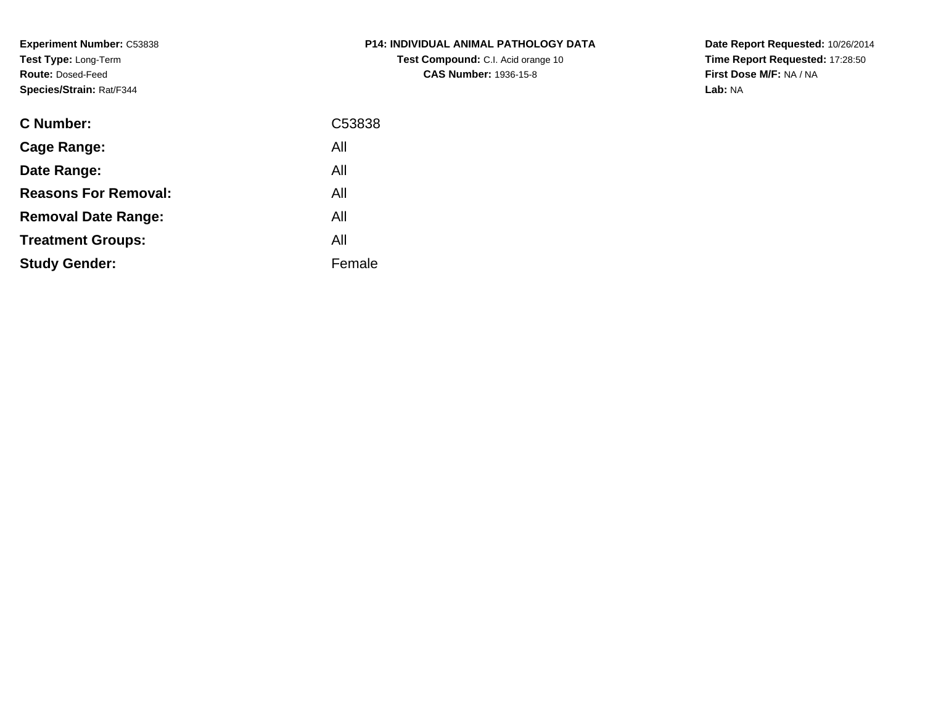**Experiment Number:** C53838**Test Type:** Long-Term**Route:** Dosed-Feed**Species/Strain:** Rat/F344

| P14: INDIVIDUAL ANIMAL PATHOLOGY DATA     |
|-------------------------------------------|
| <b>Test Compound:</b> C.I. Acid orange 10 |
| <b>CAS Number: 1936-15-8</b>              |

**Date Report Requested:** 10/26/2014 **Time Report Requested:** 17:28:50**First Dose M/F:** NA / NA**Lab:** NA

| <b>C</b> Number:            | C53838 |
|-----------------------------|--------|
| Cage Range:                 | All    |
| Date Range:                 | All    |
| <b>Reasons For Removal:</b> | All    |
| <b>Removal Date Range:</b>  | All    |
| <b>Treatment Groups:</b>    | All    |
| <b>Study Gender:</b>        | Female |
|                             |        |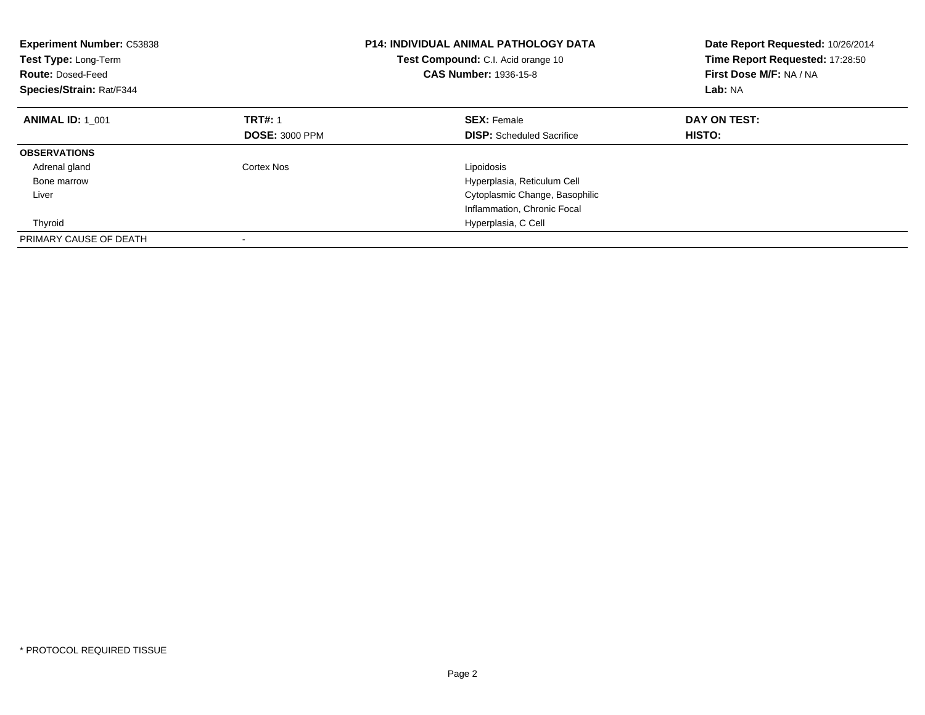| <b>Experiment Number: C53838</b><br>Test Type: Long-Term<br><b>Route: Dosed-Feed</b><br>Species/Strain: Rat/F344 |                       | <b>P14: INDIVIDUAL ANIMAL PATHOLOGY DATA</b><br>Test Compound: C.I. Acid orange 10<br><b>CAS Number: 1936-15-8</b> | Date Report Requested: 10/26/2014<br>Time Report Requested: 17:28:50<br>First Dose M/F: NA / NA<br>Lab: NA |
|------------------------------------------------------------------------------------------------------------------|-----------------------|--------------------------------------------------------------------------------------------------------------------|------------------------------------------------------------------------------------------------------------|
| <b>ANIMAL ID: 1 001</b>                                                                                          | <b>TRT#: 1</b>        | <b>SEX: Female</b>                                                                                                 | DAY ON TEST:                                                                                               |
|                                                                                                                  | <b>DOSE: 3000 PPM</b> | <b>DISP:</b> Scheduled Sacrifice                                                                                   | HISTO:                                                                                                     |
| <b>OBSERVATIONS</b>                                                                                              |                       |                                                                                                                    |                                                                                                            |
| Adrenal gland                                                                                                    | Cortex Nos            | Lipoidosis                                                                                                         |                                                                                                            |
| Bone marrow                                                                                                      |                       | Hyperplasia, Reticulum Cell                                                                                        |                                                                                                            |
| Liver                                                                                                            |                       | Cytoplasmic Change, Basophilic                                                                                     |                                                                                                            |
|                                                                                                                  |                       | Inflammation, Chronic Focal                                                                                        |                                                                                                            |
| Thyroid                                                                                                          |                       | Hyperplasia, C Cell                                                                                                |                                                                                                            |
| PRIMARY CAUSE OF DEATH                                                                                           |                       |                                                                                                                    |                                                                                                            |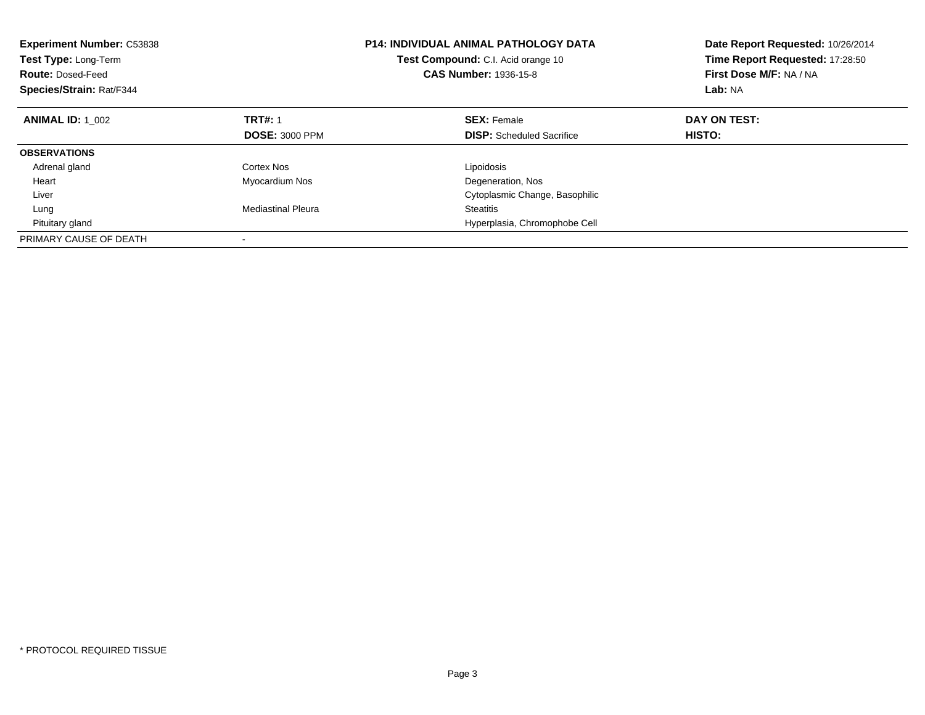| <b>Experiment Number: C53838</b><br>Test Type: Long-Term<br><b>Route: Dosed-Feed</b><br>Species/Strain: Rat/F344 |                           | <b>P14: INDIVIDUAL ANIMAL PATHOLOGY DATA</b><br>Test Compound: C.I. Acid orange 10<br><b>CAS Number: 1936-15-8</b> | Date Report Requested: 10/26/2014<br>Time Report Requested: 17:28:50<br>First Dose M/F: NA / NA<br>Lab: NA |
|------------------------------------------------------------------------------------------------------------------|---------------------------|--------------------------------------------------------------------------------------------------------------------|------------------------------------------------------------------------------------------------------------|
| <b>ANIMAL ID: 1 002</b>                                                                                          | <b>TRT#: 1</b>            | <b>SEX: Female</b>                                                                                                 | DAY ON TEST:                                                                                               |
|                                                                                                                  | <b>DOSE: 3000 PPM</b>     | <b>DISP:</b> Scheduled Sacrifice                                                                                   | HISTO:                                                                                                     |
| <b>OBSERVATIONS</b>                                                                                              |                           |                                                                                                                    |                                                                                                            |
| Adrenal gland                                                                                                    | Cortex Nos                | Lipoidosis                                                                                                         |                                                                                                            |
| Heart                                                                                                            | Myocardium Nos            | Degeneration, Nos                                                                                                  |                                                                                                            |
| Liver                                                                                                            |                           | Cytoplasmic Change, Basophilic                                                                                     |                                                                                                            |
| Lung                                                                                                             | <b>Mediastinal Pleura</b> | <b>Steatitis</b>                                                                                                   |                                                                                                            |
| Pituitary gland                                                                                                  |                           | Hyperplasia, Chromophobe Cell                                                                                      |                                                                                                            |
| PRIMARY CAUSE OF DEATH                                                                                           |                           |                                                                                                                    |                                                                                                            |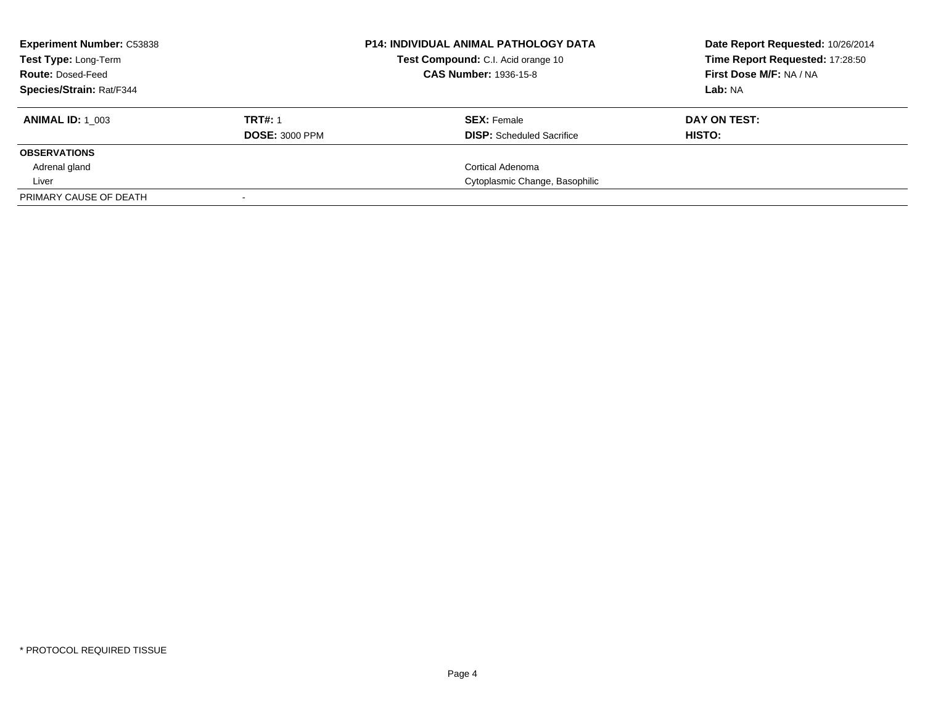| <b>Experiment Number: C53838</b><br><b>Test Type: Long-Term</b><br><b>Route: Dosed-Feed</b><br>Species/Strain: Rat/F344 |                                         | <b>P14: INDIVIDUAL ANIMAL PATHOLOGY DATA</b><br>Test Compound: C.I. Acid orange 10<br><b>CAS Number: 1936-15-8</b> | Date Report Requested: 10/26/2014<br>Time Report Requested: 17:28:50<br>First Dose M/F: NA / NA<br>Lab: NA |
|-------------------------------------------------------------------------------------------------------------------------|-----------------------------------------|--------------------------------------------------------------------------------------------------------------------|------------------------------------------------------------------------------------------------------------|
| <b>ANIMAL ID:</b> 1 003                                                                                                 | <b>TRT#: 1</b><br><b>DOSE: 3000 PPM</b> | <b>SEX:</b> Female<br><b>DISP:</b> Scheduled Sacrifice                                                             | DAY ON TEST:<br>HISTO:                                                                                     |
| <b>OBSERVATIONS</b>                                                                                                     |                                         |                                                                                                                    |                                                                                                            |
| Adrenal gland                                                                                                           |                                         | Cortical Adenoma                                                                                                   |                                                                                                            |
| Liver                                                                                                                   |                                         | Cytoplasmic Change, Basophilic                                                                                     |                                                                                                            |
| PRIMARY CAUSE OF DEATH                                                                                                  |                                         |                                                                                                                    |                                                                                                            |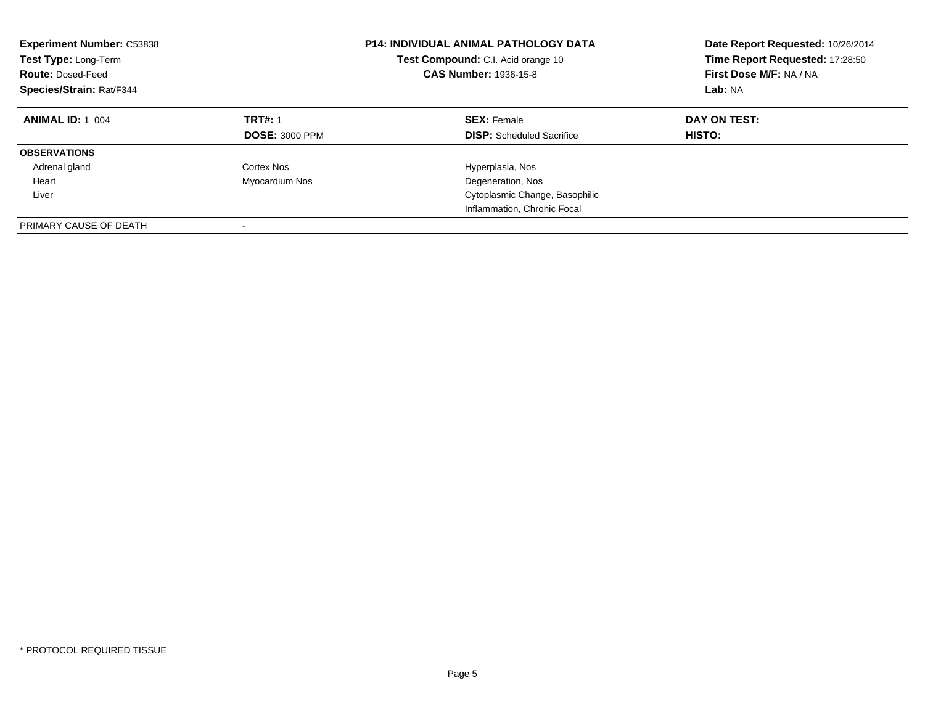| <b>Experiment Number: C53838</b><br>Test Type: Long-Term<br><b>Route: Dosed-Feed</b><br>Species/Strain: Rat/F344 |                                         | <b>P14: INDIVIDUAL ANIMAL PATHOLOGY DATA</b><br>Test Compound: C.I. Acid orange 10<br><b>CAS Number: 1936-15-8</b> | Date Report Requested: 10/26/2014<br>Time Report Requested: 17:28:50<br>First Dose M/F: NA / NA<br>Lab: NA |
|------------------------------------------------------------------------------------------------------------------|-----------------------------------------|--------------------------------------------------------------------------------------------------------------------|------------------------------------------------------------------------------------------------------------|
| <b>ANIMAL ID: 1 004</b>                                                                                          | <b>TRT#: 1</b><br><b>DOSE: 3000 PPM</b> | <b>SEX: Female</b><br><b>DISP:</b> Scheduled Sacrifice                                                             | DAY ON TEST:<br><b>HISTO:</b>                                                                              |
| <b>OBSERVATIONS</b>                                                                                              |                                         |                                                                                                                    |                                                                                                            |
| Adrenal gland                                                                                                    | Cortex Nos                              | Hyperplasia, Nos                                                                                                   |                                                                                                            |
| Heart                                                                                                            | Myocardium Nos                          | Degeneration, Nos                                                                                                  |                                                                                                            |
| Liver                                                                                                            |                                         | Cytoplasmic Change, Basophilic                                                                                     |                                                                                                            |
|                                                                                                                  |                                         | Inflammation, Chronic Focal                                                                                        |                                                                                                            |
| PRIMARY CAUSE OF DEATH                                                                                           |                                         |                                                                                                                    |                                                                                                            |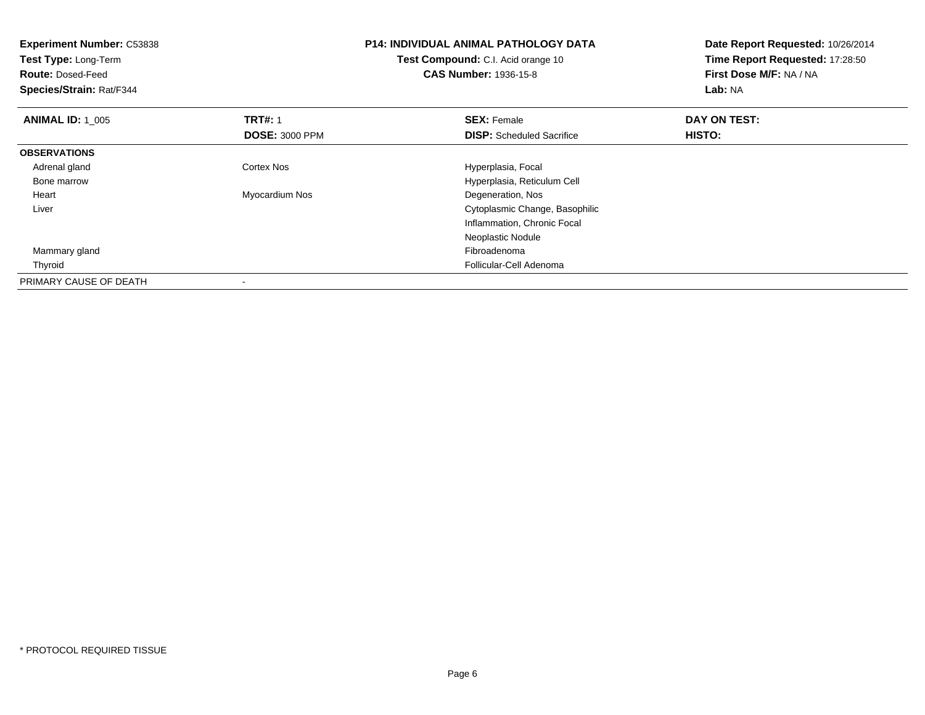| Experiment Number: C53838<br>Test Type: Long-Term<br><b>Route: Dosed-Feed</b><br>Species/Strain: Rat/F344 |                          | <b>P14: INDIVIDUAL ANIMAL PATHOLOGY DATA</b><br>Test Compound: C.I. Acid orange 10<br><b>CAS Number: 1936-15-8</b> | Date Report Requested: 10/26/2014<br>Time Report Requested: 17:28:50<br>First Dose M/F: NA / NA<br>Lab: NA |
|-----------------------------------------------------------------------------------------------------------|--------------------------|--------------------------------------------------------------------------------------------------------------------|------------------------------------------------------------------------------------------------------------|
| <b>ANIMAL ID: 1 005</b>                                                                                   | <b>TRT#: 1</b>           | <b>SEX: Female</b>                                                                                                 | DAY ON TEST:                                                                                               |
|                                                                                                           | <b>DOSE: 3000 PPM</b>    | <b>DISP:</b> Scheduled Sacrifice                                                                                   | HISTO:                                                                                                     |
| <b>OBSERVATIONS</b>                                                                                       |                          |                                                                                                                    |                                                                                                            |
| Adrenal gland                                                                                             | <b>Cortex Nos</b>        | Hyperplasia, Focal                                                                                                 |                                                                                                            |
| Bone marrow                                                                                               |                          | Hyperplasia, Reticulum Cell                                                                                        |                                                                                                            |
| Heart                                                                                                     | Myocardium Nos           | Degeneration, Nos                                                                                                  |                                                                                                            |
| Liver                                                                                                     |                          | Cytoplasmic Change, Basophilic                                                                                     |                                                                                                            |
|                                                                                                           |                          | Inflammation, Chronic Focal                                                                                        |                                                                                                            |
|                                                                                                           |                          | Neoplastic Nodule                                                                                                  |                                                                                                            |
| Mammary gland                                                                                             |                          | Fibroadenoma                                                                                                       |                                                                                                            |
| Thyroid                                                                                                   |                          | Follicular-Cell Adenoma                                                                                            |                                                                                                            |
| PRIMARY CAUSE OF DEATH                                                                                    | $\overline{\phantom{a}}$ |                                                                                                                    |                                                                                                            |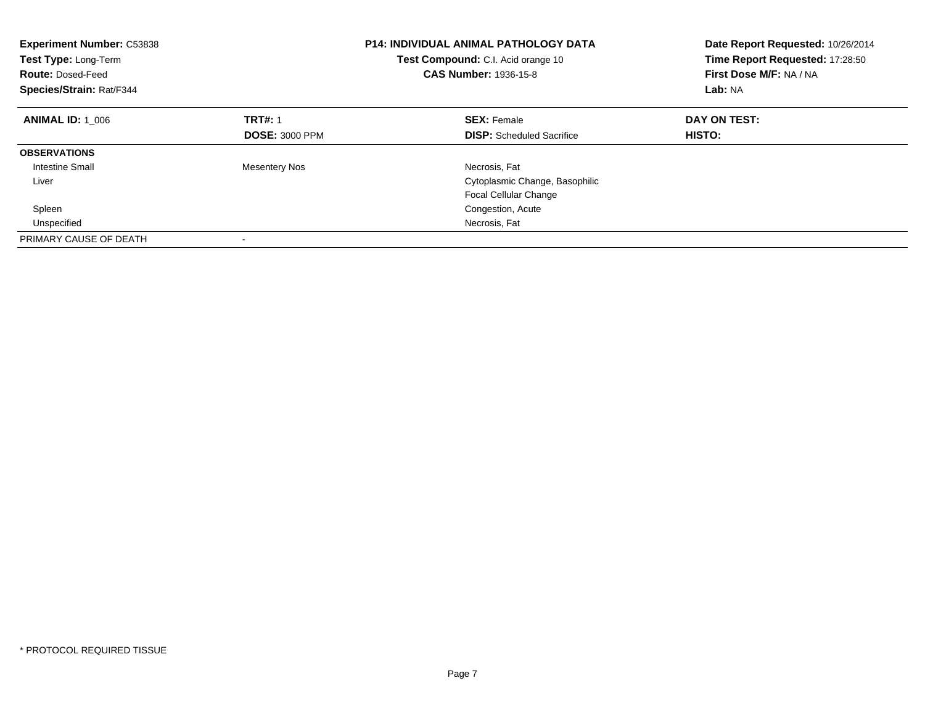| <b>Experiment Number: C53838</b><br>Test Type: Long-Term<br><b>Route: Dosed-Feed</b><br>Species/Strain: Rat/F344 |                       | <b>P14: INDIVIDUAL ANIMAL PATHOLOGY DATA</b><br>Test Compound: C.I. Acid orange 10<br><b>CAS Number: 1936-15-8</b> | Date Report Requested: 10/26/2014<br>Time Report Requested: 17:28:50<br>First Dose M/F: NA / NA<br>Lab: NA |
|------------------------------------------------------------------------------------------------------------------|-----------------------|--------------------------------------------------------------------------------------------------------------------|------------------------------------------------------------------------------------------------------------|
| <b>ANIMAL ID: 1 006</b>                                                                                          | <b>TRT#: 1</b>        | <b>SEX: Female</b>                                                                                                 | DAY ON TEST:                                                                                               |
|                                                                                                                  | <b>DOSE: 3000 PPM</b> | <b>DISP:</b> Scheduled Sacrifice                                                                                   | HISTO:                                                                                                     |
| <b>OBSERVATIONS</b>                                                                                              |                       |                                                                                                                    |                                                                                                            |
| Intestine Small                                                                                                  | <b>Mesentery Nos</b>  | Necrosis, Fat                                                                                                      |                                                                                                            |
| Liver                                                                                                            |                       | Cytoplasmic Change, Basophilic                                                                                     |                                                                                                            |
|                                                                                                                  |                       | <b>Focal Cellular Change</b>                                                                                       |                                                                                                            |
| Spleen                                                                                                           |                       | Congestion, Acute                                                                                                  |                                                                                                            |
| Unspecified                                                                                                      |                       | Necrosis, Fat                                                                                                      |                                                                                                            |
| PRIMARY CAUSE OF DEATH                                                                                           |                       |                                                                                                                    |                                                                                                            |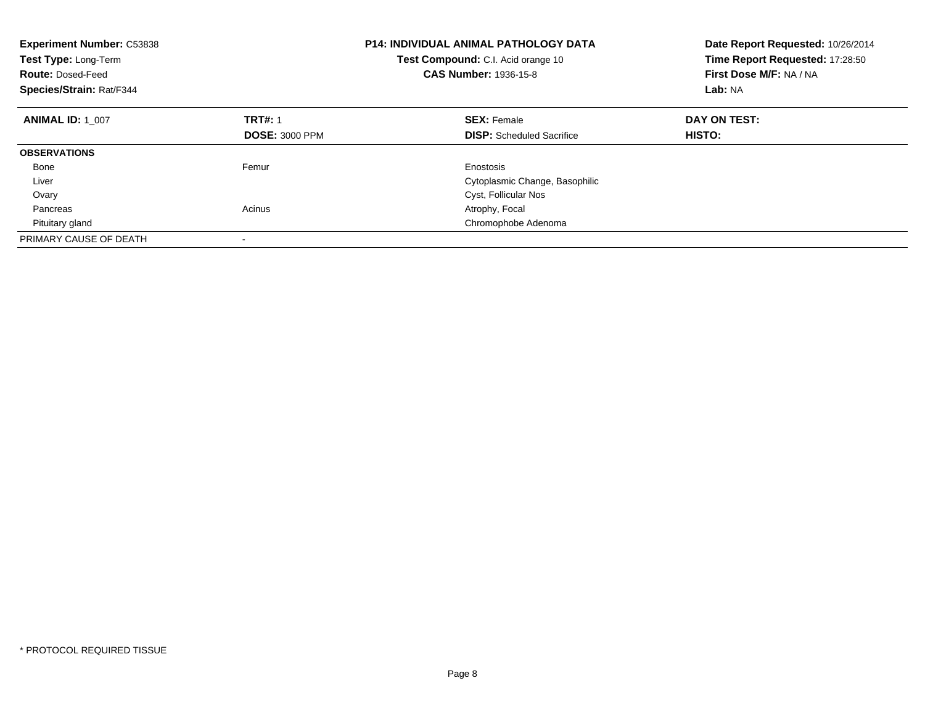| <b>Experiment Number: C53838</b><br>Test Type: Long-Term<br><b>Route: Dosed-Feed</b><br>Species/Strain: Rat/F344 |                       | <b>P14: INDIVIDUAL ANIMAL PATHOLOGY DATA</b><br>Test Compound: C.I. Acid orange 10<br><b>CAS Number: 1936-15-8</b> | Date Report Requested: 10/26/2014<br>Time Report Requested: 17:28:50<br>First Dose M/F: NA / NA<br>Lab: NA |
|------------------------------------------------------------------------------------------------------------------|-----------------------|--------------------------------------------------------------------------------------------------------------------|------------------------------------------------------------------------------------------------------------|
| <b>ANIMAL ID: 1 007</b>                                                                                          | <b>TRT#: 1</b>        | <b>SEX: Female</b>                                                                                                 | DAY ON TEST:                                                                                               |
|                                                                                                                  | <b>DOSE: 3000 PPM</b> | <b>DISP:</b> Scheduled Sacrifice                                                                                   | HISTO:                                                                                                     |
| <b>OBSERVATIONS</b>                                                                                              |                       |                                                                                                                    |                                                                                                            |
| Bone                                                                                                             | Femur                 | Enostosis                                                                                                          |                                                                                                            |
| Liver                                                                                                            |                       | Cytoplasmic Change, Basophilic                                                                                     |                                                                                                            |
| Ovary                                                                                                            |                       | Cyst, Follicular Nos                                                                                               |                                                                                                            |
| Pancreas                                                                                                         | Acinus                | Atrophy, Focal                                                                                                     |                                                                                                            |
| Pituitary gland                                                                                                  |                       | Chromophobe Adenoma                                                                                                |                                                                                                            |
| PRIMARY CAUSE OF DEATH                                                                                           |                       |                                                                                                                    |                                                                                                            |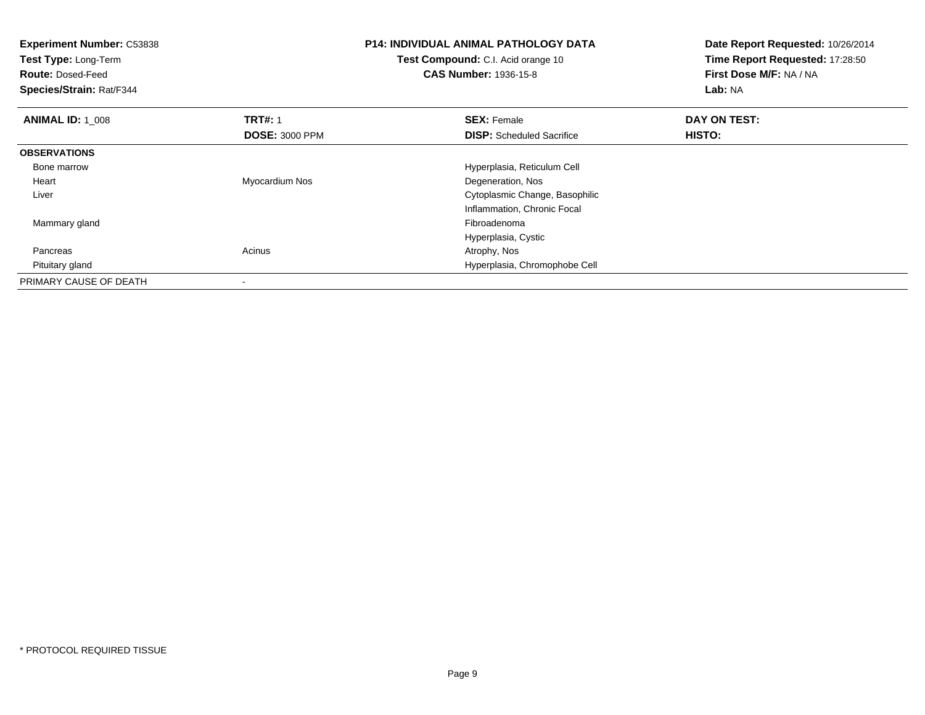| <b>Experiment Number: C53838</b><br>Test Type: Long-Term<br><b>Route: Dosed-Feed</b><br>Species/Strain: Rat/F344 |                       | <b>P14: INDIVIDUAL ANIMAL PATHOLOGY DATA</b><br>Test Compound: C.I. Acid orange 10<br><b>CAS Number: 1936-15-8</b> | Date Report Requested: 10/26/2014<br>Time Report Requested: 17:28:50<br>First Dose M/F: NA / NA<br>Lab: NA |
|------------------------------------------------------------------------------------------------------------------|-----------------------|--------------------------------------------------------------------------------------------------------------------|------------------------------------------------------------------------------------------------------------|
| <b>ANIMAL ID: 1 008</b>                                                                                          | <b>TRT#: 1</b>        | <b>SEX: Female</b>                                                                                                 | DAY ON TEST:                                                                                               |
|                                                                                                                  | <b>DOSE: 3000 PPM</b> | <b>DISP:</b> Scheduled Sacrifice                                                                                   | <b>HISTO:</b>                                                                                              |
| <b>OBSERVATIONS</b>                                                                                              |                       |                                                                                                                    |                                                                                                            |
| Bone marrow                                                                                                      |                       | Hyperplasia, Reticulum Cell                                                                                        |                                                                                                            |
| Heart                                                                                                            | Myocardium Nos        | Degeneration, Nos                                                                                                  |                                                                                                            |
| Liver                                                                                                            |                       | Cytoplasmic Change, Basophilic                                                                                     |                                                                                                            |
|                                                                                                                  |                       | Inflammation, Chronic Focal                                                                                        |                                                                                                            |
| Mammary gland                                                                                                    |                       | Fibroadenoma                                                                                                       |                                                                                                            |
|                                                                                                                  |                       | Hyperplasia, Cystic                                                                                                |                                                                                                            |
| Pancreas                                                                                                         | Acinus                | Atrophy, Nos                                                                                                       |                                                                                                            |
| Pituitary gland                                                                                                  |                       | Hyperplasia, Chromophobe Cell                                                                                      |                                                                                                            |
| PRIMARY CAUSE OF DEATH                                                                                           |                       |                                                                                                                    |                                                                                                            |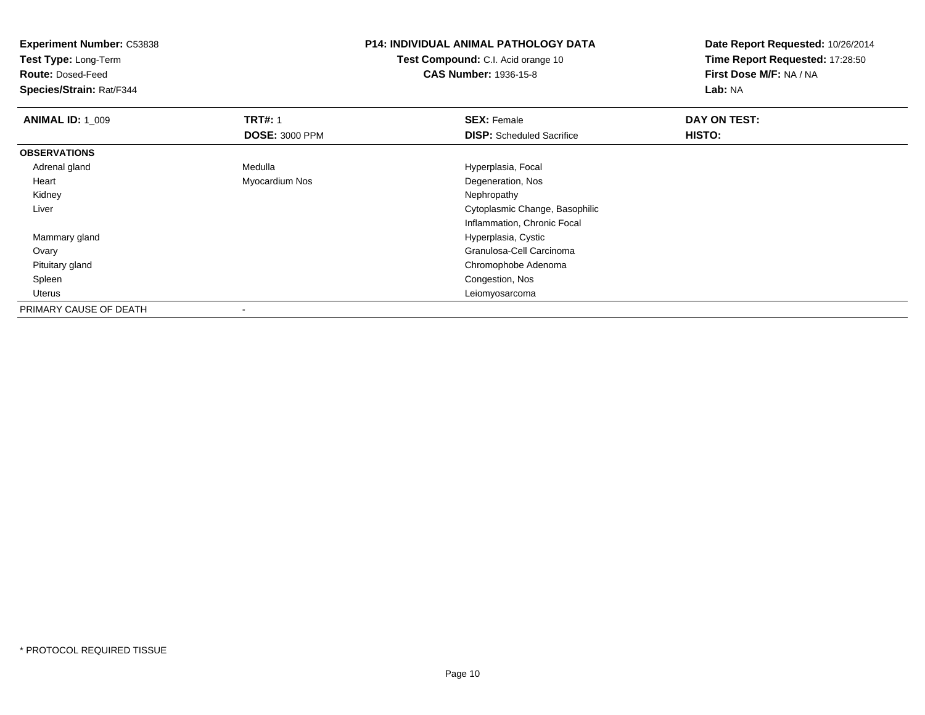| <b>Experiment Number: C53838</b> |                       | <b>P14: INDIVIDUAL ANIMAL PATHOLOGY DATA</b> | Date Report Requested: 10/26/2014 |
|----------------------------------|-----------------------|----------------------------------------------|-----------------------------------|
| Test Type: Long-Term             |                       | Test Compound: C.I. Acid orange 10           | Time Report Requested: 17:28:50   |
| <b>Route: Dosed-Feed</b>         |                       | <b>CAS Number: 1936-15-8</b>                 | First Dose M/F: NA / NA           |
| Species/Strain: Rat/F344         |                       |                                              | Lab: NA                           |
| <b>ANIMAL ID: 1_009</b>          | <b>TRT#: 1</b>        | <b>SEX: Female</b>                           | DAY ON TEST:                      |
|                                  | <b>DOSE: 3000 PPM</b> | <b>DISP:</b> Scheduled Sacrifice             | HISTO:                            |
| <b>OBSERVATIONS</b>              |                       |                                              |                                   |
| Adrenal gland                    | Medulla               | Hyperplasia, Focal                           |                                   |
| Heart                            | Myocardium Nos        | Degeneration, Nos                            |                                   |
| Kidney                           |                       | Nephropathy                                  |                                   |
| Liver                            |                       | Cytoplasmic Change, Basophilic               |                                   |
|                                  |                       | Inflammation, Chronic Focal                  |                                   |
| Mammary gland                    |                       | Hyperplasia, Cystic                          |                                   |
| Ovary                            |                       | Granulosa-Cell Carcinoma                     |                                   |
| Pituitary gland                  |                       | Chromophobe Adenoma                          |                                   |
| Spleen                           |                       | Congestion, Nos                              |                                   |
| Uterus                           |                       | Leiomyosarcoma                               |                                   |
| PRIMARY CAUSE OF DEATH           |                       |                                              |                                   |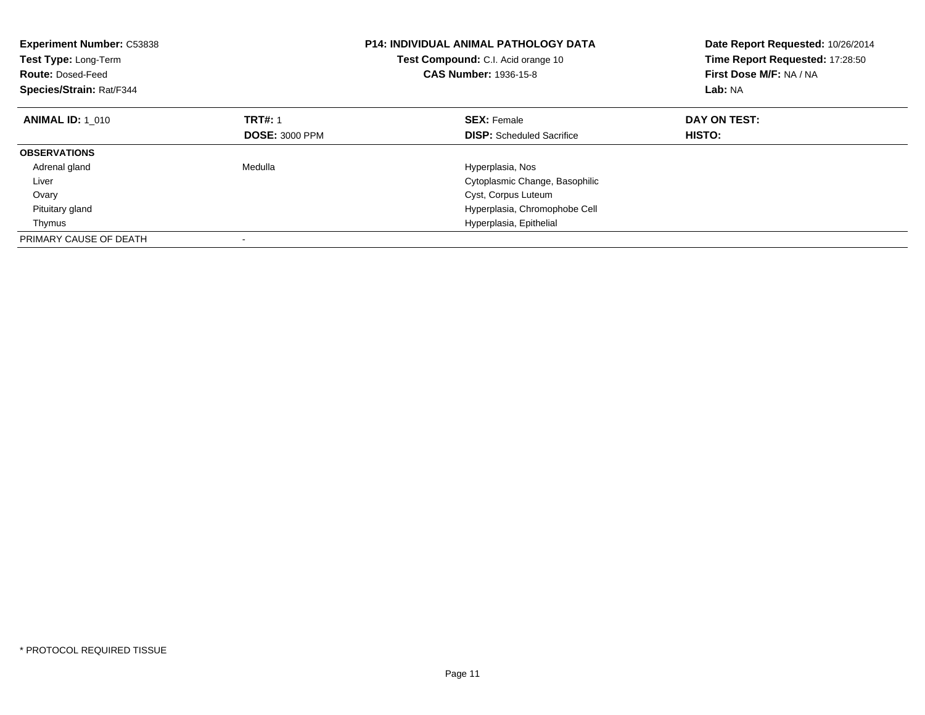| <b>Experiment Number: C53838</b><br>Test Type: Long-Term<br><b>Route: Dosed-Feed</b><br>Species/Strain: Rat/F344 |                       | <b>P14: INDIVIDUAL ANIMAL PATHOLOGY DATA</b><br>Test Compound: C.I. Acid orange 10<br><b>CAS Number: 1936-15-8</b> | Date Report Requested: 10/26/2014<br>Time Report Requested: 17:28:50<br>First Dose M/F: NA / NA<br>Lab: NA |
|------------------------------------------------------------------------------------------------------------------|-----------------------|--------------------------------------------------------------------------------------------------------------------|------------------------------------------------------------------------------------------------------------|
| <b>ANIMAL ID: 1_010</b>                                                                                          | <b>TRT#: 1</b>        | <b>SEX: Female</b>                                                                                                 | DAY ON TEST:                                                                                               |
|                                                                                                                  | <b>DOSE: 3000 PPM</b> | <b>DISP:</b> Scheduled Sacrifice                                                                                   | HISTO:                                                                                                     |
| <b>OBSERVATIONS</b>                                                                                              |                       |                                                                                                                    |                                                                                                            |
| Adrenal gland                                                                                                    | Medulla               | Hyperplasia, Nos                                                                                                   |                                                                                                            |
| Liver                                                                                                            |                       | Cytoplasmic Change, Basophilic                                                                                     |                                                                                                            |
| Ovary                                                                                                            |                       | Cyst, Corpus Luteum                                                                                                |                                                                                                            |
| Pituitary gland                                                                                                  |                       | Hyperplasia, Chromophobe Cell                                                                                      |                                                                                                            |
| Thymus                                                                                                           |                       | Hyperplasia, Epithelial                                                                                            |                                                                                                            |
| PRIMARY CAUSE OF DEATH                                                                                           |                       |                                                                                                                    |                                                                                                            |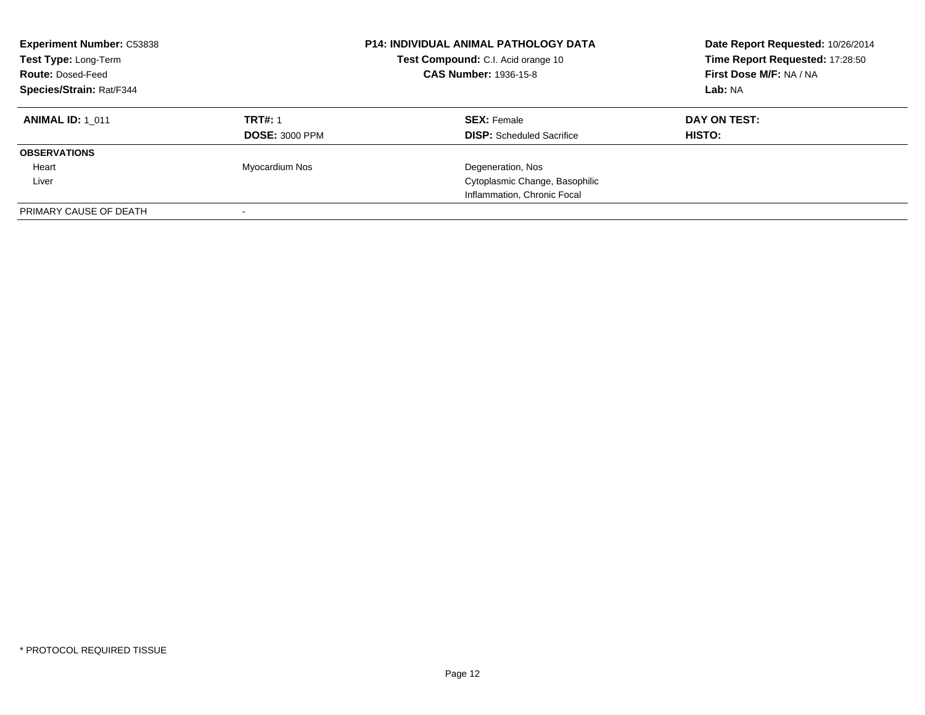| <b>Experiment Number: C53838</b><br>Test Type: Long-Term<br><b>Route: Dosed-Feed</b><br><b>Species/Strain: Rat/F344</b> |                       | <b>P14: INDIVIDUAL ANIMAL PATHOLOGY DATA</b><br>Test Compound: C.I. Acid orange 10<br><b>CAS Number: 1936-15-8</b> | Date Report Requested: 10/26/2014<br>Time Report Requested: 17:28:50<br>First Dose M/F: NA / NA<br>Lab: NA |
|-------------------------------------------------------------------------------------------------------------------------|-----------------------|--------------------------------------------------------------------------------------------------------------------|------------------------------------------------------------------------------------------------------------|
| <b>ANIMAL ID: 1 011</b>                                                                                                 | <b>TRT#: 1</b>        | <b>SEX: Female</b>                                                                                                 | DAY ON TEST:                                                                                               |
|                                                                                                                         | <b>DOSE: 3000 PPM</b> | <b>DISP:</b> Scheduled Sacrifice                                                                                   | HISTO:                                                                                                     |
| <b>OBSERVATIONS</b>                                                                                                     |                       |                                                                                                                    |                                                                                                            |
| Heart                                                                                                                   | Myocardium Nos        | Degeneration, Nos                                                                                                  |                                                                                                            |
| Liver                                                                                                                   |                       | Cytoplasmic Change, Basophilic                                                                                     |                                                                                                            |
|                                                                                                                         |                       | Inflammation, Chronic Focal                                                                                        |                                                                                                            |
| PRIMARY CAUSE OF DEATH                                                                                                  |                       |                                                                                                                    |                                                                                                            |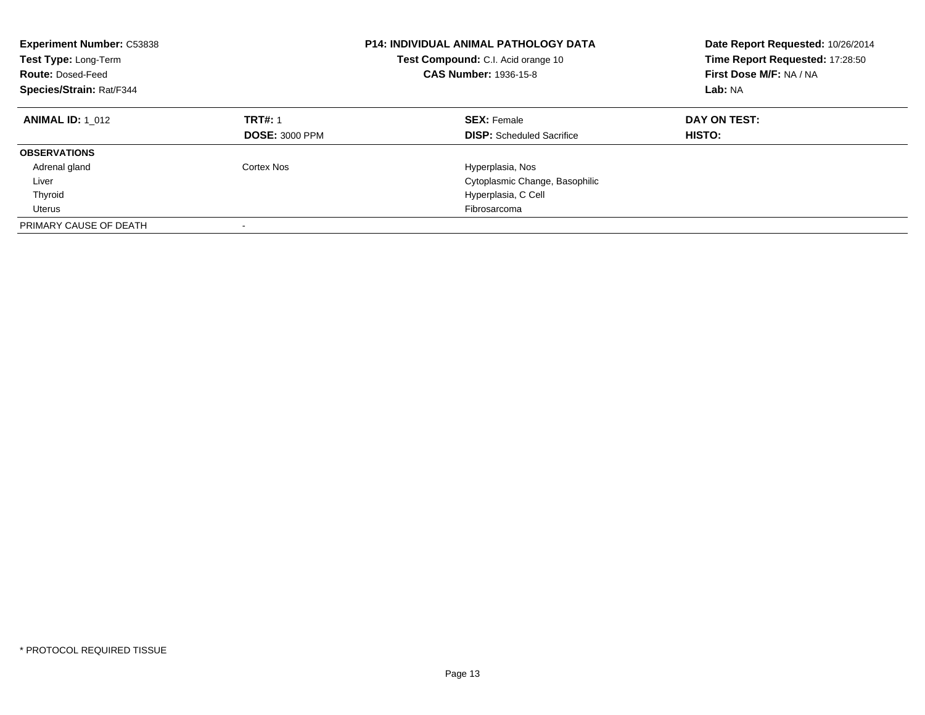| <b>Experiment Number: C53838</b><br>Test Type: Long-Term<br><b>Route: Dosed-Feed</b><br>Species/Strain: Rat/F344 |                                         | <b>P14: INDIVIDUAL ANIMAL PATHOLOGY DATA</b><br>Test Compound: C.I. Acid orange 10<br><b>CAS Number: 1936-15-8</b> | Date Report Requested: 10/26/2014<br>Time Report Requested: 17:28:50<br>First Dose M/F: NA / NA<br>Lab: NA |
|------------------------------------------------------------------------------------------------------------------|-----------------------------------------|--------------------------------------------------------------------------------------------------------------------|------------------------------------------------------------------------------------------------------------|
| <b>ANIMAL ID: 1 012</b>                                                                                          | <b>TRT#: 1</b><br><b>DOSE: 3000 PPM</b> | <b>SEX: Female</b><br><b>DISP:</b> Scheduled Sacrifice                                                             | DAY ON TEST:<br><b>HISTO:</b>                                                                              |
| <b>OBSERVATIONS</b>                                                                                              |                                         |                                                                                                                    |                                                                                                            |
| Adrenal gland                                                                                                    | Cortex Nos                              | Hyperplasia, Nos                                                                                                   |                                                                                                            |
| Liver                                                                                                            |                                         | Cytoplasmic Change, Basophilic                                                                                     |                                                                                                            |
| Thyroid                                                                                                          |                                         | Hyperplasia, C Cell                                                                                                |                                                                                                            |
| Uterus                                                                                                           |                                         | Fibrosarcoma                                                                                                       |                                                                                                            |
| PRIMARY CAUSE OF DEATH                                                                                           |                                         |                                                                                                                    |                                                                                                            |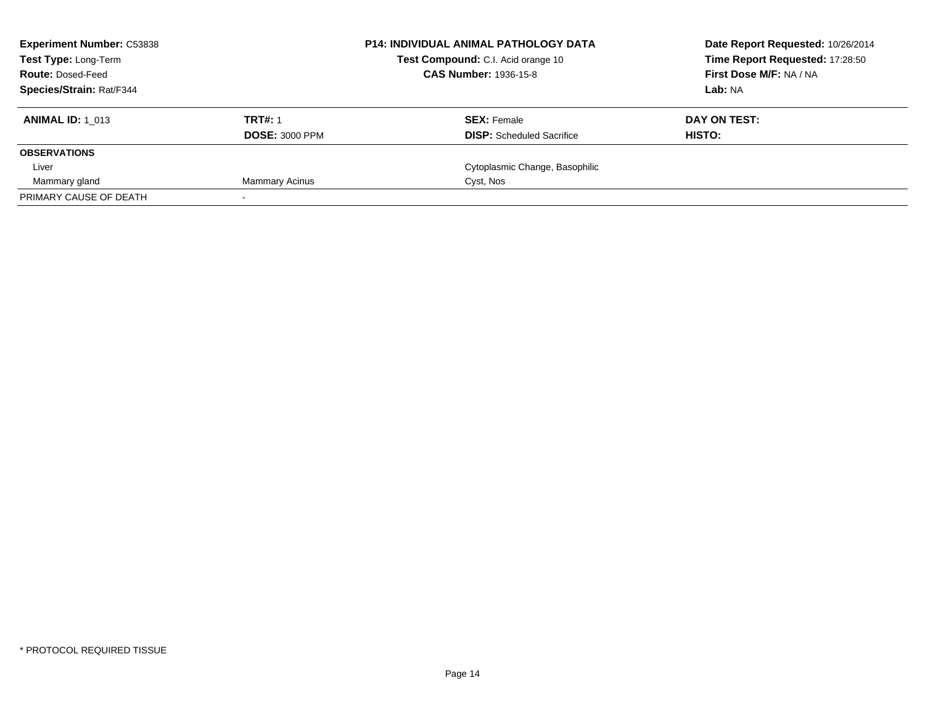| <b>Experiment Number: C53838</b><br><b>Test Type: Long-Term</b> |                       | <b>P14: INDIVIDUAL ANIMAL PATHOLOGY DATA</b><br>Test Compound: C.I. Acid orange 10<br><b>CAS Number: 1936-15-8</b> | Date Report Requested: 10/26/2014<br>Time Report Requested: 17:28:50 |
|-----------------------------------------------------------------|-----------------------|--------------------------------------------------------------------------------------------------------------------|----------------------------------------------------------------------|
| <b>Route: Dosed-Feed</b>                                        |                       |                                                                                                                    | First Dose M/F: NA / NA                                              |
| Species/Strain: Rat/F344                                        |                       |                                                                                                                    | Lab: NA                                                              |
| <b>ANIMAL ID: 1 013</b>                                         | <b>TRT#: 1</b>        | <b>SEX: Female</b>                                                                                                 | DAY ON TEST:                                                         |
|                                                                 | <b>DOSE: 3000 PPM</b> | <b>DISP:</b> Scheduled Sacrifice                                                                                   | HISTO:                                                               |
| <b>OBSERVATIONS</b>                                             |                       |                                                                                                                    |                                                                      |
| Liver                                                           |                       | Cytoplasmic Change, Basophilic                                                                                     |                                                                      |
| Mammary gland                                                   | <b>Mammary Acinus</b> | Cyst, Nos                                                                                                          |                                                                      |
| PRIMARY CAUSE OF DEATH                                          |                       |                                                                                                                    |                                                                      |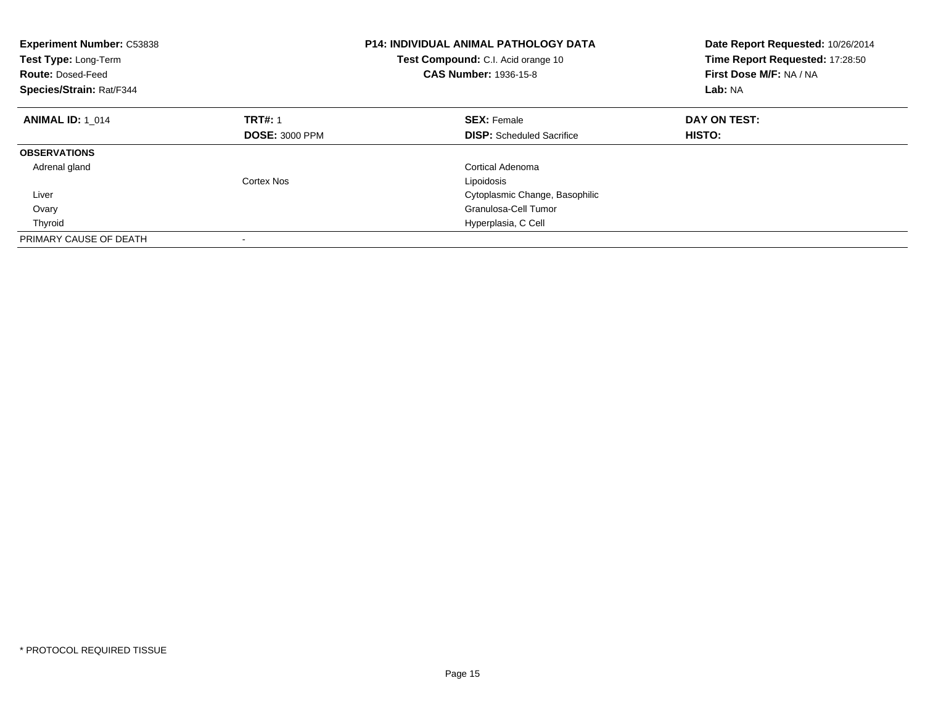| Experiment Number: C53838<br>Test Type: Long-Term<br><b>Route: Dosed-Feed</b><br>Species/Strain: Rat/F344 |                       | <b>P14: INDIVIDUAL ANIMAL PATHOLOGY DATA</b><br>Test Compound: C.I. Acid orange 10<br><b>CAS Number: 1936-15-8</b> | Date Report Requested: 10/26/2014<br>Time Report Requested: 17:28:50<br>First Dose M/F: NA / NA<br>Lab: NA |
|-----------------------------------------------------------------------------------------------------------|-----------------------|--------------------------------------------------------------------------------------------------------------------|------------------------------------------------------------------------------------------------------------|
| <b>ANIMAL ID: 1 014</b>                                                                                   | <b>TRT#: 1</b>        | <b>SEX: Female</b>                                                                                                 | DAY ON TEST:                                                                                               |
|                                                                                                           | <b>DOSE: 3000 PPM</b> | <b>DISP:</b> Scheduled Sacrifice                                                                                   | HISTO:                                                                                                     |
| <b>OBSERVATIONS</b>                                                                                       |                       |                                                                                                                    |                                                                                                            |
| Adrenal gland                                                                                             |                       | Cortical Adenoma                                                                                                   |                                                                                                            |
|                                                                                                           | Cortex Nos            | Lipoidosis                                                                                                         |                                                                                                            |
| Liver                                                                                                     |                       | Cytoplasmic Change, Basophilic                                                                                     |                                                                                                            |
| Ovary                                                                                                     |                       | Granulosa-Cell Tumor                                                                                               |                                                                                                            |
| Thyroid                                                                                                   |                       | Hyperplasia, C Cell                                                                                                |                                                                                                            |
| PRIMARY CAUSE OF DEATH                                                                                    |                       |                                                                                                                    |                                                                                                            |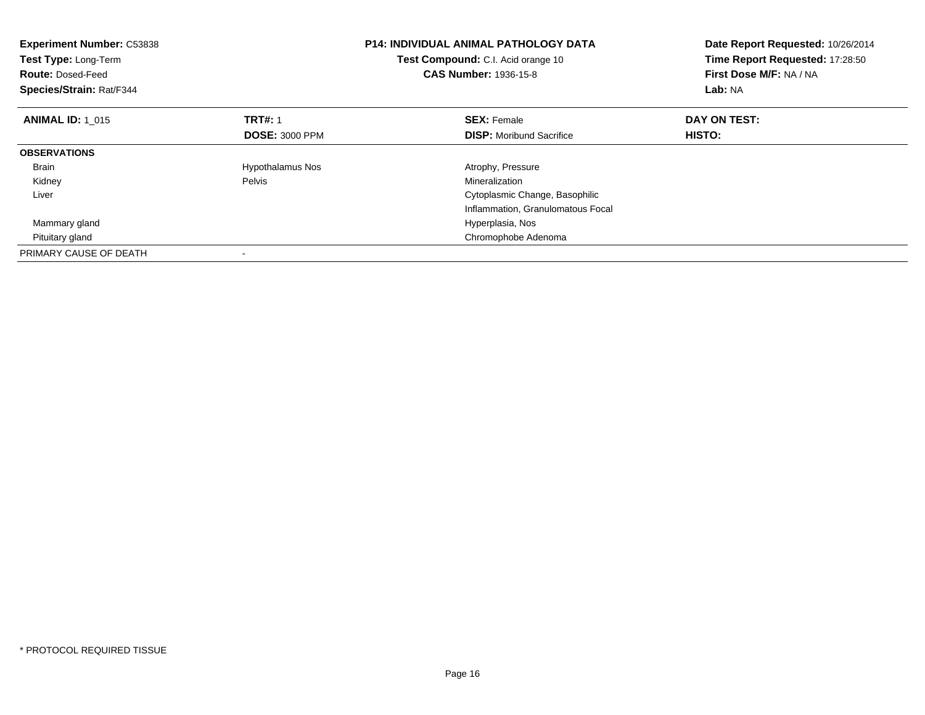| <b>Experiment Number: C53838</b><br>Test Type: Long-Term<br><b>Route: Dosed-Feed</b><br>Species/Strain: Rat/F344 |                         | P14: INDIVIDUAL ANIMAL PATHOLOGY DATA<br>Test Compound: C.I. Acid orange 10<br><b>CAS Number: 1936-15-8</b> | Date Report Requested: 10/26/2014<br>Time Report Requested: 17:28:50<br>First Dose M/F: NA / NA<br>Lab: NA |
|------------------------------------------------------------------------------------------------------------------|-------------------------|-------------------------------------------------------------------------------------------------------------|------------------------------------------------------------------------------------------------------------|
| <b>ANIMAL ID: 1 015</b>                                                                                          | <b>TRT#: 1</b>          | <b>SEX: Female</b>                                                                                          | DAY ON TEST:                                                                                               |
|                                                                                                                  | <b>DOSE: 3000 PPM</b>   | <b>DISP:</b> Moribund Sacrifice                                                                             | HISTO:                                                                                                     |
| <b>OBSERVATIONS</b>                                                                                              |                         |                                                                                                             |                                                                                                            |
| <b>Brain</b>                                                                                                     | <b>Hypothalamus Nos</b> | Atrophy, Pressure                                                                                           |                                                                                                            |
| Kidney                                                                                                           | Pelvis                  | Mineralization                                                                                              |                                                                                                            |
| Liver                                                                                                            |                         | Cytoplasmic Change, Basophilic                                                                              |                                                                                                            |
|                                                                                                                  |                         | Inflammation, Granulomatous Focal                                                                           |                                                                                                            |
| Mammary gland                                                                                                    |                         | Hyperplasia, Nos                                                                                            |                                                                                                            |
| Pituitary gland                                                                                                  |                         | Chromophobe Adenoma                                                                                         |                                                                                                            |
| PRIMARY CAUSE OF DEATH                                                                                           |                         |                                                                                                             |                                                                                                            |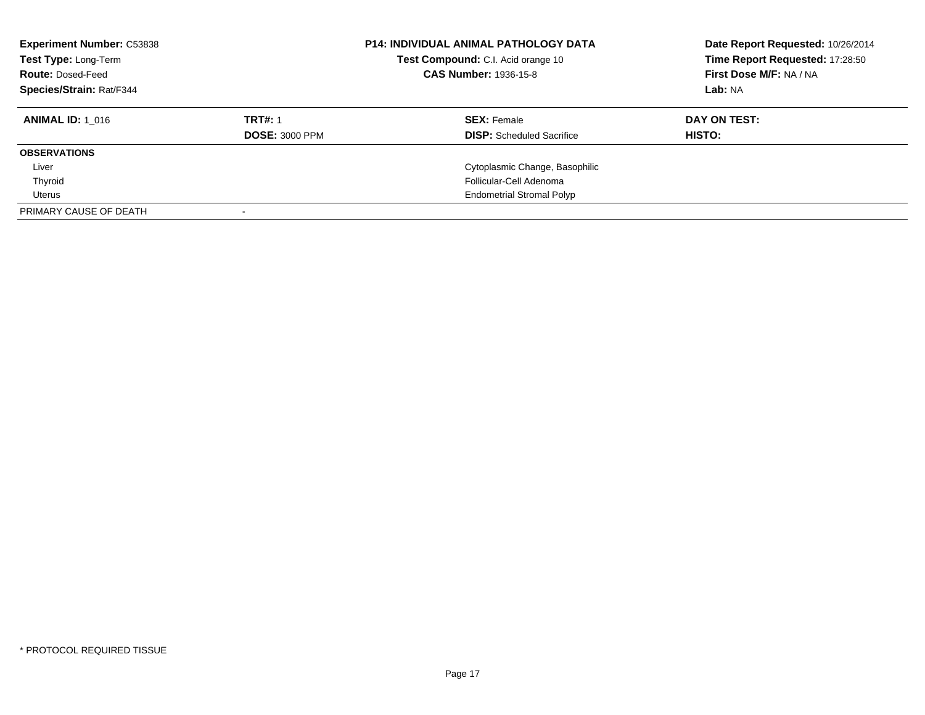| <b>Experiment Number: C53838</b><br>Test Type: Long-Term<br><b>Route: Dosed-Feed</b><br>Species/Strain: Rat/F344 |                       | <b>P14: INDIVIDUAL ANIMAL PATHOLOGY DATA</b><br>Test Compound: C.I. Acid orange 10<br><b>CAS Number: 1936-15-8</b> | Date Report Requested: 10/26/2014<br>Time Report Requested: 17:28:50<br>First Dose M/F: NA / NA<br>Lab: NA |
|------------------------------------------------------------------------------------------------------------------|-----------------------|--------------------------------------------------------------------------------------------------------------------|------------------------------------------------------------------------------------------------------------|
| <b>ANIMAL ID: 1 016</b>                                                                                          | <b>TRT#: 1</b>        | <b>SEX: Female</b>                                                                                                 | DAY ON TEST:                                                                                               |
|                                                                                                                  | <b>DOSE: 3000 PPM</b> | <b>DISP:</b> Scheduled Sacrifice                                                                                   | HISTO:                                                                                                     |
| <b>OBSERVATIONS</b>                                                                                              |                       |                                                                                                                    |                                                                                                            |
| Liver                                                                                                            |                       | Cytoplasmic Change, Basophilic                                                                                     |                                                                                                            |
| Thyroid                                                                                                          |                       | Follicular-Cell Adenoma                                                                                            |                                                                                                            |
| Uterus                                                                                                           |                       | <b>Endometrial Stromal Polyp</b>                                                                                   |                                                                                                            |
| PRIMARY CAUSE OF DEATH                                                                                           |                       |                                                                                                                    |                                                                                                            |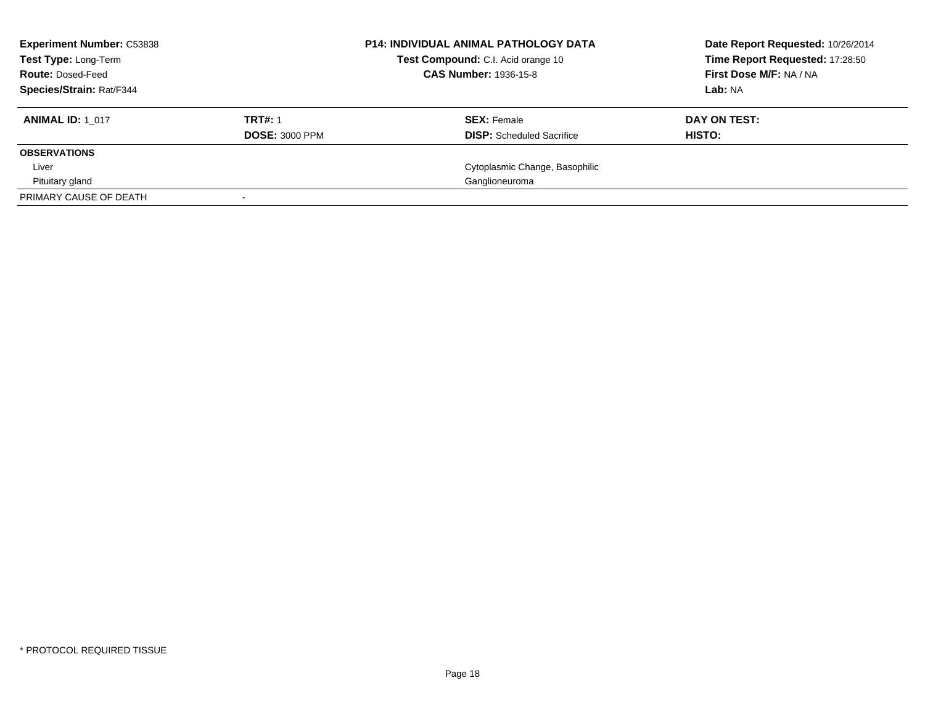| <b>Experiment Number: C53838</b><br><b>Test Type: Long-Term</b><br><b>Route: Dosed-Feed</b> |                       | <b>P14: INDIVIDUAL ANIMAL PATHOLOGY DATA</b><br>Test Compound: C.I. Acid orange 10<br><b>CAS Number: 1936-15-8</b> | Date Report Requested: 10/26/2014<br>Time Report Requested: 17:28:50<br>First Dose M/F: NA / NA |
|---------------------------------------------------------------------------------------------|-----------------------|--------------------------------------------------------------------------------------------------------------------|-------------------------------------------------------------------------------------------------|
| Species/Strain: Rat/F344                                                                    |                       |                                                                                                                    | Lab: NA                                                                                         |
|                                                                                             |                       |                                                                                                                    |                                                                                                 |
| <b>ANIMAL ID: 1 017</b>                                                                     | <b>TRT#: 1</b>        | <b>SEX: Female</b>                                                                                                 | DAY ON TEST:                                                                                    |
|                                                                                             | <b>DOSE: 3000 PPM</b> | <b>DISP:</b> Scheduled Sacrifice                                                                                   | HISTO:                                                                                          |
| <b>OBSERVATIONS</b>                                                                         |                       |                                                                                                                    |                                                                                                 |
| Liver                                                                                       |                       | Cytoplasmic Change, Basophilic                                                                                     |                                                                                                 |
| Pituitary gland                                                                             |                       | Ganglioneuroma                                                                                                     |                                                                                                 |
| PRIMARY CAUSE OF DEATH                                                                      |                       |                                                                                                                    |                                                                                                 |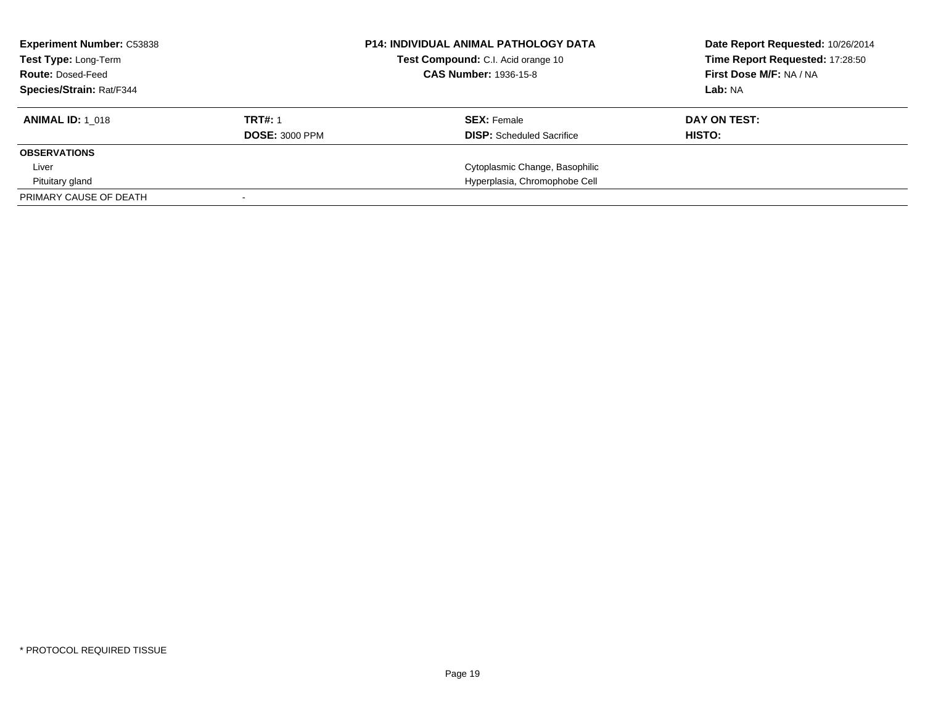| <b>Experiment Number: C53838</b><br><b>Test Type: Long-Term</b><br><b>Route: Dosed-Feed</b> |                       | <b>P14: INDIVIDUAL ANIMAL PATHOLOGY DATA</b><br>Test Compound: C.I. Acid orange 10<br><b>CAS Number: 1936-15-8</b> | Date Report Requested: 10/26/2014<br>Time Report Requested: 17:28:50<br>First Dose M/F: NA / NA |
|---------------------------------------------------------------------------------------------|-----------------------|--------------------------------------------------------------------------------------------------------------------|-------------------------------------------------------------------------------------------------|
| <b>Species/Strain: Rat/F344</b>                                                             |                       |                                                                                                                    | Lab: NA                                                                                         |
| <b>ANIMAL ID: 1 018</b>                                                                     | <b>TRT#: 1</b>        | <b>SEX: Female</b>                                                                                                 | DAY ON TEST:                                                                                    |
|                                                                                             | <b>DOSE: 3000 PPM</b> | <b>DISP:</b> Scheduled Sacrifice                                                                                   | HISTO:                                                                                          |
| <b>OBSERVATIONS</b>                                                                         |                       |                                                                                                                    |                                                                                                 |
| Liver                                                                                       |                       | Cytoplasmic Change, Basophilic                                                                                     |                                                                                                 |
| Pituitary gland                                                                             |                       | Hyperplasia, Chromophobe Cell                                                                                      |                                                                                                 |
| PRIMARY CAUSE OF DEATH                                                                      |                       |                                                                                                                    |                                                                                                 |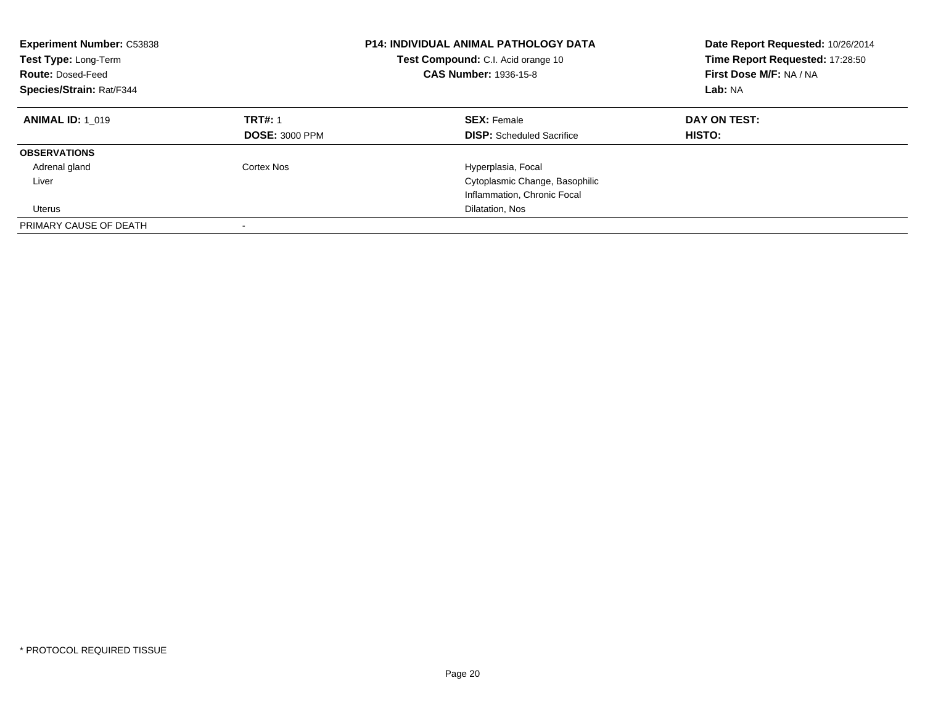| <b>Experiment Number: C53838</b><br>Test Type: Long-Term<br><b>Route: Dosed-Feed</b><br>Species/Strain: Rat/F344 |                                         | <b>P14: INDIVIDUAL ANIMAL PATHOLOGY DATA</b><br>Test Compound: C.I. Acid orange 10<br><b>CAS Number: 1936-15-8</b> | Date Report Requested: 10/26/2014<br>Time Report Requested: 17:28:50<br>First Dose M/F: NA / NA<br>Lab: NA |
|------------------------------------------------------------------------------------------------------------------|-----------------------------------------|--------------------------------------------------------------------------------------------------------------------|------------------------------------------------------------------------------------------------------------|
| <b>ANIMAL ID: 1 019</b>                                                                                          | <b>TRT#: 1</b><br><b>DOSE: 3000 PPM</b> | <b>SEX: Female</b><br><b>DISP:</b> Scheduled Sacrifice                                                             | DAY ON TEST:<br><b>HISTO:</b>                                                                              |
| <b>OBSERVATIONS</b>                                                                                              |                                         |                                                                                                                    |                                                                                                            |
| Adrenal gland                                                                                                    | Cortex Nos                              | Hyperplasia, Focal                                                                                                 |                                                                                                            |
| Liver                                                                                                            |                                         | Cytoplasmic Change, Basophilic                                                                                     |                                                                                                            |
|                                                                                                                  |                                         | Inflammation, Chronic Focal                                                                                        |                                                                                                            |
| Uterus                                                                                                           |                                         | Dilatation, Nos                                                                                                    |                                                                                                            |
| PRIMARY CAUSE OF DEATH                                                                                           |                                         |                                                                                                                    |                                                                                                            |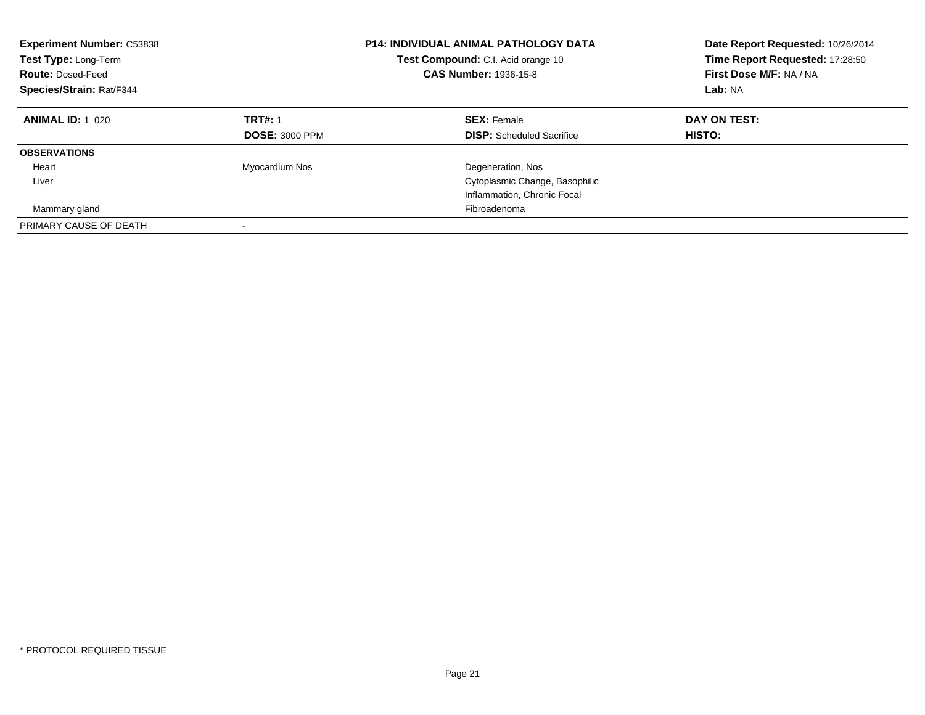| <b>Experiment Number: C53838</b><br>Test Type: Long-Term<br><b>Route: Dosed-Feed</b><br>Species/Strain: Rat/F344 |                                         | <b>P14: INDIVIDUAL ANIMAL PATHOLOGY DATA</b><br><b>Test Compound:</b> C.I. Acid orange 10<br><b>CAS Number: 1936-15-8</b> | Date Report Requested: 10/26/2014<br>Time Report Requested: 17:28:50<br>First Dose M/F: NA / NA<br>Lab: NA |
|------------------------------------------------------------------------------------------------------------------|-----------------------------------------|---------------------------------------------------------------------------------------------------------------------------|------------------------------------------------------------------------------------------------------------|
| <b>ANIMAL ID: 1 020</b>                                                                                          | <b>TRT#: 1</b><br><b>DOSE: 3000 PPM</b> | <b>SEX: Female</b><br><b>DISP:</b> Scheduled Sacrifice                                                                    | DAY ON TEST:<br><b>HISTO:</b>                                                                              |
| <b>OBSERVATIONS</b>                                                                                              |                                         |                                                                                                                           |                                                                                                            |
| Heart                                                                                                            | Myocardium Nos                          | Degeneration, Nos                                                                                                         |                                                                                                            |
| Liver                                                                                                            |                                         | Cytoplasmic Change, Basophilic                                                                                            |                                                                                                            |
|                                                                                                                  |                                         | Inflammation, Chronic Focal                                                                                               |                                                                                                            |
| Mammary gland                                                                                                    |                                         | Fibroadenoma                                                                                                              |                                                                                                            |
| PRIMARY CAUSE OF DEATH                                                                                           |                                         |                                                                                                                           |                                                                                                            |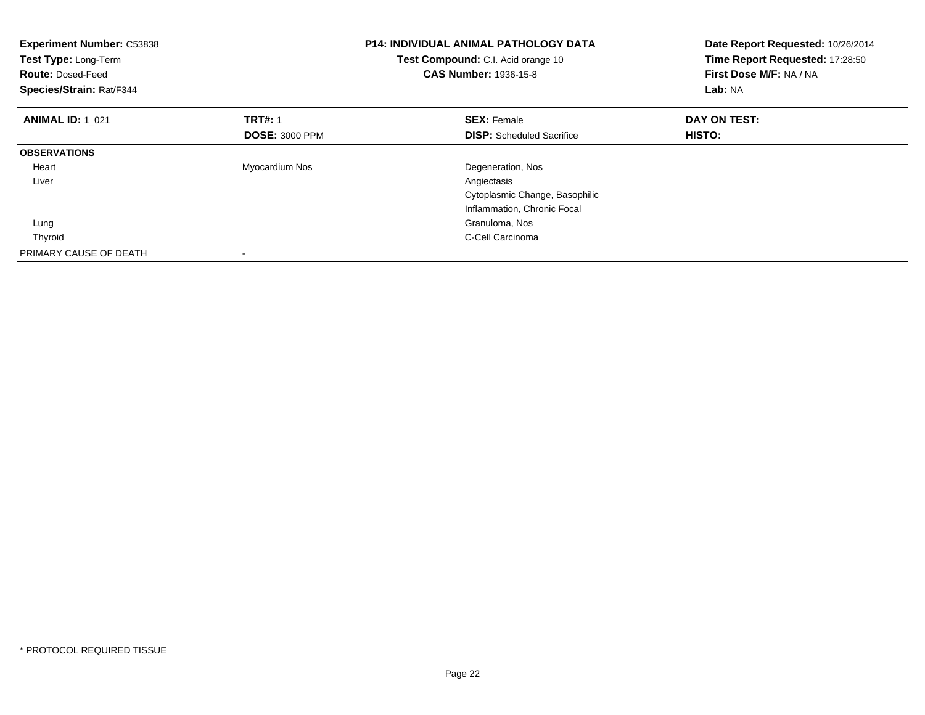| <b>Experiment Number: C53838</b><br>Test Type: Long-Term<br><b>Route: Dosed-Feed</b><br>Species/Strain: Rat/F344 |                       | <b>P14: INDIVIDUAL ANIMAL PATHOLOGY DATA</b><br><b>Test Compound:</b> C.I. Acid orange 10<br><b>CAS Number: 1936-15-8</b> | Date Report Requested: 10/26/2014<br>Time Report Requested: 17:28:50<br>First Dose M/F: NA / NA<br>Lab: NA |
|------------------------------------------------------------------------------------------------------------------|-----------------------|---------------------------------------------------------------------------------------------------------------------------|------------------------------------------------------------------------------------------------------------|
| <b>ANIMAL ID: 1 021</b>                                                                                          | <b>TRT#: 1</b>        | <b>SEX: Female</b>                                                                                                        | DAY ON TEST:                                                                                               |
|                                                                                                                  | <b>DOSE: 3000 PPM</b> | <b>DISP:</b> Scheduled Sacrifice                                                                                          | HISTO:                                                                                                     |
| <b>OBSERVATIONS</b>                                                                                              |                       |                                                                                                                           |                                                                                                            |
| Heart                                                                                                            | Myocardium Nos        | Degeneration, Nos                                                                                                         |                                                                                                            |
| Liver                                                                                                            |                       | Angiectasis                                                                                                               |                                                                                                            |
|                                                                                                                  |                       | Cytoplasmic Change, Basophilic                                                                                            |                                                                                                            |
|                                                                                                                  |                       | Inflammation, Chronic Focal                                                                                               |                                                                                                            |
| Lung                                                                                                             |                       | Granuloma, Nos                                                                                                            |                                                                                                            |
| Thyroid                                                                                                          |                       | C-Cell Carcinoma                                                                                                          |                                                                                                            |
| PRIMARY CAUSE OF DEATH                                                                                           |                       |                                                                                                                           |                                                                                                            |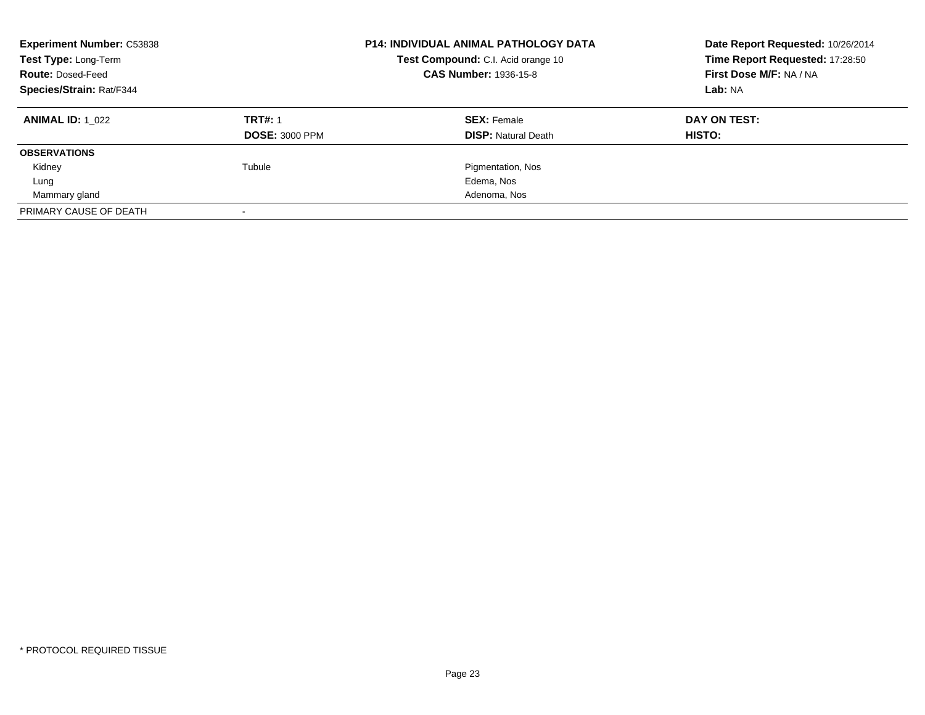| <b>Experiment Number: C53838</b><br>Test Type: Long-Term<br><b>Route: Dosed-Feed</b><br>Species/Strain: Rat/F344 |                       | <b>P14: INDIVIDUAL ANIMAL PATHOLOGY DATA</b><br>Test Compound: C.I. Acid orange 10<br><b>CAS Number: 1936-15-8</b> | Date Report Requested: 10/26/2014<br>Time Report Requested: 17:28:50<br>First Dose M/F: NA / NA<br>Lab: NA |
|------------------------------------------------------------------------------------------------------------------|-----------------------|--------------------------------------------------------------------------------------------------------------------|------------------------------------------------------------------------------------------------------------|
| <b>ANIMAL ID: 1 022</b>                                                                                          | <b>TRT#: 1</b>        | <b>SEX: Female</b>                                                                                                 | DAY ON TEST:                                                                                               |
|                                                                                                                  | <b>DOSE: 3000 PPM</b> | <b>DISP:</b> Natural Death                                                                                         | HISTO:                                                                                                     |
| <b>OBSERVATIONS</b>                                                                                              |                       |                                                                                                                    |                                                                                                            |
| Kidney                                                                                                           | Tubule                | Pigmentation, Nos                                                                                                  |                                                                                                            |
| Lung                                                                                                             |                       | Edema, Nos                                                                                                         |                                                                                                            |
| Mammary gland                                                                                                    |                       | Adenoma, Nos                                                                                                       |                                                                                                            |
| PRIMARY CAUSE OF DEATH                                                                                           |                       |                                                                                                                    |                                                                                                            |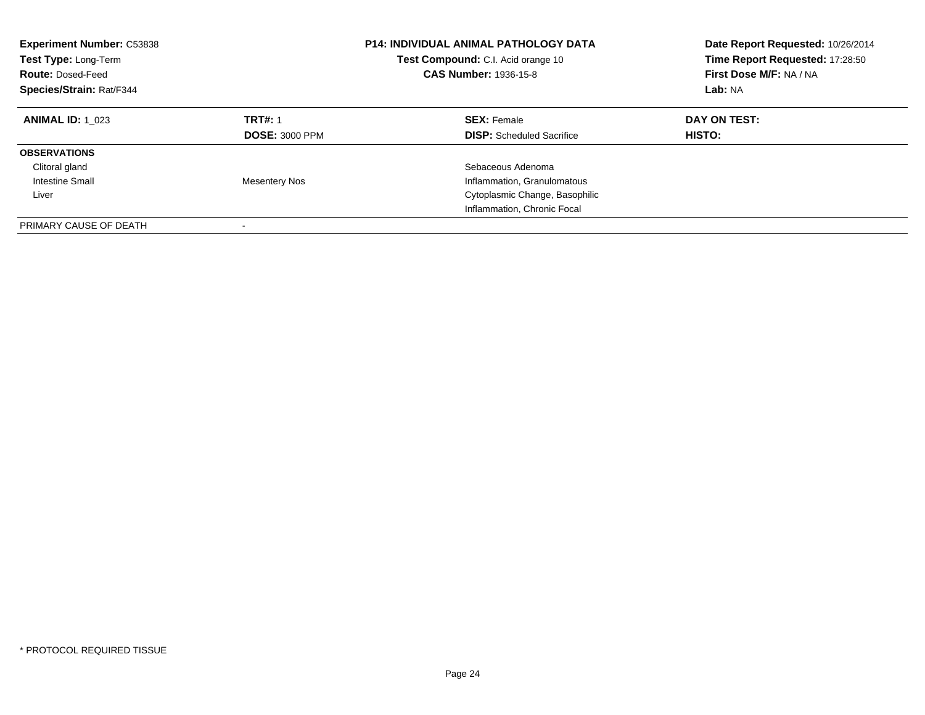| <b>Experiment Number: C53838</b><br>Test Type: Long-Term<br><b>Route: Dosed-Feed</b><br>Species/Strain: Rat/F344 |                                         | <b>P14: INDIVIDUAL ANIMAL PATHOLOGY DATA</b><br>Test Compound: C.I. Acid orange 10<br><b>CAS Number: 1936-15-8</b> | Date Report Requested: 10/26/2014<br>Time Report Requested: 17:28:50<br>First Dose M/F: NA / NA<br>Lab: NA |
|------------------------------------------------------------------------------------------------------------------|-----------------------------------------|--------------------------------------------------------------------------------------------------------------------|------------------------------------------------------------------------------------------------------------|
| <b>ANIMAL ID: 1 023</b>                                                                                          | <b>TRT#: 1</b><br><b>DOSE: 3000 PPM</b> | <b>SEX: Female</b><br><b>DISP:</b> Scheduled Sacrifice                                                             | DAY ON TEST:<br><b>HISTO:</b>                                                                              |
| <b>OBSERVATIONS</b><br>Clitoral gland                                                                            |                                         | Sebaceous Adenoma                                                                                                  |                                                                                                            |
| <b>Intestine Small</b><br>Liver                                                                                  | <b>Mesentery Nos</b>                    | Inflammation, Granulomatous<br>Cytoplasmic Change, Basophilic<br>Inflammation, Chronic Focal                       |                                                                                                            |
| PRIMARY CAUSE OF DEATH                                                                                           |                                         |                                                                                                                    |                                                                                                            |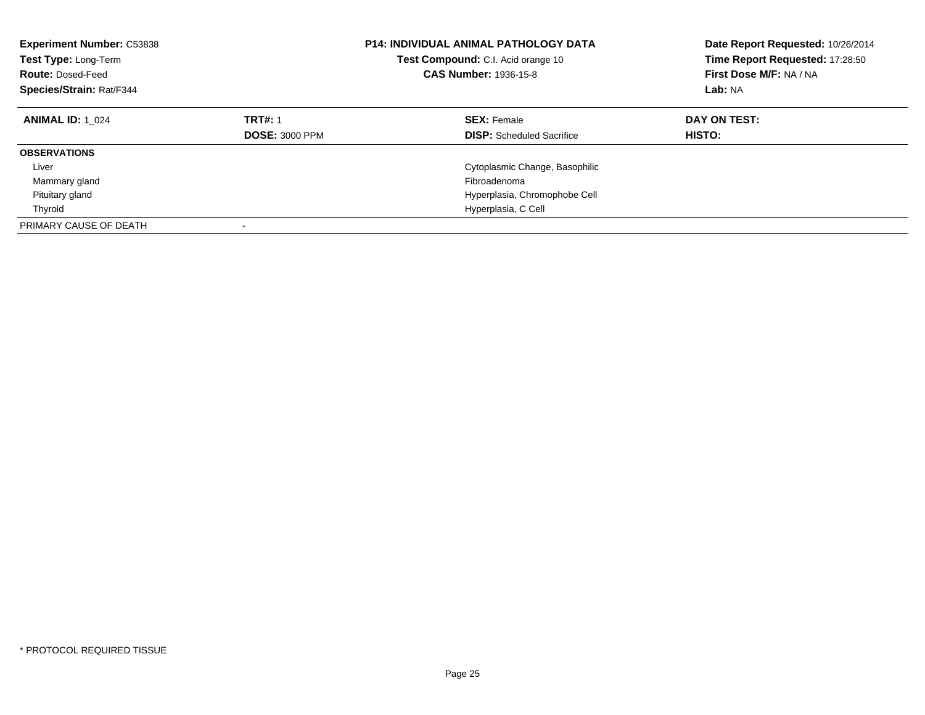| <b>Experiment Number: C53838</b><br>Test Type: Long-Term<br><b>Route: Dosed-Feed</b><br>Species/Strain: Rat/F344 |                                         | <b>P14: INDIVIDUAL ANIMAL PATHOLOGY DATA</b><br><b>Test Compound:</b> C.I. Acid orange 10<br><b>CAS Number: 1936-15-8</b> | Date Report Requested: 10/26/2014<br>Time Report Requested: 17:28:50<br>First Dose M/F: NA / NA<br>Lab: NA |
|------------------------------------------------------------------------------------------------------------------|-----------------------------------------|---------------------------------------------------------------------------------------------------------------------------|------------------------------------------------------------------------------------------------------------|
| <b>ANIMAL ID: 1 024</b>                                                                                          | <b>TRT#: 1</b><br><b>DOSE: 3000 PPM</b> | <b>SEX: Female</b><br><b>DISP:</b> Scheduled Sacrifice                                                                    | DAY ON TEST:<br>HISTO:                                                                                     |
| <b>OBSERVATIONS</b>                                                                                              |                                         |                                                                                                                           |                                                                                                            |
| Liver                                                                                                            |                                         | Cytoplasmic Change, Basophilic                                                                                            |                                                                                                            |
| Mammary gland                                                                                                    |                                         | Fibroadenoma                                                                                                              |                                                                                                            |
| Pituitary gland                                                                                                  |                                         | Hyperplasia, Chromophobe Cell                                                                                             |                                                                                                            |
| Thyroid                                                                                                          |                                         | Hyperplasia, C Cell                                                                                                       |                                                                                                            |
| PRIMARY CAUSE OF DEATH                                                                                           |                                         |                                                                                                                           |                                                                                                            |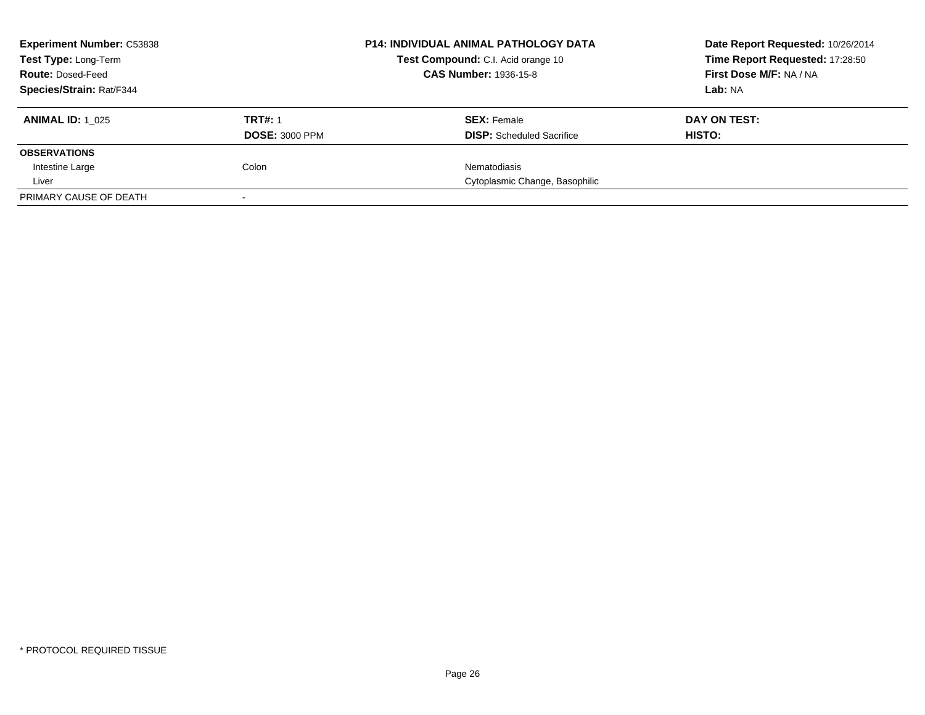| <b>Experiment Number: C53838</b> |                       | <b>P14: INDIVIDUAL ANIMAL PATHOLOGY DATA</b> | Date Report Requested: 10/26/2014 |
|----------------------------------|-----------------------|----------------------------------------------|-----------------------------------|
| Test Type: Long-Term             |                       | Test Compound: C.I. Acid orange 10           | Time Report Requested: 17:28:50   |
| <b>Route: Dosed-Feed</b>         |                       | <b>CAS Number: 1936-15-8</b>                 | First Dose M/F: NA / NA           |
| <b>Species/Strain: Rat/F344</b>  |                       |                                              | Lab: NA                           |
| <b>ANIMAL ID:</b> 1 025          | <b>TRT#: 1</b>        | <b>SEX: Female</b>                           | DAY ON TEST:                      |
|                                  | <b>DOSE: 3000 PPM</b> | <b>DISP:</b> Scheduled Sacrifice             | HISTO:                            |
| <b>OBSERVATIONS</b>              |                       |                                              |                                   |
| Intestine Large                  | Colon                 | <b>Nematodiasis</b>                          |                                   |
| Liver                            |                       | Cytoplasmic Change, Basophilic               |                                   |
| PRIMARY CAUSE OF DEATH           |                       |                                              |                                   |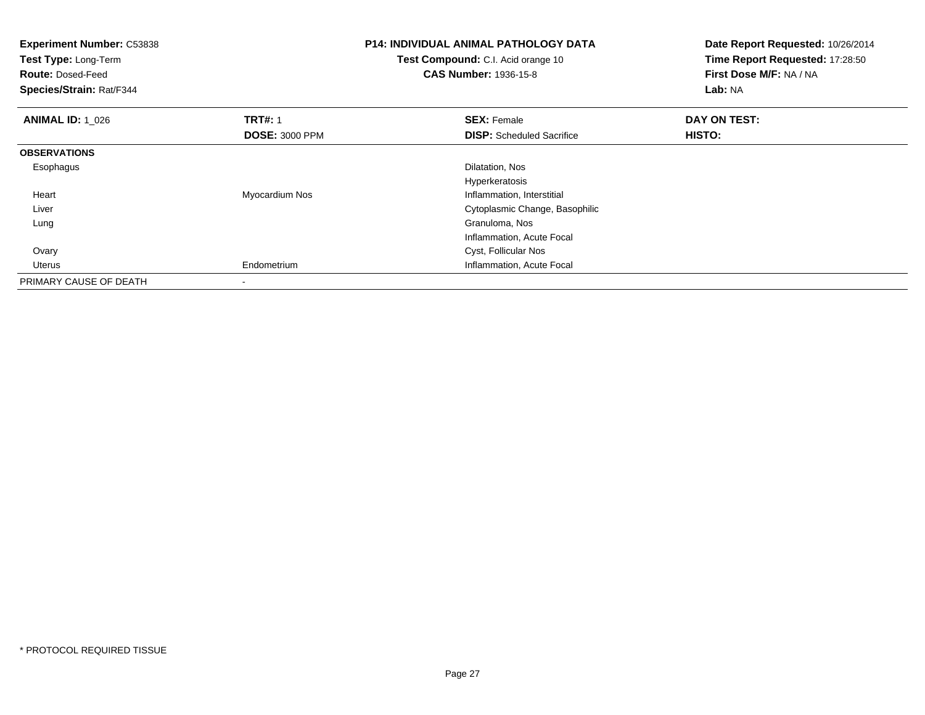| <b>Experiment Number: C53838</b><br>Test Type: Long-Term<br><b>Route: Dosed-Feed</b><br>Species/Strain: Rat/F344 |                       | <b>P14: INDIVIDUAL ANIMAL PATHOLOGY DATA</b><br>Test Compound: C.I. Acid orange 10<br><b>CAS Number: 1936-15-8</b> | Date Report Requested: 10/26/2014<br>Time Report Requested: 17:28:50<br>First Dose M/F: NA / NA<br>Lab: NA |
|------------------------------------------------------------------------------------------------------------------|-----------------------|--------------------------------------------------------------------------------------------------------------------|------------------------------------------------------------------------------------------------------------|
| <b>ANIMAL ID: 1 026</b>                                                                                          | <b>TRT#: 1</b>        | <b>SEX: Female</b>                                                                                                 | DAY ON TEST:                                                                                               |
|                                                                                                                  | <b>DOSE: 3000 PPM</b> | <b>DISP:</b> Scheduled Sacrifice                                                                                   | <b>HISTO:</b>                                                                                              |
| <b>OBSERVATIONS</b>                                                                                              |                       |                                                                                                                    |                                                                                                            |
| Esophagus                                                                                                        |                       | Dilatation, Nos                                                                                                    |                                                                                                            |
|                                                                                                                  |                       | Hyperkeratosis                                                                                                     |                                                                                                            |
| Heart                                                                                                            | Myocardium Nos        | Inflammation, Interstitial                                                                                         |                                                                                                            |
| Liver                                                                                                            |                       | Cytoplasmic Change, Basophilic                                                                                     |                                                                                                            |
| Lung                                                                                                             |                       | Granuloma, Nos                                                                                                     |                                                                                                            |
|                                                                                                                  |                       | Inflammation, Acute Focal                                                                                          |                                                                                                            |
| Ovary                                                                                                            |                       | Cyst, Follicular Nos                                                                                               |                                                                                                            |
| Uterus                                                                                                           | Endometrium           | Inflammation, Acute Focal                                                                                          |                                                                                                            |
| PRIMARY CAUSE OF DEATH                                                                                           |                       |                                                                                                                    |                                                                                                            |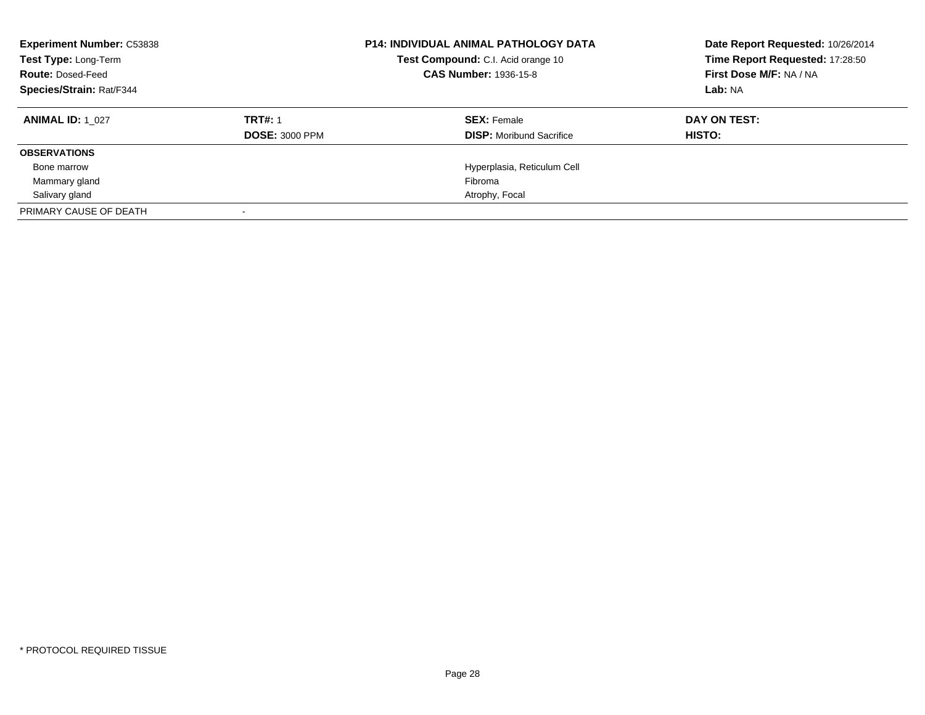| <b>Experiment Number: C53838</b><br>Test Type: Long-Term<br><b>Route: Dosed-Feed</b><br>Species/Strain: Rat/F344 |                       | <b>P14: INDIVIDUAL ANIMAL PATHOLOGY DATA</b><br>Test Compound: C.I. Acid orange 10<br><b>CAS Number: 1936-15-8</b> | Date Report Requested: 10/26/2014<br>Time Report Requested: 17:28:50<br>First Dose M/F: NA / NA<br>Lab: NA |
|------------------------------------------------------------------------------------------------------------------|-----------------------|--------------------------------------------------------------------------------------------------------------------|------------------------------------------------------------------------------------------------------------|
| <b>ANIMAL ID: 1 027</b>                                                                                          | <b>TRT#: 1</b>        | <b>SEX: Female</b>                                                                                                 | DAY ON TEST:                                                                                               |
|                                                                                                                  | <b>DOSE: 3000 PPM</b> | <b>DISP:</b> Moribund Sacrifice                                                                                    | HISTO:                                                                                                     |
| <b>OBSERVATIONS</b>                                                                                              |                       |                                                                                                                    |                                                                                                            |
| Bone marrow                                                                                                      |                       | Hyperplasia, Reticulum Cell                                                                                        |                                                                                                            |
| Mammary gland                                                                                                    |                       | Fibroma                                                                                                            |                                                                                                            |
| Salivary gland                                                                                                   |                       | Atrophy, Focal                                                                                                     |                                                                                                            |
| PRIMARY CAUSE OF DEATH                                                                                           |                       |                                                                                                                    |                                                                                                            |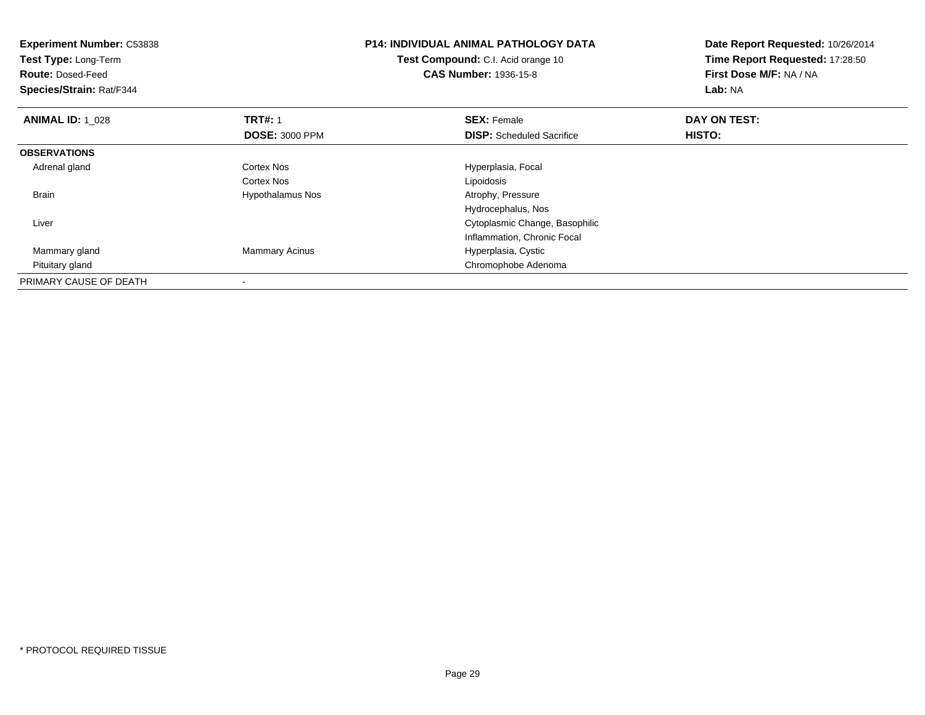| <b>Experiment Number: C53838</b><br><b>Test Type: Long-Term</b><br><b>Route: Dosed-Feed</b><br>Species/Strain: Rat/F344 |                         | <b>P14: INDIVIDUAL ANIMAL PATHOLOGY DATA</b><br><b>Test Compound:</b> C.I. Acid orange 10<br><b>CAS Number: 1936-15-8</b> | Date Report Requested: 10/26/2014<br>Time Report Requested: 17:28:50<br>First Dose M/F: NA / NA<br>Lab: NA |
|-------------------------------------------------------------------------------------------------------------------------|-------------------------|---------------------------------------------------------------------------------------------------------------------------|------------------------------------------------------------------------------------------------------------|
| <b>ANIMAL ID: 1 028</b>                                                                                                 | <b>TRT#: 1</b>          | <b>SEX: Female</b>                                                                                                        | DAY ON TEST:                                                                                               |
|                                                                                                                         | <b>DOSE: 3000 PPM</b>   | <b>DISP:</b> Scheduled Sacrifice                                                                                          | <b>HISTO:</b>                                                                                              |
| <b>OBSERVATIONS</b>                                                                                                     |                         |                                                                                                                           |                                                                                                            |
| Adrenal gland                                                                                                           | <b>Cortex Nos</b>       | Hyperplasia, Focal                                                                                                        |                                                                                                            |
|                                                                                                                         | Cortex Nos              | Lipoidosis                                                                                                                |                                                                                                            |
| <b>Brain</b>                                                                                                            | <b>Hypothalamus Nos</b> | Atrophy, Pressure                                                                                                         |                                                                                                            |
|                                                                                                                         |                         | Hydrocephalus, Nos                                                                                                        |                                                                                                            |
| Liver                                                                                                                   |                         | Cytoplasmic Change, Basophilic                                                                                            |                                                                                                            |
|                                                                                                                         |                         | Inflammation, Chronic Focal                                                                                               |                                                                                                            |
| Mammary gland                                                                                                           | <b>Mammary Acinus</b>   | Hyperplasia, Cystic                                                                                                       |                                                                                                            |
| Pituitary gland                                                                                                         |                         | Chromophobe Adenoma                                                                                                       |                                                                                                            |
| PRIMARY CAUSE OF DEATH                                                                                                  |                         |                                                                                                                           |                                                                                                            |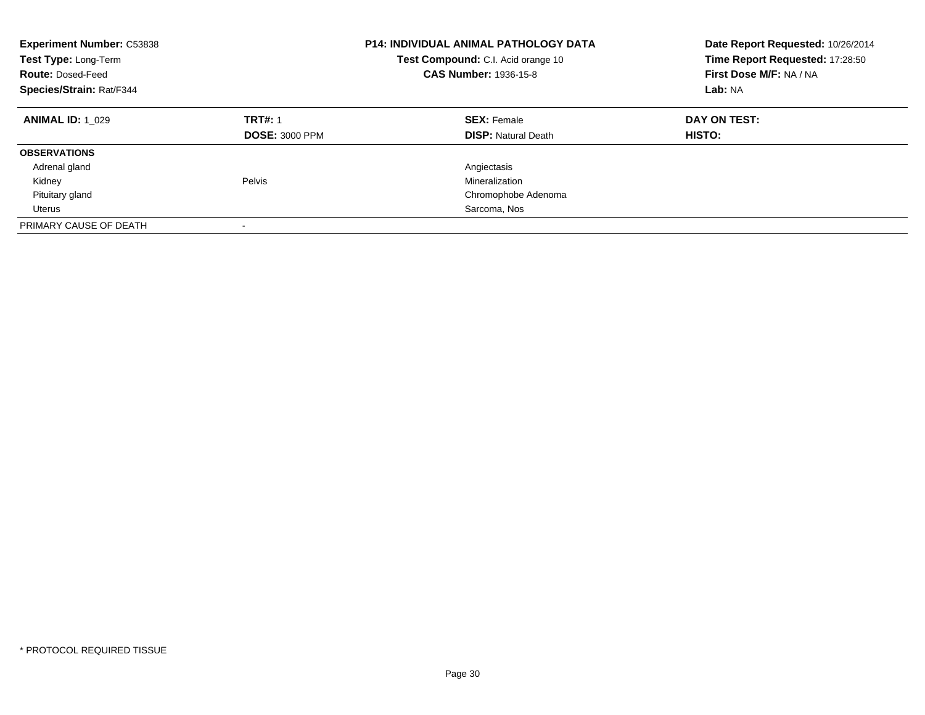| <b>Experiment Number: C53838</b><br>Test Type: Long-Term<br><b>Route: Dosed-Feed</b><br>Species/Strain: Rat/F344 |                                         | <b>P14: INDIVIDUAL ANIMAL PATHOLOGY DATA</b><br>Test Compound: C.I. Acid orange 10<br><b>CAS Number: 1936-15-8</b> | Date Report Requested: 10/26/2014<br>Time Report Requested: 17:28:50<br>First Dose M/F: NA / NA<br>Lab: NA |
|------------------------------------------------------------------------------------------------------------------|-----------------------------------------|--------------------------------------------------------------------------------------------------------------------|------------------------------------------------------------------------------------------------------------|
| <b>ANIMAL ID: 1 029</b>                                                                                          | <b>TRT#: 1</b><br><b>DOSE: 3000 PPM</b> | <b>SEX: Female</b><br><b>DISP: Natural Death</b>                                                                   | DAY ON TEST:<br><b>HISTO:</b>                                                                              |
| <b>OBSERVATIONS</b>                                                                                              |                                         |                                                                                                                    |                                                                                                            |
| Adrenal gland                                                                                                    |                                         | Angiectasis                                                                                                        |                                                                                                            |
| Kidney                                                                                                           | Pelvis                                  | Mineralization                                                                                                     |                                                                                                            |
| Pituitary gland                                                                                                  |                                         | Chromophobe Adenoma                                                                                                |                                                                                                            |
| Uterus                                                                                                           |                                         | Sarcoma, Nos                                                                                                       |                                                                                                            |
| PRIMARY CAUSE OF DEATH                                                                                           |                                         |                                                                                                                    |                                                                                                            |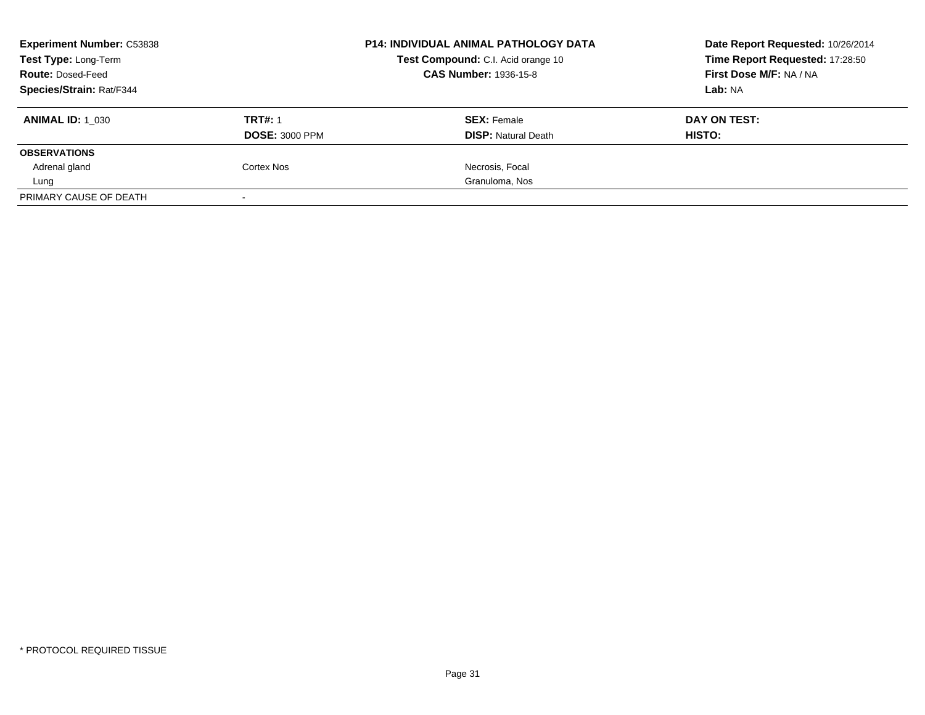| <b>Experiment Number: C53838</b> |                       | <b>P14: INDIVIDUAL ANIMAL PATHOLOGY DATA</b> | Date Report Requested: 10/26/2014 |
|----------------------------------|-----------------------|----------------------------------------------|-----------------------------------|
| Test Type: Long-Term             |                       | Test Compound: C.I. Acid orange 10           | Time Report Requested: 17:28:50   |
| <b>Route: Dosed-Feed</b>         |                       | <b>CAS Number: 1936-15-8</b>                 | First Dose M/F: NA / NA           |
| <b>Species/Strain: Rat/F344</b>  |                       |                                              | Lab: NA                           |
| <b>ANIMAL ID: 1 030</b>          | <b>TRT#: 1</b>        | <b>SEX: Female</b>                           | DAY ON TEST:                      |
|                                  | <b>DOSE: 3000 PPM</b> | <b>DISP: Natural Death</b>                   | HISTO:                            |
| <b>OBSERVATIONS</b>              |                       |                                              |                                   |
| Adrenal gland                    | Cortex Nos            | Necrosis, Focal                              |                                   |
| Lung                             |                       | Granuloma, Nos                               |                                   |
| PRIMARY CAUSE OF DEATH           |                       |                                              |                                   |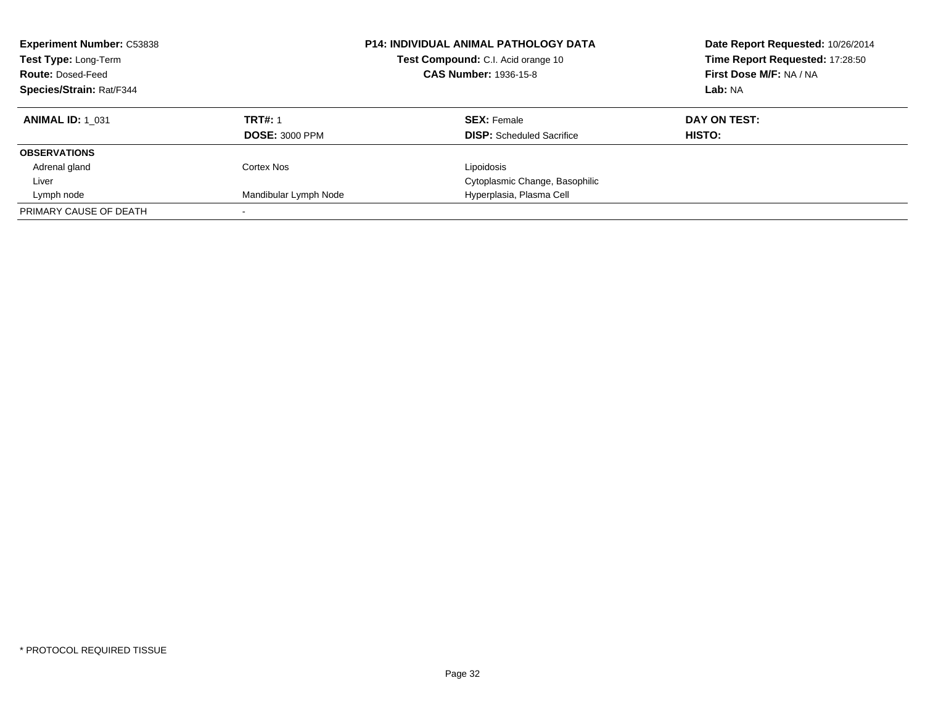| <b>Experiment Number: C53838</b><br>Test Type: Long-Term<br><b>Route: Dosed-Feed</b><br>Species/Strain: Rat/F344 |                       | <b>P14: INDIVIDUAL ANIMAL PATHOLOGY DATA</b><br>Test Compound: C.I. Acid orange 10<br><b>CAS Number: 1936-15-8</b> | Date Report Requested: 10/26/2014<br>Time Report Requested: 17:28:50<br>First Dose M/F: NA / NA<br>Lab: NA |
|------------------------------------------------------------------------------------------------------------------|-----------------------|--------------------------------------------------------------------------------------------------------------------|------------------------------------------------------------------------------------------------------------|
| <b>ANIMAL ID: 1 031</b>                                                                                          | <b>TRT#: 1</b>        | <b>SEX: Female</b>                                                                                                 | DAY ON TEST:                                                                                               |
|                                                                                                                  | <b>DOSE: 3000 PPM</b> | <b>DISP:</b> Scheduled Sacrifice                                                                                   | HISTO:                                                                                                     |
| <b>OBSERVATIONS</b>                                                                                              |                       |                                                                                                                    |                                                                                                            |
| Adrenal gland                                                                                                    | Cortex Nos            | Lipoidosis                                                                                                         |                                                                                                            |
| Liver                                                                                                            |                       | Cytoplasmic Change, Basophilic                                                                                     |                                                                                                            |
| Lymph node                                                                                                       | Mandibular Lymph Node | Hyperplasia, Plasma Cell                                                                                           |                                                                                                            |
| PRIMARY CAUSE OF DEATH                                                                                           |                       |                                                                                                                    |                                                                                                            |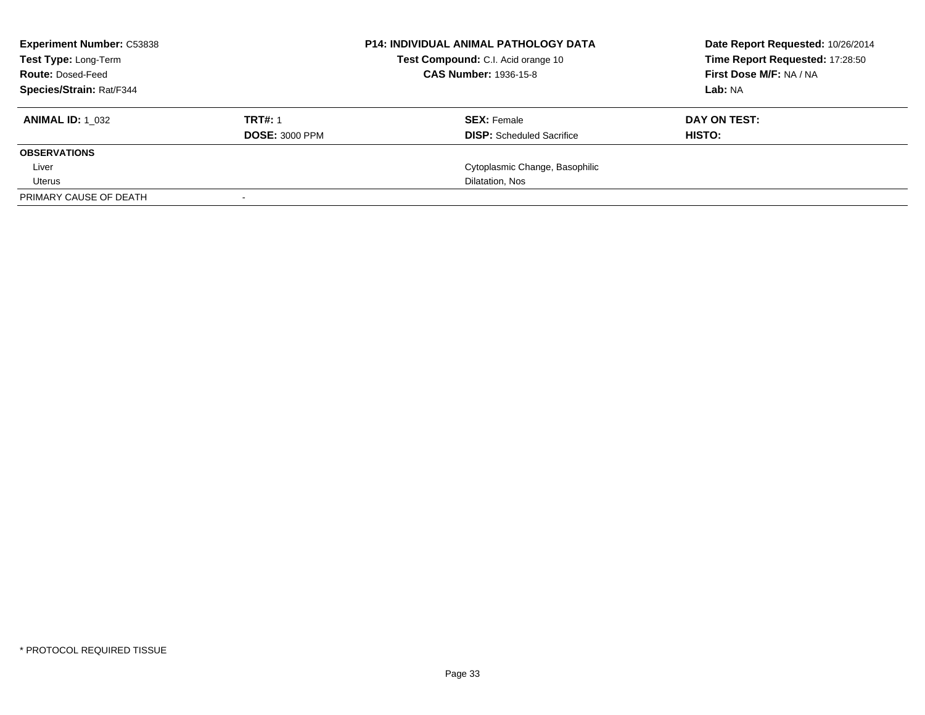| <b>Experiment Number: C53838</b><br><b>Test Type: Long-Term</b><br><b>Route: Dosed-Feed</b><br><b>Species/Strain: Rat/F344</b> |                                         | <b>P14: INDIVIDUAL ANIMAL PATHOLOGY DATA</b><br>Test Compound: C.I. Acid orange 10<br><b>CAS Number: 1936-15-8</b> | Date Report Requested: 10/26/2014<br>Time Report Requested: 17:28:50<br>First Dose M/F: NA / NA<br>Lab: NA |
|--------------------------------------------------------------------------------------------------------------------------------|-----------------------------------------|--------------------------------------------------------------------------------------------------------------------|------------------------------------------------------------------------------------------------------------|
| <b>ANIMAL ID: 1 032</b>                                                                                                        | <b>TRT#: 1</b><br><b>DOSE: 3000 PPM</b> | <b>SEX:</b> Female<br><b>DISP:</b> Scheduled Sacrifice                                                             | DAY ON TEST:<br>HISTO:                                                                                     |
| <b>OBSERVATIONS</b>                                                                                                            |                                         |                                                                                                                    |                                                                                                            |
| Liver                                                                                                                          |                                         | Cytoplasmic Change, Basophilic                                                                                     |                                                                                                            |
| Uterus                                                                                                                         |                                         | Dilatation, Nos                                                                                                    |                                                                                                            |
| PRIMARY CAUSE OF DEATH                                                                                                         |                                         |                                                                                                                    |                                                                                                            |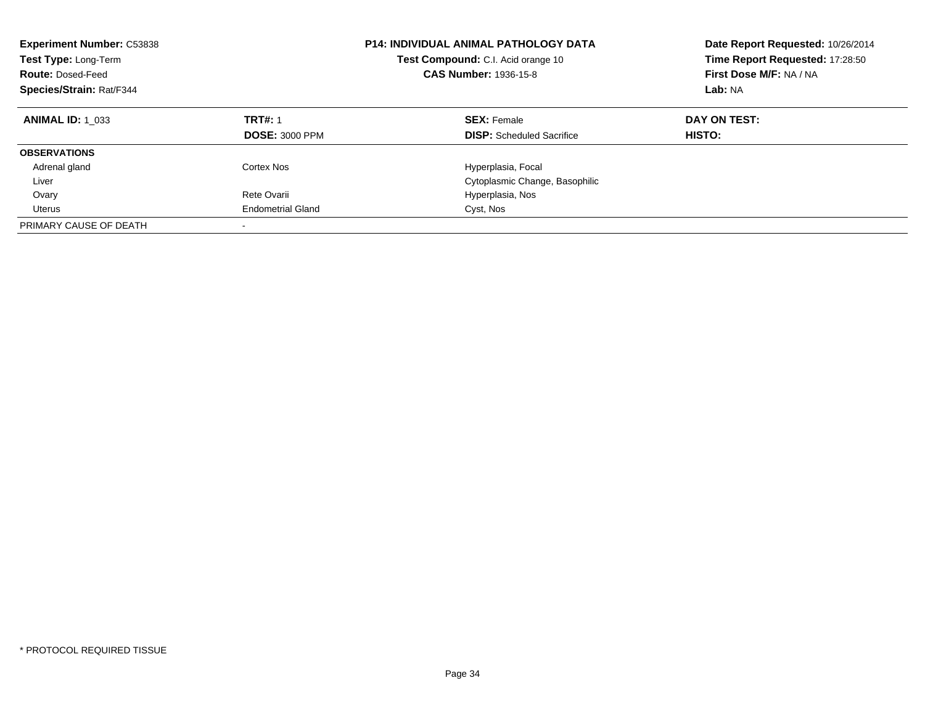| <b>Experiment Number: C53838</b><br>Test Type: Long-Term<br><b>Route: Dosed-Feed</b><br>Species/Strain: Rat/F344 |                                         | <b>P14: INDIVIDUAL ANIMAL PATHOLOGY DATA</b><br>Test Compound: C.I. Acid orange 10<br><b>CAS Number: 1936-15-8</b> | Date Report Requested: 10/26/2014<br>Time Report Requested: 17:28:50<br>First Dose M/F: NA / NA<br>Lab: NA |
|------------------------------------------------------------------------------------------------------------------|-----------------------------------------|--------------------------------------------------------------------------------------------------------------------|------------------------------------------------------------------------------------------------------------|
| <b>ANIMAL ID: 1 033</b>                                                                                          | <b>TRT#: 1</b><br><b>DOSE: 3000 PPM</b> | <b>SEX: Female</b><br><b>DISP:</b> Scheduled Sacrifice                                                             | DAY ON TEST:<br>HISTO:                                                                                     |
| <b>OBSERVATIONS</b>                                                                                              |                                         |                                                                                                                    |                                                                                                            |
| Adrenal gland                                                                                                    | Cortex Nos                              | Hyperplasia, Focal                                                                                                 |                                                                                                            |
| Liver                                                                                                            |                                         | Cytoplasmic Change, Basophilic                                                                                     |                                                                                                            |
| Ovary                                                                                                            | Rete Ovarii                             | Hyperplasia, Nos                                                                                                   |                                                                                                            |
| Uterus                                                                                                           | <b>Endometrial Gland</b>                | Cyst, Nos                                                                                                          |                                                                                                            |
| PRIMARY CAUSE OF DEATH                                                                                           | -                                       |                                                                                                                    |                                                                                                            |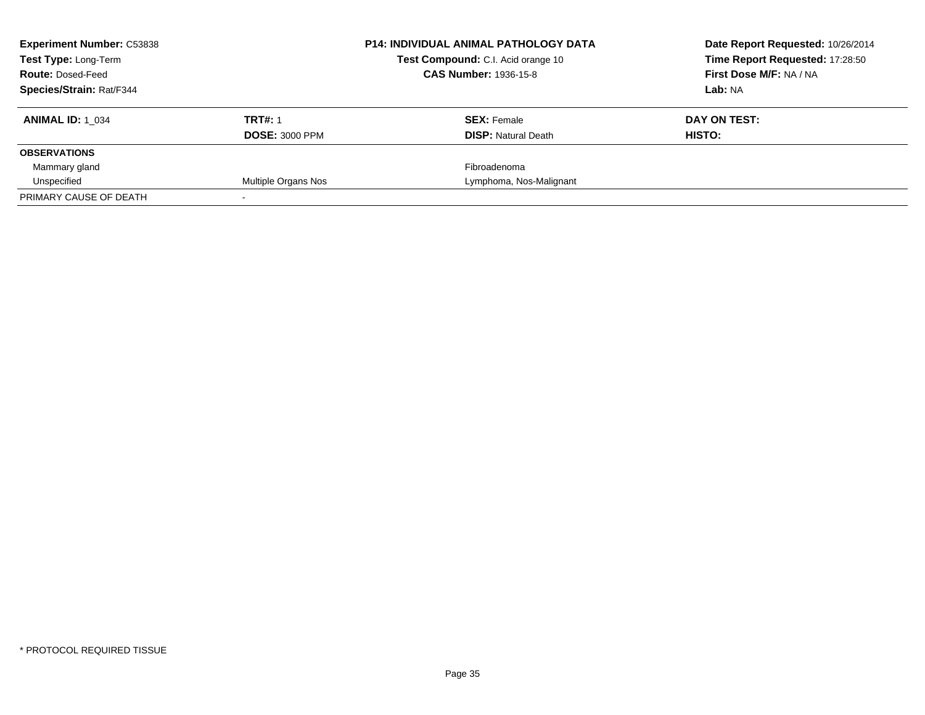| <b>Experiment Number: C53838</b><br><b>Test Type: Long-Term</b> |                       | <b>P14: INDIVIDUAL ANIMAL PATHOLOGY DATA</b><br>Test Compound: C.I. Acid orange 10 | Date Report Requested: 10/26/2014<br>Time Report Requested: 17:28:50 |
|-----------------------------------------------------------------|-----------------------|------------------------------------------------------------------------------------|----------------------------------------------------------------------|
| <b>Route: Dosed-Feed</b>                                        |                       | <b>CAS Number: 1936-15-8</b>                                                       | First Dose M/F: NA / NA                                              |
| <b>Species/Strain: Rat/F344</b>                                 |                       |                                                                                    | Lab: NA                                                              |
| <b>ANIMAL ID: 1 034</b>                                         | <b>TRT#: 1</b>        | <b>SEX: Female</b>                                                                 | DAY ON TEST:                                                         |
|                                                                 | <b>DOSE: 3000 PPM</b> | <b>DISP:</b> Natural Death                                                         | HISTO:                                                               |
| <b>OBSERVATIONS</b>                                             |                       |                                                                                    |                                                                      |
| Mammary gland                                                   |                       | Fibroadenoma                                                                       |                                                                      |
| Unspecified                                                     | Multiple Organs Nos   | Lymphoma, Nos-Malignant                                                            |                                                                      |
| PRIMARY CAUSE OF DEATH                                          |                       |                                                                                    |                                                                      |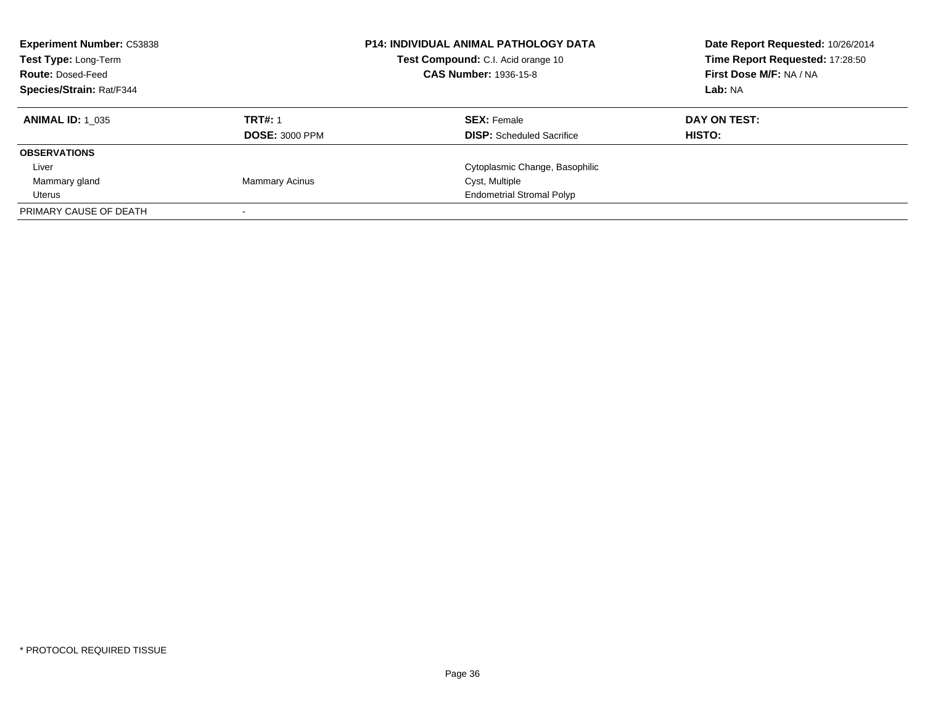| <b>Experiment Number: C53838</b><br>Test Type: Long-Term<br><b>Route: Dosed-Feed</b><br><b>Species/Strain: Rat/F344</b> |                                         | <b>P14: INDIVIDUAL ANIMAL PATHOLOGY DATA</b><br>Test Compound: C.I. Acid orange 10<br><b>CAS Number: 1936-15-8</b> | Date Report Requested: 10/26/2014<br>Time Report Requested: 17:28:50<br>First Dose M/F: NA / NA<br>Lab: NA |
|-------------------------------------------------------------------------------------------------------------------------|-----------------------------------------|--------------------------------------------------------------------------------------------------------------------|------------------------------------------------------------------------------------------------------------|
| <b>ANIMAL ID: 1 035</b>                                                                                                 | <b>TRT#: 1</b><br><b>DOSE: 3000 PPM</b> | <b>SEX: Female</b><br><b>DISP:</b> Scheduled Sacrifice                                                             | DAY ON TEST:<br>HISTO:                                                                                     |
| <b>OBSERVATIONS</b>                                                                                                     |                                         |                                                                                                                    |                                                                                                            |
| Liver                                                                                                                   |                                         | Cytoplasmic Change, Basophilic                                                                                     |                                                                                                            |
| Mammary gland                                                                                                           | <b>Mammary Acinus</b>                   | Cyst, Multiple                                                                                                     |                                                                                                            |
| Uterus                                                                                                                  |                                         | <b>Endometrial Stromal Polyp</b>                                                                                   |                                                                                                            |
| PRIMARY CAUSE OF DEATH                                                                                                  |                                         |                                                                                                                    |                                                                                                            |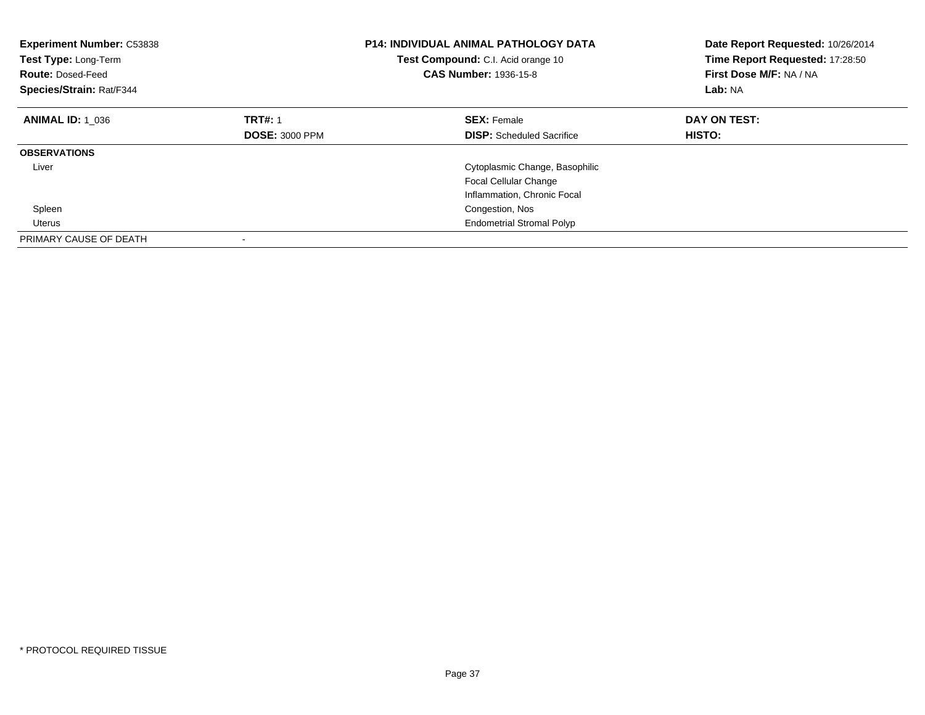| <b>Experiment Number: C53838</b><br>Test Type: Long-Term<br><b>Route: Dosed-Feed</b><br>Species/Strain: Rat/F344 |                       | <b>P14: INDIVIDUAL ANIMAL PATHOLOGY DATA</b><br>Test Compound: C.I. Acid orange 10<br><b>CAS Number: 1936-15-8</b> | Date Report Requested: 10/26/2014<br>Time Report Requested: 17:28:50<br>First Dose M/F: NA / NA<br>Lab: NA |
|------------------------------------------------------------------------------------------------------------------|-----------------------|--------------------------------------------------------------------------------------------------------------------|------------------------------------------------------------------------------------------------------------|
| <b>ANIMAL ID: 1 036</b>                                                                                          | <b>TRT#: 1</b>        | <b>SEX: Female</b>                                                                                                 | DAY ON TEST:                                                                                               |
|                                                                                                                  | <b>DOSE: 3000 PPM</b> | <b>DISP:</b> Scheduled Sacrifice                                                                                   | HISTO:                                                                                                     |
| <b>OBSERVATIONS</b>                                                                                              |                       |                                                                                                                    |                                                                                                            |
| Liver                                                                                                            |                       | Cytoplasmic Change, Basophilic                                                                                     |                                                                                                            |
|                                                                                                                  |                       | Focal Cellular Change                                                                                              |                                                                                                            |
|                                                                                                                  |                       | Inflammation, Chronic Focal                                                                                        |                                                                                                            |
| Spleen                                                                                                           |                       | Congestion, Nos                                                                                                    |                                                                                                            |
| Uterus                                                                                                           |                       | <b>Endometrial Stromal Polyp</b>                                                                                   |                                                                                                            |
| PRIMARY CAUSE OF DEATH                                                                                           |                       |                                                                                                                    |                                                                                                            |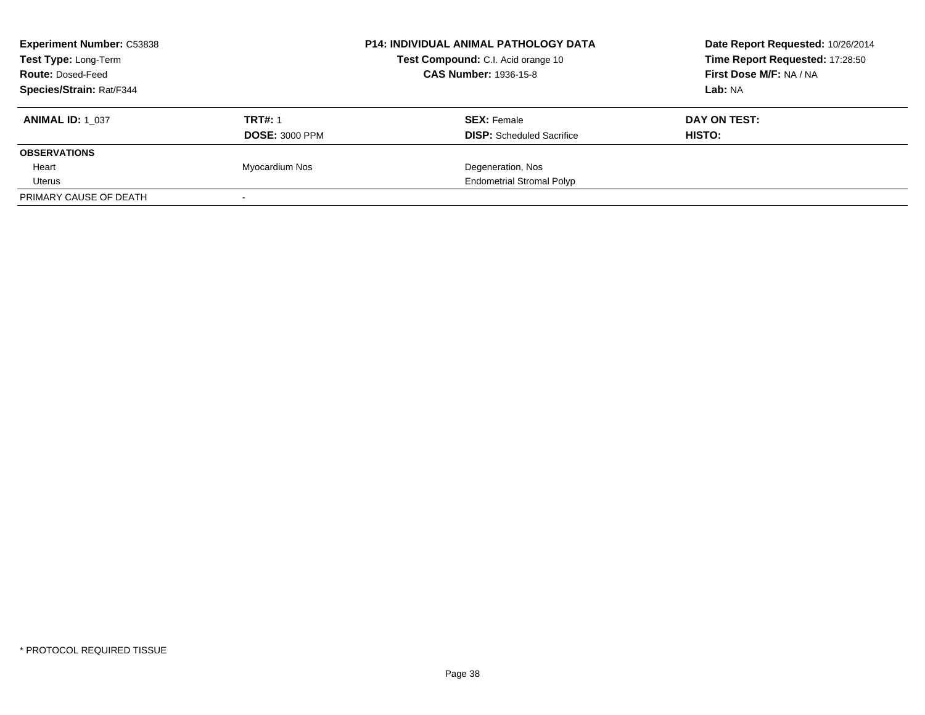| <b>Experiment Number: C53838</b><br>Test Type: Long-Term<br><b>Route: Dosed-Feed</b> |                       | <b>P14: INDIVIDUAL ANIMAL PATHOLOGY DATA</b><br>Test Compound: C.I. Acid orange 10<br><b>CAS Number: 1936-15-8</b> | Date Report Requested: 10/26/2014<br>Time Report Requested: 17:28:50<br>First Dose M/F: NA / NA |
|--------------------------------------------------------------------------------------|-----------------------|--------------------------------------------------------------------------------------------------------------------|-------------------------------------------------------------------------------------------------|
| <b>Species/Strain: Rat/F344</b>                                                      |                       |                                                                                                                    | Lab: NA                                                                                         |
| <b>ANIMAL ID: 1 037</b>                                                              | <b>TRT#: 1</b>        | <b>SEX: Female</b>                                                                                                 | DAY ON TEST:                                                                                    |
|                                                                                      | <b>DOSE: 3000 PPM</b> | <b>DISP:</b> Scheduled Sacrifice                                                                                   | HISTO:                                                                                          |
| <b>OBSERVATIONS</b>                                                                  |                       |                                                                                                                    |                                                                                                 |
| Heart                                                                                | Myocardium Nos        | Degeneration, Nos                                                                                                  |                                                                                                 |
| Uterus                                                                               |                       | <b>Endometrial Stromal Polyp</b>                                                                                   |                                                                                                 |
| PRIMARY CAUSE OF DEATH                                                               |                       |                                                                                                                    |                                                                                                 |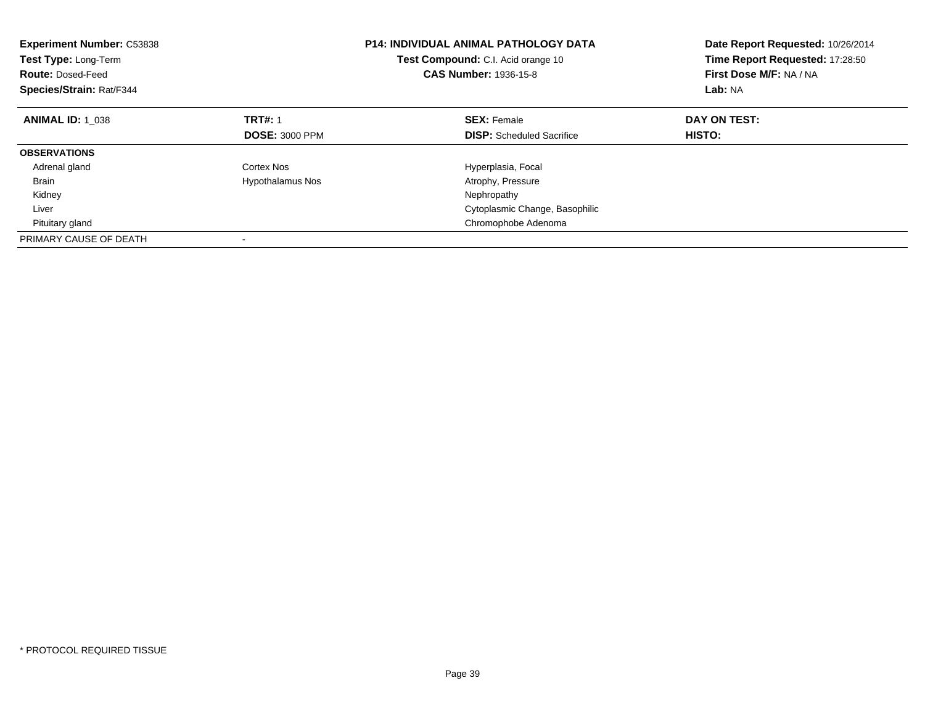| <b>Experiment Number: C53838</b><br>Test Type: Long-Term<br><b>Route: Dosed-Feed</b><br>Species/Strain: Rat/F344 |                         | <b>P14: INDIVIDUAL ANIMAL PATHOLOGY DATA</b><br>Test Compound: C.I. Acid orange 10<br><b>CAS Number: 1936-15-8</b> | Date Report Requested: 10/26/2014<br>Time Report Requested: 17:28:50<br>First Dose M/F: NA / NA<br>Lab: NA |
|------------------------------------------------------------------------------------------------------------------|-------------------------|--------------------------------------------------------------------------------------------------------------------|------------------------------------------------------------------------------------------------------------|
| <b>ANIMAL ID: 1 038</b>                                                                                          | <b>TRT#: 1</b>          | <b>SEX: Female</b>                                                                                                 | DAY ON TEST:                                                                                               |
|                                                                                                                  | <b>DOSE: 3000 PPM</b>   | <b>DISP:</b> Scheduled Sacrifice                                                                                   | HISTO:                                                                                                     |
| <b>OBSERVATIONS</b>                                                                                              |                         |                                                                                                                    |                                                                                                            |
| Adrenal gland                                                                                                    | Cortex Nos              | Hyperplasia, Focal                                                                                                 |                                                                                                            |
| <b>Brain</b>                                                                                                     | <b>Hypothalamus Nos</b> | Atrophy, Pressure                                                                                                  |                                                                                                            |
| Kidney                                                                                                           |                         | Nephropathy                                                                                                        |                                                                                                            |
| Liver                                                                                                            |                         | Cytoplasmic Change, Basophilic                                                                                     |                                                                                                            |
| Pituitary gland                                                                                                  |                         | Chromophobe Adenoma                                                                                                |                                                                                                            |
| PRIMARY CAUSE OF DEATH                                                                                           |                         |                                                                                                                    |                                                                                                            |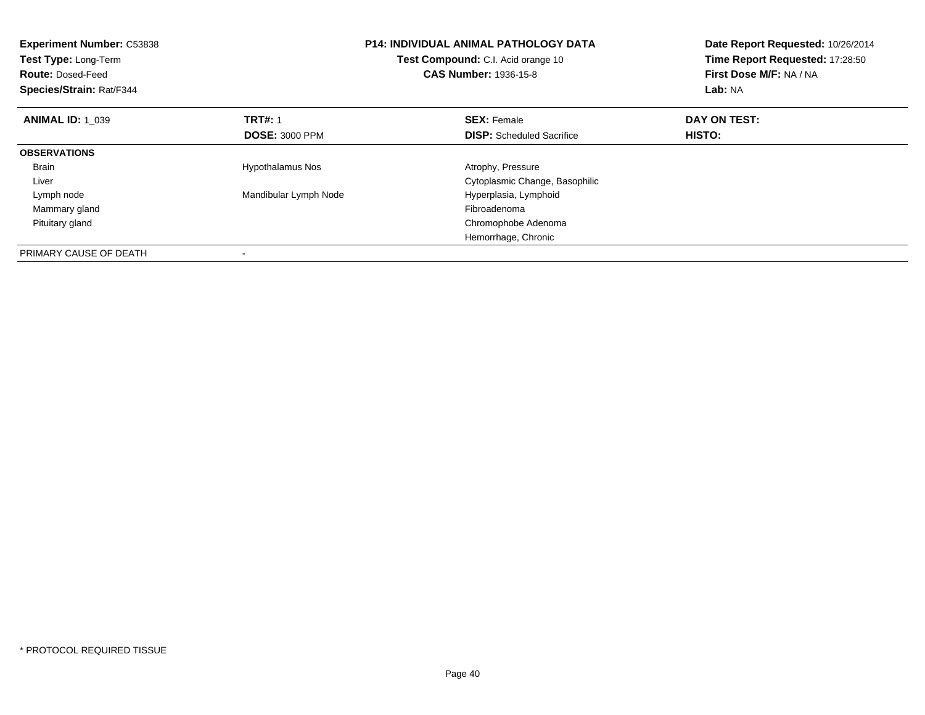| <b>Experiment Number: C53838</b><br>Test Type: Long-Term<br><b>Route: Dosed-Feed</b><br>Species/Strain: Rat/F344 |                         | <b>P14: INDIVIDUAL ANIMAL PATHOLOGY DATA</b><br>Test Compound: C.I. Acid orange 10<br><b>CAS Number: 1936-15-8</b> | Date Report Requested: 10/26/2014<br>Time Report Requested: 17:28:50<br>First Dose M/F: NA / NA<br>Lab: NA |
|------------------------------------------------------------------------------------------------------------------|-------------------------|--------------------------------------------------------------------------------------------------------------------|------------------------------------------------------------------------------------------------------------|
| <b>ANIMAL ID: 1 039</b>                                                                                          | <b>TRT#: 1</b>          | <b>SEX: Female</b>                                                                                                 | DAY ON TEST:                                                                                               |
|                                                                                                                  | <b>DOSE: 3000 PPM</b>   | <b>DISP:</b> Scheduled Sacrifice                                                                                   | HISTO:                                                                                                     |
| <b>OBSERVATIONS</b>                                                                                              |                         |                                                                                                                    |                                                                                                            |
| <b>Brain</b>                                                                                                     | <b>Hypothalamus Nos</b> | Atrophy, Pressure                                                                                                  |                                                                                                            |
| Liver                                                                                                            |                         | Cytoplasmic Change, Basophilic                                                                                     |                                                                                                            |
| Lymph node                                                                                                       | Mandibular Lymph Node   | Hyperplasia, Lymphoid                                                                                              |                                                                                                            |
| Mammary gland                                                                                                    |                         | Fibroadenoma                                                                                                       |                                                                                                            |
| Pituitary gland                                                                                                  |                         | Chromophobe Adenoma                                                                                                |                                                                                                            |
|                                                                                                                  |                         | Hemorrhage, Chronic                                                                                                |                                                                                                            |
| PRIMARY CAUSE OF DEATH                                                                                           |                         |                                                                                                                    |                                                                                                            |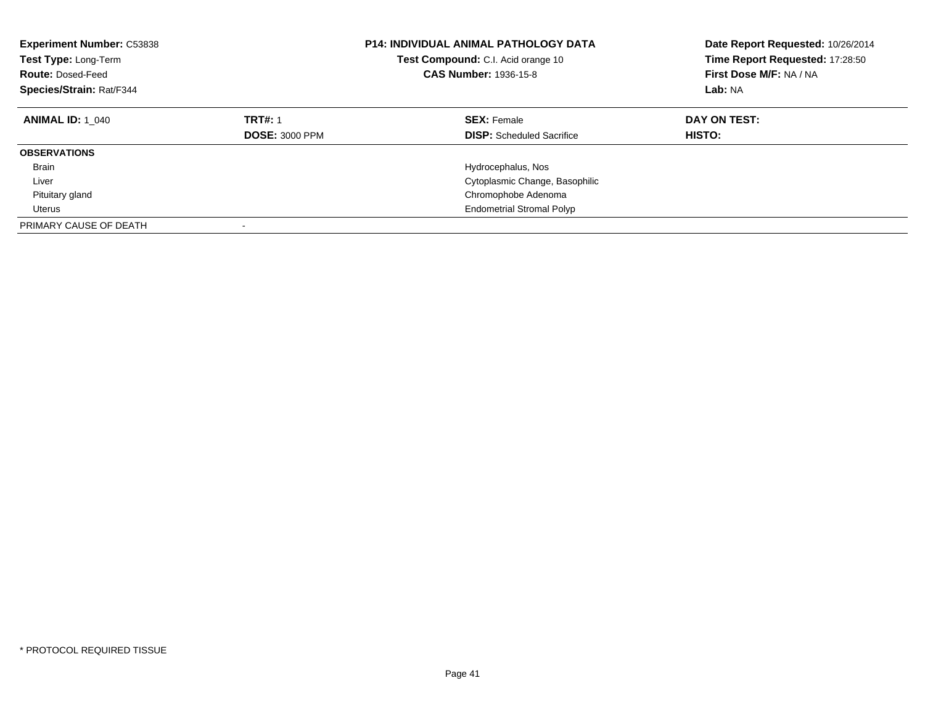| <b>Experiment Number: C53838</b><br>Test Type: Long-Term<br><b>Route: Dosed-Feed</b><br>Species/Strain: Rat/F344 |                                         | <b>P14: INDIVIDUAL ANIMAL PATHOLOGY DATA</b><br>Test Compound: C.I. Acid orange 10<br><b>CAS Number: 1936-15-8</b> | Date Report Requested: 10/26/2014<br>Time Report Requested: 17:28:50<br>First Dose M/F: NA / NA<br>Lab: NA |
|------------------------------------------------------------------------------------------------------------------|-----------------------------------------|--------------------------------------------------------------------------------------------------------------------|------------------------------------------------------------------------------------------------------------|
| <b>ANIMAL ID: 1 040</b>                                                                                          | <b>TRT#: 1</b><br><b>DOSE: 3000 PPM</b> | <b>SEX: Female</b><br><b>DISP:</b> Scheduled Sacrifice                                                             | DAY ON TEST:<br><b>HISTO:</b>                                                                              |
| <b>OBSERVATIONS</b>                                                                                              |                                         |                                                                                                                    |                                                                                                            |
| <b>Brain</b>                                                                                                     |                                         | Hydrocephalus, Nos                                                                                                 |                                                                                                            |
| Liver                                                                                                            |                                         | Cytoplasmic Change, Basophilic                                                                                     |                                                                                                            |
| Pituitary gland                                                                                                  |                                         | Chromophobe Adenoma                                                                                                |                                                                                                            |
| Uterus                                                                                                           |                                         | <b>Endometrial Stromal Polyp</b>                                                                                   |                                                                                                            |
| PRIMARY CAUSE OF DEATH                                                                                           |                                         |                                                                                                                    |                                                                                                            |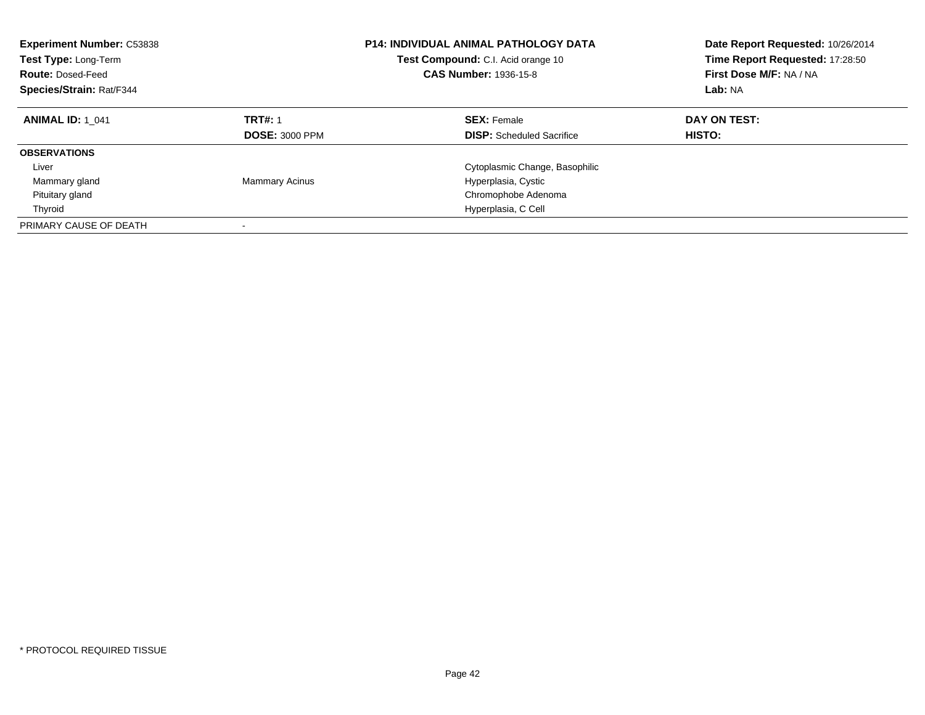| <b>Experiment Number: C53838</b><br><b>Test Type: Long-Term</b><br><b>Route: Dosed-Feed</b><br>Species/Strain: Rat/F344 |                                         | <b>P14: INDIVIDUAL ANIMAL PATHOLOGY DATA</b><br>Test Compound: C.I. Acid orange 10<br>CAS Number: 1936-15-8 | Date Report Requested: 10/26/2014<br>Time Report Requested: 17:28:50<br>First Dose M/F: NA / NA<br>Lab: NA |
|-------------------------------------------------------------------------------------------------------------------------|-----------------------------------------|-------------------------------------------------------------------------------------------------------------|------------------------------------------------------------------------------------------------------------|
| <b>ANIMAL ID: 1 041</b>                                                                                                 | <b>TRT#: 1</b><br><b>DOSE: 3000 PPM</b> | <b>SEX:</b> Female<br><b>DISP:</b> Scheduled Sacrifice                                                      | DAY ON TEST:<br>HISTO:                                                                                     |
| <b>OBSERVATIONS</b>                                                                                                     |                                         |                                                                                                             |                                                                                                            |
| Liver                                                                                                                   |                                         | Cytoplasmic Change, Basophilic                                                                              |                                                                                                            |
| Mammary gland                                                                                                           | <b>Mammary Acinus</b>                   | Hyperplasia, Cystic                                                                                         |                                                                                                            |
| Pituitary gland                                                                                                         |                                         | Chromophobe Adenoma                                                                                         |                                                                                                            |
| Thyroid                                                                                                                 |                                         | Hyperplasia, C Cell                                                                                         |                                                                                                            |
| PRIMARY CAUSE OF DEATH                                                                                                  |                                         |                                                                                                             |                                                                                                            |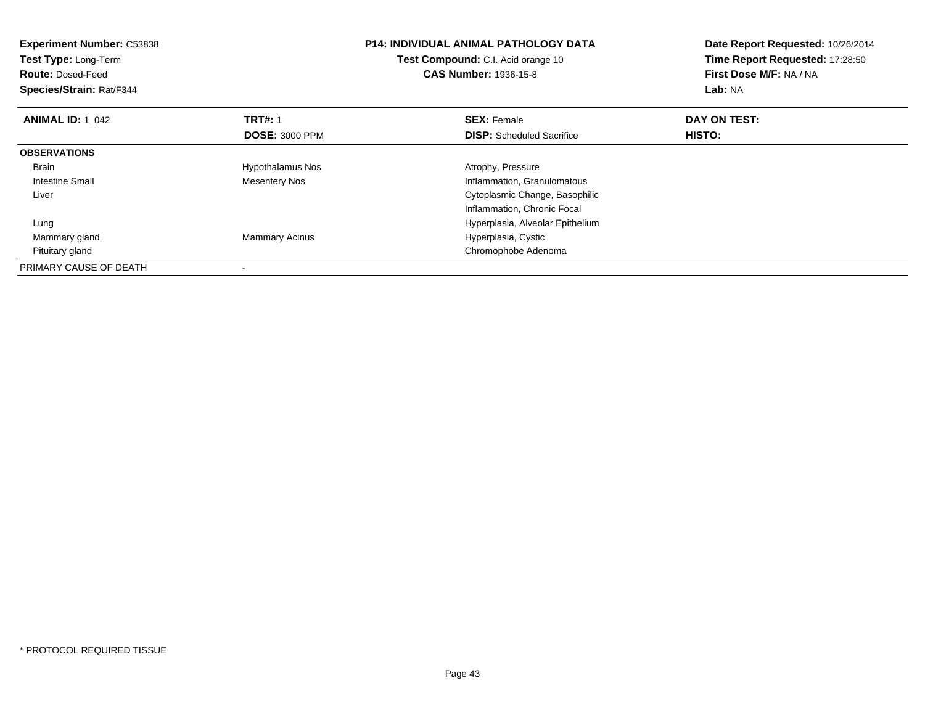| <b>Experiment Number: C53838</b><br>Test Type: Long-Term<br><b>Route: Dosed-Feed</b><br>Species/Strain: Rat/F344 |                         | <b>P14: INDIVIDUAL ANIMAL PATHOLOGY DATA</b><br>Test Compound: C.I. Acid orange 10<br><b>CAS Number: 1936-15-8</b> | Date Report Requested: 10/26/2014<br>Time Report Requested: 17:28:50<br>First Dose M/F: NA / NA<br>Lab: NA |
|------------------------------------------------------------------------------------------------------------------|-------------------------|--------------------------------------------------------------------------------------------------------------------|------------------------------------------------------------------------------------------------------------|
| <b>ANIMAL ID: 1 042</b>                                                                                          | <b>TRT#: 1</b>          | <b>SEX: Female</b>                                                                                                 | DAY ON TEST:                                                                                               |
|                                                                                                                  | <b>DOSE: 3000 PPM</b>   | <b>DISP:</b> Scheduled Sacrifice                                                                                   | HISTO:                                                                                                     |
| <b>OBSERVATIONS</b>                                                                                              |                         |                                                                                                                    |                                                                                                            |
| <b>Brain</b>                                                                                                     | <b>Hypothalamus Nos</b> | Atrophy, Pressure                                                                                                  |                                                                                                            |
| Intestine Small                                                                                                  | <b>Mesentery Nos</b>    | Inflammation, Granulomatous                                                                                        |                                                                                                            |
| Liver                                                                                                            |                         | Cytoplasmic Change, Basophilic                                                                                     |                                                                                                            |
|                                                                                                                  |                         | Inflammation, Chronic Focal                                                                                        |                                                                                                            |
| Lung                                                                                                             |                         | Hyperplasia, Alveolar Epithelium                                                                                   |                                                                                                            |
| Mammary gland                                                                                                    | <b>Mammary Acinus</b>   | Hyperplasia, Cystic                                                                                                |                                                                                                            |
| Pituitary gland                                                                                                  |                         | Chromophobe Adenoma                                                                                                |                                                                                                            |
| PRIMARY CAUSE OF DEATH                                                                                           |                         |                                                                                                                    |                                                                                                            |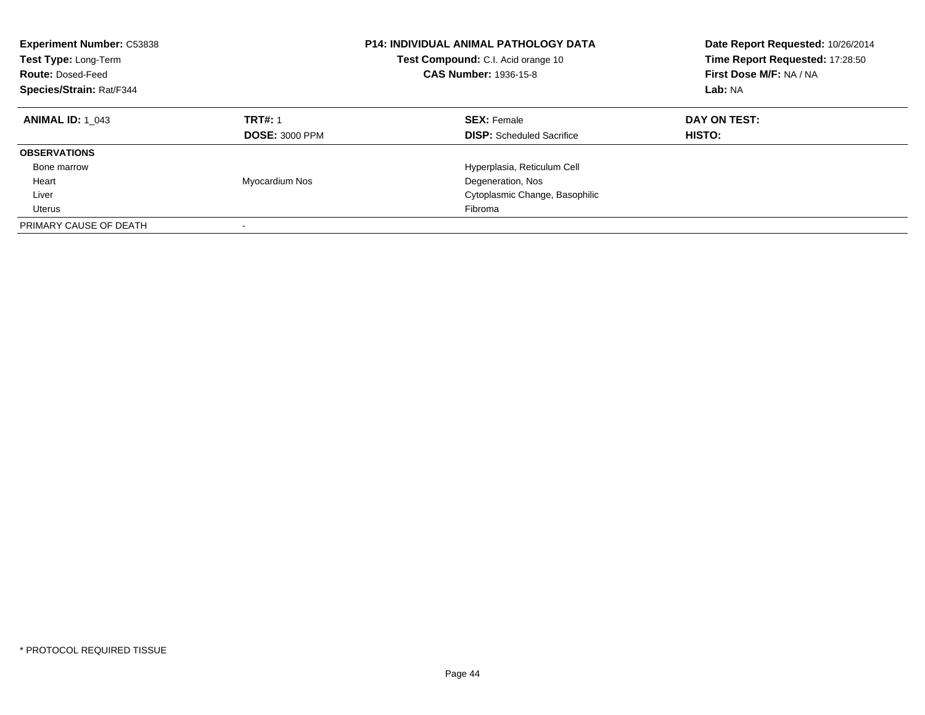| <b>Experiment Number: C53838</b><br>Test Type: Long-Term<br><b>Route: Dosed-Feed</b><br>Species/Strain: Rat/F344 |                                         | <b>P14: INDIVIDUAL ANIMAL PATHOLOGY DATA</b><br>Test Compound: C.I. Acid orange 10<br><b>CAS Number: 1936-15-8</b> | Date Report Requested: 10/26/2014<br>Time Report Requested: 17:28:50<br>First Dose M/F: NA / NA<br>Lab: NA |
|------------------------------------------------------------------------------------------------------------------|-----------------------------------------|--------------------------------------------------------------------------------------------------------------------|------------------------------------------------------------------------------------------------------------|
| <b>ANIMAL ID: 1 043</b>                                                                                          | <b>TRT#: 1</b><br><b>DOSE: 3000 PPM</b> | <b>SEX: Female</b><br><b>DISP:</b> Scheduled Sacrifice                                                             | DAY ON TEST:<br><b>HISTO:</b>                                                                              |
| <b>OBSERVATIONS</b>                                                                                              |                                         |                                                                                                                    |                                                                                                            |
| Bone marrow                                                                                                      |                                         | Hyperplasia, Reticulum Cell                                                                                        |                                                                                                            |
| Heart                                                                                                            | Myocardium Nos                          | Degeneration, Nos                                                                                                  |                                                                                                            |
| Liver                                                                                                            |                                         | Cytoplasmic Change, Basophilic                                                                                     |                                                                                                            |
| Uterus                                                                                                           |                                         | Fibroma                                                                                                            |                                                                                                            |
| PRIMARY CAUSE OF DEATH                                                                                           |                                         |                                                                                                                    |                                                                                                            |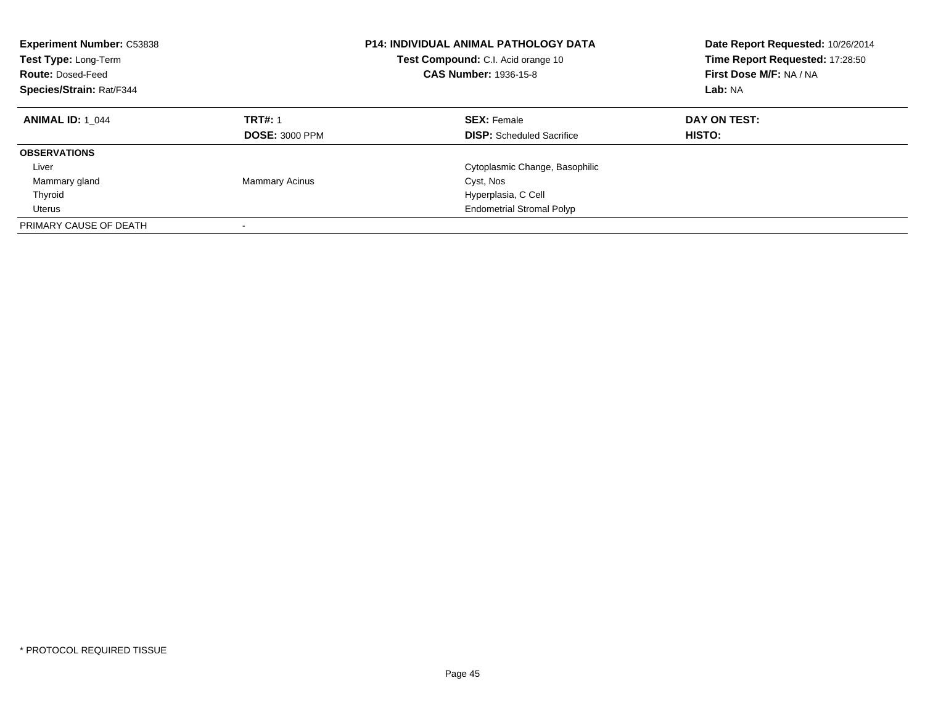| <b>Experiment Number: C53838</b><br>Test Type: Long-Term<br><b>Route: Dosed-Feed</b><br>Species/Strain: Rat/F344 |                                         | <b>P14: INDIVIDUAL ANIMAL PATHOLOGY DATA</b><br>Test Compound: C.I. Acid orange 10<br><b>CAS Number: 1936-15-8</b> | Date Report Requested: 10/26/2014<br>Time Report Requested: 17:28:50<br>First Dose M/F: NA / NA<br>Lab: NA |
|------------------------------------------------------------------------------------------------------------------|-----------------------------------------|--------------------------------------------------------------------------------------------------------------------|------------------------------------------------------------------------------------------------------------|
| <b>ANIMAL ID: 1 044</b>                                                                                          | <b>TRT#: 1</b><br><b>DOSE: 3000 PPM</b> | <b>SEX: Female</b><br><b>DISP:</b> Scheduled Sacrifice                                                             | DAY ON TEST:<br>HISTO:                                                                                     |
| <b>OBSERVATIONS</b>                                                                                              |                                         |                                                                                                                    |                                                                                                            |
| Liver                                                                                                            |                                         | Cytoplasmic Change, Basophilic                                                                                     |                                                                                                            |
| Mammary gland                                                                                                    | <b>Mammary Acinus</b>                   | Cyst, Nos                                                                                                          |                                                                                                            |
| Thyroid                                                                                                          |                                         | Hyperplasia, C Cell                                                                                                |                                                                                                            |
| Uterus                                                                                                           |                                         | <b>Endometrial Stromal Polyp</b>                                                                                   |                                                                                                            |
| PRIMARY CAUSE OF DEATH                                                                                           |                                         |                                                                                                                    |                                                                                                            |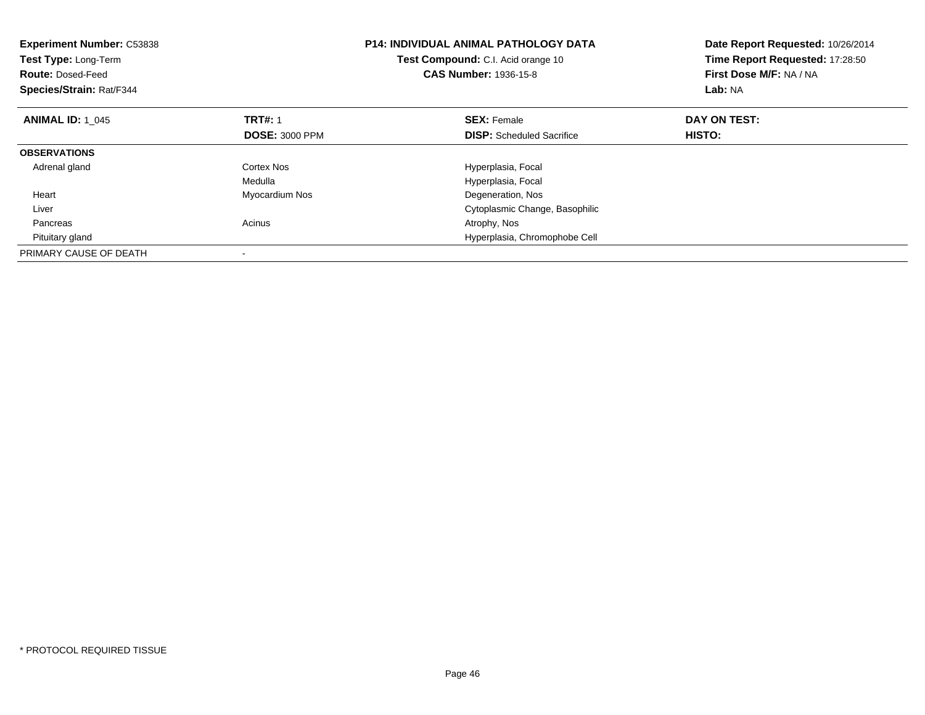| <b>Experiment Number: C53838</b><br>Test Type: Long-Term<br><b>Route: Dosed-Feed</b><br>Species/Strain: Rat/F344 |                       | <b>P14: INDIVIDUAL ANIMAL PATHOLOGY DATA</b><br>Test Compound: C.I. Acid orange 10<br><b>CAS Number: 1936-15-8</b> | Date Report Requested: 10/26/2014<br>Time Report Requested: 17:28:50<br>First Dose M/F: NA / NA<br>Lab: NA |
|------------------------------------------------------------------------------------------------------------------|-----------------------|--------------------------------------------------------------------------------------------------------------------|------------------------------------------------------------------------------------------------------------|
| <b>ANIMAL ID: 1 045</b>                                                                                          | <b>TRT#: 1</b>        | <b>SEX: Female</b>                                                                                                 | DAY ON TEST:                                                                                               |
|                                                                                                                  | <b>DOSE: 3000 PPM</b> | <b>DISP:</b> Scheduled Sacrifice                                                                                   | <b>HISTO:</b>                                                                                              |
| <b>OBSERVATIONS</b>                                                                                              |                       |                                                                                                                    |                                                                                                            |
| Adrenal gland                                                                                                    | Cortex Nos            | Hyperplasia, Focal                                                                                                 |                                                                                                            |
|                                                                                                                  | Medulla               | Hyperplasia, Focal                                                                                                 |                                                                                                            |
| Heart                                                                                                            | Myocardium Nos        | Degeneration, Nos                                                                                                  |                                                                                                            |
| Liver                                                                                                            |                       | Cytoplasmic Change, Basophilic                                                                                     |                                                                                                            |
| Pancreas                                                                                                         | Acinus                | Atrophy, Nos                                                                                                       |                                                                                                            |
| Pituitary gland                                                                                                  |                       | Hyperplasia, Chromophobe Cell                                                                                      |                                                                                                            |
| PRIMARY CAUSE OF DEATH                                                                                           |                       |                                                                                                                    |                                                                                                            |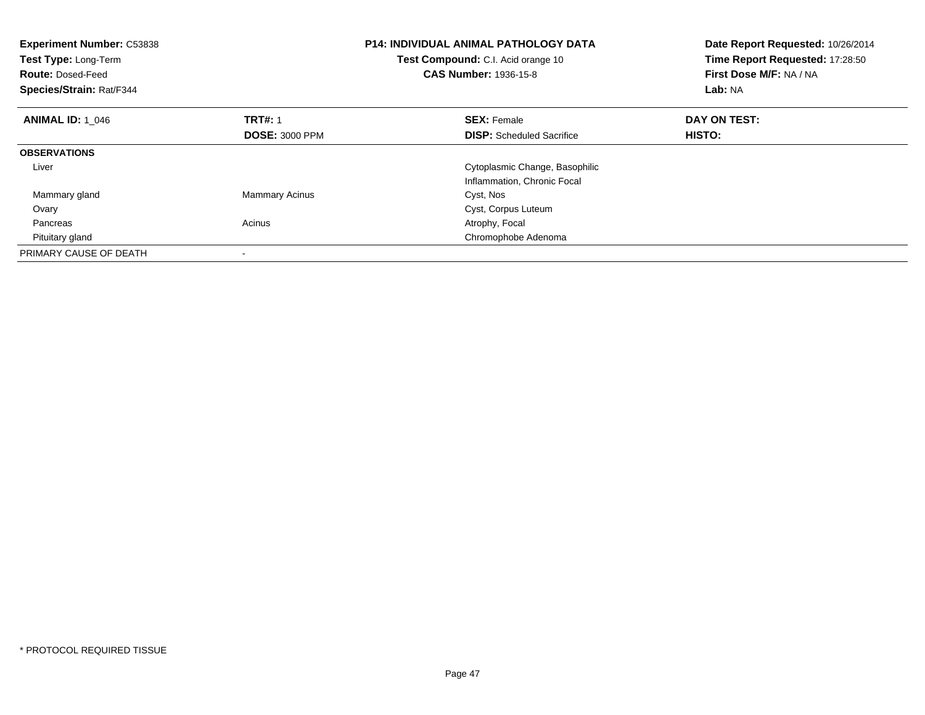| <b>Experiment Number: C53838</b><br>Test Type: Long-Term<br><b>Route: Dosed-Feed</b><br>Species/Strain: Rat/F344 |                       | <b>P14: INDIVIDUAL ANIMAL PATHOLOGY DATA</b><br>Test Compound: C.I. Acid orange 10<br><b>CAS Number: 1936-15-8</b> | Date Report Requested: 10/26/2014<br>Time Report Requested: 17:28:50<br>First Dose M/F: NA / NA<br>Lab: NA |
|------------------------------------------------------------------------------------------------------------------|-----------------------|--------------------------------------------------------------------------------------------------------------------|------------------------------------------------------------------------------------------------------------|
| <b>ANIMAL ID: 1_046</b>                                                                                          | <b>TRT#: 1</b>        | <b>SEX: Female</b>                                                                                                 | DAY ON TEST:                                                                                               |
|                                                                                                                  | <b>DOSE: 3000 PPM</b> | <b>DISP:</b> Scheduled Sacrifice                                                                                   | HISTO:                                                                                                     |
| <b>OBSERVATIONS</b>                                                                                              |                       |                                                                                                                    |                                                                                                            |
| Liver                                                                                                            |                       | Cytoplasmic Change, Basophilic                                                                                     |                                                                                                            |
|                                                                                                                  |                       | Inflammation, Chronic Focal                                                                                        |                                                                                                            |
| Mammary gland                                                                                                    | <b>Mammary Acinus</b> | Cyst, Nos                                                                                                          |                                                                                                            |
| Ovary                                                                                                            |                       | Cyst, Corpus Luteum                                                                                                |                                                                                                            |
| Pancreas                                                                                                         | Acinus                | Atrophy, Focal                                                                                                     |                                                                                                            |
| Pituitary gland                                                                                                  |                       | Chromophobe Adenoma                                                                                                |                                                                                                            |
| PRIMARY CAUSE OF DEATH                                                                                           |                       |                                                                                                                    |                                                                                                            |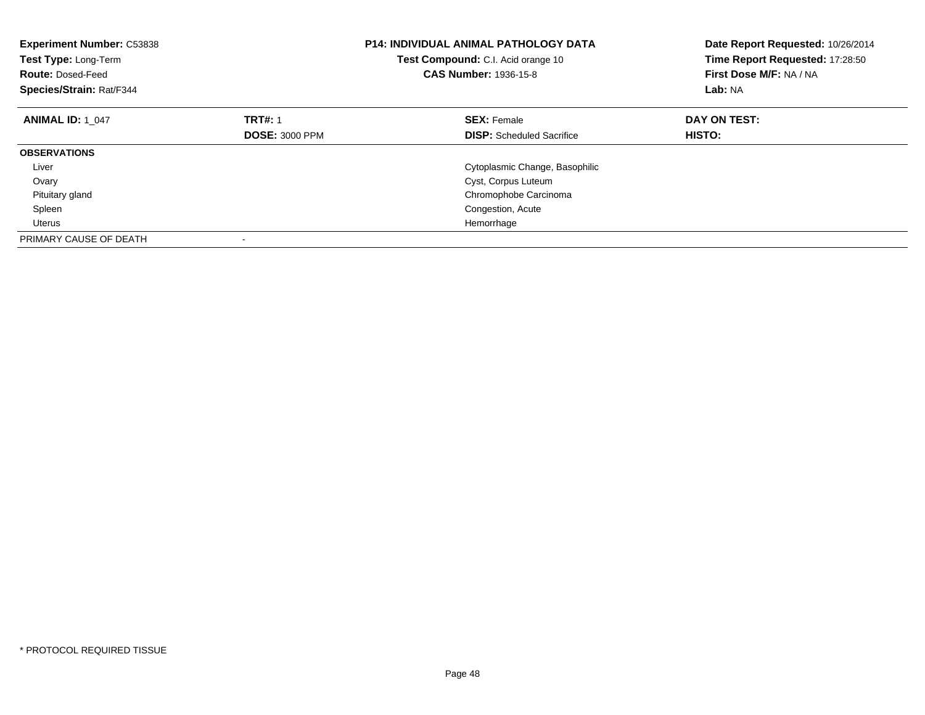| <b>Experiment Number: C53838</b><br>Test Type: Long-Term<br><b>Route: Dosed-Feed</b><br>Species/Strain: Rat/F344 |                       | <b>P14: INDIVIDUAL ANIMAL PATHOLOGY DATA</b><br>Test Compound: C.I. Acid orange 10<br><b>CAS Number: 1936-15-8</b> | Date Report Requested: 10/26/2014<br>Time Report Requested: 17:28:50<br>First Dose M/F: NA / NA<br>Lab: NA |
|------------------------------------------------------------------------------------------------------------------|-----------------------|--------------------------------------------------------------------------------------------------------------------|------------------------------------------------------------------------------------------------------------|
| <b>ANIMAL ID: 1 047</b>                                                                                          | <b>TRT#: 1</b>        | <b>SEX: Female</b>                                                                                                 | DAY ON TEST:                                                                                               |
|                                                                                                                  | <b>DOSE: 3000 PPM</b> | <b>DISP:</b> Scheduled Sacrifice                                                                                   | HISTO:                                                                                                     |
| <b>OBSERVATIONS</b>                                                                                              |                       |                                                                                                                    |                                                                                                            |
| Liver                                                                                                            |                       | Cytoplasmic Change, Basophilic                                                                                     |                                                                                                            |
| Ovary                                                                                                            |                       | Cyst, Corpus Luteum                                                                                                |                                                                                                            |
| Pituitary gland                                                                                                  |                       | Chromophobe Carcinoma                                                                                              |                                                                                                            |
| Spleen                                                                                                           |                       | Congestion, Acute                                                                                                  |                                                                                                            |
| Uterus                                                                                                           |                       | Hemorrhage                                                                                                         |                                                                                                            |
| PRIMARY CAUSE OF DEATH                                                                                           |                       |                                                                                                                    |                                                                                                            |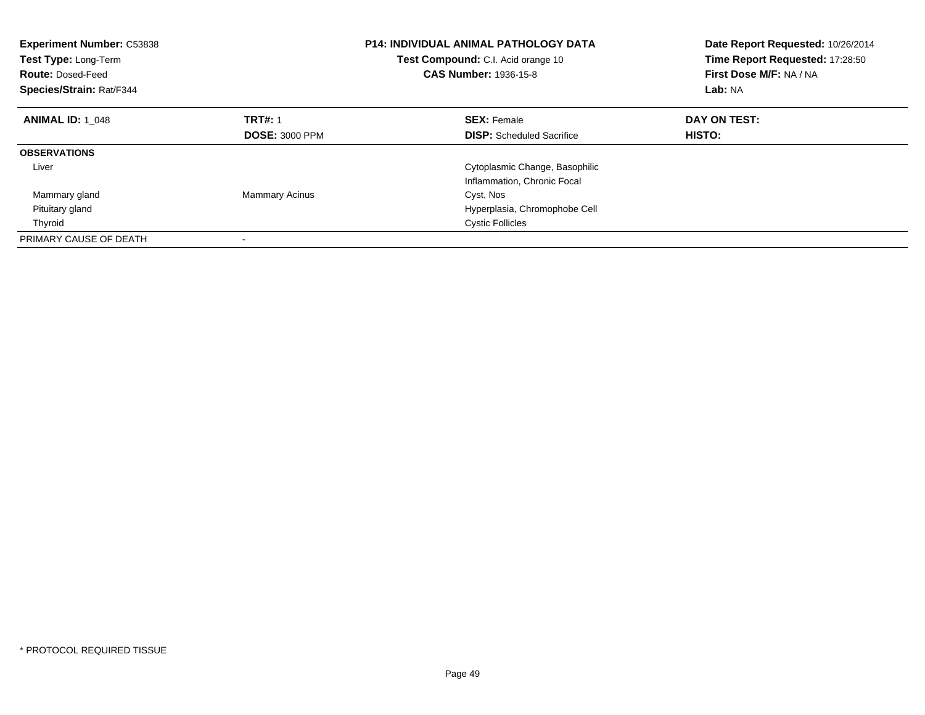| <b>Experiment Number: C53838</b><br>Test Type: Long-Term<br><b>Route: Dosed-Feed</b><br>Species/Strain: Rat/F344 |                       | P14: INDIVIDUAL ANIMAL PATHOLOGY DATA<br>Test Compound: C.I. Acid orange 10<br>CAS Number: 1936-15-8 | Date Report Requested: 10/26/2014<br>Time Report Requested: 17:28:50<br>First Dose M/F: NA / NA<br>Lab: NA |
|------------------------------------------------------------------------------------------------------------------|-----------------------|------------------------------------------------------------------------------------------------------|------------------------------------------------------------------------------------------------------------|
| <b>ANIMAL ID: 1 048</b>                                                                                          | <b>TRT#: 1</b>        | <b>SEX:</b> Female                                                                                   | DAY ON TEST:                                                                                               |
|                                                                                                                  | <b>DOSE: 3000 PPM</b> | <b>DISP:</b> Scheduled Sacrifice                                                                     | HISTO:                                                                                                     |
| <b>OBSERVATIONS</b>                                                                                              |                       |                                                                                                      |                                                                                                            |
| Liver                                                                                                            |                       | Cytoplasmic Change, Basophilic                                                                       |                                                                                                            |
|                                                                                                                  |                       | Inflammation, Chronic Focal                                                                          |                                                                                                            |
| Mammary gland                                                                                                    | <b>Mammary Acinus</b> | Cyst, Nos                                                                                            |                                                                                                            |
| Pituitary gland                                                                                                  |                       | Hyperplasia, Chromophobe Cell                                                                        |                                                                                                            |
| Thyroid                                                                                                          |                       | <b>Cystic Follicles</b>                                                                              |                                                                                                            |
| PRIMARY CAUSE OF DEATH                                                                                           |                       |                                                                                                      |                                                                                                            |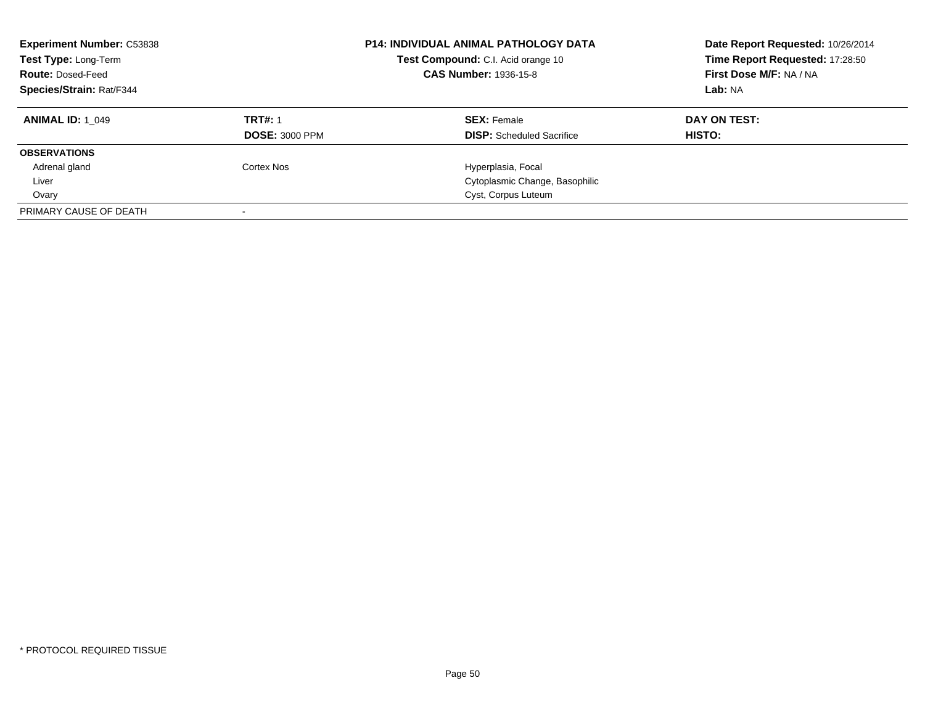| <b>Experiment Number: C53838</b><br>Test Type: Long-Term<br><b>Route: Dosed-Feed</b><br><b>Species/Strain: Rat/F344</b> |                       | <b>P14: INDIVIDUAL ANIMAL PATHOLOGY DATA</b><br>Test Compound: C.I. Acid orange 10<br><b>CAS Number: 1936-15-8</b> | Date Report Requested: 10/26/2014<br>Time Report Requested: 17:28:50<br>First Dose M/F: NA / NA<br>Lab: NA |
|-------------------------------------------------------------------------------------------------------------------------|-----------------------|--------------------------------------------------------------------------------------------------------------------|------------------------------------------------------------------------------------------------------------|
| <b>ANIMAL ID: 1 049</b>                                                                                                 | <b>TRT#: 1</b>        | <b>SEX: Female</b>                                                                                                 | DAY ON TEST:                                                                                               |
|                                                                                                                         | <b>DOSE: 3000 PPM</b> | <b>DISP:</b> Scheduled Sacrifice                                                                                   | HISTO:                                                                                                     |
| <b>OBSERVATIONS</b>                                                                                                     |                       |                                                                                                                    |                                                                                                            |
| Adrenal gland                                                                                                           | Cortex Nos            | Hyperplasia, Focal                                                                                                 |                                                                                                            |
| Liver                                                                                                                   |                       | Cytoplasmic Change, Basophilic                                                                                     |                                                                                                            |
| Ovary                                                                                                                   |                       | Cyst, Corpus Luteum                                                                                                |                                                                                                            |
| PRIMARY CAUSE OF DEATH                                                                                                  |                       |                                                                                                                    |                                                                                                            |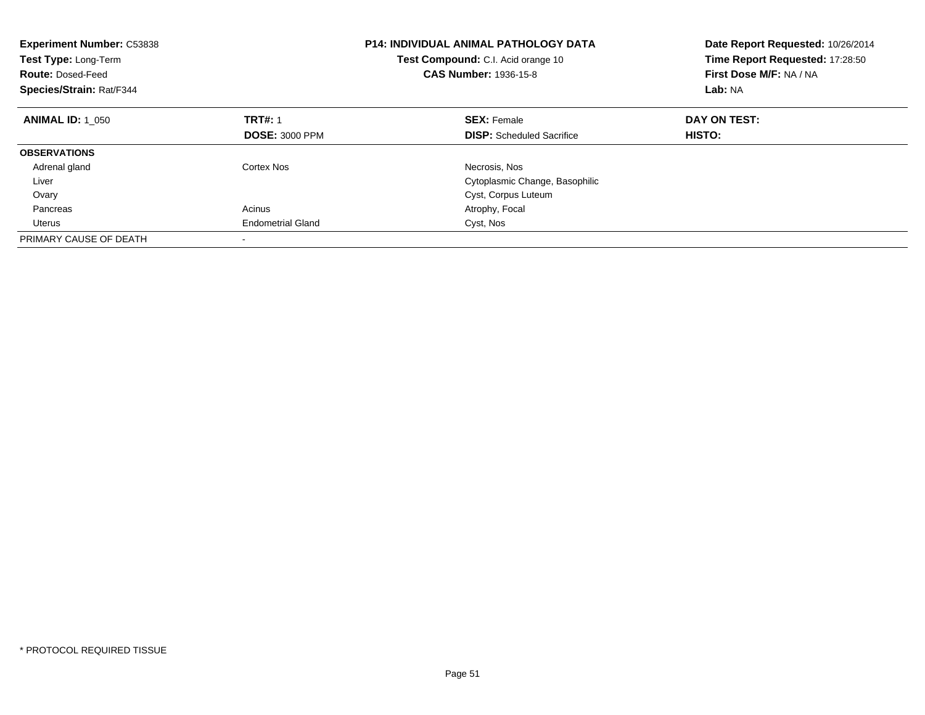| <b>Experiment Number: C53838</b><br>Test Type: Long-Term<br><b>Route: Dosed-Feed</b><br>Species/Strain: Rat/F344 |                          | <b>P14: INDIVIDUAL ANIMAL PATHOLOGY DATA</b><br>Test Compound: C.I. Acid orange 10<br><b>CAS Number: 1936-15-8</b> | Date Report Requested: 10/26/2014<br>Time Report Requested: 17:28:50<br>First Dose M/F: NA / NA<br>Lab: NA |
|------------------------------------------------------------------------------------------------------------------|--------------------------|--------------------------------------------------------------------------------------------------------------------|------------------------------------------------------------------------------------------------------------|
| <b>ANIMAL ID: 1_050</b>                                                                                          | <b>TRT#: 1</b>           | <b>SEX: Female</b>                                                                                                 | DAY ON TEST:                                                                                               |
|                                                                                                                  | <b>DOSE: 3000 PPM</b>    | <b>DISP:</b> Scheduled Sacrifice                                                                                   | HISTO:                                                                                                     |
| <b>OBSERVATIONS</b>                                                                                              |                          |                                                                                                                    |                                                                                                            |
| Adrenal gland                                                                                                    | Cortex Nos               | Necrosis, Nos                                                                                                      |                                                                                                            |
| Liver                                                                                                            |                          | Cytoplasmic Change, Basophilic                                                                                     |                                                                                                            |
| Ovary                                                                                                            |                          | Cyst, Corpus Luteum                                                                                                |                                                                                                            |
| Pancreas                                                                                                         | Acinus                   | Atrophy, Focal                                                                                                     |                                                                                                            |
| Uterus                                                                                                           | <b>Endometrial Gland</b> | Cyst, Nos                                                                                                          |                                                                                                            |
| PRIMARY CAUSE OF DEATH                                                                                           |                          |                                                                                                                    |                                                                                                            |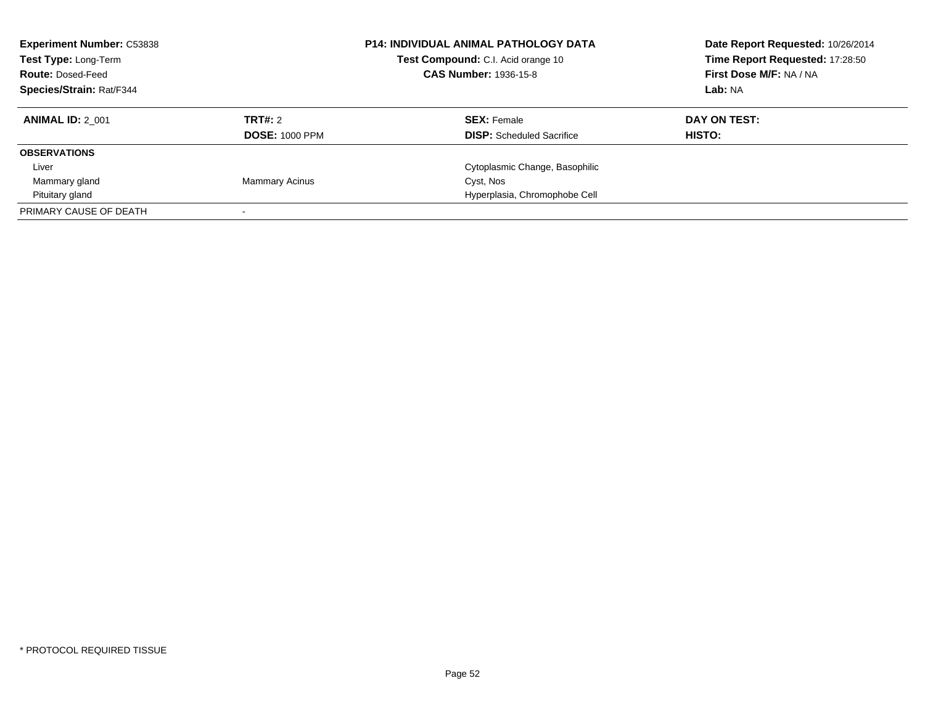| <b>Experiment Number: C53838</b><br>Test Type: Long-Term<br><b>Route: Dosed-Feed</b><br>Species/Strain: Rat/F344 |                                  | <b>P14: INDIVIDUAL ANIMAL PATHOLOGY DATA</b><br>Test Compound: C.I. Acid orange 10<br><b>CAS Number: 1936-15-8</b> | Date Report Requested: 10/26/2014<br>Time Report Requested: 17:28:50<br>First Dose M/F: NA / NA<br>Lab: NA |
|------------------------------------------------------------------------------------------------------------------|----------------------------------|--------------------------------------------------------------------------------------------------------------------|------------------------------------------------------------------------------------------------------------|
| <b>ANIMAL ID: 2 001</b>                                                                                          | TRT#: 2<br><b>DOSE: 1000 PPM</b> | <b>SEX: Female</b><br><b>DISP:</b> Scheduled Sacrifice                                                             | DAY ON TEST:<br>HISTO:                                                                                     |
| <b>OBSERVATIONS</b>                                                                                              |                                  |                                                                                                                    |                                                                                                            |
| Liver                                                                                                            |                                  | Cytoplasmic Change, Basophilic                                                                                     |                                                                                                            |
| Mammary gland                                                                                                    | <b>Mammary Acinus</b>            | Cyst, Nos                                                                                                          |                                                                                                            |
| Pituitary gland                                                                                                  |                                  | Hyperplasia, Chromophobe Cell                                                                                      |                                                                                                            |
| PRIMARY CAUSE OF DEATH                                                                                           |                                  |                                                                                                                    |                                                                                                            |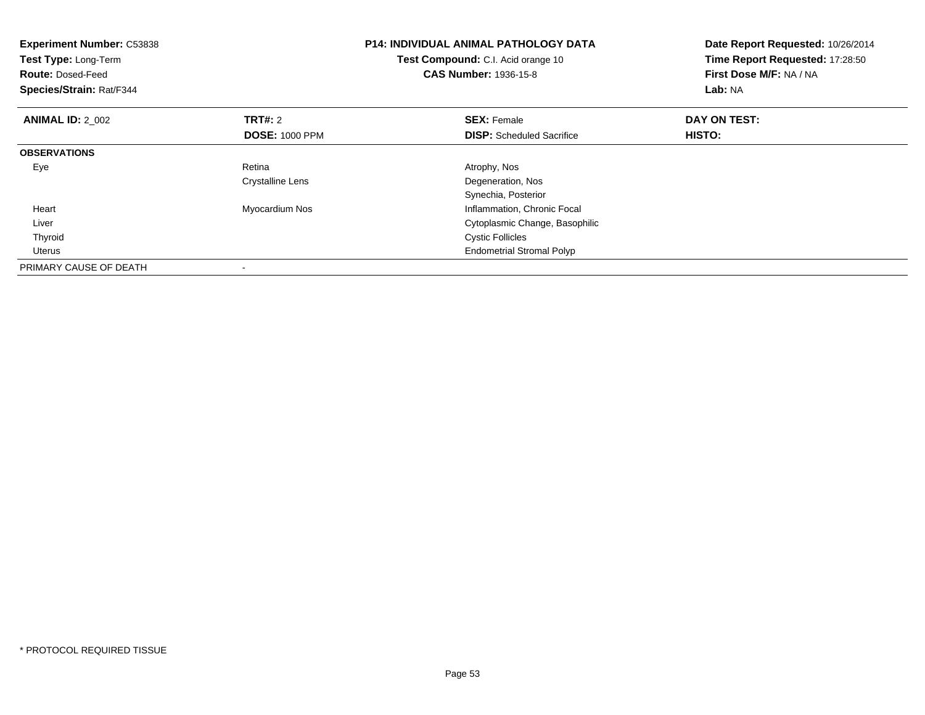| <b>Experiment Number: C53838</b><br>Test Type: Long-Term<br><b>Route: Dosed-Feed</b><br>Species/Strain: Rat/F344 |                       | <b>P14: INDIVIDUAL ANIMAL PATHOLOGY DATA</b><br>Test Compound: C.I. Acid orange 10<br><b>CAS Number: 1936-15-8</b> | Date Report Requested: 10/26/2014<br>Time Report Requested: 17:28:50<br>First Dose M/F: NA / NA<br>Lab: NA |
|------------------------------------------------------------------------------------------------------------------|-----------------------|--------------------------------------------------------------------------------------------------------------------|------------------------------------------------------------------------------------------------------------|
| <b>ANIMAL ID: 2 002</b>                                                                                          | <b>TRT#:</b> 2        | <b>SEX: Female</b>                                                                                                 | DAY ON TEST:                                                                                               |
|                                                                                                                  | <b>DOSE: 1000 PPM</b> | <b>DISP:</b> Scheduled Sacrifice                                                                                   | HISTO:                                                                                                     |
| <b>OBSERVATIONS</b>                                                                                              |                       |                                                                                                                    |                                                                                                            |
| Eye                                                                                                              | Retina                | Atrophy, Nos                                                                                                       |                                                                                                            |
|                                                                                                                  | Crystalline Lens      | Degeneration, Nos                                                                                                  |                                                                                                            |
|                                                                                                                  |                       | Synechia, Posterior                                                                                                |                                                                                                            |
| Heart                                                                                                            | Myocardium Nos        | Inflammation, Chronic Focal                                                                                        |                                                                                                            |
| Liver                                                                                                            |                       | Cytoplasmic Change, Basophilic                                                                                     |                                                                                                            |
| Thyroid                                                                                                          |                       | <b>Cystic Follicles</b>                                                                                            |                                                                                                            |
| Uterus                                                                                                           |                       | <b>Endometrial Stromal Polyp</b>                                                                                   |                                                                                                            |
| PRIMARY CAUSE OF DEATH                                                                                           |                       |                                                                                                                    |                                                                                                            |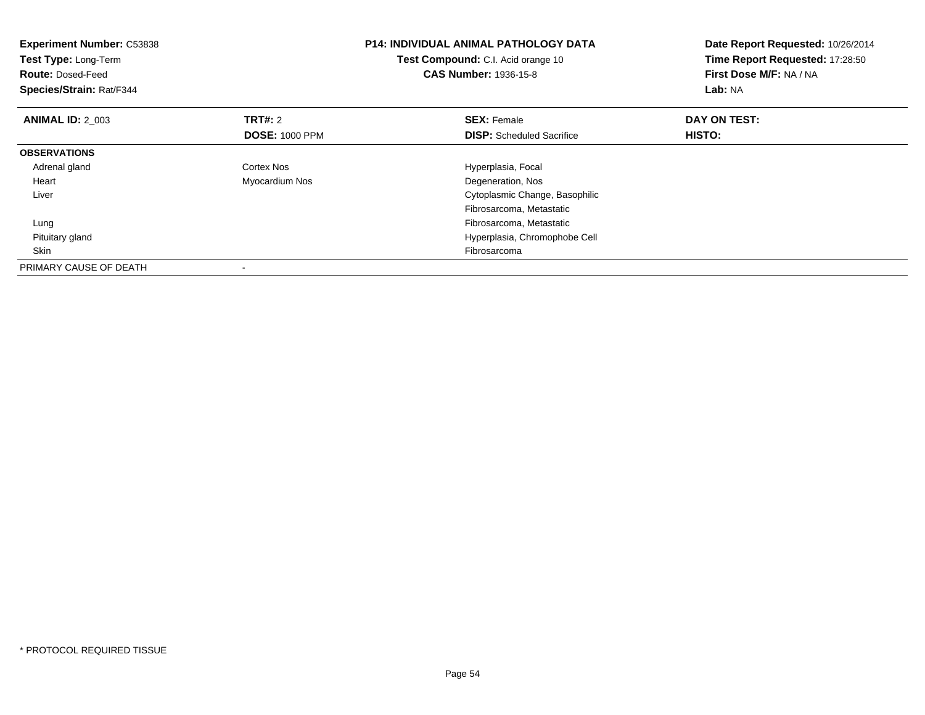| <b>Experiment Number: C53838</b><br>Test Type: Long-Term<br><b>Route: Dosed-Feed</b><br>Species/Strain: Rat/F344 |                       | <b>P14: INDIVIDUAL ANIMAL PATHOLOGY DATA</b><br>Test Compound: C.I. Acid orange 10<br><b>CAS Number: 1936-15-8</b> | Date Report Requested: 10/26/2014<br>Time Report Requested: 17:28:50<br>First Dose M/F: NA / NA<br>Lab: NA |
|------------------------------------------------------------------------------------------------------------------|-----------------------|--------------------------------------------------------------------------------------------------------------------|------------------------------------------------------------------------------------------------------------|
| <b>ANIMAL ID: 2 003</b>                                                                                          | <b>TRT#:</b> 2        | <b>SEX: Female</b>                                                                                                 | DAY ON TEST:                                                                                               |
|                                                                                                                  | <b>DOSE: 1000 PPM</b> | <b>DISP:</b> Scheduled Sacrifice                                                                                   | HISTO:                                                                                                     |
| <b>OBSERVATIONS</b>                                                                                              |                       |                                                                                                                    |                                                                                                            |
| Adrenal gland                                                                                                    | Cortex Nos            | Hyperplasia, Focal                                                                                                 |                                                                                                            |
| Heart                                                                                                            | Myocardium Nos        | Degeneration, Nos                                                                                                  |                                                                                                            |
| Liver                                                                                                            |                       | Cytoplasmic Change, Basophilic                                                                                     |                                                                                                            |
|                                                                                                                  |                       | Fibrosarcoma, Metastatic                                                                                           |                                                                                                            |
| Lung                                                                                                             |                       | Fibrosarcoma, Metastatic                                                                                           |                                                                                                            |
| Pituitary gland                                                                                                  |                       | Hyperplasia, Chromophobe Cell                                                                                      |                                                                                                            |
| Skin                                                                                                             |                       | Fibrosarcoma                                                                                                       |                                                                                                            |
| PRIMARY CAUSE OF DEATH                                                                                           |                       |                                                                                                                    |                                                                                                            |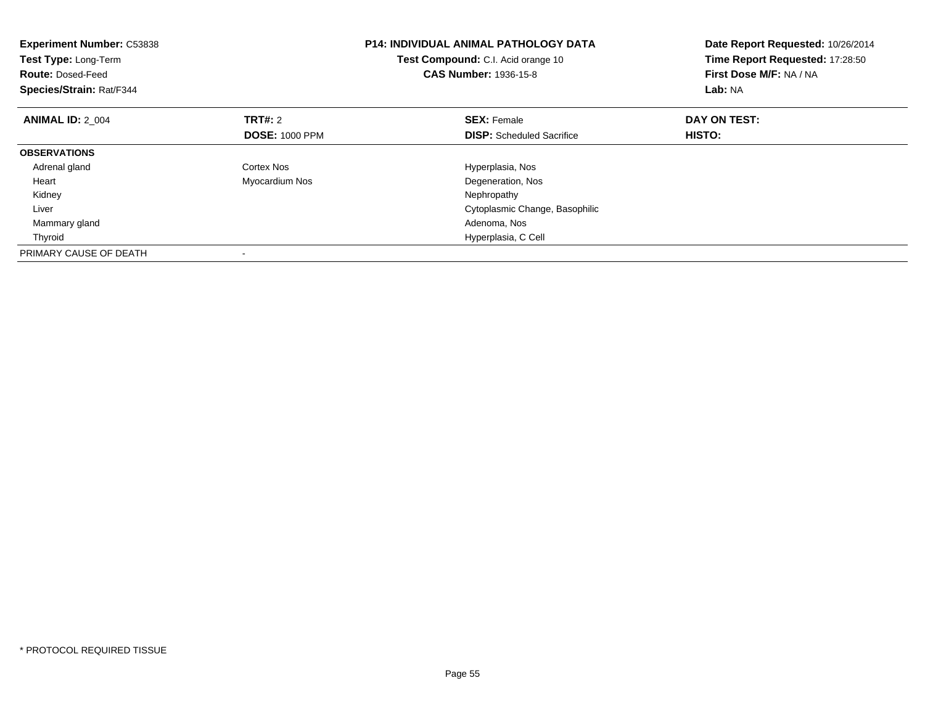| <b>Experiment Number: C53838</b><br><b>Test Type: Long-Term</b><br><b>Route: Dosed-Feed</b><br>Species/Strain: Rat/F344 |                       | <b>P14: INDIVIDUAL ANIMAL PATHOLOGY DATA</b><br>Test Compound: C.I. Acid orange 10<br><b>CAS Number: 1936-15-8</b> | Date Report Requested: 10/26/2014<br>Time Report Requested: 17:28:50<br>First Dose M/F: NA / NA<br>Lab: NA |
|-------------------------------------------------------------------------------------------------------------------------|-----------------------|--------------------------------------------------------------------------------------------------------------------|------------------------------------------------------------------------------------------------------------|
| <b>ANIMAL ID: 2 004</b>                                                                                                 | <b>TRT#: 2</b>        | <b>SEX: Female</b>                                                                                                 | DAY ON TEST:                                                                                               |
|                                                                                                                         | <b>DOSE: 1000 PPM</b> | <b>DISP:</b> Scheduled Sacrifice                                                                                   | <b>HISTO:</b>                                                                                              |
| <b>OBSERVATIONS</b>                                                                                                     |                       |                                                                                                                    |                                                                                                            |
| Adrenal gland                                                                                                           | Cortex Nos            | Hyperplasia, Nos                                                                                                   |                                                                                                            |
| Heart                                                                                                                   | Myocardium Nos        | Degeneration, Nos                                                                                                  |                                                                                                            |
| Kidney                                                                                                                  |                       | Nephropathy                                                                                                        |                                                                                                            |
| Liver                                                                                                                   |                       | Cytoplasmic Change, Basophilic                                                                                     |                                                                                                            |
| Mammary gland                                                                                                           |                       | Adenoma, Nos                                                                                                       |                                                                                                            |
| Thyroid                                                                                                                 |                       | Hyperplasia, C Cell                                                                                                |                                                                                                            |
| PRIMARY CAUSE OF DEATH                                                                                                  |                       |                                                                                                                    |                                                                                                            |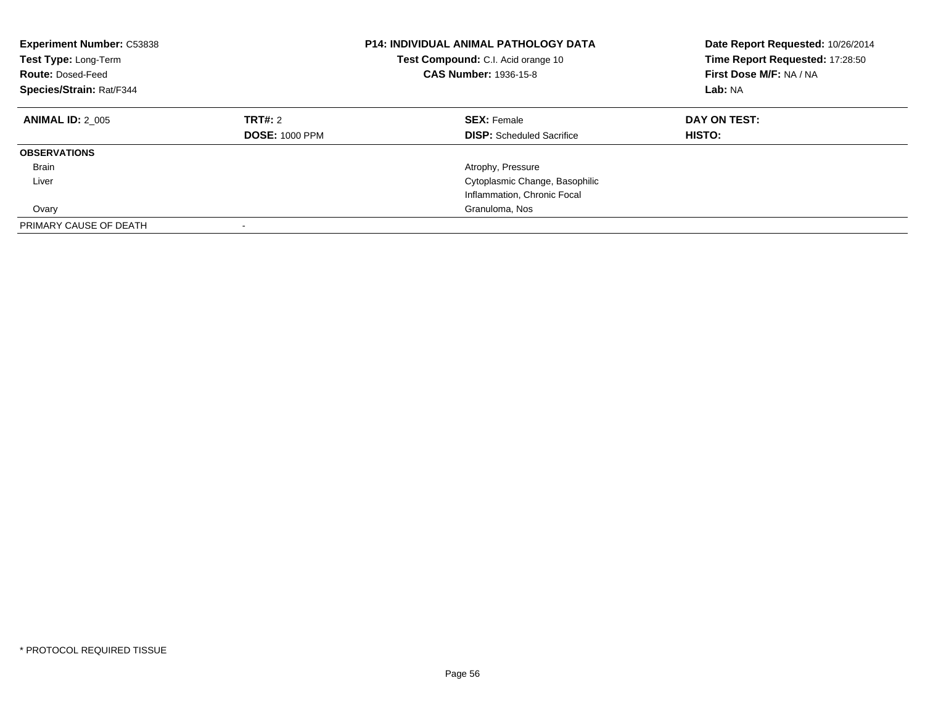| <b>Experiment Number: C53838</b><br>Test Type: Long-Term<br><b>Route: Dosed-Feed</b><br>Species/Strain: Rat/F344 |                                  | <b>P14: INDIVIDUAL ANIMAL PATHOLOGY DATA</b><br><b>Test Compound:</b> C.I. Acid orange 10<br><b>CAS Number: 1936-15-8</b> | Date Report Requested: 10/26/2014<br>Time Report Requested: 17:28:50<br>First Dose M/F: NA / NA<br>Lab: NA |
|------------------------------------------------------------------------------------------------------------------|----------------------------------|---------------------------------------------------------------------------------------------------------------------------|------------------------------------------------------------------------------------------------------------|
| <b>ANIMAL ID: 2 005</b>                                                                                          | TRT#: 2<br><b>DOSE: 1000 PPM</b> | <b>SEX: Female</b><br><b>DISP:</b> Scheduled Sacrifice                                                                    | DAY ON TEST:<br><b>HISTO:</b>                                                                              |
| <b>OBSERVATIONS</b>                                                                                              |                                  |                                                                                                                           |                                                                                                            |
| <b>Brain</b>                                                                                                     |                                  | Atrophy, Pressure                                                                                                         |                                                                                                            |
| Liver                                                                                                            |                                  | Cytoplasmic Change, Basophilic                                                                                            |                                                                                                            |
|                                                                                                                  |                                  | Inflammation, Chronic Focal                                                                                               |                                                                                                            |
| Ovary                                                                                                            |                                  | Granuloma, Nos                                                                                                            |                                                                                                            |
| PRIMARY CAUSE OF DEATH                                                                                           |                                  |                                                                                                                           |                                                                                                            |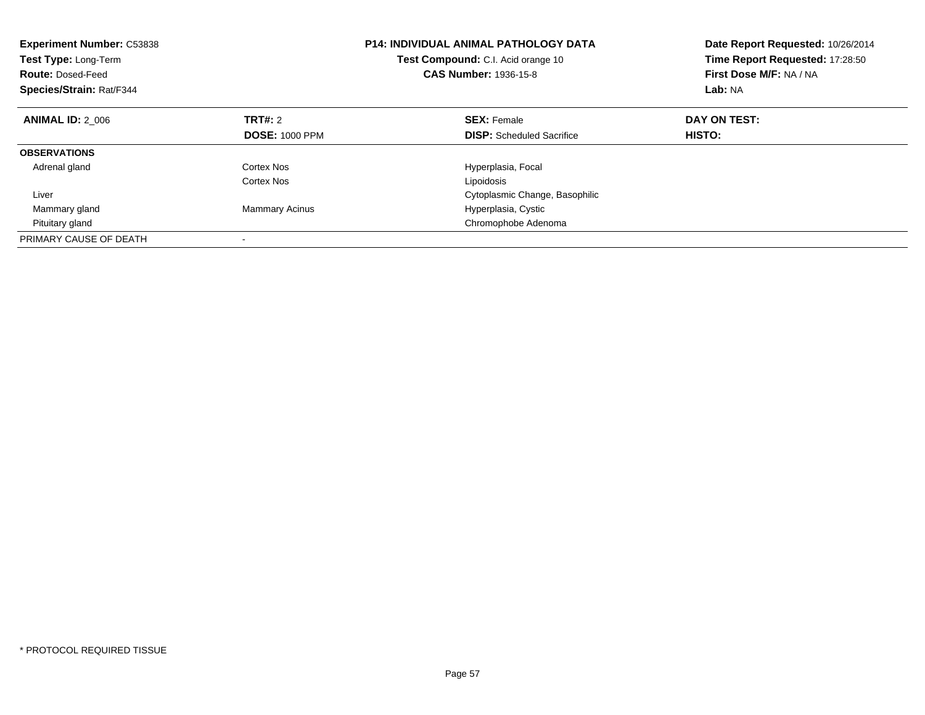| <b>Experiment Number: C53838</b><br>Test Type: Long-Term<br><b>Route: Dosed-Feed</b><br>Species/Strain: Rat/F344 |                       | <b>P14: INDIVIDUAL ANIMAL PATHOLOGY DATA</b><br>Test Compound: C.I. Acid orange 10<br><b>CAS Number: 1936-15-8</b> | Date Report Requested: 10/26/2014<br>Time Report Requested: 17:28:50<br>First Dose M/F: NA / NA<br>Lab: NA |
|------------------------------------------------------------------------------------------------------------------|-----------------------|--------------------------------------------------------------------------------------------------------------------|------------------------------------------------------------------------------------------------------------|
| <b>ANIMAL ID: 2 006</b>                                                                                          | <b>TRT#:</b> 2        | <b>SEX: Female</b>                                                                                                 | DAY ON TEST:                                                                                               |
|                                                                                                                  | <b>DOSE: 1000 PPM</b> | <b>DISP:</b> Scheduled Sacrifice                                                                                   | HISTO:                                                                                                     |
| <b>OBSERVATIONS</b>                                                                                              |                       |                                                                                                                    |                                                                                                            |
| Adrenal gland                                                                                                    | Cortex Nos            | Hyperplasia, Focal                                                                                                 |                                                                                                            |
|                                                                                                                  | Cortex Nos            | Lipoidosis                                                                                                         |                                                                                                            |
| Liver                                                                                                            |                       | Cytoplasmic Change, Basophilic                                                                                     |                                                                                                            |
| Mammary gland                                                                                                    | <b>Mammary Acinus</b> | Hyperplasia, Cystic                                                                                                |                                                                                                            |
| Pituitary gland                                                                                                  |                       | Chromophobe Adenoma                                                                                                |                                                                                                            |
| PRIMARY CAUSE OF DEATH                                                                                           |                       |                                                                                                                    |                                                                                                            |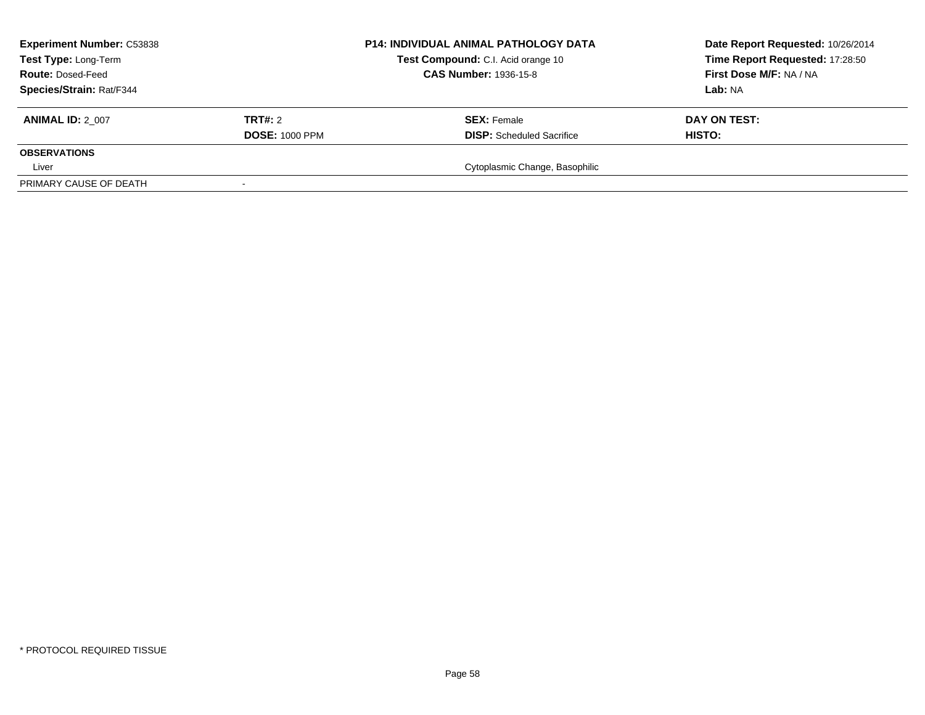| <b>Experiment Number: C53838</b><br>Test Type: Long-Term<br><b>Route: Dosed-Feed</b> |                       | <b>P14: INDIVIDUAL ANIMAL PATHOLOGY DATA</b><br>Test Compound: C.I. Acid orange 10<br><b>CAS Number: 1936-15-8</b> | Date Report Requested: 10/26/2014<br>Time Report Requested: 17:28:50<br>First Dose M/F: NA / NA |
|--------------------------------------------------------------------------------------|-----------------------|--------------------------------------------------------------------------------------------------------------------|-------------------------------------------------------------------------------------------------|
| Species/Strain: Rat/F344                                                             |                       |                                                                                                                    | <b>Lab:</b> NA                                                                                  |
| <b>ANIMAL ID: 2 007</b>                                                              | TRT#: 2               | <b>SEX: Female</b>                                                                                                 | DAY ON TEST:                                                                                    |
|                                                                                      | <b>DOSE: 1000 PPM</b> | <b>DISP:</b> Scheduled Sacrifice                                                                                   | <b>HISTO:</b>                                                                                   |
| <b>OBSERVATIONS</b>                                                                  |                       |                                                                                                                    |                                                                                                 |
| Liver                                                                                |                       | Cytoplasmic Change, Basophilic                                                                                     |                                                                                                 |
| PRIMARY CAUSE OF DEATH                                                               |                       |                                                                                                                    |                                                                                                 |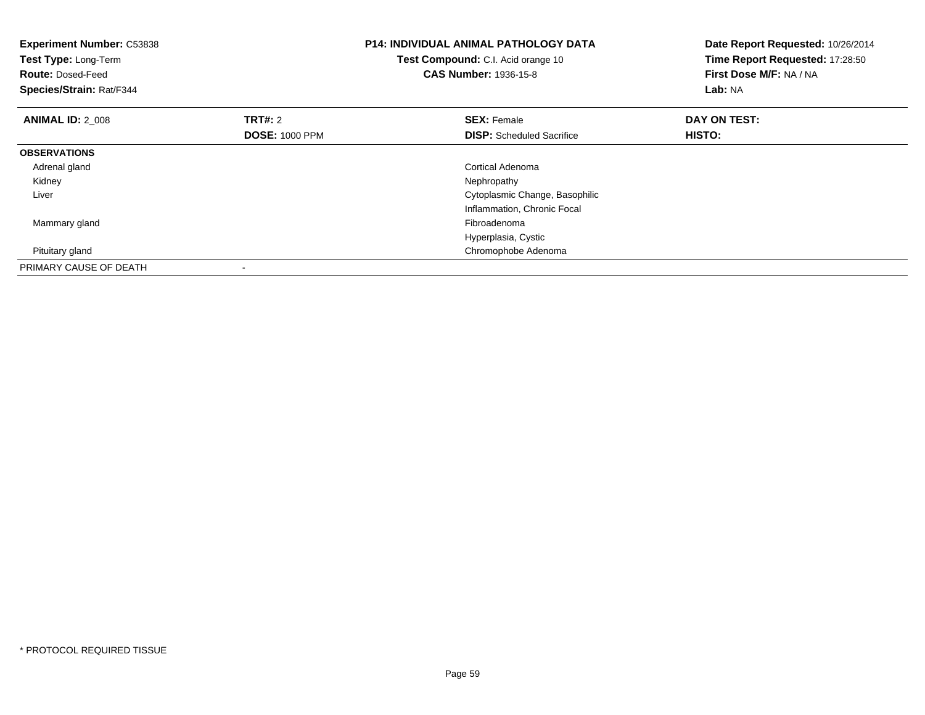| <b>Experiment Number: C53838</b><br>Test Type: Long-Term<br><b>Route: Dosed-Feed</b><br>Species/Strain: Rat/F344 |                                         | P14: INDIVIDUAL ANIMAL PATHOLOGY DATA<br>Test Compound: C.I. Acid orange 10<br><b>CAS Number: 1936-15-8</b> | Date Report Requested: 10/26/2014<br>Time Report Requested: 17:28:50<br>First Dose M/F: NA / NA<br>Lab: NA |
|------------------------------------------------------------------------------------------------------------------|-----------------------------------------|-------------------------------------------------------------------------------------------------------------|------------------------------------------------------------------------------------------------------------|
| <b>ANIMAL ID: 2_008</b>                                                                                          | <b>TRT#:</b> 2<br><b>DOSE: 1000 PPM</b> | <b>SEX: Female</b><br><b>DISP:</b> Scheduled Sacrifice                                                      | DAY ON TEST:<br>HISTO:                                                                                     |
| <b>OBSERVATIONS</b>                                                                                              |                                         |                                                                                                             |                                                                                                            |
| Adrenal gland                                                                                                    |                                         | Cortical Adenoma                                                                                            |                                                                                                            |
| Kidney                                                                                                           |                                         | Nephropathy                                                                                                 |                                                                                                            |
| Liver                                                                                                            |                                         | Cytoplasmic Change, Basophilic                                                                              |                                                                                                            |
|                                                                                                                  |                                         | Inflammation, Chronic Focal                                                                                 |                                                                                                            |
| Mammary gland                                                                                                    |                                         | Fibroadenoma                                                                                                |                                                                                                            |
|                                                                                                                  |                                         | Hyperplasia, Cystic                                                                                         |                                                                                                            |
| Pituitary gland                                                                                                  |                                         | Chromophobe Adenoma                                                                                         |                                                                                                            |
| PRIMARY CAUSE OF DEATH                                                                                           |                                         |                                                                                                             |                                                                                                            |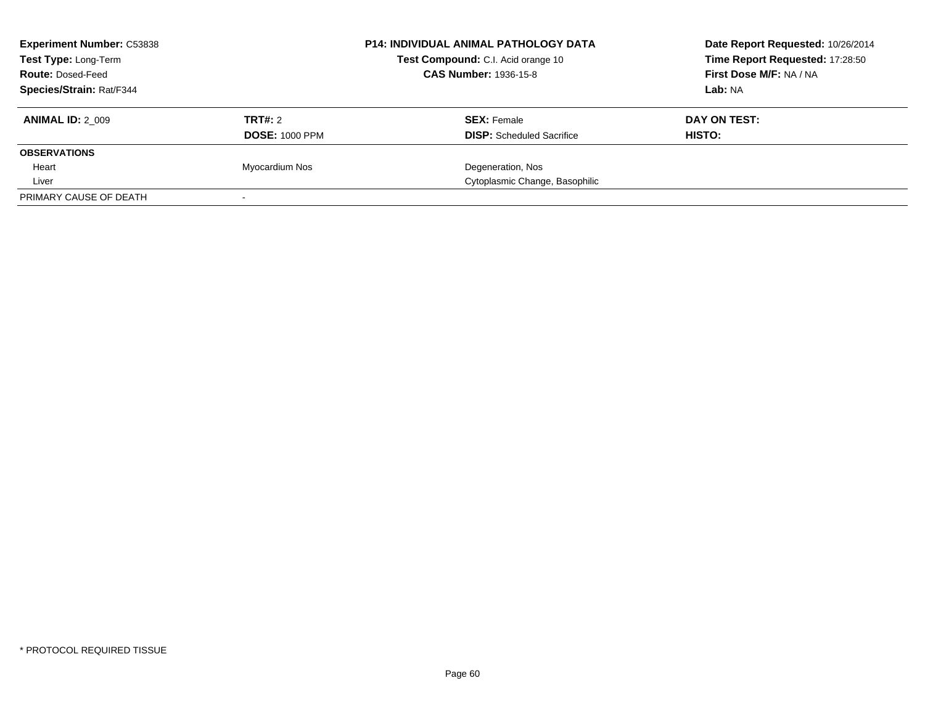| <b>Experiment Number: C53838</b><br><b>Test Type: Long-Term</b><br><b>Route: Dosed-Feed</b> |                       | <b>P14: INDIVIDUAL ANIMAL PATHOLOGY DATA</b><br>Test Compound: C.I. Acid orange 10<br><b>CAS Number: 1936-15-8</b> | Date Report Requested: 10/26/2014<br>Time Report Requested: 17:28:50<br>First Dose M/F: NA / NA |
|---------------------------------------------------------------------------------------------|-----------------------|--------------------------------------------------------------------------------------------------------------------|-------------------------------------------------------------------------------------------------|
| Species/Strain: Rat/F344                                                                    |                       |                                                                                                                    | Lab: NA                                                                                         |
| <b>ANIMAL ID: 2 009</b>                                                                     | TRT#: 2               | <b>SEX: Female</b>                                                                                                 | DAY ON TEST:                                                                                    |
|                                                                                             | <b>DOSE: 1000 PPM</b> | <b>DISP:</b> Scheduled Sacrifice                                                                                   | HISTO:                                                                                          |
| <b>OBSERVATIONS</b>                                                                         |                       |                                                                                                                    |                                                                                                 |
| Heart                                                                                       | Myocardium Nos        | Degeneration, Nos                                                                                                  |                                                                                                 |
| Liver                                                                                       |                       | Cytoplasmic Change, Basophilic                                                                                     |                                                                                                 |
| PRIMARY CAUSE OF DEATH                                                                      |                       |                                                                                                                    |                                                                                                 |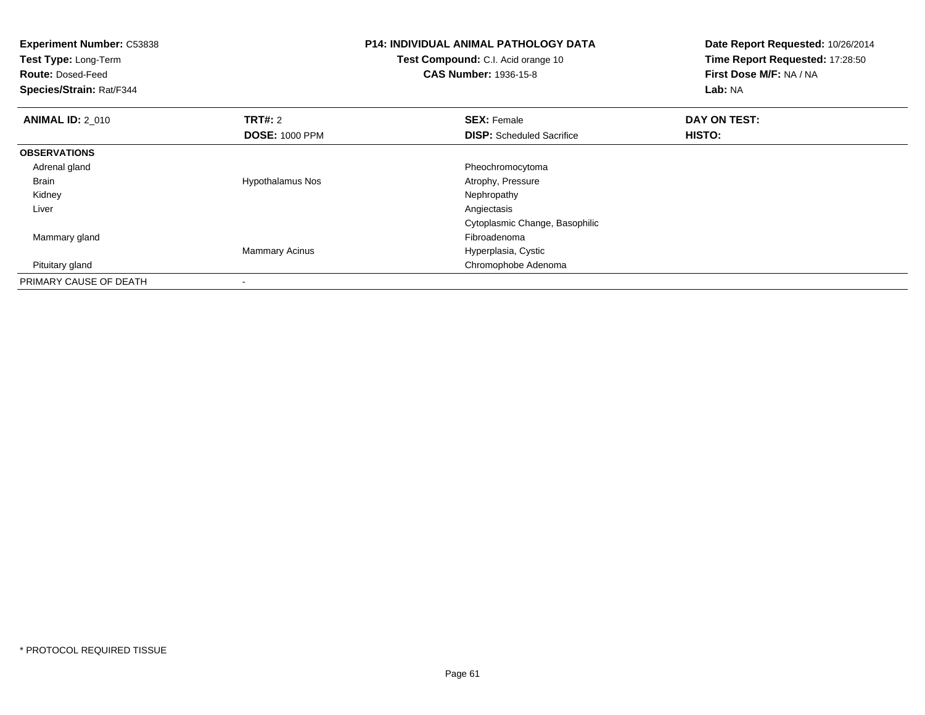| <b>Experiment Number: C53838</b><br>Test Type: Long-Term<br><b>Route: Dosed-Feed</b><br>Species/Strain: Rat/F344 |                         | P14: INDIVIDUAL ANIMAL PATHOLOGY DATA<br><b>Test Compound:</b> C.I. Acid orange 10<br><b>CAS Number: 1936-15-8</b> | Date Report Requested: 10/26/2014<br>Time Report Requested: 17:28:50<br>First Dose M/F: NA / NA<br>Lab: NA |
|------------------------------------------------------------------------------------------------------------------|-------------------------|--------------------------------------------------------------------------------------------------------------------|------------------------------------------------------------------------------------------------------------|
| <b>ANIMAL ID: 2 010</b>                                                                                          | <b>TRT#: 2</b>          | <b>SEX: Female</b>                                                                                                 | DAY ON TEST:                                                                                               |
|                                                                                                                  | <b>DOSE: 1000 PPM</b>   | <b>DISP:</b> Scheduled Sacrifice                                                                                   | HISTO:                                                                                                     |
| <b>OBSERVATIONS</b>                                                                                              |                         |                                                                                                                    |                                                                                                            |
| Adrenal gland                                                                                                    |                         | Pheochromocytoma                                                                                                   |                                                                                                            |
| Brain                                                                                                            | <b>Hypothalamus Nos</b> | Atrophy, Pressure                                                                                                  |                                                                                                            |
| Kidney                                                                                                           |                         | Nephropathy                                                                                                        |                                                                                                            |
| Liver                                                                                                            |                         | Angiectasis                                                                                                        |                                                                                                            |
|                                                                                                                  |                         | Cytoplasmic Change, Basophilic                                                                                     |                                                                                                            |
| Mammary gland                                                                                                    |                         | Fibroadenoma                                                                                                       |                                                                                                            |
|                                                                                                                  | <b>Mammary Acinus</b>   | Hyperplasia, Cystic                                                                                                |                                                                                                            |
| Pituitary gland                                                                                                  |                         | Chromophobe Adenoma                                                                                                |                                                                                                            |
| PRIMARY CAUSE OF DEATH                                                                                           |                         |                                                                                                                    |                                                                                                            |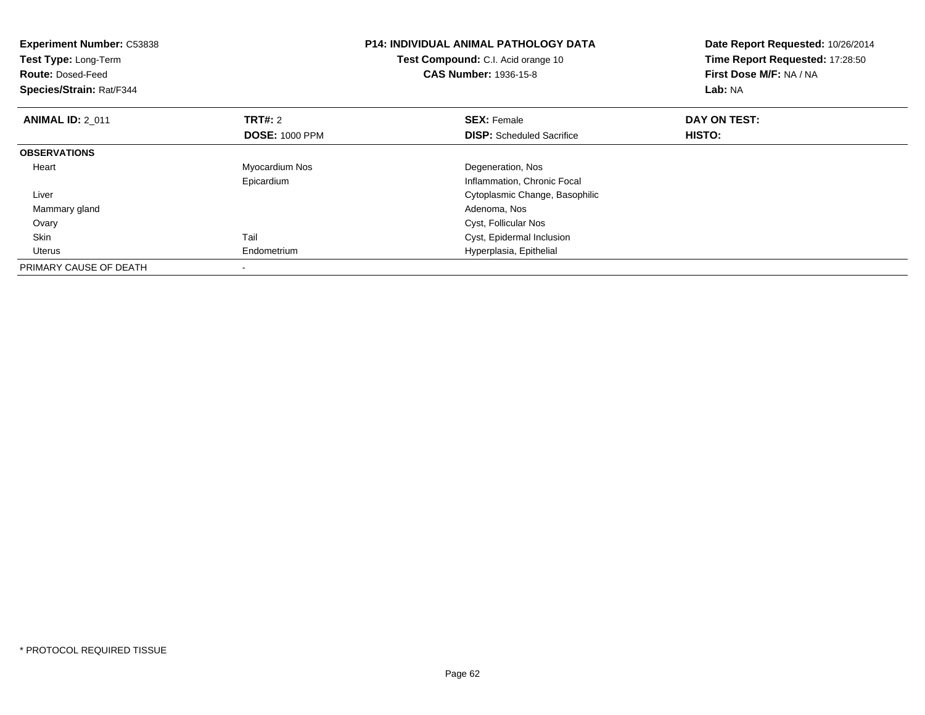| <b>Experiment Number: C53838</b><br>Test Type: Long-Term<br><b>Route: Dosed-Feed</b><br>Species/Strain: Rat/F344 |                       | <b>P14: INDIVIDUAL ANIMAL PATHOLOGY DATA</b><br>Test Compound: C.I. Acid orange 10<br><b>CAS Number: 1936-15-8</b> | Date Report Requested: 10/26/2014<br>Time Report Requested: 17:28:50<br>First Dose M/F: NA / NA<br>Lab: NA |
|------------------------------------------------------------------------------------------------------------------|-----------------------|--------------------------------------------------------------------------------------------------------------------|------------------------------------------------------------------------------------------------------------|
| <b>ANIMAL ID: 2 011</b>                                                                                          | <b>TRT#: 2</b>        | <b>SEX: Female</b>                                                                                                 | DAY ON TEST:                                                                                               |
|                                                                                                                  | <b>DOSE: 1000 PPM</b> | <b>DISP:</b> Scheduled Sacrifice                                                                                   | HISTO:                                                                                                     |
| <b>OBSERVATIONS</b>                                                                                              |                       |                                                                                                                    |                                                                                                            |
| Heart                                                                                                            | Myocardium Nos        | Degeneration, Nos                                                                                                  |                                                                                                            |
|                                                                                                                  | Epicardium            | Inflammation, Chronic Focal                                                                                        |                                                                                                            |
| Liver                                                                                                            |                       | Cytoplasmic Change, Basophilic                                                                                     |                                                                                                            |
| Mammary gland                                                                                                    |                       | Adenoma, Nos                                                                                                       |                                                                                                            |
| Ovary                                                                                                            |                       | Cyst, Follicular Nos                                                                                               |                                                                                                            |
| Skin                                                                                                             | Tail                  | Cyst, Epidermal Inclusion                                                                                          |                                                                                                            |
| Uterus                                                                                                           | Endometrium           | Hyperplasia, Epithelial                                                                                            |                                                                                                            |
| PRIMARY CAUSE OF DEATH                                                                                           |                       |                                                                                                                    |                                                                                                            |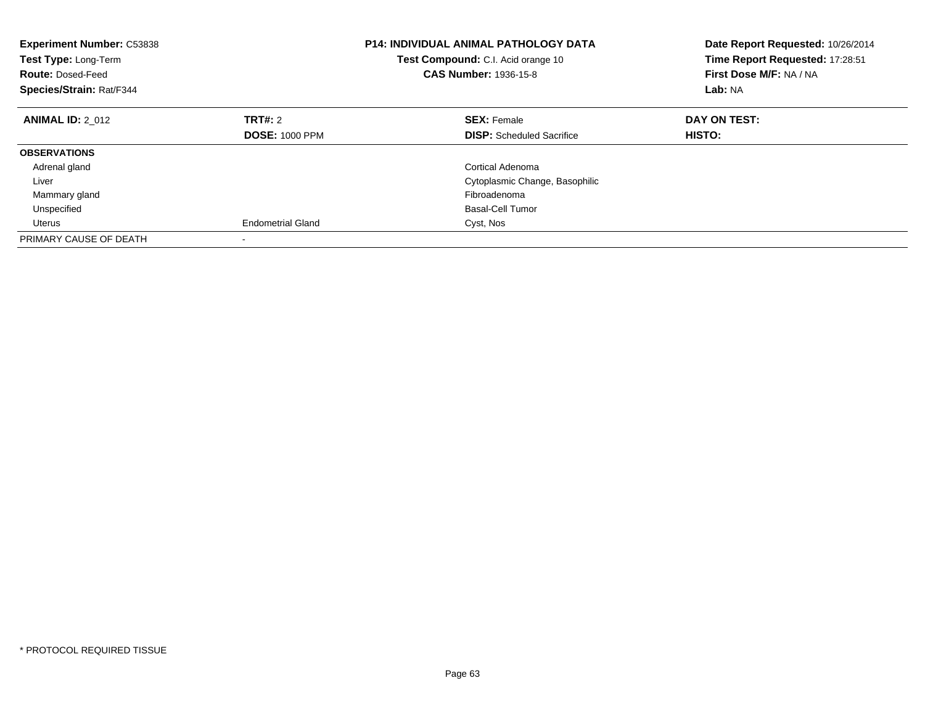| <b>Experiment Number: C53838</b><br>Test Type: Long-Term<br><b>Route: Dosed-Feed</b><br>Species/Strain: Rat/F344 |                          | <b>P14: INDIVIDUAL ANIMAL PATHOLOGY DATA</b><br><b>Test Compound:</b> C.I. Acid orange 10<br><b>CAS Number: 1936-15-8</b> | Date Report Requested: 10/26/2014<br>Time Report Requested: 17:28:51<br>First Dose M/F: NA / NA<br>Lab: NA |
|------------------------------------------------------------------------------------------------------------------|--------------------------|---------------------------------------------------------------------------------------------------------------------------|------------------------------------------------------------------------------------------------------------|
| <b>ANIMAL ID: 2 012</b>                                                                                          | <b>TRT#: 2</b>           | <b>SEX: Female</b>                                                                                                        | DAY ON TEST:                                                                                               |
|                                                                                                                  | <b>DOSE: 1000 PPM</b>    | <b>DISP:</b> Scheduled Sacrifice                                                                                          | HISTO:                                                                                                     |
| <b>OBSERVATIONS</b>                                                                                              |                          |                                                                                                                           |                                                                                                            |
| Adrenal gland                                                                                                    |                          | Cortical Adenoma                                                                                                          |                                                                                                            |
| Liver                                                                                                            |                          | Cytoplasmic Change, Basophilic                                                                                            |                                                                                                            |
| Mammary gland                                                                                                    |                          | Fibroadenoma                                                                                                              |                                                                                                            |
| Unspecified                                                                                                      |                          | <b>Basal-Cell Tumor</b>                                                                                                   |                                                                                                            |
| Uterus                                                                                                           | <b>Endometrial Gland</b> | Cyst, Nos                                                                                                                 |                                                                                                            |
| PRIMARY CAUSE OF DEATH                                                                                           |                          |                                                                                                                           |                                                                                                            |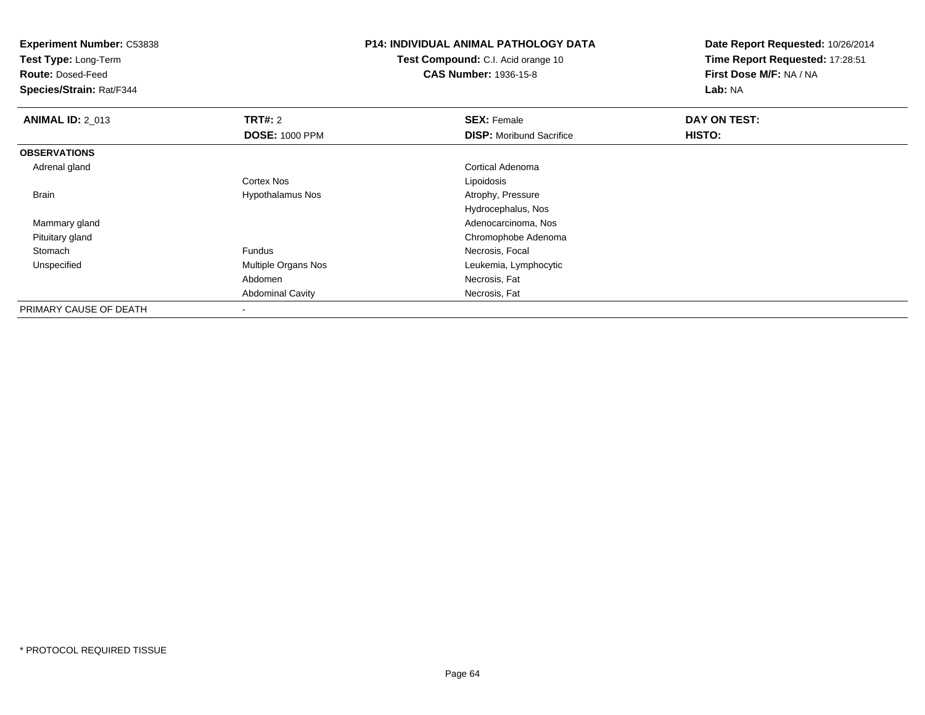**Experiment Number:** C53838

**Test Type:** Long-Term

**Route:** Dosed-Feed

**Species/Strain:** Rat/F344

## **P14: INDIVIDUAL ANIMAL PATHOLOGY DATA**

**Test Compound:** C.I. Acid orange 10**CAS Number:** 1936-15-8

**Date Report Requested:** 10/26/2014**Time Report Requested:** 17:28:51**First Dose M/F:** NA / NA**Lab:** NA

| <b>ANIMAL ID: 2_013</b> | TRT#: 2                 | <b>SEX: Female</b>              | DAY ON TEST: |  |
|-------------------------|-------------------------|---------------------------------|--------------|--|
|                         | <b>DOSE: 1000 PPM</b>   | <b>DISP:</b> Moribund Sacrifice | HISTO:       |  |
| <b>OBSERVATIONS</b>     |                         |                                 |              |  |
| Adrenal gland           |                         | Cortical Adenoma                |              |  |
|                         | Cortex Nos              | Lipoidosis                      |              |  |
| <b>Brain</b>            | <b>Hypothalamus Nos</b> | Atrophy, Pressure               |              |  |
|                         |                         | Hydrocephalus, Nos              |              |  |
| Mammary gland           |                         | Adenocarcinoma, Nos             |              |  |
| Pituitary gland         |                         | Chromophobe Adenoma             |              |  |
| Stomach                 | Fundus                  | Necrosis, Focal                 |              |  |
| Unspecified             | Multiple Organs Nos     | Leukemia, Lymphocytic           |              |  |
|                         | Abdomen                 | Necrosis, Fat                   |              |  |
|                         | <b>Abdominal Cavity</b> | Necrosis, Fat                   |              |  |
| PRIMARY CAUSE OF DEATH  | ۰                       |                                 |              |  |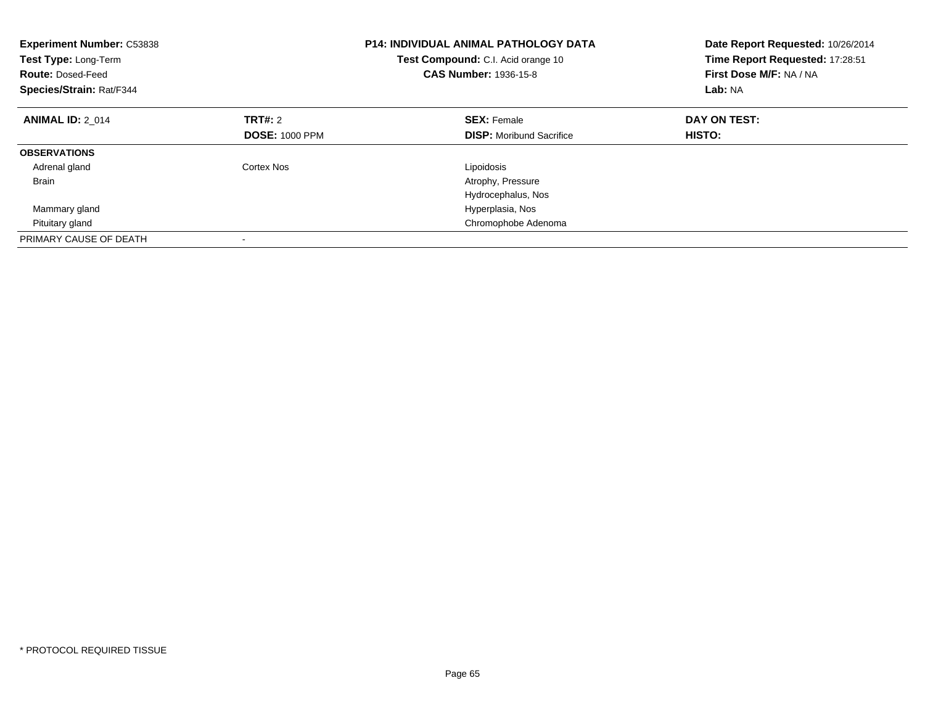| <b>Experiment Number: C53838</b><br>Test Type: Long-Term<br><b>Route: Dosed-Feed</b><br>Species/Strain: Rat/F344 |                       | <b>P14: INDIVIDUAL ANIMAL PATHOLOGY DATA</b><br>Test Compound: C.I. Acid orange 10<br><b>CAS Number: 1936-15-8</b> | Date Report Requested: 10/26/2014<br>Time Report Requested: 17:28:51<br>First Dose M/F: NA / NA<br>Lab: NA |
|------------------------------------------------------------------------------------------------------------------|-----------------------|--------------------------------------------------------------------------------------------------------------------|------------------------------------------------------------------------------------------------------------|
| <b>ANIMAL ID: 2 014</b>                                                                                          | <b>TRT#: 2</b>        | <b>SEX: Female</b>                                                                                                 | DAY ON TEST:                                                                                               |
|                                                                                                                  | <b>DOSE: 1000 PPM</b> | <b>DISP:</b> Moribund Sacrifice                                                                                    | HISTO:                                                                                                     |
| <b>OBSERVATIONS</b>                                                                                              |                       |                                                                                                                    |                                                                                                            |
| Adrenal gland                                                                                                    | Cortex Nos            | Lipoidosis                                                                                                         |                                                                                                            |
| <b>Brain</b>                                                                                                     |                       | Atrophy, Pressure                                                                                                  |                                                                                                            |
|                                                                                                                  |                       | Hydrocephalus, Nos                                                                                                 |                                                                                                            |
| Mammary gland                                                                                                    |                       | Hyperplasia, Nos                                                                                                   |                                                                                                            |
| Pituitary gland                                                                                                  |                       | Chromophobe Adenoma                                                                                                |                                                                                                            |
| PRIMARY CAUSE OF DEATH                                                                                           |                       |                                                                                                                    |                                                                                                            |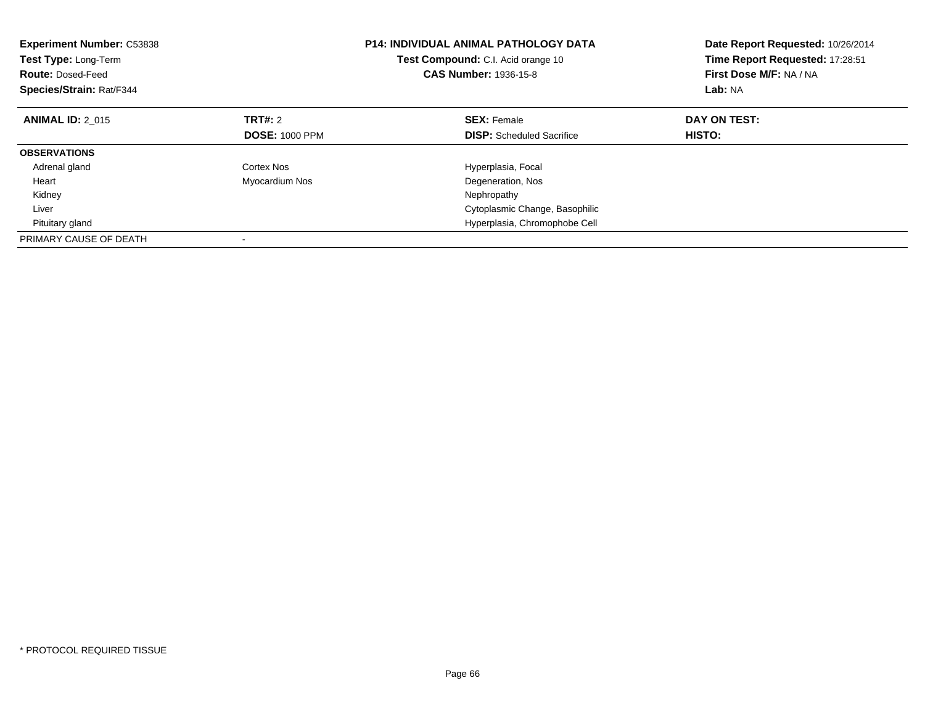| <b>Experiment Number: C53838</b><br>Test Type: Long-Term<br><b>Route: Dosed-Feed</b><br>Species/Strain: Rat/F344 |                       | <b>P14: INDIVIDUAL ANIMAL PATHOLOGY DATA</b><br>Test Compound: C.I. Acid orange 10<br><b>CAS Number: 1936-15-8</b> | Date Report Requested: 10/26/2014<br>Time Report Requested: 17:28:51<br>First Dose M/F: NA / NA<br>Lab: NA |
|------------------------------------------------------------------------------------------------------------------|-----------------------|--------------------------------------------------------------------------------------------------------------------|------------------------------------------------------------------------------------------------------------|
| <b>ANIMAL ID: 2 015</b>                                                                                          | TRT#: 2               | <b>SEX: Female</b>                                                                                                 | DAY ON TEST:                                                                                               |
|                                                                                                                  | <b>DOSE: 1000 PPM</b> | <b>DISP:</b> Scheduled Sacrifice                                                                                   | HISTO:                                                                                                     |
| <b>OBSERVATIONS</b>                                                                                              |                       |                                                                                                                    |                                                                                                            |
| Adrenal gland                                                                                                    | Cortex Nos            | Hyperplasia, Focal                                                                                                 |                                                                                                            |
| Heart                                                                                                            | Myocardium Nos        | Degeneration, Nos                                                                                                  |                                                                                                            |
| Kidney                                                                                                           |                       | Nephropathy                                                                                                        |                                                                                                            |
| Liver                                                                                                            |                       | Cytoplasmic Change, Basophilic                                                                                     |                                                                                                            |
| Pituitary gland                                                                                                  |                       | Hyperplasia, Chromophobe Cell                                                                                      |                                                                                                            |
| PRIMARY CAUSE OF DEATH                                                                                           |                       |                                                                                                                    |                                                                                                            |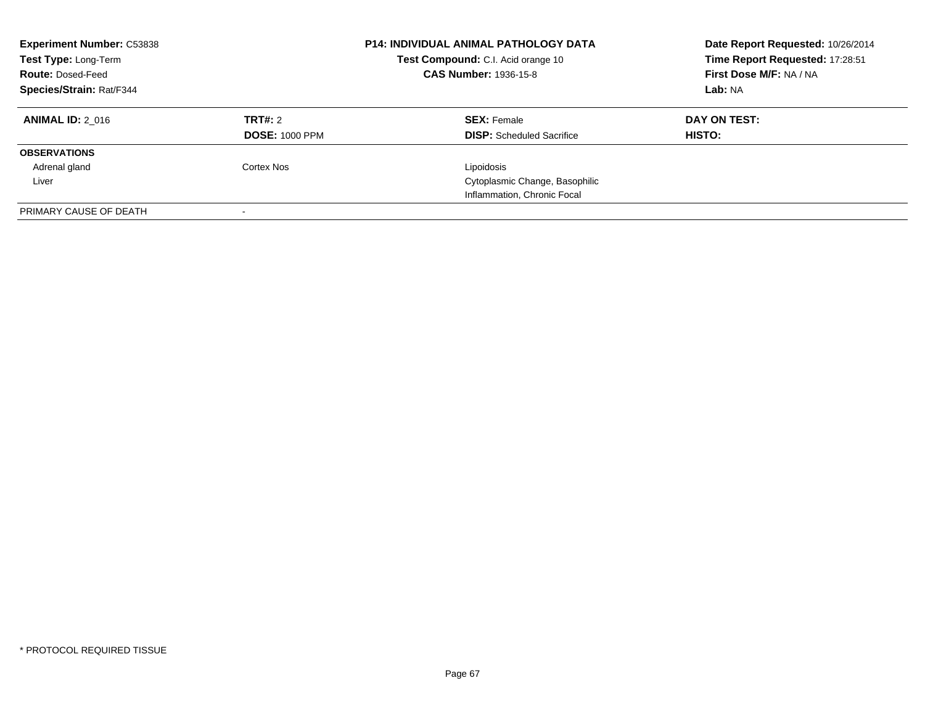| <b>Experiment Number: C53838</b><br>Test Type: Long-Term<br><b>Route: Dosed-Feed</b><br>Species/Strain: Rat/F344 |                                         | <b>P14: INDIVIDUAL ANIMAL PATHOLOGY DATA</b><br>Test Compound: C.I. Acid orange 10<br><b>CAS Number: 1936-15-8</b> | Date Report Requested: 10/26/2014<br>Time Report Requested: 17:28:51<br>First Dose M/F: NA / NA<br>Lab: NA |
|------------------------------------------------------------------------------------------------------------------|-----------------------------------------|--------------------------------------------------------------------------------------------------------------------|------------------------------------------------------------------------------------------------------------|
| <b>ANIMAL ID: 2 016</b>                                                                                          | <b>TRT#:</b> 2<br><b>DOSE: 1000 PPM</b> | <b>SEX: Female</b><br><b>DISP:</b> Scheduled Sacrifice                                                             | DAY ON TEST:<br>HISTO:                                                                                     |
| <b>OBSERVATIONS</b>                                                                                              |                                         |                                                                                                                    |                                                                                                            |
| Adrenal gland                                                                                                    | <b>Cortex Nos</b>                       | Lipoidosis                                                                                                         |                                                                                                            |
| Liver                                                                                                            |                                         | Cytoplasmic Change, Basophilic                                                                                     |                                                                                                            |
|                                                                                                                  |                                         | Inflammation, Chronic Focal                                                                                        |                                                                                                            |
| PRIMARY CAUSE OF DEATH                                                                                           |                                         |                                                                                                                    |                                                                                                            |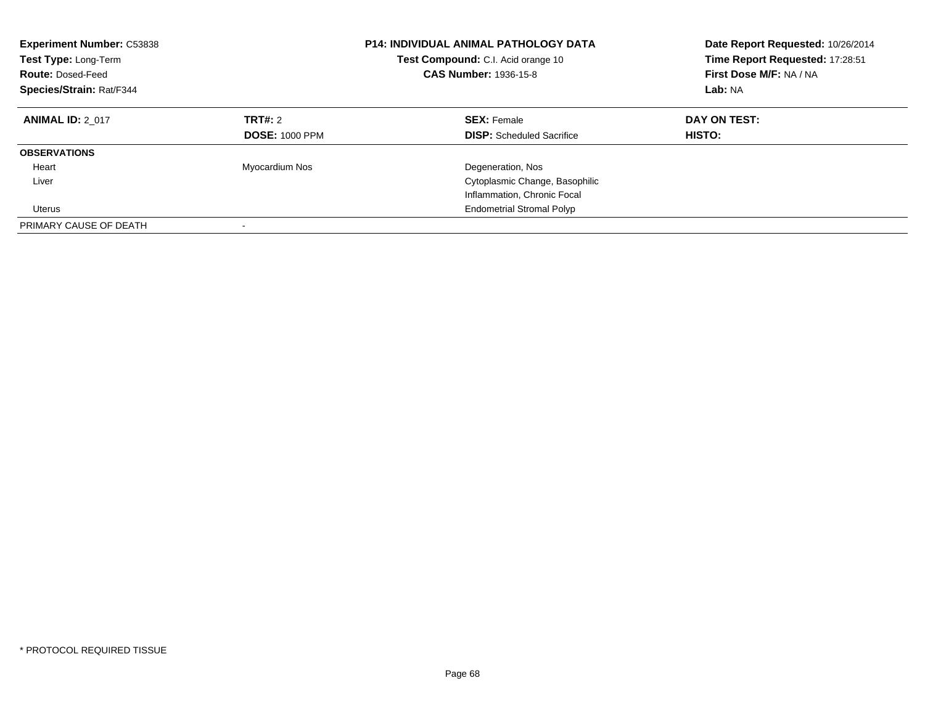| <b>Experiment Number: C53838</b><br>Test Type: Long-Term<br><b>Route: Dosed-Feed</b><br>Species/Strain: Rat/F344 |                                         | <b>P14: INDIVIDUAL ANIMAL PATHOLOGY DATA</b><br>Test Compound: C.I. Acid orange 10<br><b>CAS Number: 1936-15-8</b> | Date Report Requested: 10/26/2014<br>Time Report Requested: 17:28:51<br>First Dose M/F: NA / NA<br>Lab: NA |
|------------------------------------------------------------------------------------------------------------------|-----------------------------------------|--------------------------------------------------------------------------------------------------------------------|------------------------------------------------------------------------------------------------------------|
| <b>ANIMAL ID: 2 017</b>                                                                                          | <b>TRT#: 2</b><br><b>DOSE: 1000 PPM</b> | <b>SEX: Female</b><br><b>DISP:</b> Scheduled Sacrifice                                                             | DAY ON TEST:<br><b>HISTO:</b>                                                                              |
| <b>OBSERVATIONS</b>                                                                                              |                                         |                                                                                                                    |                                                                                                            |
| Heart                                                                                                            | Myocardium Nos                          | Degeneration, Nos                                                                                                  |                                                                                                            |
| Liver                                                                                                            |                                         | Cytoplasmic Change, Basophilic                                                                                     |                                                                                                            |
|                                                                                                                  |                                         | Inflammation, Chronic Focal                                                                                        |                                                                                                            |
| Uterus                                                                                                           |                                         | <b>Endometrial Stromal Polyp</b>                                                                                   |                                                                                                            |
| PRIMARY CAUSE OF DEATH                                                                                           |                                         |                                                                                                                    |                                                                                                            |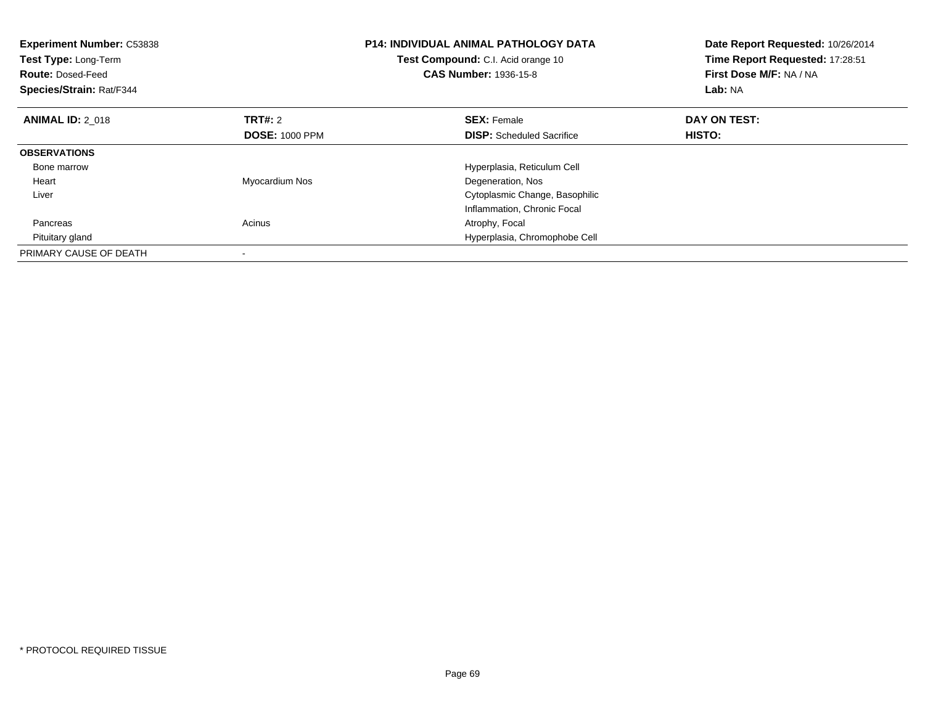| <b>Experiment Number: C53838</b><br>Test Type: Long-Term<br><b>Route: Dosed-Feed</b><br>Species/Strain: Rat/F344 |                       | <b>P14: INDIVIDUAL ANIMAL PATHOLOGY DATA</b><br><b>Test Compound:</b> C.I. Acid orange 10<br><b>CAS Number: 1936-15-8</b> | Date Report Requested: 10/26/2014<br>Time Report Requested: 17:28:51<br>First Dose M/F: NA / NA<br>Lab: NA |
|------------------------------------------------------------------------------------------------------------------|-----------------------|---------------------------------------------------------------------------------------------------------------------------|------------------------------------------------------------------------------------------------------------|
| <b>ANIMAL ID: 2 018</b>                                                                                          | <b>TRT#: 2</b>        | <b>SEX: Female</b>                                                                                                        | DAY ON TEST:                                                                                               |
|                                                                                                                  | <b>DOSE: 1000 PPM</b> | <b>DISP:</b> Scheduled Sacrifice                                                                                          | HISTO:                                                                                                     |
| <b>OBSERVATIONS</b>                                                                                              |                       |                                                                                                                           |                                                                                                            |
| Bone marrow                                                                                                      |                       | Hyperplasia, Reticulum Cell                                                                                               |                                                                                                            |
| Heart                                                                                                            | Myocardium Nos        | Degeneration, Nos                                                                                                         |                                                                                                            |
| Liver                                                                                                            |                       | Cytoplasmic Change, Basophilic                                                                                            |                                                                                                            |
|                                                                                                                  |                       | Inflammation, Chronic Focal                                                                                               |                                                                                                            |
| Pancreas                                                                                                         | Acinus                | Atrophy, Focal                                                                                                            |                                                                                                            |
| Pituitary gland                                                                                                  |                       | Hyperplasia, Chromophobe Cell                                                                                             |                                                                                                            |
| PRIMARY CAUSE OF DEATH                                                                                           |                       |                                                                                                                           |                                                                                                            |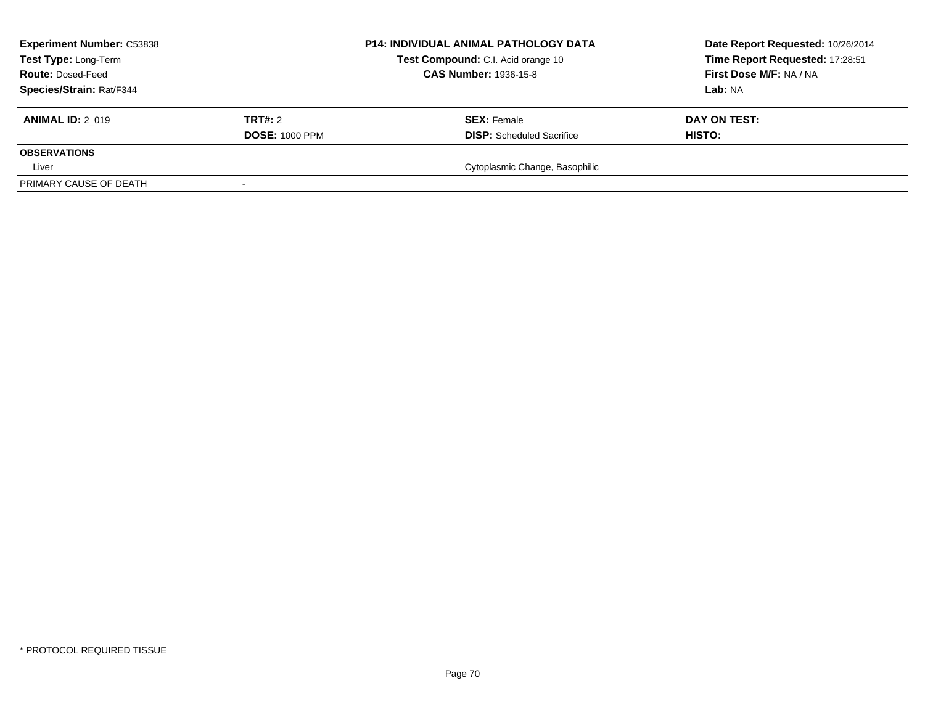| <b>Experiment Number: C53838</b><br>Test Type: Long-Term<br><b>Route: Dosed-Feed</b> |                       | <b>P14: INDIVIDUAL ANIMAL PATHOLOGY DATA</b><br>Test Compound: C.I. Acid orange 10<br><b>CAS Number: 1936-15-8</b> | Date Report Requested: 10/26/2014<br>Time Report Requested: 17:28:51<br>First Dose M/F: NA / NA |
|--------------------------------------------------------------------------------------|-----------------------|--------------------------------------------------------------------------------------------------------------------|-------------------------------------------------------------------------------------------------|
| Species/Strain: Rat/F344                                                             |                       |                                                                                                                    | <b>Lab:</b> NA                                                                                  |
| <b>ANIMAL ID: 2 019</b>                                                              | TRT#: 2               | <b>SEX: Female</b>                                                                                                 | DAY ON TEST:                                                                                    |
|                                                                                      | <b>DOSE: 1000 PPM</b> | <b>DISP:</b> Scheduled Sacrifice                                                                                   | <b>HISTO:</b>                                                                                   |
| <b>OBSERVATIONS</b>                                                                  |                       |                                                                                                                    |                                                                                                 |
| Liver                                                                                |                       | Cytoplasmic Change, Basophilic                                                                                     |                                                                                                 |
| PRIMARY CAUSE OF DEATH                                                               |                       |                                                                                                                    |                                                                                                 |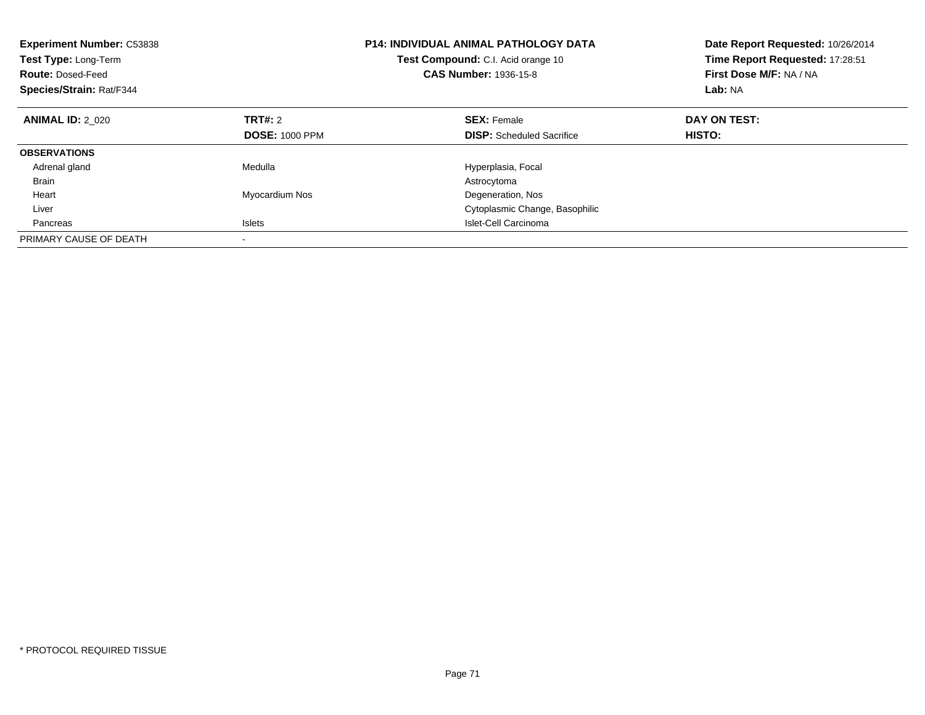| <b>Experiment Number: C53838</b><br>Test Type: Long-Term<br><b>Route: Dosed-Feed</b><br>Species/Strain: Rat/F344 |                       | <b>P14: INDIVIDUAL ANIMAL PATHOLOGY DATA</b><br>Test Compound: C.I. Acid orange 10<br><b>CAS Number: 1936-15-8</b> | Date Report Requested: 10/26/2014<br>Time Report Requested: 17:28:51<br>First Dose M/F: NA / NA<br>Lab: NA |
|------------------------------------------------------------------------------------------------------------------|-----------------------|--------------------------------------------------------------------------------------------------------------------|------------------------------------------------------------------------------------------------------------|
| <b>ANIMAL ID: 2 020</b>                                                                                          | <b>TRT#:</b> 2        | <b>SEX: Female</b>                                                                                                 | DAY ON TEST:                                                                                               |
|                                                                                                                  | <b>DOSE: 1000 PPM</b> | <b>DISP:</b> Scheduled Sacrifice                                                                                   | HISTO:                                                                                                     |
| <b>OBSERVATIONS</b>                                                                                              |                       |                                                                                                                    |                                                                                                            |
| Adrenal gland                                                                                                    | Medulla               | Hyperplasia, Focal                                                                                                 |                                                                                                            |
| <b>Brain</b>                                                                                                     |                       | Astrocytoma                                                                                                        |                                                                                                            |
| Heart                                                                                                            | Myocardium Nos        | Degeneration, Nos                                                                                                  |                                                                                                            |
| Liver                                                                                                            |                       | Cytoplasmic Change, Basophilic                                                                                     |                                                                                                            |
| Pancreas                                                                                                         | Islets                | Islet-Cell Carcinoma                                                                                               |                                                                                                            |
| PRIMARY CAUSE OF DEATH                                                                                           |                       |                                                                                                                    |                                                                                                            |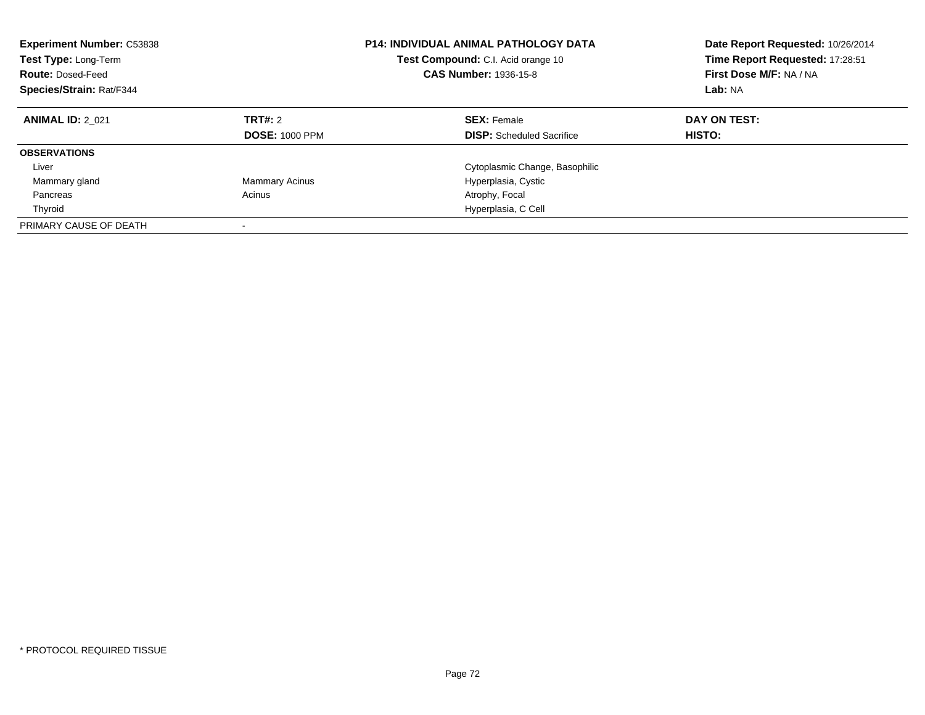| <b>Experiment Number: C53838</b><br>Test Type: Long-Term<br><b>Route: Dosed-Feed</b><br>Species/Strain: Rat/F344 |                                  | <b>P14: INDIVIDUAL ANIMAL PATHOLOGY DATA</b><br>Test Compound: C.I. Acid orange 10<br><b>CAS Number: 1936-15-8</b> | Date Report Requested: 10/26/2014<br>Time Report Requested: 17:28:51<br>First Dose M/F: NA / NA<br>Lab: NA |
|------------------------------------------------------------------------------------------------------------------|----------------------------------|--------------------------------------------------------------------------------------------------------------------|------------------------------------------------------------------------------------------------------------|
| <b>ANIMAL ID: 2 021</b>                                                                                          | TRT#: 2<br><b>DOSE: 1000 PPM</b> | <b>SEX: Female</b><br><b>DISP:</b> Scheduled Sacrifice                                                             | DAY ON TEST:<br>HISTO:                                                                                     |
| <b>OBSERVATIONS</b>                                                                                              |                                  |                                                                                                                    |                                                                                                            |
| Liver                                                                                                            |                                  | Cytoplasmic Change, Basophilic                                                                                     |                                                                                                            |
| Mammary gland                                                                                                    | <b>Mammary Acinus</b>            | Hyperplasia, Cystic                                                                                                |                                                                                                            |
| Pancreas                                                                                                         | Acinus                           | Atrophy, Focal                                                                                                     |                                                                                                            |
| Thyroid                                                                                                          |                                  | Hyperplasia, C Cell                                                                                                |                                                                                                            |
| PRIMARY CAUSE OF DEATH                                                                                           |                                  |                                                                                                                    |                                                                                                            |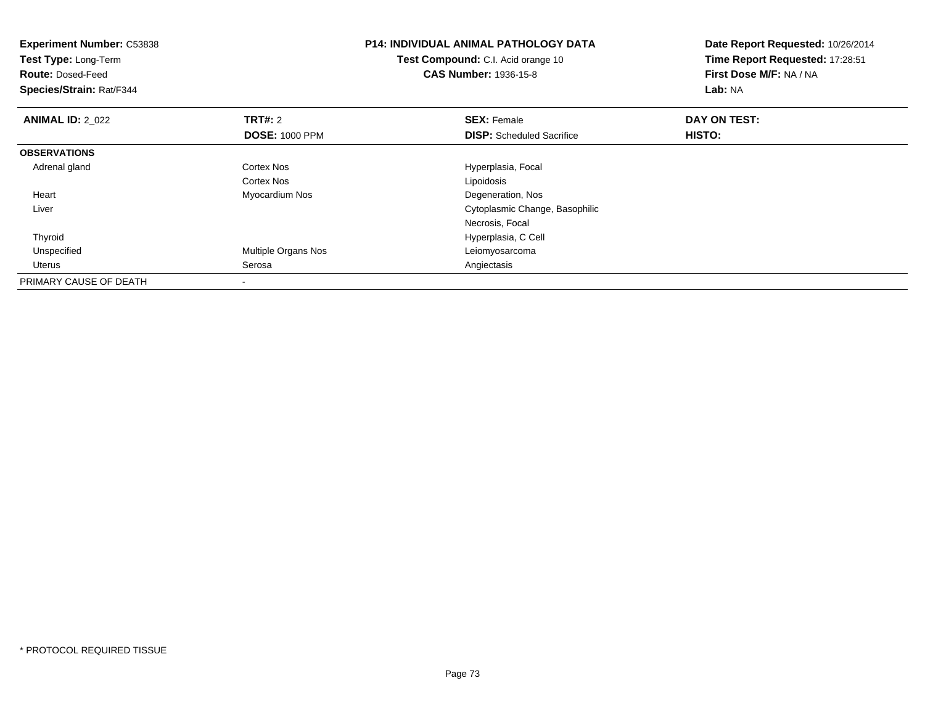| <b>Experiment Number: C53838</b><br>Test Type: Long-Term<br><b>Route: Dosed-Feed</b><br>Species/Strain: Rat/F344 |                       | <b>P14: INDIVIDUAL ANIMAL PATHOLOGY DATA</b><br><b>Test Compound:</b> C.I. Acid orange 10<br><b>CAS Number: 1936-15-8</b> | Date Report Requested: 10/26/2014<br>Time Report Requested: 17:28:51<br>First Dose M/F: NA / NA<br>Lab: NA |
|------------------------------------------------------------------------------------------------------------------|-----------------------|---------------------------------------------------------------------------------------------------------------------------|------------------------------------------------------------------------------------------------------------|
| <b>ANIMAL ID: 2 022</b>                                                                                          | <b>TRT#: 2</b>        | <b>SEX: Female</b>                                                                                                        | DAY ON TEST:                                                                                               |
|                                                                                                                  | <b>DOSE: 1000 PPM</b> | <b>DISP:</b> Scheduled Sacrifice                                                                                          | <b>HISTO:</b>                                                                                              |
| <b>OBSERVATIONS</b>                                                                                              |                       |                                                                                                                           |                                                                                                            |
| Adrenal gland                                                                                                    | <b>Cortex Nos</b>     | Hyperplasia, Focal                                                                                                        |                                                                                                            |
|                                                                                                                  | Cortex Nos            | Lipoidosis                                                                                                                |                                                                                                            |
| Heart                                                                                                            | Myocardium Nos        | Degeneration, Nos                                                                                                         |                                                                                                            |
| Liver                                                                                                            |                       | Cytoplasmic Change, Basophilic                                                                                            |                                                                                                            |
|                                                                                                                  |                       | Necrosis, Focal                                                                                                           |                                                                                                            |
| Thyroid                                                                                                          |                       | Hyperplasia, C Cell                                                                                                       |                                                                                                            |
| Unspecified                                                                                                      | Multiple Organs Nos   | Leiomyosarcoma                                                                                                            |                                                                                                            |
| Uterus                                                                                                           | Serosa                | Angiectasis                                                                                                               |                                                                                                            |
| PRIMARY CAUSE OF DEATH                                                                                           |                       |                                                                                                                           |                                                                                                            |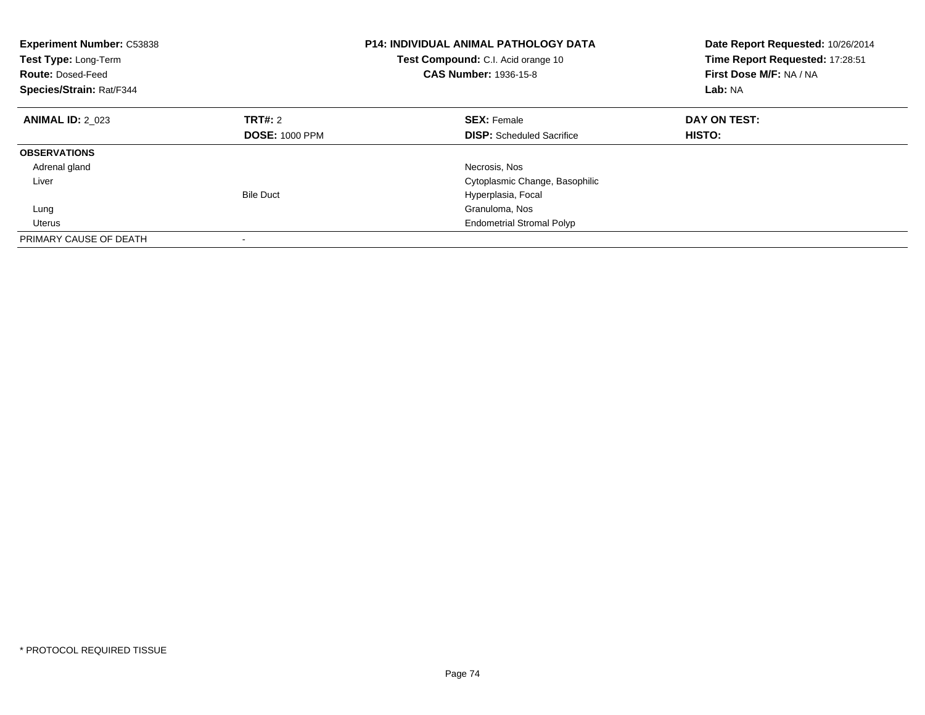| <b>Experiment Number: C53838</b><br><b>Test Type: Long-Term</b><br><b>Route: Dosed-Feed</b><br>Species/Strain: Rat/F344 |                       | <b>P14: INDIVIDUAL ANIMAL PATHOLOGY DATA</b><br>Test Compound: C.I. Acid orange 10<br><b>CAS Number: 1936-15-8</b> | Date Report Requested: 10/26/2014<br>Time Report Requested: 17:28:51<br>First Dose M/F: NA / NA<br>Lab: NA |
|-------------------------------------------------------------------------------------------------------------------------|-----------------------|--------------------------------------------------------------------------------------------------------------------|------------------------------------------------------------------------------------------------------------|
| <b>ANIMAL ID: 2 023</b>                                                                                                 | TRT#: 2               | <b>SEX: Female</b>                                                                                                 | DAY ON TEST:                                                                                               |
|                                                                                                                         | <b>DOSE: 1000 PPM</b> | <b>DISP:</b> Scheduled Sacrifice                                                                                   | HISTO:                                                                                                     |
| <b>OBSERVATIONS</b>                                                                                                     |                       |                                                                                                                    |                                                                                                            |
| Adrenal gland                                                                                                           |                       | Necrosis, Nos                                                                                                      |                                                                                                            |
| Liver                                                                                                                   |                       | Cytoplasmic Change, Basophilic                                                                                     |                                                                                                            |
|                                                                                                                         | <b>Bile Duct</b>      | Hyperplasia, Focal                                                                                                 |                                                                                                            |
| Lung                                                                                                                    |                       | Granuloma, Nos                                                                                                     |                                                                                                            |
| Uterus                                                                                                                  |                       | <b>Endometrial Stromal Polyp</b>                                                                                   |                                                                                                            |
| PRIMARY CAUSE OF DEATH                                                                                                  |                       |                                                                                                                    |                                                                                                            |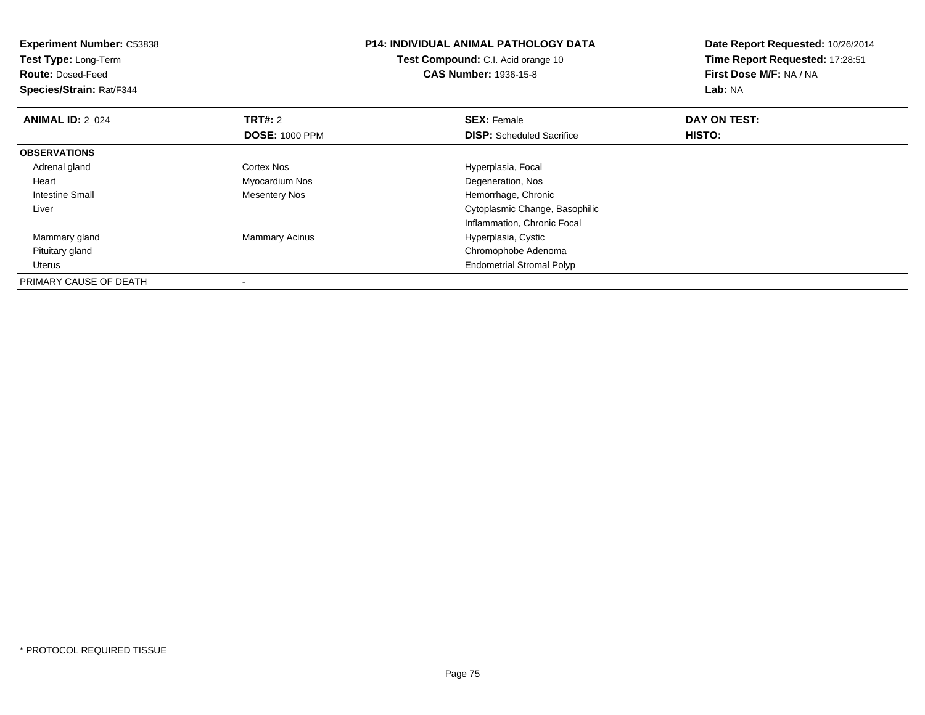| <b>Experiment Number: C53838</b><br>Test Type: Long-Term<br><b>Route: Dosed-Feed</b><br>Species/Strain: Rat/F344 |                                         | <b>P14: INDIVIDUAL ANIMAL PATHOLOGY DATA</b><br>Test Compound: C.I. Acid orange 10<br><b>CAS Number: 1936-15-8</b> | Date Report Requested: 10/26/2014<br>Time Report Requested: 17:28:51<br>First Dose M/F: NA / NA<br>Lab: NA |
|------------------------------------------------------------------------------------------------------------------|-----------------------------------------|--------------------------------------------------------------------------------------------------------------------|------------------------------------------------------------------------------------------------------------|
| <b>ANIMAL ID: 2 024</b>                                                                                          | <b>TRT#: 2</b><br><b>DOSE: 1000 PPM</b> | <b>SEX: Female</b><br><b>DISP:</b> Scheduled Sacrifice                                                             | DAY ON TEST:<br>HISTO:                                                                                     |
| <b>OBSERVATIONS</b>                                                                                              |                                         |                                                                                                                    |                                                                                                            |
| Adrenal gland                                                                                                    | <b>Cortex Nos</b>                       | Hyperplasia, Focal                                                                                                 |                                                                                                            |
| Heart                                                                                                            | Myocardium Nos                          | Degeneration, Nos                                                                                                  |                                                                                                            |
| <b>Intestine Small</b>                                                                                           | Mesentery Nos                           | Hemorrhage, Chronic                                                                                                |                                                                                                            |
| Liver                                                                                                            |                                         | Cytoplasmic Change, Basophilic                                                                                     |                                                                                                            |
|                                                                                                                  |                                         | Inflammation, Chronic Focal                                                                                        |                                                                                                            |
| Mammary gland                                                                                                    | <b>Mammary Acinus</b>                   | Hyperplasia, Cystic                                                                                                |                                                                                                            |
| Pituitary gland                                                                                                  |                                         | Chromophobe Adenoma                                                                                                |                                                                                                            |
| Uterus                                                                                                           |                                         | <b>Endometrial Stromal Polyp</b>                                                                                   |                                                                                                            |
| PRIMARY CAUSE OF DEATH                                                                                           |                                         |                                                                                                                    |                                                                                                            |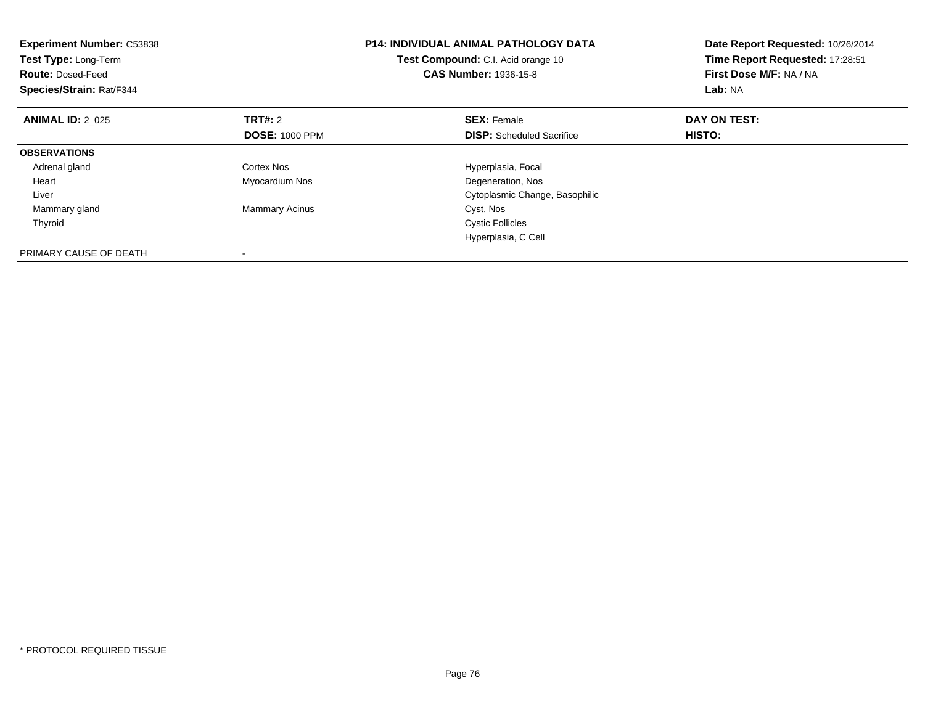| <b>Experiment Number: C53838</b><br><b>Test Type: Long-Term</b><br><b>Route: Dosed-Feed</b><br>Species/Strain: Rat/F344 |                       | <b>P14: INDIVIDUAL ANIMAL PATHOLOGY DATA</b><br>Test Compound: C.I. Acid orange 10<br><b>CAS Number: 1936-15-8</b> | Date Report Requested: 10/26/2014<br>Time Report Requested: 17:28:51<br>First Dose M/F: NA / NA<br>Lab: NA |
|-------------------------------------------------------------------------------------------------------------------------|-----------------------|--------------------------------------------------------------------------------------------------------------------|------------------------------------------------------------------------------------------------------------|
| <b>ANIMAL ID: 2 025</b>                                                                                                 | <b>TRT#: 2</b>        | <b>SEX: Female</b>                                                                                                 | DAY ON TEST:                                                                                               |
|                                                                                                                         | <b>DOSE: 1000 PPM</b> | <b>DISP:</b> Scheduled Sacrifice                                                                                   | HISTO:                                                                                                     |
| <b>OBSERVATIONS</b>                                                                                                     |                       |                                                                                                                    |                                                                                                            |
| Adrenal gland                                                                                                           | Cortex Nos            | Hyperplasia, Focal                                                                                                 |                                                                                                            |
| Heart                                                                                                                   | Myocardium Nos        | Degeneration, Nos                                                                                                  |                                                                                                            |
| Liver                                                                                                                   |                       | Cytoplasmic Change, Basophilic                                                                                     |                                                                                                            |
| Mammary gland                                                                                                           | <b>Mammary Acinus</b> | Cyst, Nos                                                                                                          |                                                                                                            |
| Thyroid                                                                                                                 |                       | <b>Cystic Follicles</b>                                                                                            |                                                                                                            |
|                                                                                                                         |                       | Hyperplasia, C Cell                                                                                                |                                                                                                            |
| PRIMARY CAUSE OF DEATH                                                                                                  |                       |                                                                                                                    |                                                                                                            |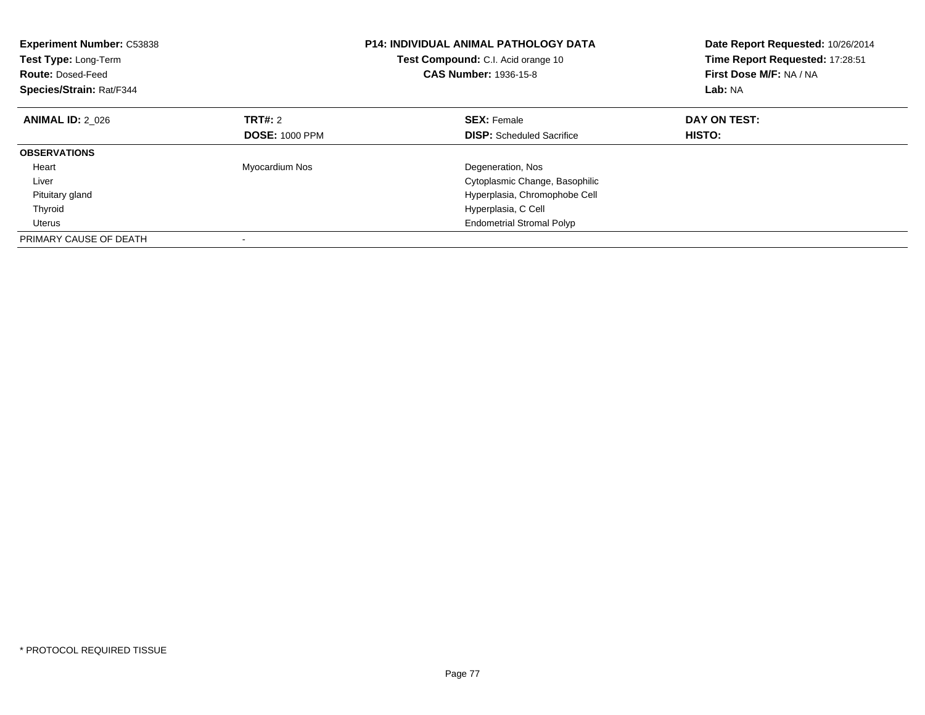| <b>Experiment Number: C53838</b><br>Test Type: Long-Term<br><b>Route: Dosed-Feed</b><br>Species/Strain: Rat/F344 |                       | <b>P14: INDIVIDUAL ANIMAL PATHOLOGY DATA</b><br>Test Compound: C.I. Acid orange 10<br><b>CAS Number: 1936-15-8</b> | Date Report Requested: 10/26/2014<br>Time Report Requested: 17:28:51<br>First Dose M/F: NA / NA<br>Lab: NA |
|------------------------------------------------------------------------------------------------------------------|-----------------------|--------------------------------------------------------------------------------------------------------------------|------------------------------------------------------------------------------------------------------------|
| <b>ANIMAL ID: 2 026</b>                                                                                          | TRT#: 2               | <b>SEX: Female</b>                                                                                                 | DAY ON TEST:                                                                                               |
|                                                                                                                  | <b>DOSE: 1000 PPM</b> | <b>DISP:</b> Scheduled Sacrifice                                                                                   | HISTO:                                                                                                     |
| <b>OBSERVATIONS</b>                                                                                              |                       |                                                                                                                    |                                                                                                            |
| Heart                                                                                                            | Myocardium Nos        | Degeneration, Nos                                                                                                  |                                                                                                            |
| Liver                                                                                                            |                       | Cytoplasmic Change, Basophilic                                                                                     |                                                                                                            |
| Pituitary gland                                                                                                  |                       | Hyperplasia, Chromophobe Cell                                                                                      |                                                                                                            |
| Thyroid                                                                                                          |                       | Hyperplasia, C Cell                                                                                                |                                                                                                            |
| Uterus                                                                                                           |                       | <b>Endometrial Stromal Polyp</b>                                                                                   |                                                                                                            |
| PRIMARY CAUSE OF DEATH                                                                                           |                       |                                                                                                                    |                                                                                                            |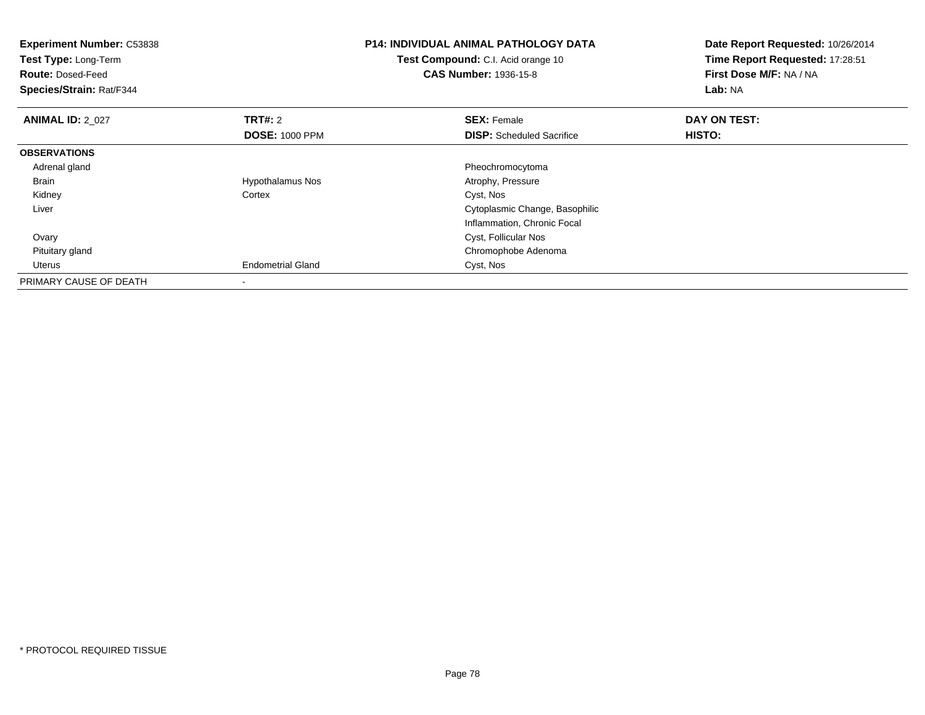| <b>Experiment Number: C53838</b><br>Test Type: Long-Term<br><b>Route: Dosed-Feed</b><br>Species/Strain: Rat/F344 |                          | <b>P14: INDIVIDUAL ANIMAL PATHOLOGY DATA</b><br><b>Test Compound:</b> C.I. Acid orange 10<br><b>CAS Number: 1936-15-8</b> | Date Report Requested: 10/26/2014<br>Time Report Requested: 17:28:51<br>First Dose M/F: NA / NA<br>Lab: NA |
|------------------------------------------------------------------------------------------------------------------|--------------------------|---------------------------------------------------------------------------------------------------------------------------|------------------------------------------------------------------------------------------------------------|
| <b>ANIMAL ID: 2 027</b>                                                                                          | <b>TRT#: 2</b>           | <b>SEX: Female</b>                                                                                                        | DAY ON TEST:                                                                                               |
|                                                                                                                  | <b>DOSE: 1000 PPM</b>    | <b>DISP:</b> Scheduled Sacrifice                                                                                          | HISTO:                                                                                                     |
| <b>OBSERVATIONS</b>                                                                                              |                          |                                                                                                                           |                                                                                                            |
| Adrenal gland                                                                                                    |                          | Pheochromocytoma                                                                                                          |                                                                                                            |
| Brain                                                                                                            | Hypothalamus Nos         | Atrophy, Pressure                                                                                                         |                                                                                                            |
| Kidney                                                                                                           | Cortex                   | Cyst, Nos                                                                                                                 |                                                                                                            |
| Liver                                                                                                            |                          | Cytoplasmic Change, Basophilic                                                                                            |                                                                                                            |
|                                                                                                                  |                          | Inflammation, Chronic Focal                                                                                               |                                                                                                            |
| Ovary                                                                                                            |                          | Cyst, Follicular Nos                                                                                                      |                                                                                                            |
| Pituitary gland                                                                                                  |                          | Chromophobe Adenoma                                                                                                       |                                                                                                            |
| Uterus                                                                                                           | <b>Endometrial Gland</b> | Cyst, Nos                                                                                                                 |                                                                                                            |
| PRIMARY CAUSE OF DEATH                                                                                           |                          |                                                                                                                           |                                                                                                            |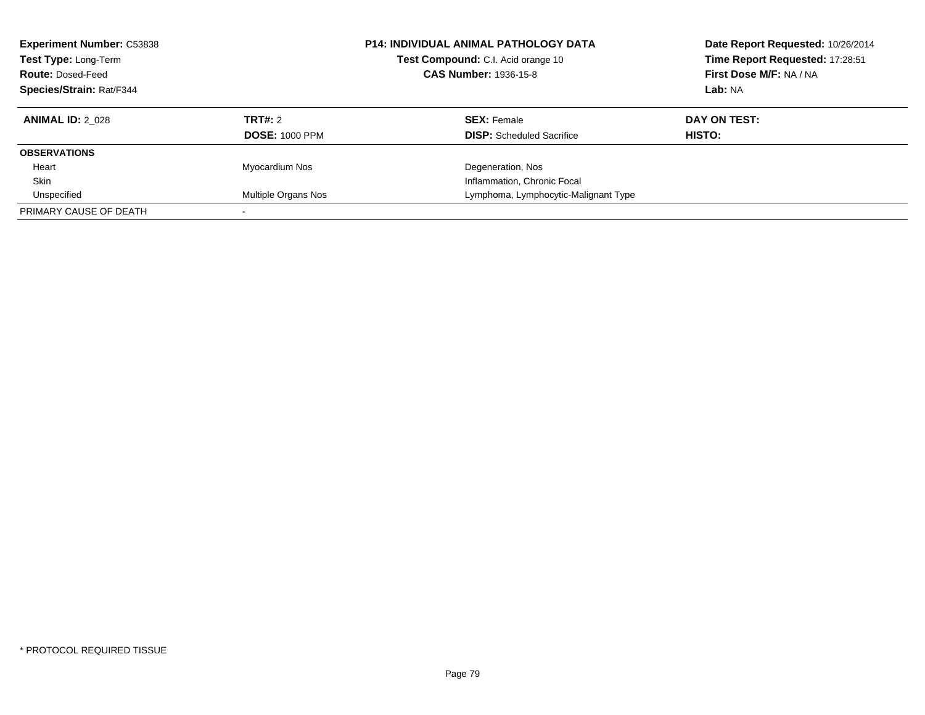| <b>Experiment Number: C53838</b><br>Test Type: Long-Term<br><b>Route: Dosed-Feed</b><br><b>Species/Strain: Rat/F344</b> |                       | <b>P14: INDIVIDUAL ANIMAL PATHOLOGY DATA</b><br>Test Compound: C.I. Acid orange 10<br><b>CAS Number: 1936-15-8</b> | Date Report Requested: 10/26/2014<br>Time Report Requested: 17:28:51<br>First Dose M/F: NA / NA<br>Lab: NA |
|-------------------------------------------------------------------------------------------------------------------------|-----------------------|--------------------------------------------------------------------------------------------------------------------|------------------------------------------------------------------------------------------------------------|
| <b>ANIMAL ID: 2 028</b>                                                                                                 | TRT#: 2               | <b>SEX: Female</b>                                                                                                 | DAY ON TEST:                                                                                               |
|                                                                                                                         | <b>DOSE: 1000 PPM</b> | <b>DISP:</b> Scheduled Sacrifice                                                                                   | <b>HISTO:</b>                                                                                              |
| <b>OBSERVATIONS</b>                                                                                                     |                       |                                                                                                                    |                                                                                                            |
| Heart                                                                                                                   | Myocardium Nos        | Degeneration, Nos                                                                                                  |                                                                                                            |
| Skin                                                                                                                    |                       | Inflammation, Chronic Focal                                                                                        |                                                                                                            |
| Unspecified                                                                                                             | Multiple Organs Nos   | Lymphoma, Lymphocytic-Malignant Type                                                                               |                                                                                                            |
| PRIMARY CAUSE OF DEATH                                                                                                  |                       |                                                                                                                    |                                                                                                            |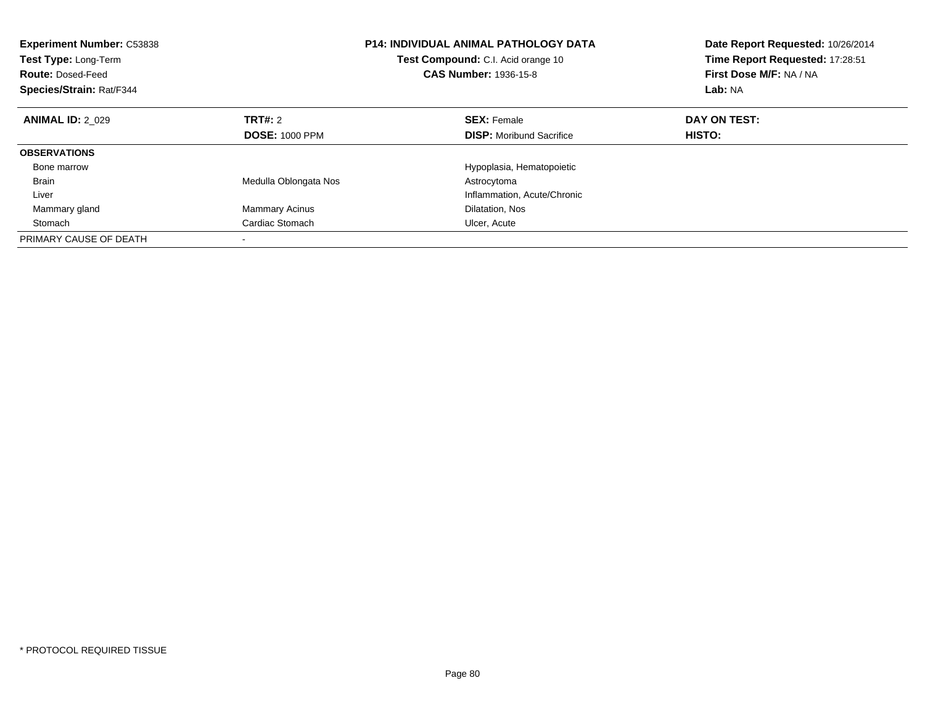| <b>Experiment Number: C53838</b><br>Test Type: Long-Term<br><b>Route: Dosed-Feed</b><br>Species/Strain: Rat/F344 |                       | <b>P14: INDIVIDUAL ANIMAL PATHOLOGY DATA</b><br>Test Compound: C.I. Acid orange 10<br><b>CAS Number: 1936-15-8</b> | Date Report Requested: 10/26/2014<br>Time Report Requested: 17:28:51<br>First Dose M/F: NA / NA<br>Lab: NA |
|------------------------------------------------------------------------------------------------------------------|-----------------------|--------------------------------------------------------------------------------------------------------------------|------------------------------------------------------------------------------------------------------------|
| <b>ANIMAL ID: 2 029</b>                                                                                          | <b>TRT#:</b> 2        | <b>SEX: Female</b>                                                                                                 | DAY ON TEST:                                                                                               |
|                                                                                                                  | <b>DOSE: 1000 PPM</b> | <b>DISP:</b> Moribund Sacrifice                                                                                    | <b>HISTO:</b>                                                                                              |
| <b>OBSERVATIONS</b>                                                                                              |                       |                                                                                                                    |                                                                                                            |
| Bone marrow                                                                                                      |                       | Hypoplasia, Hematopoietic                                                                                          |                                                                                                            |
| <b>Brain</b>                                                                                                     | Medulla Oblongata Nos | Astrocytoma                                                                                                        |                                                                                                            |
| Liver                                                                                                            |                       | Inflammation, Acute/Chronic                                                                                        |                                                                                                            |
| Mammary gland                                                                                                    | <b>Mammary Acinus</b> | Dilatation, Nos                                                                                                    |                                                                                                            |
| Stomach                                                                                                          | Cardiac Stomach       | Ulcer, Acute                                                                                                       |                                                                                                            |
| PRIMARY CAUSE OF DEATH                                                                                           |                       |                                                                                                                    |                                                                                                            |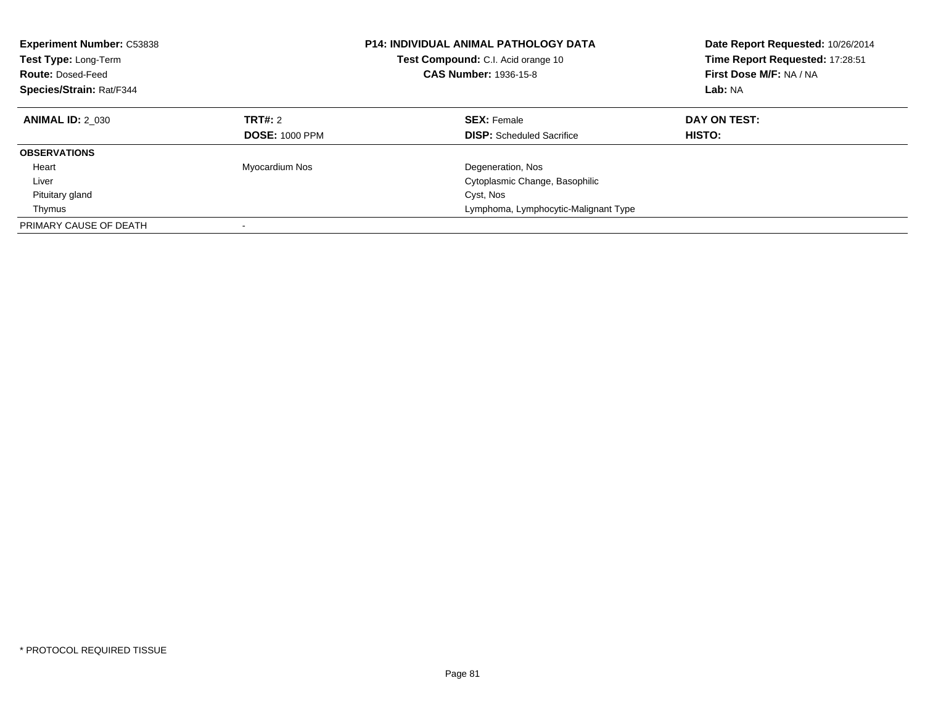| <b>Experiment Number: C53838</b><br>Test Type: Long-Term<br><b>Route: Dosed-Feed</b><br>Species/Strain: Rat/F344 |                                         | <b>P14: INDIVIDUAL ANIMAL PATHOLOGY DATA</b><br>Test Compound: C.I. Acid orange 10<br><b>CAS Number: 1936-15-8</b> | Date Report Requested: 10/26/2014<br>Time Report Requested: 17:28:51<br>First Dose M/F: NA / NA<br>Lab: NA |
|------------------------------------------------------------------------------------------------------------------|-----------------------------------------|--------------------------------------------------------------------------------------------------------------------|------------------------------------------------------------------------------------------------------------|
| <b>ANIMAL ID: 2 030</b>                                                                                          | <b>TRT#: 2</b><br><b>DOSE: 1000 PPM</b> | <b>SEX: Female</b><br><b>DISP:</b> Scheduled Sacrifice                                                             | DAY ON TEST:<br><b>HISTO:</b>                                                                              |
| <b>OBSERVATIONS</b>                                                                                              |                                         |                                                                                                                    |                                                                                                            |
| Heart                                                                                                            | Myocardium Nos                          | Degeneration, Nos                                                                                                  |                                                                                                            |
| Liver                                                                                                            |                                         | Cytoplasmic Change, Basophilic                                                                                     |                                                                                                            |
| Pituitary gland                                                                                                  |                                         | Cyst, Nos                                                                                                          |                                                                                                            |
| Thymus                                                                                                           |                                         | Lymphoma, Lymphocytic-Malignant Type                                                                               |                                                                                                            |
| PRIMARY CAUSE OF DEATH                                                                                           |                                         |                                                                                                                    |                                                                                                            |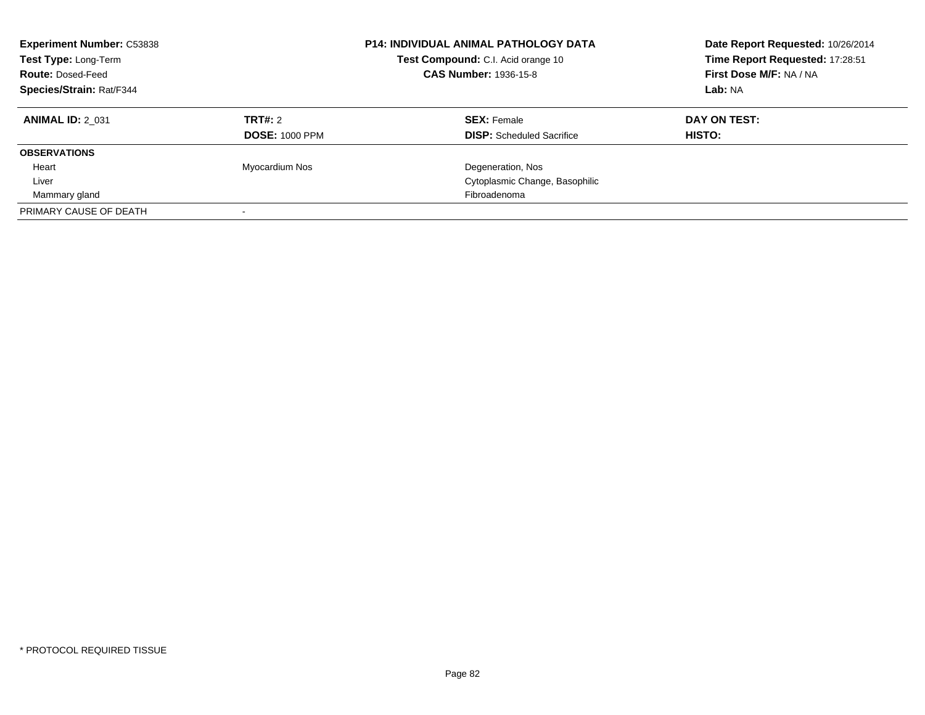| <b>Experiment Number: C53838</b><br>Test Type: Long-Term<br><b>Route: Dosed-Feed</b><br><b>Species/Strain: Rat/F344</b> |                       | <b>P14: INDIVIDUAL ANIMAL PATHOLOGY DATA</b><br>Test Compound: C.I. Acid orange 10<br><b>CAS Number: 1936-15-8</b> | Date Report Requested: 10/26/2014<br>Time Report Requested: 17:28:51<br>First Dose M/F: NA / NA<br>Lab: NA |
|-------------------------------------------------------------------------------------------------------------------------|-----------------------|--------------------------------------------------------------------------------------------------------------------|------------------------------------------------------------------------------------------------------------|
| <b>ANIMAL ID: 2 031</b>                                                                                                 | <b>TRT#: 2</b>        | <b>SEX: Female</b>                                                                                                 | DAY ON TEST:                                                                                               |
|                                                                                                                         | <b>DOSE: 1000 PPM</b> | <b>DISP:</b> Scheduled Sacrifice                                                                                   | HISTO:                                                                                                     |
| <b>OBSERVATIONS</b>                                                                                                     |                       |                                                                                                                    |                                                                                                            |
| Heart                                                                                                                   | Myocardium Nos        | Degeneration, Nos                                                                                                  |                                                                                                            |
| Liver                                                                                                                   |                       | Cytoplasmic Change, Basophilic                                                                                     |                                                                                                            |
| Mammary gland                                                                                                           |                       | Fibroadenoma                                                                                                       |                                                                                                            |
| PRIMARY CAUSE OF DEATH                                                                                                  |                       |                                                                                                                    |                                                                                                            |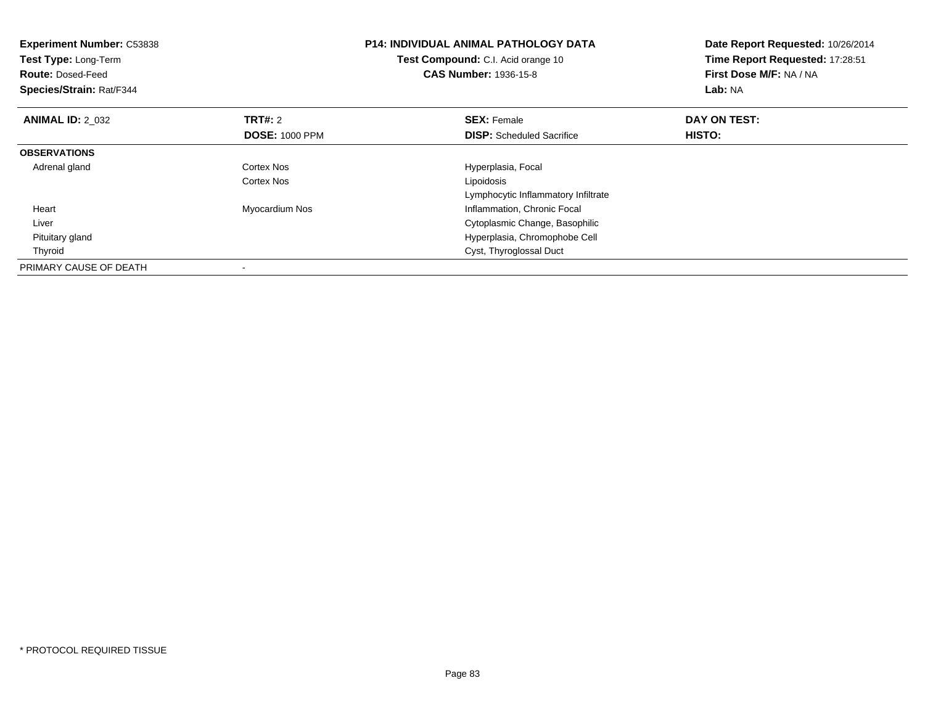| <b>Experiment Number: C53838</b><br>Test Type: Long-Term<br><b>Route: Dosed-Feed</b><br>Species/Strain: Rat/F344 |                       | <b>P14: INDIVIDUAL ANIMAL PATHOLOGY DATA</b><br>Test Compound: C.I. Acid orange 10<br><b>CAS Number: 1936-15-8</b> | Date Report Requested: 10/26/2014<br>Time Report Requested: 17:28:51<br>First Dose M/F: NA / NA<br>Lab: NA |
|------------------------------------------------------------------------------------------------------------------|-----------------------|--------------------------------------------------------------------------------------------------------------------|------------------------------------------------------------------------------------------------------------|
| <b>ANIMAL ID: 2 032</b>                                                                                          | <b>TRT#: 2</b>        | <b>SEX: Female</b>                                                                                                 | DAY ON TEST:                                                                                               |
|                                                                                                                  | <b>DOSE: 1000 PPM</b> | <b>DISP:</b> Scheduled Sacrifice                                                                                   | HISTO:                                                                                                     |
| <b>OBSERVATIONS</b>                                                                                              |                       |                                                                                                                    |                                                                                                            |
| Adrenal gland                                                                                                    | Cortex Nos            | Hyperplasia, Focal                                                                                                 |                                                                                                            |
|                                                                                                                  | Cortex Nos            | Lipoidosis                                                                                                         |                                                                                                            |
|                                                                                                                  |                       | Lymphocytic Inflammatory Infiltrate                                                                                |                                                                                                            |
| Heart                                                                                                            | Myocardium Nos        | Inflammation, Chronic Focal                                                                                        |                                                                                                            |
| Liver                                                                                                            |                       | Cytoplasmic Change, Basophilic                                                                                     |                                                                                                            |
| Pituitary gland                                                                                                  |                       | Hyperplasia, Chromophobe Cell                                                                                      |                                                                                                            |
| Thyroid                                                                                                          |                       | Cyst, Thyroglossal Duct                                                                                            |                                                                                                            |
| PRIMARY CAUSE OF DEATH                                                                                           |                       |                                                                                                                    |                                                                                                            |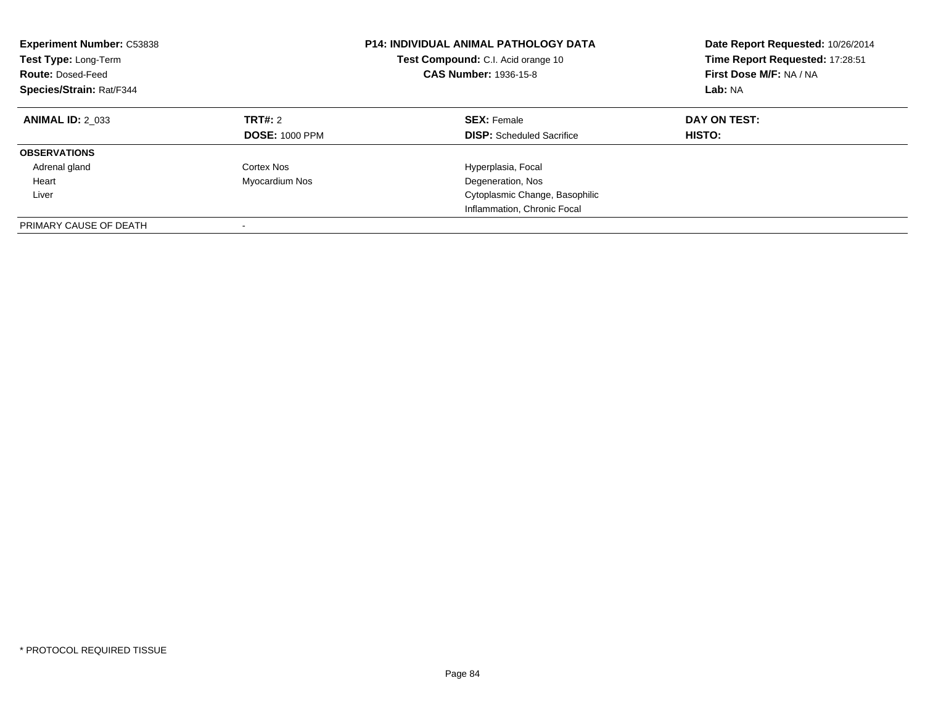| <b>Experiment Number: C53838</b><br>Test Type: Long-Term<br><b>Route: Dosed-Feed</b><br>Species/Strain: Rat/F344 |                                  | <b>P14: INDIVIDUAL ANIMAL PATHOLOGY DATA</b><br><b>Test Compound:</b> C.I. Acid orange 10<br><b>CAS Number: 1936-15-8</b> | Date Report Requested: 10/26/2014<br>Time Report Requested: 17:28:51<br>First Dose M/F: NA / NA<br>Lab: NA |
|------------------------------------------------------------------------------------------------------------------|----------------------------------|---------------------------------------------------------------------------------------------------------------------------|------------------------------------------------------------------------------------------------------------|
| <b>ANIMAL ID: 2 033</b>                                                                                          | TRT#: 2<br><b>DOSE: 1000 PPM</b> | <b>SEX: Female</b><br><b>DISP:</b> Scheduled Sacrifice                                                                    | DAY ON TEST:<br><b>HISTO:</b>                                                                              |
| <b>OBSERVATIONS</b>                                                                                              |                                  |                                                                                                                           |                                                                                                            |
| Adrenal gland                                                                                                    | Cortex Nos                       | Hyperplasia, Focal                                                                                                        |                                                                                                            |
| Heart                                                                                                            | Myocardium Nos                   | Degeneration, Nos                                                                                                         |                                                                                                            |
| Liver                                                                                                            |                                  | Cytoplasmic Change, Basophilic                                                                                            |                                                                                                            |
|                                                                                                                  |                                  | Inflammation, Chronic Focal                                                                                               |                                                                                                            |
| PRIMARY CAUSE OF DEATH                                                                                           |                                  |                                                                                                                           |                                                                                                            |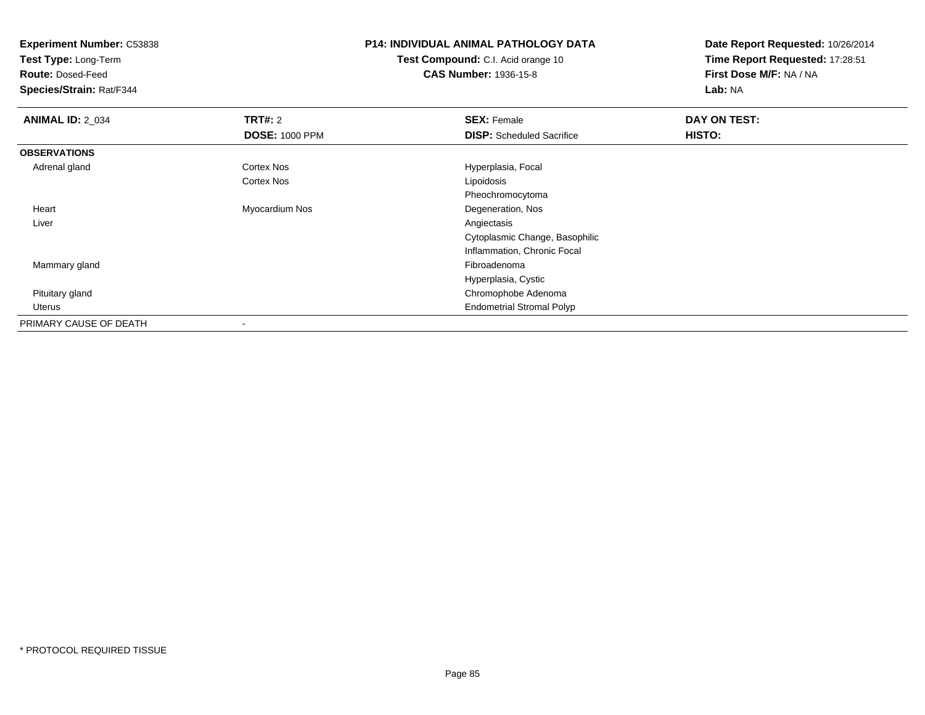**Experiment Number:** C53838

**Test Type:** Long-Term

**Route:** Dosed-Feed

**Species/Strain:** Rat/F344

## **P14: INDIVIDUAL ANIMAL PATHOLOGY DATA**

**Test Compound:** C.I. Acid orange 10**CAS Number:** 1936-15-8

**Date Report Requested:** 10/26/2014**Time Report Requested:** 17:28:51**First Dose M/F:** NA / NA**Lab:** NA

| <b>ANIMAL ID: 2_034</b> | <b>TRT#: 2</b>        | <b>SEX: Female</b>               | DAY ON TEST: |  |
|-------------------------|-----------------------|----------------------------------|--------------|--|
|                         | <b>DOSE: 1000 PPM</b> | <b>DISP:</b> Scheduled Sacrifice | HISTO:       |  |
| <b>OBSERVATIONS</b>     |                       |                                  |              |  |
| Adrenal gland           | <b>Cortex Nos</b>     | Hyperplasia, Focal               |              |  |
|                         | Cortex Nos            | Lipoidosis                       |              |  |
|                         |                       | Pheochromocytoma                 |              |  |
| Heart                   | Myocardium Nos        | Degeneration, Nos                |              |  |
| Liver                   |                       | Angiectasis                      |              |  |
|                         |                       | Cytoplasmic Change, Basophilic   |              |  |
|                         |                       | Inflammation, Chronic Focal      |              |  |
| Mammary gland           |                       | Fibroadenoma                     |              |  |
|                         |                       | Hyperplasia, Cystic              |              |  |
| Pituitary gland         |                       | Chromophobe Adenoma              |              |  |
| Uterus                  |                       | <b>Endometrial Stromal Polyp</b> |              |  |
| PRIMARY CAUSE OF DEATH  |                       |                                  |              |  |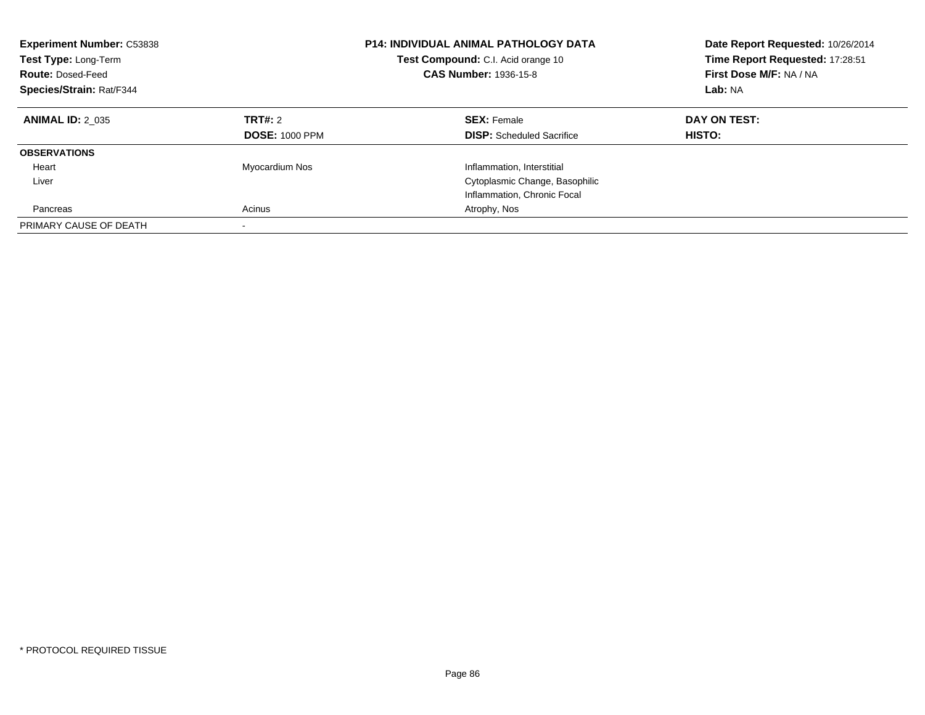| <b>Experiment Number: C53838</b><br><b>Test Type: Long-Term</b><br><b>Route: Dosed-Feed</b><br>Species/Strain: Rat/F344 |                                  | <b>P14: INDIVIDUAL ANIMAL PATHOLOGY DATA</b><br>Test Compound: C.I. Acid orange 10<br><b>CAS Number: 1936-15-8</b> | Date Report Requested: 10/26/2014<br>Time Report Requested: 17:28:51<br>First Dose M/F: NA / NA<br>Lab: NA |
|-------------------------------------------------------------------------------------------------------------------------|----------------------------------|--------------------------------------------------------------------------------------------------------------------|------------------------------------------------------------------------------------------------------------|
| <b>ANIMAL ID: 2 035</b>                                                                                                 | TRT#: 2<br><b>DOSE: 1000 PPM</b> | <b>SEX:</b> Female<br><b>DISP:</b> Scheduled Sacrifice                                                             | DAY ON TEST:<br>HISTO:                                                                                     |
| <b>OBSERVATIONS</b>                                                                                                     |                                  |                                                                                                                    |                                                                                                            |
| Heart                                                                                                                   | Myocardium Nos                   | Inflammation, Interstitial                                                                                         |                                                                                                            |
| Liver                                                                                                                   |                                  | Cytoplasmic Change, Basophilic                                                                                     |                                                                                                            |
|                                                                                                                         |                                  | Inflammation, Chronic Focal                                                                                        |                                                                                                            |
| Pancreas                                                                                                                | Acinus                           | Atrophy, Nos                                                                                                       |                                                                                                            |
| PRIMARY CAUSE OF DEATH                                                                                                  | $\overline{\phantom{a}}$         |                                                                                                                    |                                                                                                            |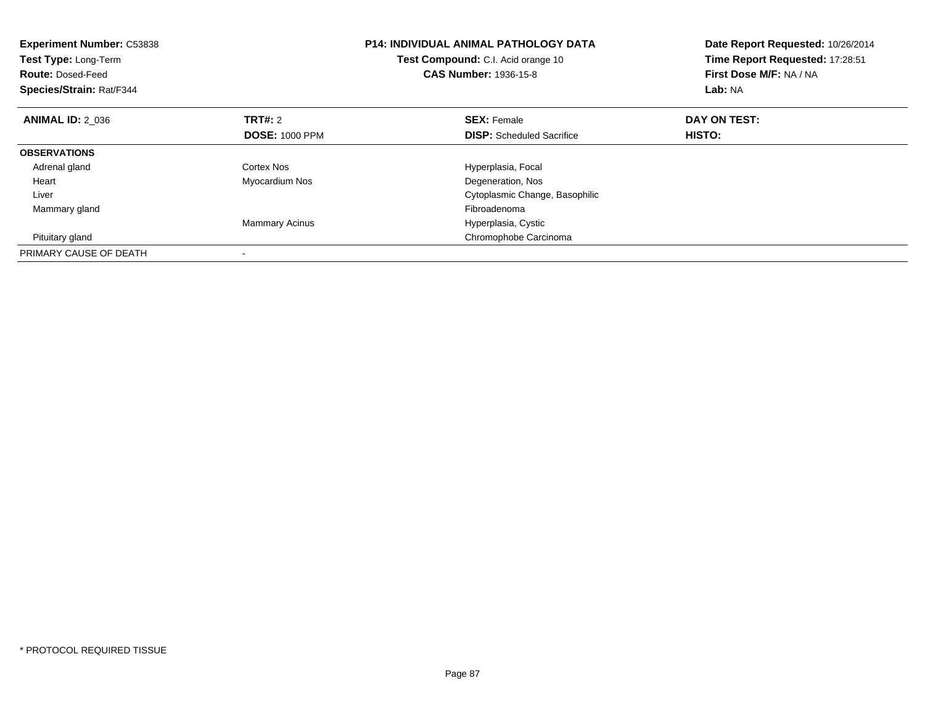| <b>Experiment Number: C53838</b><br>Test Type: Long-Term<br><b>Route: Dosed-Feed</b><br>Species/Strain: Rat/F344 |                       | <b>P14: INDIVIDUAL ANIMAL PATHOLOGY DATA</b><br>Test Compound: C.I. Acid orange 10<br><b>CAS Number: 1936-15-8</b> | Date Report Requested: 10/26/2014<br>Time Report Requested: 17:28:51<br>First Dose M/F: NA / NA<br>Lab: NA |
|------------------------------------------------------------------------------------------------------------------|-----------------------|--------------------------------------------------------------------------------------------------------------------|------------------------------------------------------------------------------------------------------------|
| <b>ANIMAL ID: 2 036</b>                                                                                          | <b>TRT#:</b> 2        | <b>SEX: Female</b>                                                                                                 | DAY ON TEST:                                                                                               |
|                                                                                                                  | <b>DOSE: 1000 PPM</b> | <b>DISP:</b> Scheduled Sacrifice                                                                                   | HISTO:                                                                                                     |
| <b>OBSERVATIONS</b>                                                                                              |                       |                                                                                                                    |                                                                                                            |
| Adrenal gland                                                                                                    | Cortex Nos            | Hyperplasia, Focal                                                                                                 |                                                                                                            |
| Heart                                                                                                            | Myocardium Nos        | Degeneration, Nos                                                                                                  |                                                                                                            |
| Liver                                                                                                            |                       | Cytoplasmic Change, Basophilic                                                                                     |                                                                                                            |
| Mammary gland                                                                                                    |                       | Fibroadenoma                                                                                                       |                                                                                                            |
|                                                                                                                  | <b>Mammary Acinus</b> | Hyperplasia, Cystic                                                                                                |                                                                                                            |
| Pituitary gland                                                                                                  |                       | Chromophobe Carcinoma                                                                                              |                                                                                                            |
| PRIMARY CAUSE OF DEATH                                                                                           |                       |                                                                                                                    |                                                                                                            |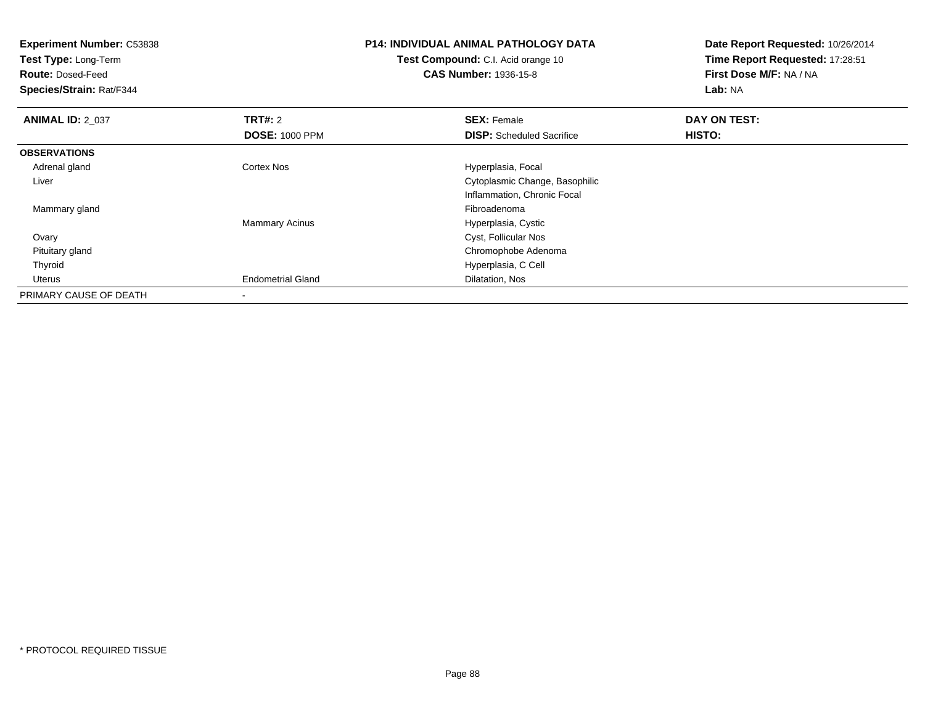| <b>Experiment Number: C53838</b><br>Test Type: Long-Term<br><b>Route: Dosed-Feed</b><br><b>Species/Strain: Rat/F344</b> |                          | <b>P14: INDIVIDUAL ANIMAL PATHOLOGY DATA</b><br>Test Compound: C.I. Acid orange 10<br><b>CAS Number: 1936-15-8</b> | Date Report Requested: 10/26/2014<br>Time Report Requested: 17:28:51<br>First Dose M/F: NA / NA<br>Lab: NA |
|-------------------------------------------------------------------------------------------------------------------------|--------------------------|--------------------------------------------------------------------------------------------------------------------|------------------------------------------------------------------------------------------------------------|
| <b>ANIMAL ID: 2_037</b>                                                                                                 | <b>TRT#: 2</b>           | <b>SEX: Female</b>                                                                                                 | DAY ON TEST:                                                                                               |
|                                                                                                                         | <b>DOSE: 1000 PPM</b>    | <b>DISP:</b> Scheduled Sacrifice                                                                                   | <b>HISTO:</b>                                                                                              |
| <b>OBSERVATIONS</b>                                                                                                     |                          |                                                                                                                    |                                                                                                            |
| Adrenal gland                                                                                                           | Cortex Nos               | Hyperplasia, Focal                                                                                                 |                                                                                                            |
| Liver                                                                                                                   |                          | Cytoplasmic Change, Basophilic                                                                                     |                                                                                                            |
|                                                                                                                         |                          | Inflammation, Chronic Focal                                                                                        |                                                                                                            |
| Mammary gland                                                                                                           |                          | Fibroadenoma                                                                                                       |                                                                                                            |
|                                                                                                                         | <b>Mammary Acinus</b>    | Hyperplasia, Cystic                                                                                                |                                                                                                            |
| Ovary                                                                                                                   |                          | Cyst, Follicular Nos                                                                                               |                                                                                                            |
| Pituitary gland                                                                                                         |                          | Chromophobe Adenoma                                                                                                |                                                                                                            |
| Thyroid                                                                                                                 |                          | Hyperplasia, C Cell                                                                                                |                                                                                                            |
| Uterus                                                                                                                  | <b>Endometrial Gland</b> | Dilatation, Nos                                                                                                    |                                                                                                            |
| PRIMARY CAUSE OF DEATH                                                                                                  | $\,$                     |                                                                                                                    |                                                                                                            |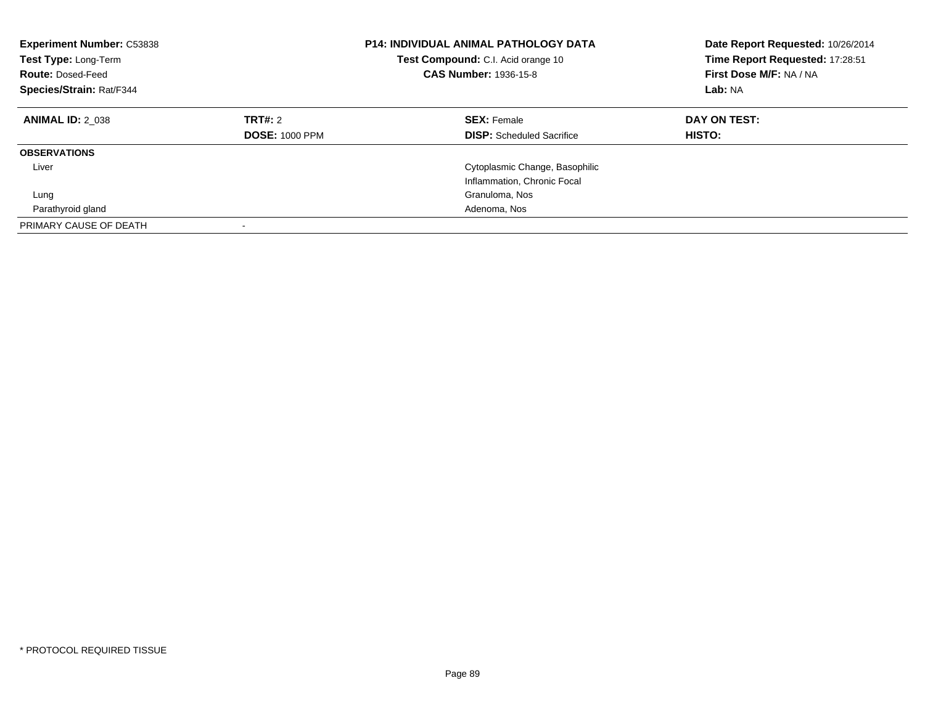| <b>Experiment Number: C53838</b><br>Test Type: Long-Term<br><b>Route: Dosed-Feed</b><br>Species/Strain: Rat/F344 |                                         | <b>P14: INDIVIDUAL ANIMAL PATHOLOGY DATA</b><br><b>Test Compound:</b> C.I. Acid orange 10<br><b>CAS Number: 1936-15-8</b> | Date Report Requested: 10/26/2014<br>Time Report Requested: 17:28:51<br>First Dose M/F: NA / NA<br>Lab: NA |
|------------------------------------------------------------------------------------------------------------------|-----------------------------------------|---------------------------------------------------------------------------------------------------------------------------|------------------------------------------------------------------------------------------------------------|
| <b>ANIMAL ID: 2 038</b>                                                                                          | <b>TRT#: 2</b><br><b>DOSE: 1000 PPM</b> | <b>SEX: Female</b><br><b>DISP:</b> Scheduled Sacrifice                                                                    | DAY ON TEST:<br><b>HISTO:</b>                                                                              |
| <b>OBSERVATIONS</b>                                                                                              |                                         |                                                                                                                           |                                                                                                            |
| Liver                                                                                                            |                                         | Cytoplasmic Change, Basophilic<br>Inflammation, Chronic Focal                                                             |                                                                                                            |
| Lung                                                                                                             |                                         | Granuloma, Nos                                                                                                            |                                                                                                            |
| Parathyroid gland                                                                                                |                                         | Adenoma, Nos                                                                                                              |                                                                                                            |
| PRIMARY CAUSE OF DEATH                                                                                           |                                         |                                                                                                                           |                                                                                                            |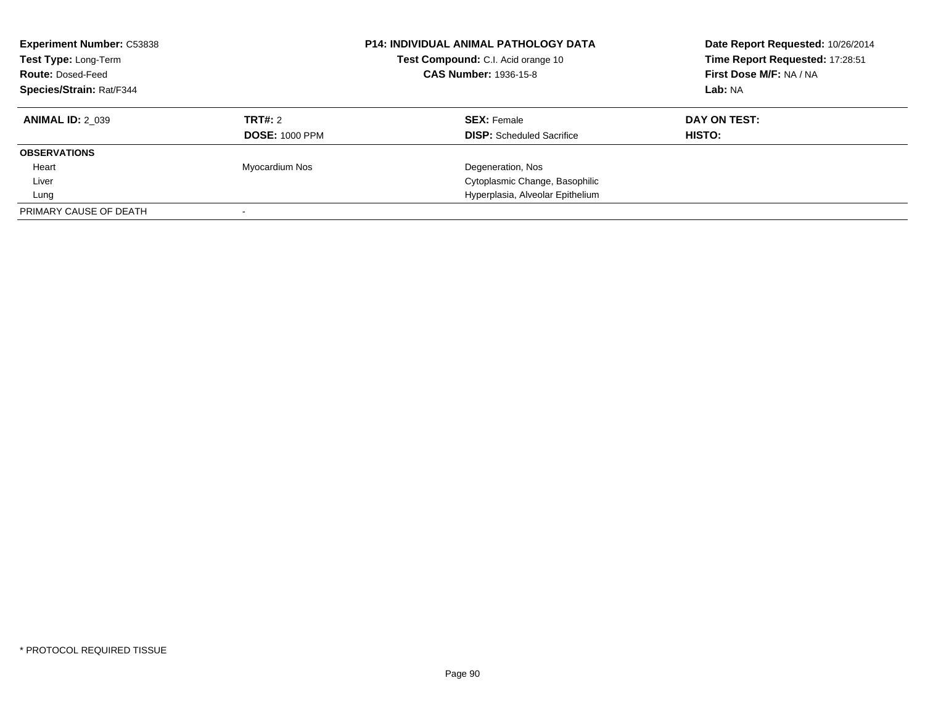| <b>Experiment Number: C53838</b><br>Test Type: Long-Term<br><b>Route: Dosed-Feed</b><br>Species/Strain: Rat/F344 |                       | <b>P14: INDIVIDUAL ANIMAL PATHOLOGY DATA</b><br>Test Compound: C.I. Acid orange 10<br><b>CAS Number: 1936-15-8</b> | Date Report Requested: 10/26/2014<br>Time Report Requested: 17:28:51<br>First Dose M/F: NA / NA<br>Lab: NA |
|------------------------------------------------------------------------------------------------------------------|-----------------------|--------------------------------------------------------------------------------------------------------------------|------------------------------------------------------------------------------------------------------------|
| <b>ANIMAL ID: 2 039</b>                                                                                          | TRT#: 2               | <b>SEX: Female</b>                                                                                                 | DAY ON TEST:                                                                                               |
|                                                                                                                  | <b>DOSE: 1000 PPM</b> | <b>DISP:</b> Scheduled Sacrifice                                                                                   | HISTO:                                                                                                     |
| <b>OBSERVATIONS</b>                                                                                              |                       |                                                                                                                    |                                                                                                            |
| Heart                                                                                                            | Myocardium Nos        | Degeneration, Nos                                                                                                  |                                                                                                            |
| Liver                                                                                                            |                       | Cytoplasmic Change, Basophilic                                                                                     |                                                                                                            |
| Lung                                                                                                             |                       | Hyperplasia, Alveolar Epithelium                                                                                   |                                                                                                            |
| PRIMARY CAUSE OF DEATH                                                                                           |                       |                                                                                                                    |                                                                                                            |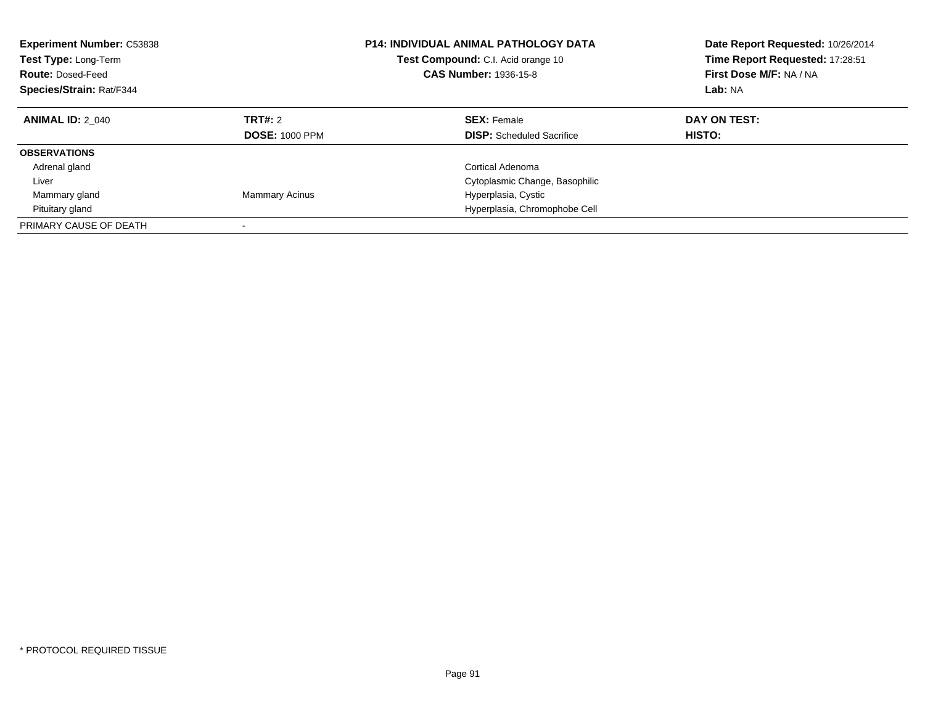| <b>Experiment Number: C53838</b><br><b>Test Type: Long-Term</b><br><b>Route: Dosed-Feed</b><br>Species/Strain: Rat/F344 |                                         | <b>P14: INDIVIDUAL ANIMAL PATHOLOGY DATA</b><br><b>Test Compound:</b> C.I. Acid orange 10<br><b>CAS Number: 1936-15-8</b> | Date Report Requested: 10/26/2014<br>Time Report Requested: 17:28:51<br>First Dose M/F: NA / NA<br>Lab: NA |
|-------------------------------------------------------------------------------------------------------------------------|-----------------------------------------|---------------------------------------------------------------------------------------------------------------------------|------------------------------------------------------------------------------------------------------------|
| <b>ANIMAL ID: 2 040</b>                                                                                                 | <b>TRT#: 2</b><br><b>DOSE: 1000 PPM</b> | <b>SEX: Female</b><br><b>DISP:</b> Scheduled Sacrifice                                                                    | DAY ON TEST:<br>HISTO:                                                                                     |
| <b>OBSERVATIONS</b>                                                                                                     |                                         |                                                                                                                           |                                                                                                            |
| Adrenal gland                                                                                                           |                                         | Cortical Adenoma                                                                                                          |                                                                                                            |
| Liver                                                                                                                   |                                         | Cytoplasmic Change, Basophilic                                                                                            |                                                                                                            |
| Mammary gland                                                                                                           | <b>Mammary Acinus</b>                   | Hyperplasia, Cystic                                                                                                       |                                                                                                            |
| Pituitary gland                                                                                                         |                                         | Hyperplasia, Chromophobe Cell                                                                                             |                                                                                                            |
| PRIMARY CAUSE OF DEATH                                                                                                  |                                         |                                                                                                                           |                                                                                                            |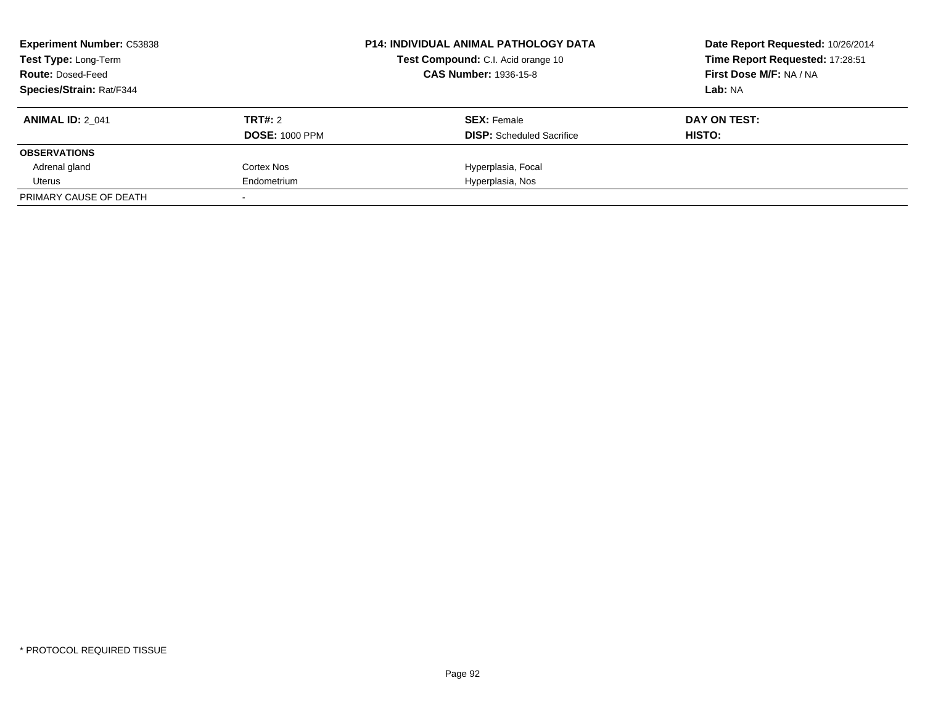| <b>Experiment Number: C53838</b><br><b>Test Type: Long-Term</b><br><b>Route: Dosed-Feed</b> |                       | <b>P14: INDIVIDUAL ANIMAL PATHOLOGY DATA</b><br>Test Compound: C.I. Acid orange 10<br><b>CAS Number: 1936-15-8</b> | Date Report Requested: 10/26/2014<br>Time Report Requested: 17:28:51<br>First Dose M/F: NA / NA |
|---------------------------------------------------------------------------------------------|-----------------------|--------------------------------------------------------------------------------------------------------------------|-------------------------------------------------------------------------------------------------|
| <b>Species/Strain: Rat/F344</b>                                                             |                       |                                                                                                                    | Lab: NA                                                                                         |
| <b>ANIMAL ID: 2 041</b>                                                                     | TRT#: 2               | <b>SEX: Female</b>                                                                                                 | DAY ON TEST:                                                                                    |
|                                                                                             | <b>DOSE: 1000 PPM</b> | <b>DISP:</b> Scheduled Sacrifice                                                                                   | HISTO:                                                                                          |
| <b>OBSERVATIONS</b>                                                                         |                       |                                                                                                                    |                                                                                                 |
| Adrenal gland                                                                               | Cortex Nos            | Hyperplasia, Focal                                                                                                 |                                                                                                 |
| Uterus                                                                                      | Endometrium           | Hyperplasia, Nos                                                                                                   |                                                                                                 |
| PRIMARY CAUSE OF DEATH                                                                      |                       |                                                                                                                    |                                                                                                 |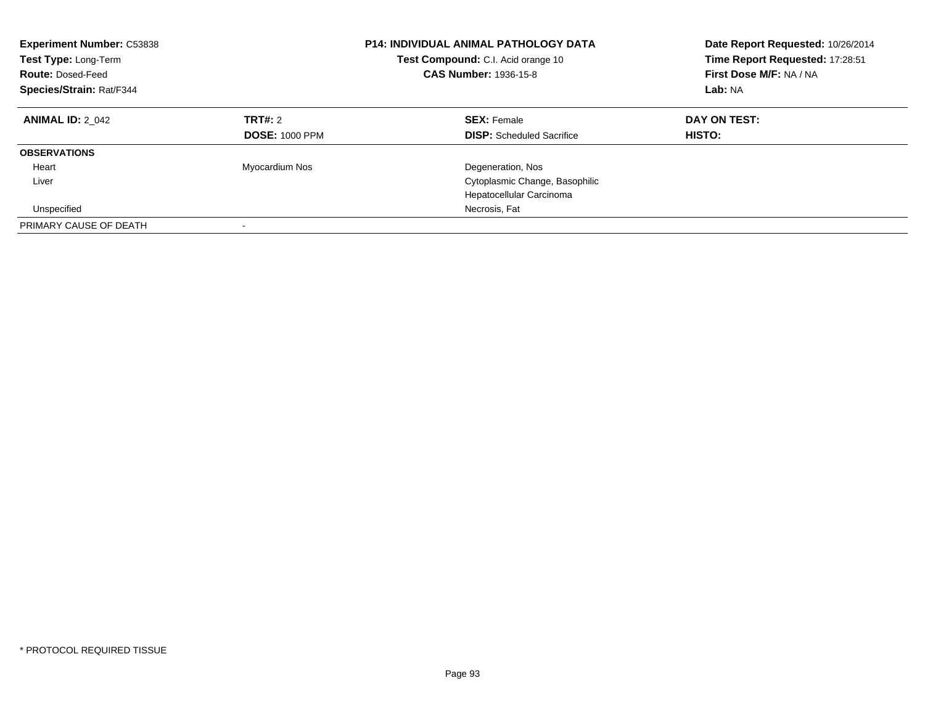| <b>Experiment Number: C53838</b><br>Test Type: Long-Term<br><b>Route: Dosed-Feed</b><br>Species/Strain: Rat/F344 |                                  | <b>P14: INDIVIDUAL ANIMAL PATHOLOGY DATA</b><br><b>Test Compound:</b> C.I. Acid orange 10<br><b>CAS Number: 1936-15-8</b> | Date Report Requested: 10/26/2014<br>Time Report Requested: 17:28:51<br>First Dose M/F: NA / NA<br>Lab: NA |
|------------------------------------------------------------------------------------------------------------------|----------------------------------|---------------------------------------------------------------------------------------------------------------------------|------------------------------------------------------------------------------------------------------------|
| <b>ANIMAL ID: 2 042</b>                                                                                          | TRT#: 2<br><b>DOSE: 1000 PPM</b> | <b>SEX: Female</b><br><b>DISP:</b> Scheduled Sacrifice                                                                    | DAY ON TEST:<br><b>HISTO:</b>                                                                              |
| <b>OBSERVATIONS</b>                                                                                              |                                  |                                                                                                                           |                                                                                                            |
| Heart                                                                                                            | Myocardium Nos                   | Degeneration, Nos                                                                                                         |                                                                                                            |
| Liver                                                                                                            |                                  | Cytoplasmic Change, Basophilic                                                                                            |                                                                                                            |
|                                                                                                                  |                                  | Hepatocellular Carcinoma                                                                                                  |                                                                                                            |
| Unspecified                                                                                                      |                                  | Necrosis, Fat                                                                                                             |                                                                                                            |
| PRIMARY CAUSE OF DEATH                                                                                           |                                  |                                                                                                                           |                                                                                                            |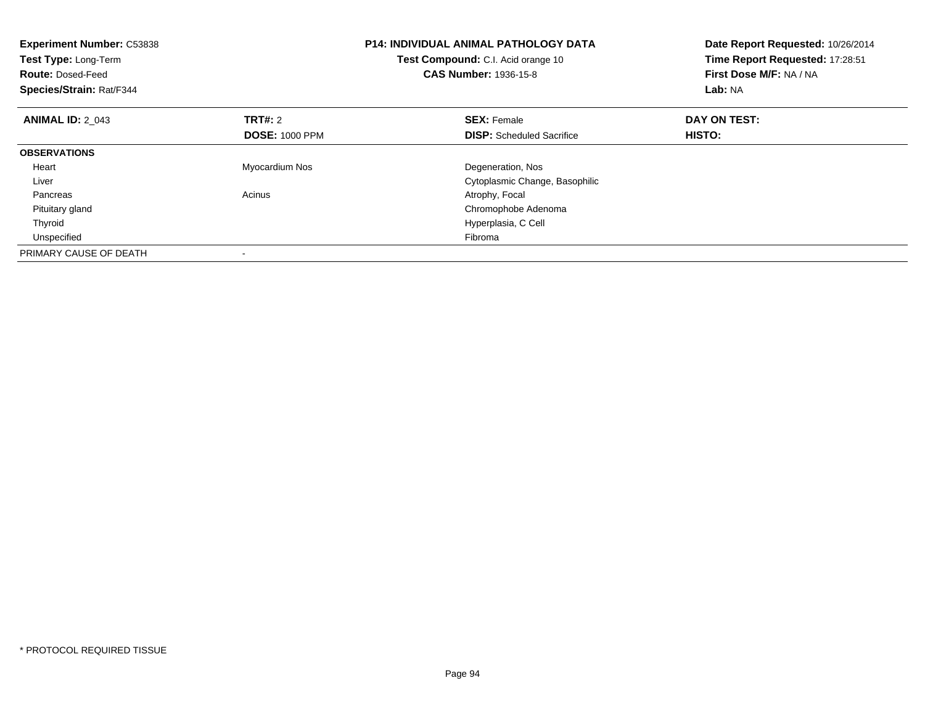| <b>Experiment Number: C53838</b><br>Test Type: Long-Term<br><b>Route: Dosed-Feed</b><br>Species/Strain: Rat/F344 |                       | <b>P14: INDIVIDUAL ANIMAL PATHOLOGY DATA</b><br>Test Compound: C.I. Acid orange 10<br><b>CAS Number: 1936-15-8</b> | Date Report Requested: 10/26/2014<br>Time Report Requested: 17:28:51<br>First Dose M/F: NA / NA<br>Lab: NA |
|------------------------------------------------------------------------------------------------------------------|-----------------------|--------------------------------------------------------------------------------------------------------------------|------------------------------------------------------------------------------------------------------------|
| <b>ANIMAL ID: 2 043</b>                                                                                          | <b>TRT#:</b> 2        | <b>SEX: Female</b>                                                                                                 | DAY ON TEST:                                                                                               |
|                                                                                                                  | <b>DOSE: 1000 PPM</b> | <b>DISP:</b> Scheduled Sacrifice                                                                                   | <b>HISTO:</b>                                                                                              |
| <b>OBSERVATIONS</b>                                                                                              |                       |                                                                                                                    |                                                                                                            |
| Heart                                                                                                            | Myocardium Nos        | Degeneration, Nos                                                                                                  |                                                                                                            |
| Liver                                                                                                            |                       | Cytoplasmic Change, Basophilic                                                                                     |                                                                                                            |
| Pancreas                                                                                                         | Acinus                | Atrophy, Focal                                                                                                     |                                                                                                            |
| Pituitary gland                                                                                                  |                       | Chromophobe Adenoma                                                                                                |                                                                                                            |
| Thyroid                                                                                                          |                       | Hyperplasia, C Cell                                                                                                |                                                                                                            |
| Unspecified                                                                                                      |                       | Fibroma                                                                                                            |                                                                                                            |
| PRIMARY CAUSE OF DEATH                                                                                           |                       |                                                                                                                    |                                                                                                            |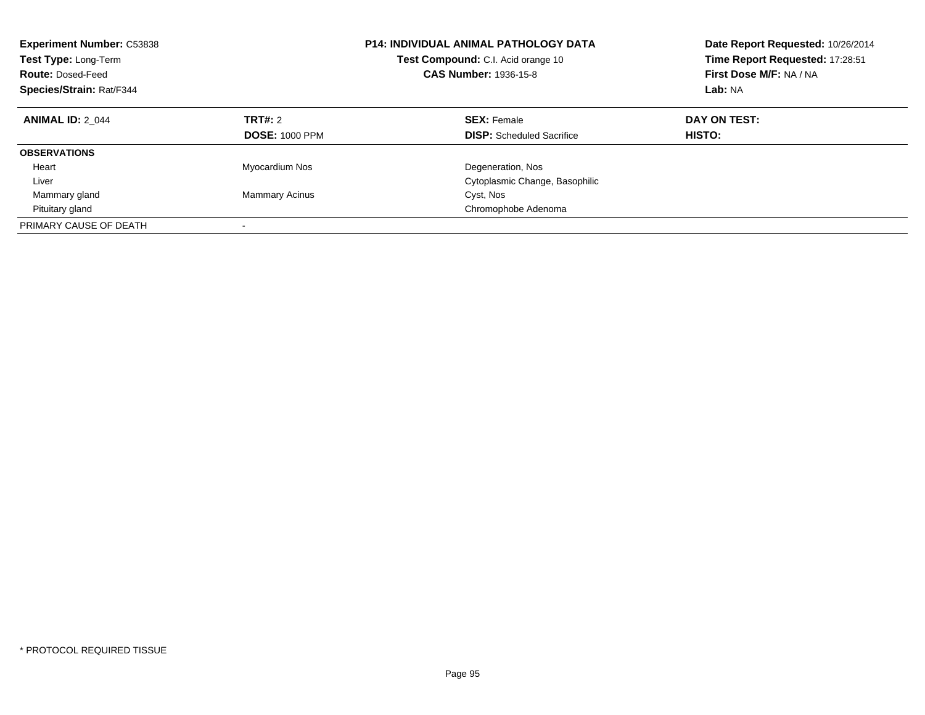| <b>Experiment Number: C53838</b><br>Test Type: Long-Term<br><b>Route: Dosed-Feed</b><br>Species/Strain: Rat/F344 |                                         | <b>P14: INDIVIDUAL ANIMAL PATHOLOGY DATA</b><br>Test Compound: C.I. Acid orange 10<br><b>CAS Number: 1936-15-8</b> | Date Report Requested: 10/26/2014<br>Time Report Requested: 17:28:51<br>First Dose M/F: NA / NA<br>Lab: NA |
|------------------------------------------------------------------------------------------------------------------|-----------------------------------------|--------------------------------------------------------------------------------------------------------------------|------------------------------------------------------------------------------------------------------------|
| <b>ANIMAL ID: 2 044</b>                                                                                          | <b>TRT#: 2</b><br><b>DOSE: 1000 PPM</b> | <b>SEX: Female</b><br><b>DISP:</b> Scheduled Sacrifice                                                             | DAY ON TEST:<br>HISTO:                                                                                     |
| <b>OBSERVATIONS</b>                                                                                              |                                         |                                                                                                                    |                                                                                                            |
| Heart                                                                                                            | Myocardium Nos                          | Degeneration, Nos                                                                                                  |                                                                                                            |
| Liver                                                                                                            |                                         | Cytoplasmic Change, Basophilic                                                                                     |                                                                                                            |
| Mammary gland                                                                                                    | <b>Mammary Acinus</b>                   | Cyst, Nos                                                                                                          |                                                                                                            |
| Pituitary gland                                                                                                  |                                         | Chromophobe Adenoma                                                                                                |                                                                                                            |
| PRIMARY CAUSE OF DEATH                                                                                           |                                         |                                                                                                                    |                                                                                                            |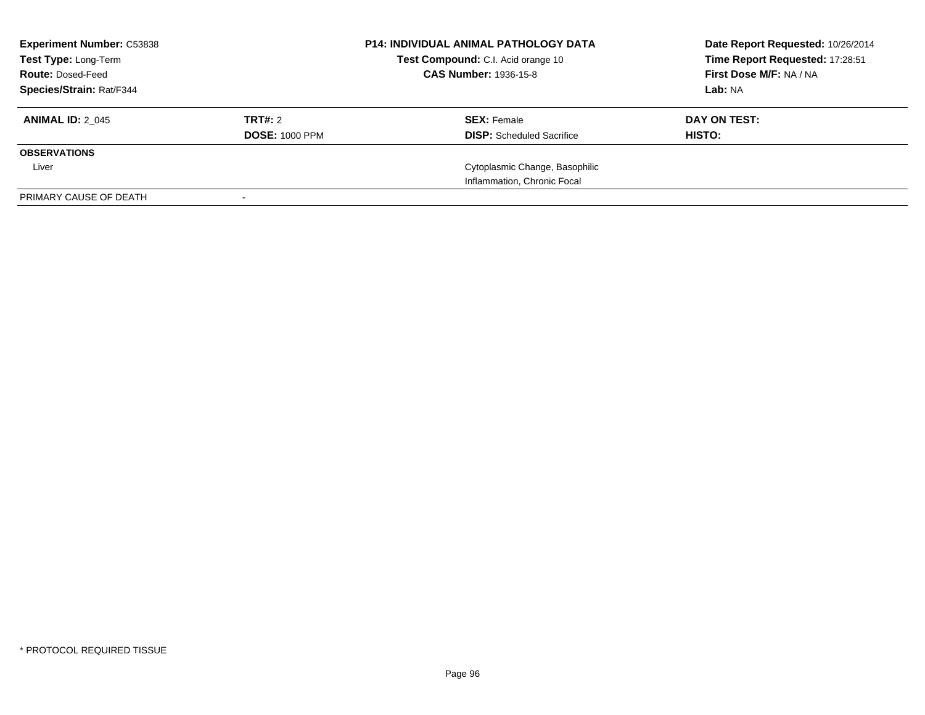| <b>Experiment Number: C53838</b><br>Test Type: Long-Term<br><b>Route: Dosed-Feed</b><br><b>Species/Strain: Rat/F344</b> |                                  | <b>P14: INDIVIDUAL ANIMAL PATHOLOGY DATA</b><br>Test Compound: C.I. Acid orange 10<br><b>CAS Number: 1936-15-8</b> | Date Report Requested: 10/26/2014<br>Time Report Requested: 17:28:51<br>First Dose M/F: NA / NA<br>Lab: NA |
|-------------------------------------------------------------------------------------------------------------------------|----------------------------------|--------------------------------------------------------------------------------------------------------------------|------------------------------------------------------------------------------------------------------------|
| <b>ANIMAL ID: 2 045</b>                                                                                                 | TRT#: 2<br><b>DOSE: 1000 PPM</b> | <b>SEX: Female</b><br><b>DISP:</b> Scheduled Sacrifice                                                             | DAY ON TEST:<br><b>HISTO:</b>                                                                              |
| <b>OBSERVATIONS</b>                                                                                                     |                                  |                                                                                                                    |                                                                                                            |
| Liver                                                                                                                   |                                  | Cytoplasmic Change, Basophilic                                                                                     |                                                                                                            |
|                                                                                                                         |                                  | Inflammation, Chronic Focal                                                                                        |                                                                                                            |
| PRIMARY CAUSE OF DEATH                                                                                                  |                                  |                                                                                                                    |                                                                                                            |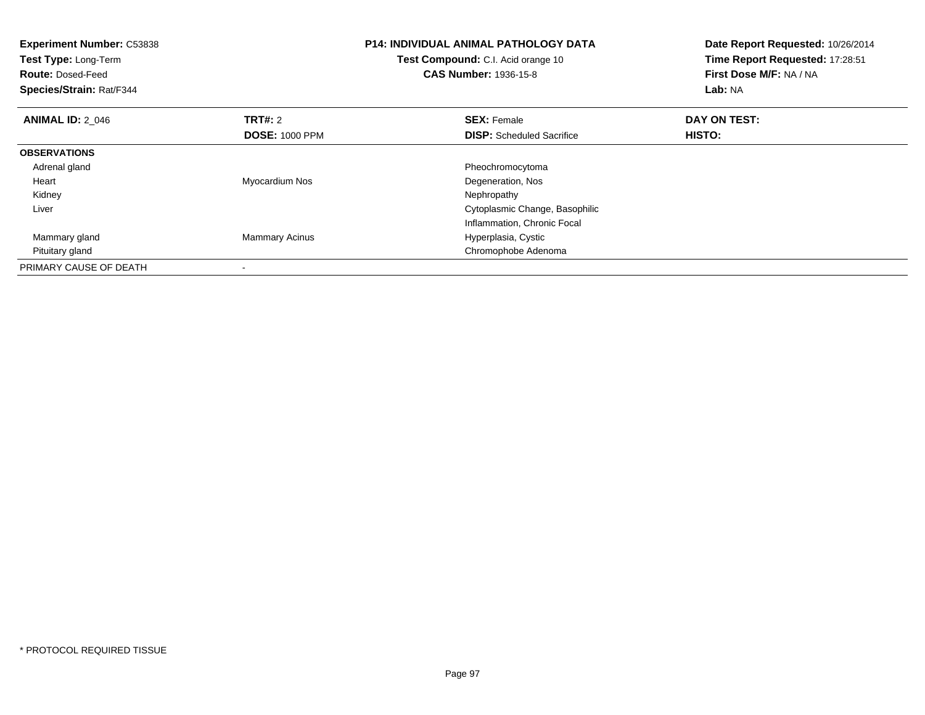| <b>Experiment Number: C53838</b><br>Test Type: Long-Term<br><b>Route: Dosed-Feed</b><br>Species/Strain: Rat/F344 |                       | <b>P14: INDIVIDUAL ANIMAL PATHOLOGY DATA</b><br>Test Compound: C.I. Acid orange 10<br><b>CAS Number: 1936-15-8</b> | Date Report Requested: 10/26/2014<br>Time Report Requested: 17:28:51<br>First Dose M/F: NA / NA<br>Lab: NA |
|------------------------------------------------------------------------------------------------------------------|-----------------------|--------------------------------------------------------------------------------------------------------------------|------------------------------------------------------------------------------------------------------------|
| <b>ANIMAL ID: 2 046</b>                                                                                          | <b>TRT#:</b> 2        | <b>SEX: Female</b>                                                                                                 | DAY ON TEST:                                                                                               |
|                                                                                                                  | <b>DOSE: 1000 PPM</b> | <b>DISP:</b> Scheduled Sacrifice                                                                                   | HISTO:                                                                                                     |
| <b>OBSERVATIONS</b>                                                                                              |                       |                                                                                                                    |                                                                                                            |
| Adrenal gland                                                                                                    |                       | Pheochromocytoma                                                                                                   |                                                                                                            |
| Heart                                                                                                            | Myocardium Nos        | Degeneration, Nos                                                                                                  |                                                                                                            |
| Kidney                                                                                                           |                       | Nephropathy                                                                                                        |                                                                                                            |
| Liver                                                                                                            |                       | Cytoplasmic Change, Basophilic                                                                                     |                                                                                                            |
|                                                                                                                  |                       | Inflammation, Chronic Focal                                                                                        |                                                                                                            |
| Mammary gland                                                                                                    | <b>Mammary Acinus</b> | Hyperplasia, Cystic                                                                                                |                                                                                                            |
| Pituitary gland                                                                                                  |                       | Chromophobe Adenoma                                                                                                |                                                                                                            |
| PRIMARY CAUSE OF DEATH                                                                                           |                       |                                                                                                                    |                                                                                                            |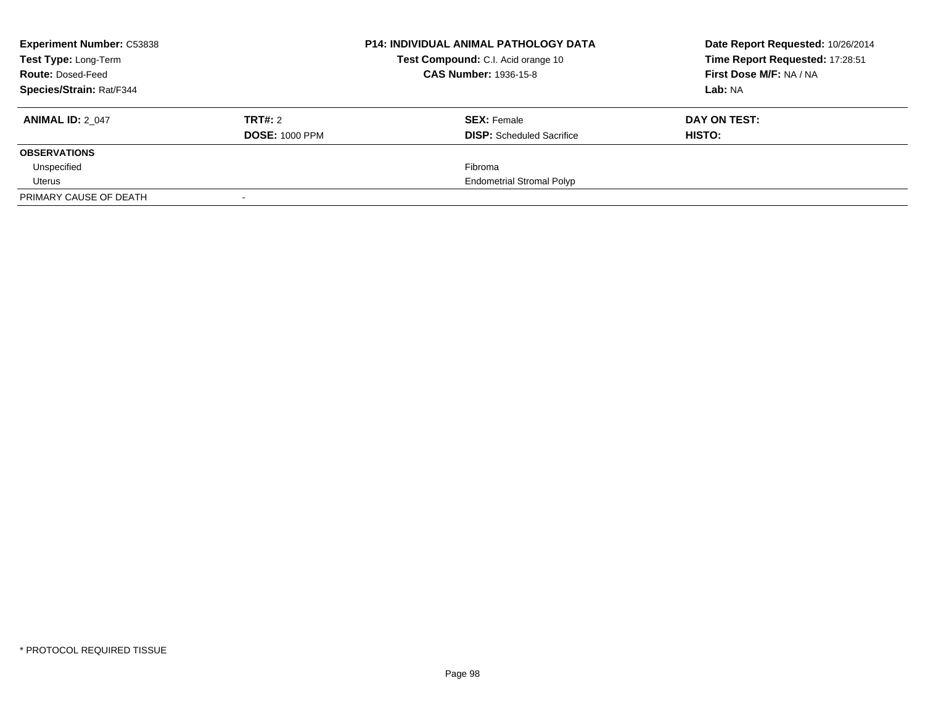| <b>Experiment Number: C53838</b><br>Test Type: Long-Term |                       | <b>P14: INDIVIDUAL ANIMAL PATHOLOGY DATA</b><br>Test Compound: C.I. Acid orange 10 | Date Report Requested: 10/26/2014<br>Time Report Requested: 17:28:51 |
|----------------------------------------------------------|-----------------------|------------------------------------------------------------------------------------|----------------------------------------------------------------------|
| <b>Route: Dosed-Feed</b>                                 |                       | <b>CAS Number: 1936-15-8</b>                                                       | First Dose M/F: NA / NA                                              |
| <b>Species/Strain: Rat/F344</b>                          |                       |                                                                                    | Lab: NA                                                              |
| <b>ANIMAL ID: 2 047</b>                                  | TRT#: 2               | <b>SEX: Female</b>                                                                 | DAY ON TEST:                                                         |
|                                                          | <b>DOSE: 1000 PPM</b> | <b>DISP:</b> Scheduled Sacrifice                                                   | HISTO:                                                               |
| <b>OBSERVATIONS</b>                                      |                       |                                                                                    |                                                                      |
| Unspecified                                              |                       | Fibroma                                                                            |                                                                      |
| Uterus                                                   |                       | <b>Endometrial Stromal Polyp</b>                                                   |                                                                      |
| PRIMARY CAUSE OF DEATH                                   |                       |                                                                                    |                                                                      |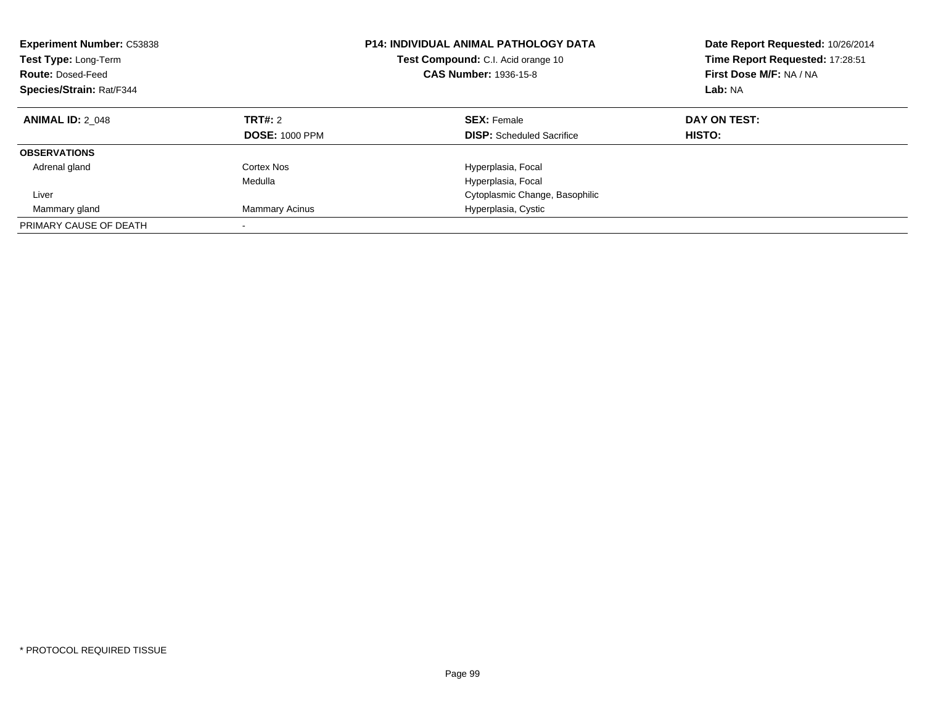| <b>Experiment Number: C53838</b><br>Test Type: Long-Term<br><b>Route: Dosed-Feed</b><br>Species/Strain: Rat/F344 |                                  | <b>P14: INDIVIDUAL ANIMAL PATHOLOGY DATA</b><br>Test Compound: C.I. Acid orange 10<br><b>CAS Number: 1936-15-8</b> | Date Report Requested: 10/26/2014<br>Time Report Requested: 17:28:51<br>First Dose M/F: NA / NA<br>Lab: NA |
|------------------------------------------------------------------------------------------------------------------|----------------------------------|--------------------------------------------------------------------------------------------------------------------|------------------------------------------------------------------------------------------------------------|
| <b>ANIMAL ID: 2 048</b>                                                                                          | TRT#: 2<br><b>DOSE: 1000 PPM</b> | <b>SEX: Female</b><br><b>DISP:</b> Scheduled Sacrifice                                                             | DAY ON TEST:<br><b>HISTO:</b>                                                                              |
| <b>OBSERVATIONS</b>                                                                                              |                                  |                                                                                                                    |                                                                                                            |
| Adrenal gland                                                                                                    | Cortex Nos<br>Medulla            | Hyperplasia, Focal<br>Hyperplasia, Focal                                                                           |                                                                                                            |
| Liver                                                                                                            |                                  | Cytoplasmic Change, Basophilic                                                                                     |                                                                                                            |
| Mammary gland                                                                                                    | <b>Mammary Acinus</b>            | Hyperplasia, Cystic                                                                                                |                                                                                                            |
| PRIMARY CAUSE OF DEATH                                                                                           |                                  |                                                                                                                    |                                                                                                            |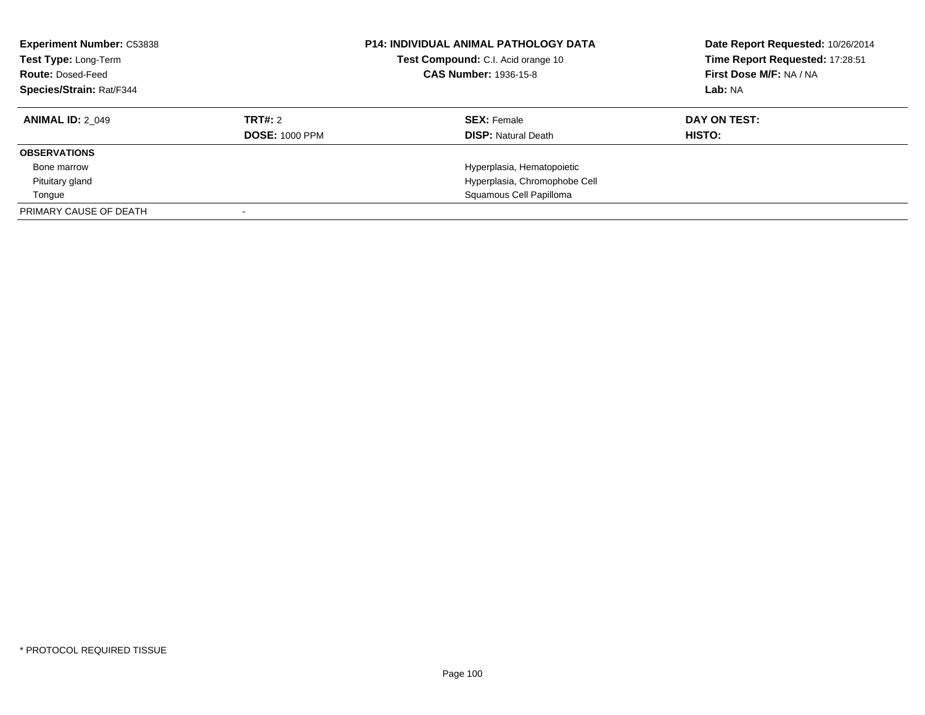| <b>Experiment Number: C53838</b><br>Test Type: Long-Term<br><b>Route: Dosed-Feed</b><br>Species/Strain: Rat/F344 |                       | <b>P14: INDIVIDUAL ANIMAL PATHOLOGY DATA</b><br>Test Compound: C.I. Acid orange 10<br><b>CAS Number: 1936-15-8</b> | Date Report Requested: 10/26/2014<br>Time Report Requested: 17:28:51<br>First Dose M/F: NA / NA<br>Lab: NA |
|------------------------------------------------------------------------------------------------------------------|-----------------------|--------------------------------------------------------------------------------------------------------------------|------------------------------------------------------------------------------------------------------------|
| <b>ANIMAL ID: 2 049</b>                                                                                          | TRT#: 2               | <b>SEX:</b> Female                                                                                                 | DAY ON TEST:                                                                                               |
|                                                                                                                  | <b>DOSE: 1000 PPM</b> | <b>DISP:</b> Natural Death                                                                                         | HISTO:                                                                                                     |
| <b>OBSERVATIONS</b>                                                                                              |                       |                                                                                                                    |                                                                                                            |
| Bone marrow                                                                                                      |                       | Hyperplasia, Hematopoietic                                                                                         |                                                                                                            |
| Pituitary gland                                                                                                  |                       | Hyperplasia, Chromophobe Cell                                                                                      |                                                                                                            |
| Tongue                                                                                                           |                       | Squamous Cell Papilloma                                                                                            |                                                                                                            |
| PRIMARY CAUSE OF DEATH                                                                                           |                       |                                                                                                                    |                                                                                                            |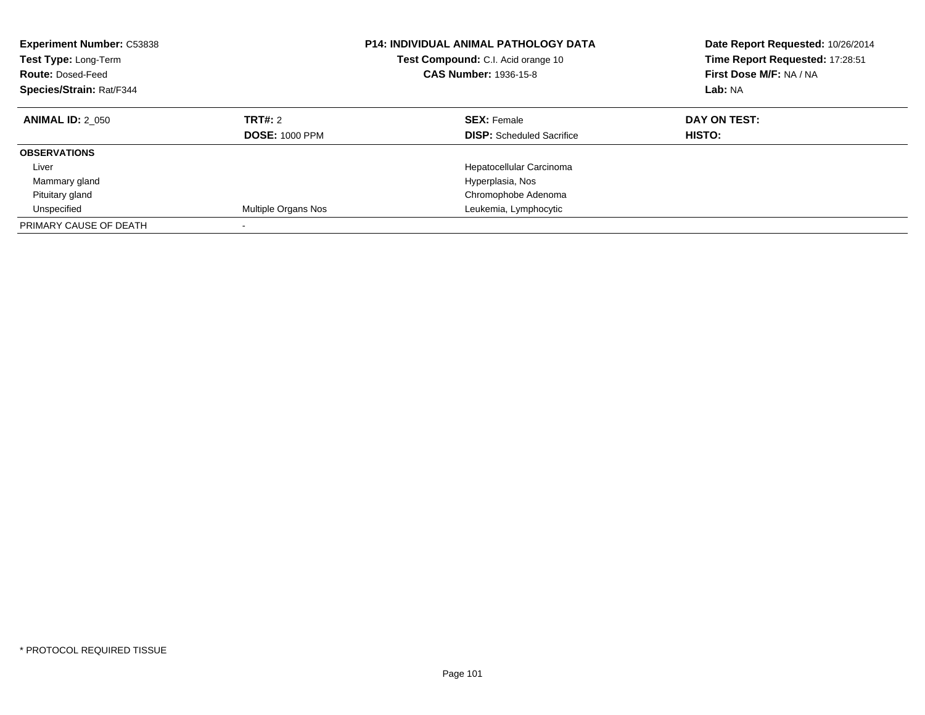| <b>Experiment Number: C53838</b><br><b>Test Type: Long-Term</b><br><b>Route: Dosed-Feed</b><br>Species/Strain: Rat/F344 |                                         | <b>P14: INDIVIDUAL ANIMAL PATHOLOGY DATA</b><br>Test Compound: C.I. Acid orange 10<br><b>CAS Number: 1936-15-8</b> | Date Report Requested: 10/26/2014<br>Time Report Requested: 17:28:51<br>First Dose M/F: NA / NA<br>Lab: NA |
|-------------------------------------------------------------------------------------------------------------------------|-----------------------------------------|--------------------------------------------------------------------------------------------------------------------|------------------------------------------------------------------------------------------------------------|
| <b>ANIMAL ID: 2 050</b>                                                                                                 | <b>TRT#: 2</b><br><b>DOSE: 1000 PPM</b> | <b>SEX: Female</b><br><b>DISP:</b> Scheduled Sacrifice                                                             | DAY ON TEST:<br>HISTO:                                                                                     |
| <b>OBSERVATIONS</b>                                                                                                     |                                         |                                                                                                                    |                                                                                                            |
| Liver                                                                                                                   |                                         | Hepatocellular Carcinoma                                                                                           |                                                                                                            |
| Mammary gland                                                                                                           |                                         | Hyperplasia, Nos                                                                                                   |                                                                                                            |
| Pituitary gland                                                                                                         |                                         | Chromophobe Adenoma                                                                                                |                                                                                                            |
| Unspecified                                                                                                             | Multiple Organs Nos                     | Leukemia, Lymphocytic                                                                                              |                                                                                                            |
| PRIMARY CAUSE OF DEATH                                                                                                  |                                         |                                                                                                                    |                                                                                                            |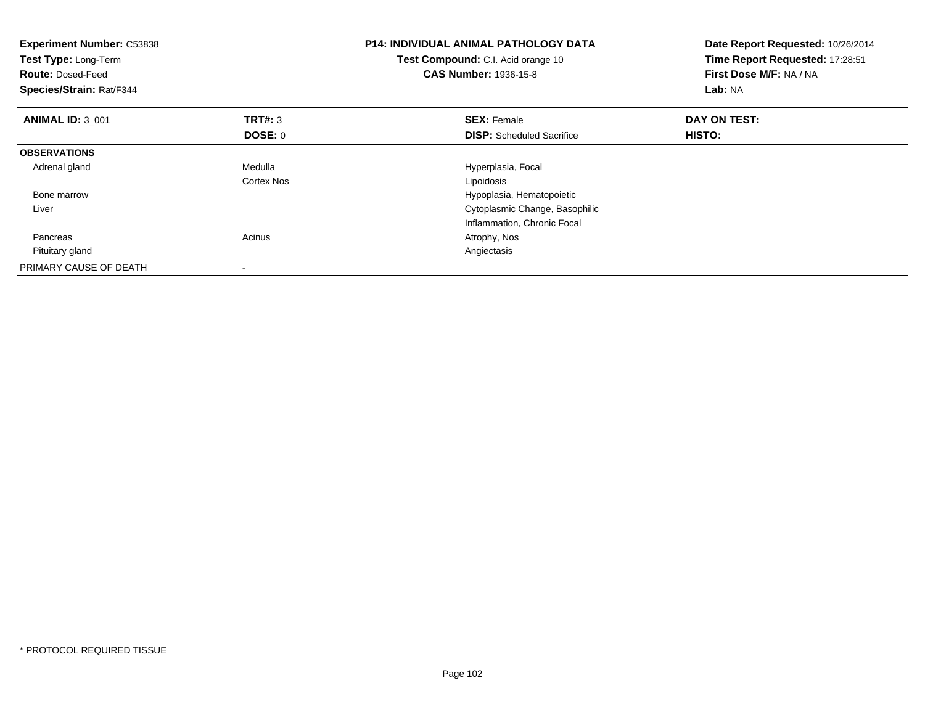| <b>Experiment Number: C53838</b><br>Test Type: Long-Term<br><b>Route: Dosed-Feed</b><br>Species/Strain: Rat/F344 |                | <b>P14: INDIVIDUAL ANIMAL PATHOLOGY DATA</b><br>Test Compound: C.I. Acid orange 10<br><b>CAS Number: 1936-15-8</b> | Date Report Requested: 10/26/2014<br>Time Report Requested: 17:28:51<br>First Dose M/F: NA / NA<br>Lab: NA |
|------------------------------------------------------------------------------------------------------------------|----------------|--------------------------------------------------------------------------------------------------------------------|------------------------------------------------------------------------------------------------------------|
| <b>ANIMAL ID: 3 001</b>                                                                                          | <b>TRT#: 3</b> | <b>SEX: Female</b>                                                                                                 | DAY ON TEST:                                                                                               |
|                                                                                                                  | DOSE: 0        | <b>DISP:</b> Scheduled Sacrifice                                                                                   | <b>HISTO:</b>                                                                                              |
| <b>OBSERVATIONS</b>                                                                                              |                |                                                                                                                    |                                                                                                            |
| Adrenal gland                                                                                                    | Medulla        | Hyperplasia, Focal                                                                                                 |                                                                                                            |
|                                                                                                                  | Cortex Nos     | Lipoidosis                                                                                                         |                                                                                                            |
| Bone marrow                                                                                                      |                | Hypoplasia, Hematopoietic                                                                                          |                                                                                                            |
| Liver                                                                                                            |                | Cytoplasmic Change, Basophilic                                                                                     |                                                                                                            |
|                                                                                                                  |                | Inflammation, Chronic Focal                                                                                        |                                                                                                            |
| Pancreas                                                                                                         | Acinus         | Atrophy, Nos                                                                                                       |                                                                                                            |
| Pituitary gland                                                                                                  |                | Angiectasis                                                                                                        |                                                                                                            |
| PRIMARY CAUSE OF DEATH                                                                                           |                |                                                                                                                    |                                                                                                            |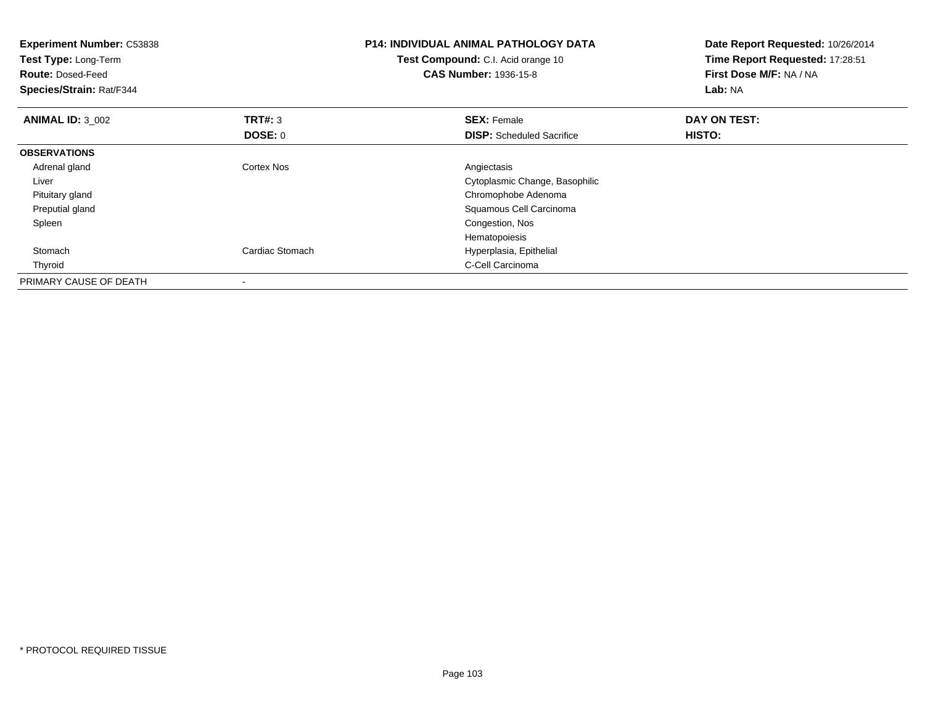| <b>Experiment Number: C53838</b><br>Test Type: Long-Term<br><b>Route: Dosed-Feed</b><br>Species/Strain: Rat/F344 |                 | <b>P14: INDIVIDUAL ANIMAL PATHOLOGY DATA</b><br>Test Compound: C.I. Acid orange 10<br><b>CAS Number: 1936-15-8</b> | Date Report Requested: 10/26/2014<br>Time Report Requested: 17:28:51<br>First Dose M/F: NA / NA<br>Lab: NA |
|------------------------------------------------------------------------------------------------------------------|-----------------|--------------------------------------------------------------------------------------------------------------------|------------------------------------------------------------------------------------------------------------|
| <b>ANIMAL ID: 3_002</b>                                                                                          | <b>TRT#: 3</b>  | <b>SEX: Female</b>                                                                                                 | DAY ON TEST:                                                                                               |
|                                                                                                                  | DOSE: 0         | <b>DISP:</b> Scheduled Sacrifice                                                                                   | <b>HISTO:</b>                                                                                              |
| <b>OBSERVATIONS</b>                                                                                              |                 |                                                                                                                    |                                                                                                            |
| Adrenal gland                                                                                                    | Cortex Nos      | Angiectasis                                                                                                        |                                                                                                            |
| Liver                                                                                                            |                 | Cytoplasmic Change, Basophilic                                                                                     |                                                                                                            |
| Pituitary gland                                                                                                  |                 | Chromophobe Adenoma                                                                                                |                                                                                                            |
| Preputial gland                                                                                                  |                 | Squamous Cell Carcinoma                                                                                            |                                                                                                            |
| Spleen                                                                                                           |                 | Congestion, Nos                                                                                                    |                                                                                                            |
|                                                                                                                  |                 | Hematopoiesis                                                                                                      |                                                                                                            |
| Stomach                                                                                                          | Cardiac Stomach | Hyperplasia, Epithelial                                                                                            |                                                                                                            |
| Thyroid                                                                                                          |                 | C-Cell Carcinoma                                                                                                   |                                                                                                            |
| PRIMARY CAUSE OF DEATH                                                                                           |                 |                                                                                                                    |                                                                                                            |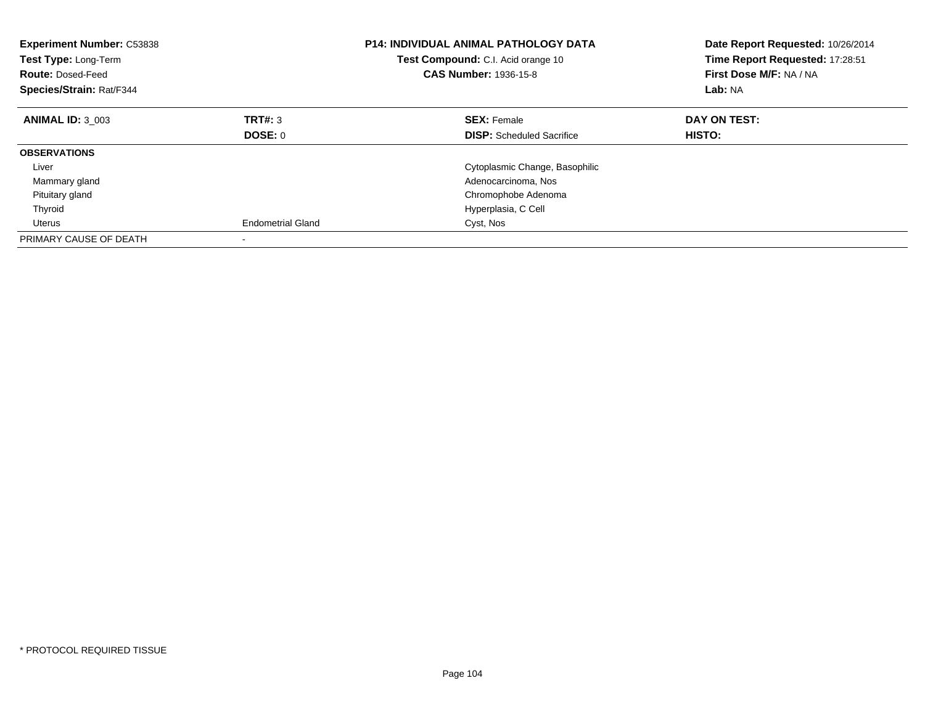| <b>Experiment Number: C53838</b><br>Test Type: Long-Term<br><b>Route: Dosed-Feed</b><br>Species/Strain: Rat/F344 |                          | <b>P14: INDIVIDUAL ANIMAL PATHOLOGY DATA</b><br>Test Compound: C.I. Acid orange 10<br><b>CAS Number: 1936-15-8</b> | Date Report Requested: 10/26/2014<br>Time Report Requested: 17:28:51<br>First Dose M/F: NA / NA<br>Lab: NA |
|------------------------------------------------------------------------------------------------------------------|--------------------------|--------------------------------------------------------------------------------------------------------------------|------------------------------------------------------------------------------------------------------------|
| <b>ANIMAL ID: 3 003</b>                                                                                          | TRT#: 3                  | <b>SEX: Female</b>                                                                                                 | DAY ON TEST:                                                                                               |
|                                                                                                                  | DOSE: 0                  | <b>DISP:</b> Scheduled Sacrifice                                                                                   | HISTO:                                                                                                     |
| <b>OBSERVATIONS</b>                                                                                              |                          |                                                                                                                    |                                                                                                            |
| Liver                                                                                                            |                          | Cytoplasmic Change, Basophilic                                                                                     |                                                                                                            |
| Mammary gland                                                                                                    |                          | Adenocarcinoma, Nos                                                                                                |                                                                                                            |
| Pituitary gland                                                                                                  |                          | Chromophobe Adenoma                                                                                                |                                                                                                            |
| Thyroid                                                                                                          |                          | Hyperplasia, C Cell                                                                                                |                                                                                                            |
| Uterus                                                                                                           | <b>Endometrial Gland</b> | Cyst, Nos                                                                                                          |                                                                                                            |
| PRIMARY CAUSE OF DEATH                                                                                           |                          |                                                                                                                    |                                                                                                            |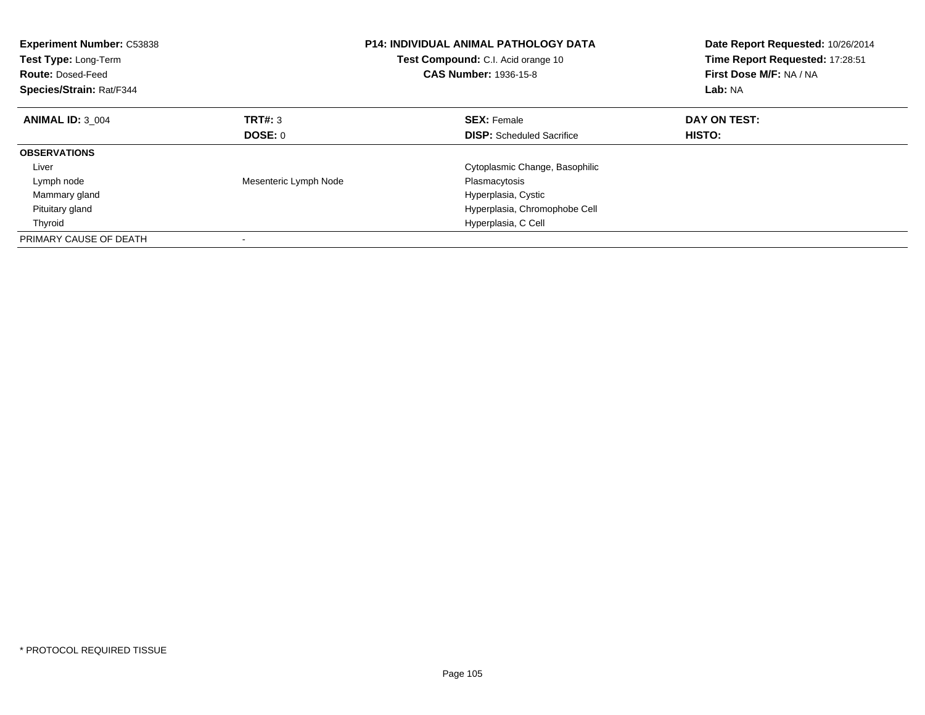| <b>Experiment Number: C53838</b><br>Test Type: Long-Term<br><b>Route: Dosed-Feed</b><br>Species/Strain: Rat/F344 |                       | <b>P14: INDIVIDUAL ANIMAL PATHOLOGY DATA</b><br>Test Compound: C.I. Acid orange 10<br><b>CAS Number: 1936-15-8</b> | Date Report Requested: 10/26/2014<br>Time Report Requested: 17:28:51<br>First Dose M/F: NA / NA<br>Lab: NA |
|------------------------------------------------------------------------------------------------------------------|-----------------------|--------------------------------------------------------------------------------------------------------------------|------------------------------------------------------------------------------------------------------------|
| <b>ANIMAL ID: 3 004</b>                                                                                          | TRT#: 3               | <b>SEX: Female</b>                                                                                                 | DAY ON TEST:                                                                                               |
|                                                                                                                  | DOSE: 0               | <b>DISP:</b> Scheduled Sacrifice                                                                                   | HISTO:                                                                                                     |
| <b>OBSERVATIONS</b>                                                                                              |                       |                                                                                                                    |                                                                                                            |
| Liver                                                                                                            |                       | Cytoplasmic Change, Basophilic                                                                                     |                                                                                                            |
| Lymph node                                                                                                       | Mesenteric Lymph Node | Plasmacytosis                                                                                                      |                                                                                                            |
| Mammary gland                                                                                                    |                       | Hyperplasia, Cystic                                                                                                |                                                                                                            |
| Pituitary gland                                                                                                  |                       | Hyperplasia, Chromophobe Cell                                                                                      |                                                                                                            |
| Thyroid                                                                                                          |                       | Hyperplasia, C Cell                                                                                                |                                                                                                            |
| PRIMARY CAUSE OF DEATH                                                                                           |                       |                                                                                                                    |                                                                                                            |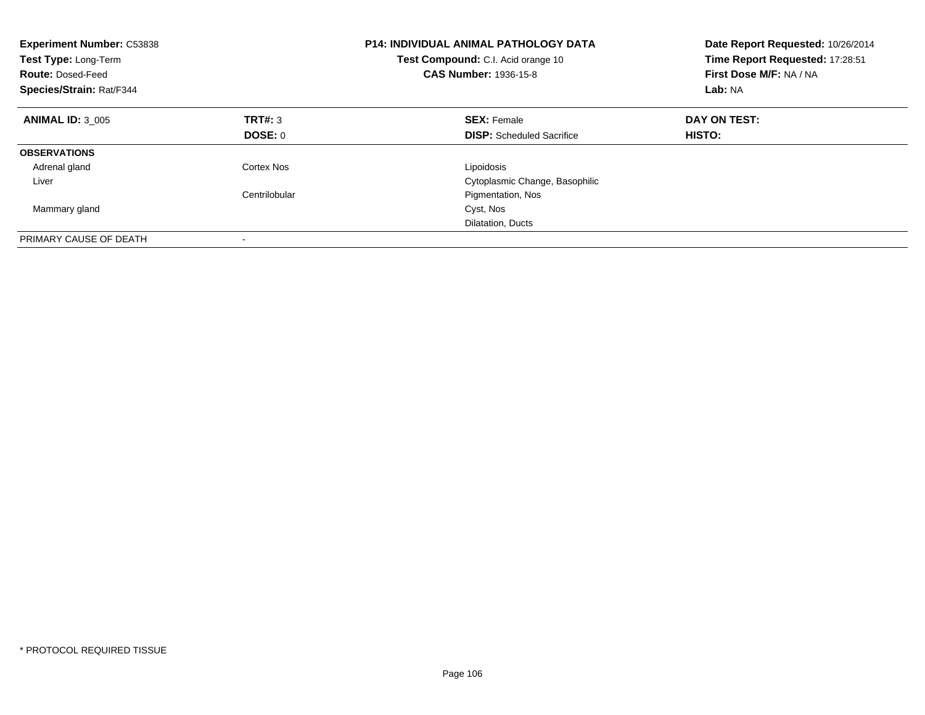| <b>Experiment Number: C53838</b><br>Test Type: Long-Term<br><b>Route: Dosed-Feed</b><br><b>Species/Strain: Rat/F344</b> |               | <b>P14: INDIVIDUAL ANIMAL PATHOLOGY DATA</b><br><b>Test Compound:</b> C.I. Acid orange 10<br><b>CAS Number: 1936-15-8</b> | Date Report Requested: 10/26/2014<br>Time Report Requested: 17:28:51<br>First Dose M/F: NA / NA<br>Lab: NA |
|-------------------------------------------------------------------------------------------------------------------------|---------------|---------------------------------------------------------------------------------------------------------------------------|------------------------------------------------------------------------------------------------------------|
| <b>ANIMAL ID: 3 005</b>                                                                                                 | TRT#: 3       | <b>SEX: Female</b>                                                                                                        | DAY ON TEST:                                                                                               |
|                                                                                                                         | DOSE: 0       | <b>DISP:</b> Scheduled Sacrifice                                                                                          | HISTO:                                                                                                     |
| <b>OBSERVATIONS</b>                                                                                                     |               |                                                                                                                           |                                                                                                            |
| Adrenal gland                                                                                                           | Cortex Nos    | Lipoidosis                                                                                                                |                                                                                                            |
| Liver                                                                                                                   |               | Cytoplasmic Change, Basophilic                                                                                            |                                                                                                            |
|                                                                                                                         | Centrilobular | Pigmentation, Nos                                                                                                         |                                                                                                            |
| Mammary gland                                                                                                           |               | Cyst, Nos                                                                                                                 |                                                                                                            |
|                                                                                                                         |               | Dilatation, Ducts                                                                                                         |                                                                                                            |
| PRIMARY CAUSE OF DEATH                                                                                                  |               |                                                                                                                           |                                                                                                            |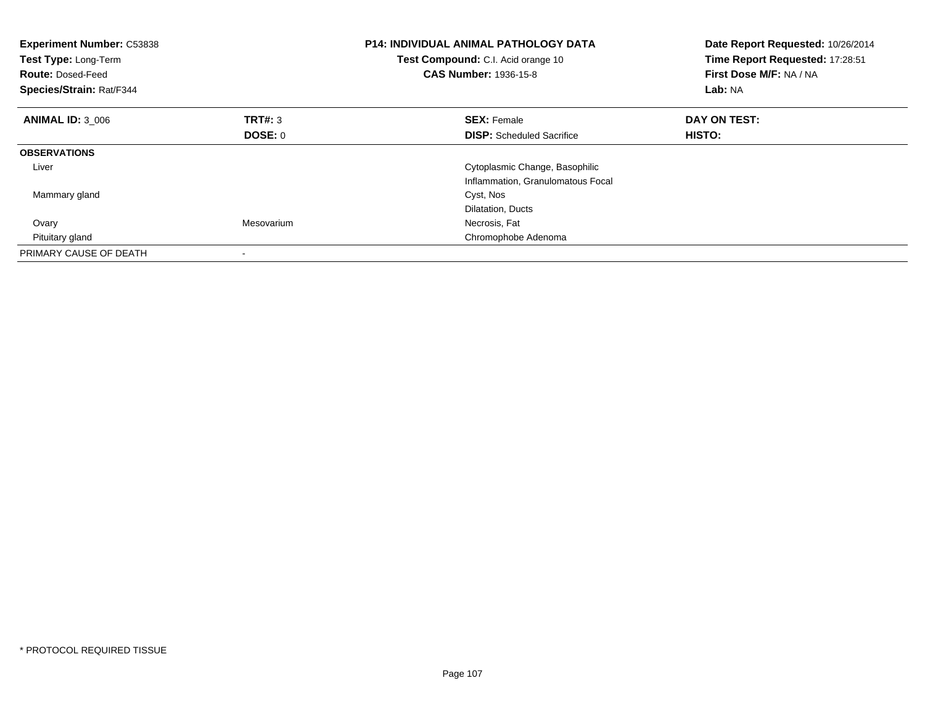| <b>Experiment Number: C53838</b><br>Test Type: Long-Term<br><b>Route: Dosed-Feed</b><br>Species/Strain: Rat/F344 |            | <b>P14: INDIVIDUAL ANIMAL PATHOLOGY DATA</b><br>Test Compound: C.I. Acid orange 10<br><b>CAS Number: 1936-15-8</b> | Date Report Requested: 10/26/2014<br>Time Report Requested: 17:28:51<br>First Dose M/F: NA / NA<br>Lab: NA |
|------------------------------------------------------------------------------------------------------------------|------------|--------------------------------------------------------------------------------------------------------------------|------------------------------------------------------------------------------------------------------------|
| <b>ANIMAL ID: 3 006</b>                                                                                          | TRT#: 3    | <b>SEX: Female</b>                                                                                                 | DAY ON TEST:                                                                                               |
|                                                                                                                  | DOSE: 0    | <b>DISP:</b> Scheduled Sacrifice                                                                                   | HISTO:                                                                                                     |
| <b>OBSERVATIONS</b>                                                                                              |            |                                                                                                                    |                                                                                                            |
| Liver                                                                                                            |            | Cytoplasmic Change, Basophilic                                                                                     |                                                                                                            |
|                                                                                                                  |            | Inflammation, Granulomatous Focal                                                                                  |                                                                                                            |
| Mammary gland                                                                                                    |            | Cyst, Nos                                                                                                          |                                                                                                            |
|                                                                                                                  |            | Dilatation, Ducts                                                                                                  |                                                                                                            |
| Ovary                                                                                                            | Mesovarium | Necrosis, Fat                                                                                                      |                                                                                                            |
| Pituitary gland                                                                                                  |            | Chromophobe Adenoma                                                                                                |                                                                                                            |
| PRIMARY CAUSE OF DEATH                                                                                           |            |                                                                                                                    |                                                                                                            |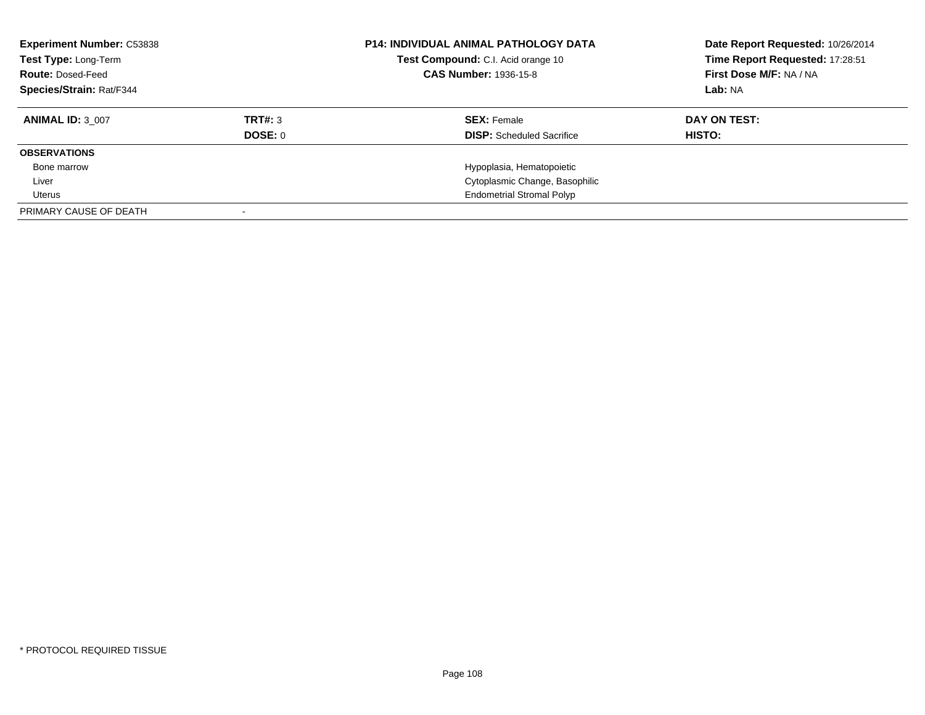| <b>Experiment Number: C53838</b><br>Test Type: Long-Term<br><b>Route: Dosed-Feed</b><br><b>Species/Strain: Rat/F344</b> |                | <b>P14: INDIVIDUAL ANIMAL PATHOLOGY DATA</b><br>Test Compound: C.I. Acid orange 10<br><b>CAS Number: 1936-15-8</b> | Date Report Requested: 10/26/2014<br>Time Report Requested: 17:28:51<br>First Dose M/F: NA / NA<br>Lab: NA |
|-------------------------------------------------------------------------------------------------------------------------|----------------|--------------------------------------------------------------------------------------------------------------------|------------------------------------------------------------------------------------------------------------|
| <b>ANIMAL ID: 3 007</b>                                                                                                 | TRT#: 3        | <b>SEX: Female</b>                                                                                                 | DAY ON TEST:                                                                                               |
|                                                                                                                         | <b>DOSE: 0</b> | <b>DISP:</b> Scheduled Sacrifice                                                                                   | HISTO:                                                                                                     |
| <b>OBSERVATIONS</b>                                                                                                     |                |                                                                                                                    |                                                                                                            |
| Bone marrow                                                                                                             |                | Hypoplasia, Hematopoietic                                                                                          |                                                                                                            |
| Liver                                                                                                                   |                | Cytoplasmic Change, Basophilic                                                                                     |                                                                                                            |
| Uterus                                                                                                                  |                | <b>Endometrial Stromal Polyp</b>                                                                                   |                                                                                                            |
| PRIMARY CAUSE OF DEATH                                                                                                  |                |                                                                                                                    |                                                                                                            |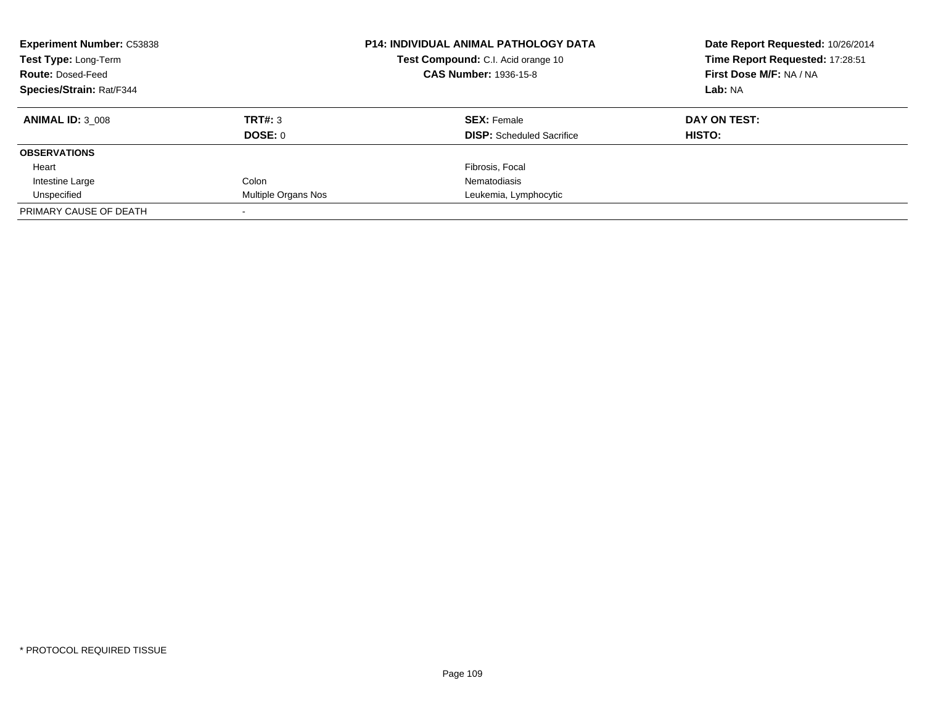| <b>Experiment Number: C53838</b><br><b>Test Type: Long-Term</b><br><b>Route: Dosed-Feed</b><br><b>Species/Strain: Rat/F344</b> |                     | <b>P14: INDIVIDUAL ANIMAL PATHOLOGY DATA</b><br><b>Test Compound:</b> C.I. Acid orange 10<br><b>CAS Number: 1936-15-8</b> | Date Report Requested: 10/26/2014<br>Time Report Requested: 17:28:51<br>First Dose M/F: NA / NA<br>Lab: NA |
|--------------------------------------------------------------------------------------------------------------------------------|---------------------|---------------------------------------------------------------------------------------------------------------------------|------------------------------------------------------------------------------------------------------------|
| <b>ANIMAL ID: 3 008</b>                                                                                                        | TRT#: 3<br>DOSE: 0  | <b>SEX: Female</b><br><b>DISP:</b> Scheduled Sacrifice                                                                    | DAY ON TEST:<br>HISTO:                                                                                     |
| <b>OBSERVATIONS</b>                                                                                                            |                     |                                                                                                                           |                                                                                                            |
| Heart                                                                                                                          |                     | Fibrosis, Focal                                                                                                           |                                                                                                            |
| Intestine Large                                                                                                                | Colon               | Nematodiasis                                                                                                              |                                                                                                            |
| Unspecified                                                                                                                    | Multiple Organs Nos | Leukemia, Lymphocytic                                                                                                     |                                                                                                            |
| PRIMARY CAUSE OF DEATH                                                                                                         |                     |                                                                                                                           |                                                                                                            |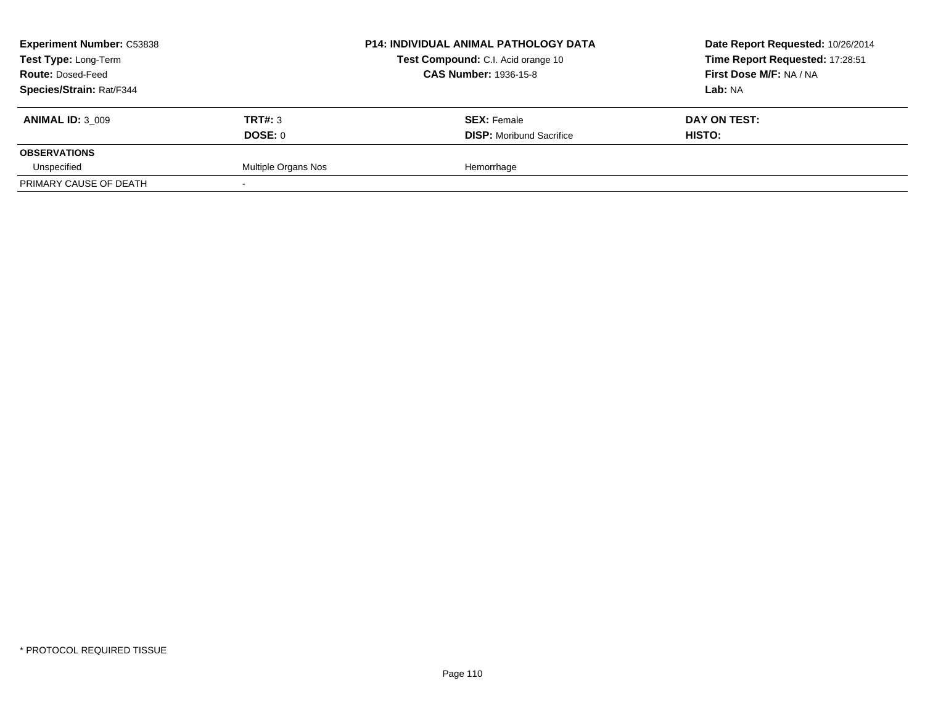| <b>Experiment Number: C53838</b> |                     | <b>P14: INDIVIDUAL ANIMAL PATHOLOGY DATA</b><br>Test Compound: C.I. Acid orange 10 | Date Report Requested: 10/26/2014 |
|----------------------------------|---------------------|------------------------------------------------------------------------------------|-----------------------------------|
| Test Type: Long-Term             |                     |                                                                                    | Time Report Requested: 17:28:51   |
| <b>Route: Dosed-Feed</b>         |                     | <b>CAS Number: 1936-15-8</b>                                                       | First Dose M/F: NA / NA           |
| Species/Strain: Rat/F344         |                     |                                                                                    | Lab: NA                           |
| <b>ANIMAL ID: 3 009</b>          | TRT#: 3             | <b>SEX: Female</b>                                                                 | DAY ON TEST:                      |
|                                  | DOSE: 0             | <b>DISP:</b> Moribund Sacrifice                                                    | <b>HISTO:</b>                     |
| <b>OBSERVATIONS</b>              |                     |                                                                                    |                                   |
| Unspecified                      | Multiple Organs Nos | Hemorrhage                                                                         |                                   |
| PRIMARY CAUSE OF DEATH           |                     |                                                                                    |                                   |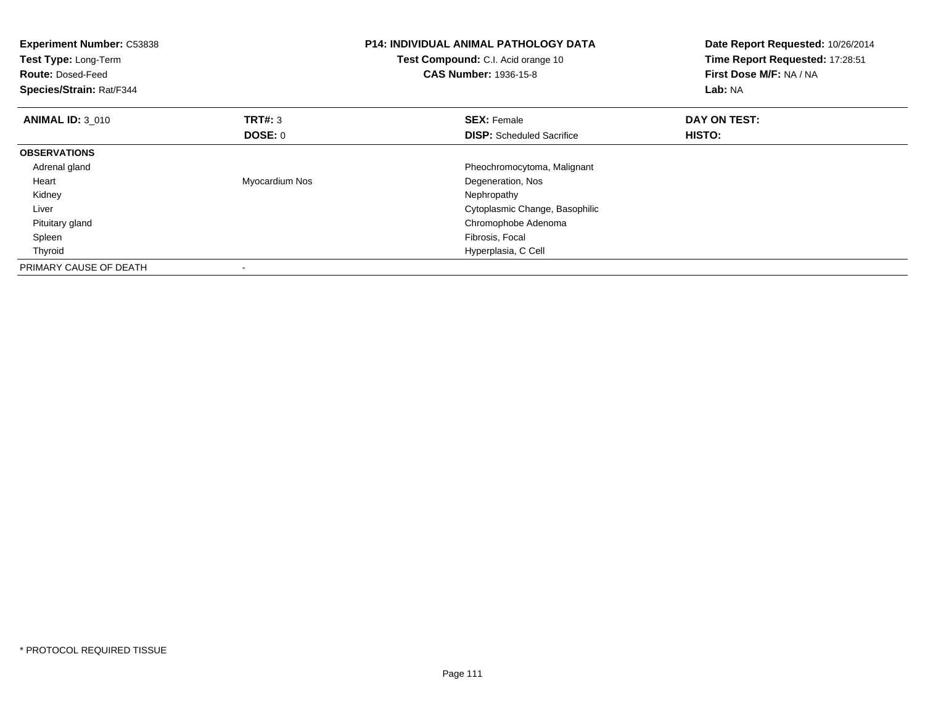| <b>Experiment Number: C53838</b><br>Test Type: Long-Term<br><b>Route: Dosed-Feed</b><br>Species/Strain: Rat/F344 |                | <b>P14: INDIVIDUAL ANIMAL PATHOLOGY DATA</b><br>Test Compound: C.I. Acid orange 10<br><b>CAS Number: 1936-15-8</b> | Date Report Requested: 10/26/2014<br>Time Report Requested: 17:28:51<br>First Dose M/F: NA / NA<br>Lab: NA |
|------------------------------------------------------------------------------------------------------------------|----------------|--------------------------------------------------------------------------------------------------------------------|------------------------------------------------------------------------------------------------------------|
| <b>ANIMAL ID: 3 010</b>                                                                                          | <b>TRT#: 3</b> | <b>SEX: Female</b>                                                                                                 | DAY ON TEST:                                                                                               |
|                                                                                                                  | DOSE: 0        | <b>DISP:</b> Scheduled Sacrifice                                                                                   | HISTO:                                                                                                     |
| <b>OBSERVATIONS</b>                                                                                              |                |                                                                                                                    |                                                                                                            |
| Adrenal gland                                                                                                    |                | Pheochromocytoma, Malignant                                                                                        |                                                                                                            |
| Heart                                                                                                            | Myocardium Nos | Degeneration, Nos                                                                                                  |                                                                                                            |
| Kidney                                                                                                           |                | Nephropathy                                                                                                        |                                                                                                            |
| Liver                                                                                                            |                | Cytoplasmic Change, Basophilic                                                                                     |                                                                                                            |
| Pituitary gland                                                                                                  |                | Chromophobe Adenoma                                                                                                |                                                                                                            |
| Spleen                                                                                                           |                | Fibrosis, Focal                                                                                                    |                                                                                                            |
| Thyroid                                                                                                          |                | Hyperplasia, C Cell                                                                                                |                                                                                                            |
| PRIMARY CAUSE OF DEATH                                                                                           |                |                                                                                                                    |                                                                                                            |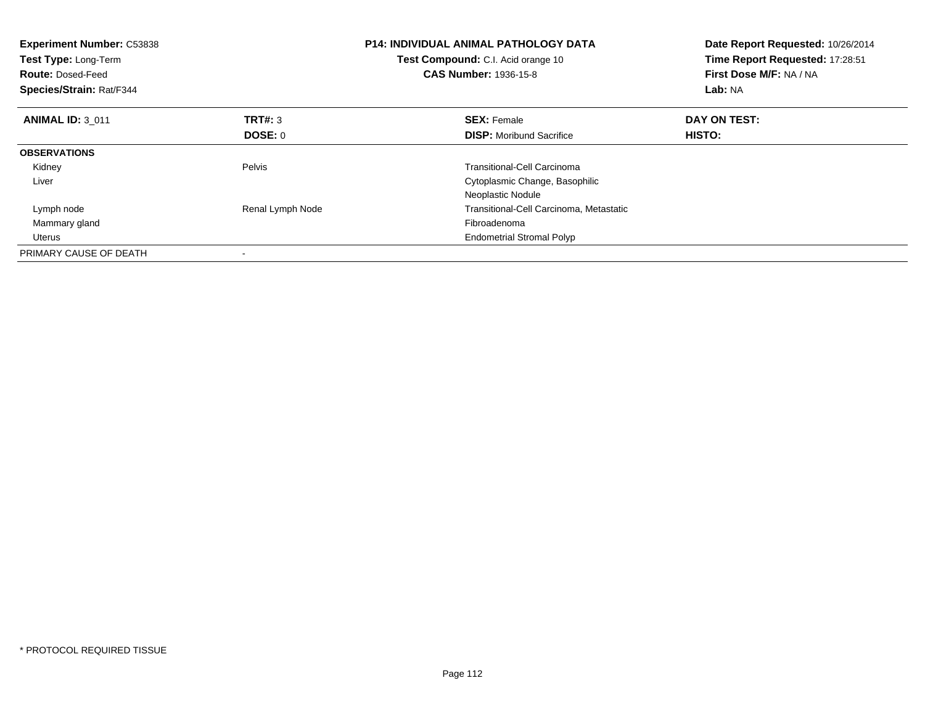| <b>Experiment Number: C53838</b><br>Test Type: Long-Term<br><b>Route: Dosed-Feed</b><br>Species/Strain: Rat/F344 |                  | <b>P14: INDIVIDUAL ANIMAL PATHOLOGY DATA</b><br><b>Test Compound:</b> C.I. Acid orange 10<br><b>CAS Number: 1936-15-8</b> | Date Report Requested: 10/26/2014<br>Time Report Requested: 17:28:51<br>First Dose M/F: NA / NA<br>Lab: NA |
|------------------------------------------------------------------------------------------------------------------|------------------|---------------------------------------------------------------------------------------------------------------------------|------------------------------------------------------------------------------------------------------------|
| <b>ANIMAL ID: 3 011</b>                                                                                          | <b>TRT#: 3</b>   | <b>SEX: Female</b>                                                                                                        | DAY ON TEST:                                                                                               |
|                                                                                                                  | <b>DOSE: 0</b>   | <b>DISP:</b> Moribund Sacrifice                                                                                           | HISTO:                                                                                                     |
| <b>OBSERVATIONS</b>                                                                                              |                  |                                                                                                                           |                                                                                                            |
| Kidney                                                                                                           | Pelvis           | Transitional-Cell Carcinoma                                                                                               |                                                                                                            |
| Liver                                                                                                            |                  | Cytoplasmic Change, Basophilic                                                                                            |                                                                                                            |
|                                                                                                                  |                  | Neoplastic Nodule                                                                                                         |                                                                                                            |
| Lymph node                                                                                                       | Renal Lymph Node | Transitional-Cell Carcinoma, Metastatic                                                                                   |                                                                                                            |
| Mammary gland                                                                                                    |                  | Fibroadenoma                                                                                                              |                                                                                                            |
| Uterus                                                                                                           |                  | <b>Endometrial Stromal Polyp</b>                                                                                          |                                                                                                            |
| PRIMARY CAUSE OF DEATH                                                                                           |                  |                                                                                                                           |                                                                                                            |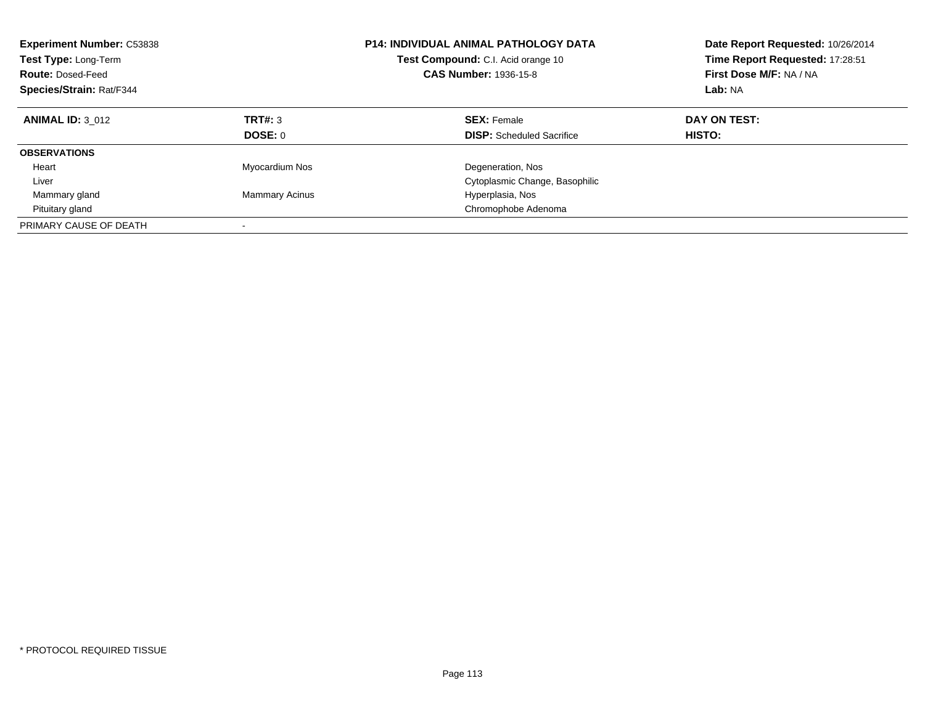| <b>Experiment Number: C53838</b><br>Test Type: Long-Term<br><b>Route: Dosed-Feed</b><br>Species/Strain: Rat/F344 |                       | <b>P14: INDIVIDUAL ANIMAL PATHOLOGY DATA</b><br>Test Compound: C.I. Acid orange 10<br><b>CAS Number: 1936-15-8</b> | Date Report Requested: 10/26/2014<br>Time Report Requested: 17:28:51<br>First Dose M/F: NA / NA<br>Lab: NA |
|------------------------------------------------------------------------------------------------------------------|-----------------------|--------------------------------------------------------------------------------------------------------------------|------------------------------------------------------------------------------------------------------------|
| <b>ANIMAL ID: 3 012</b>                                                                                          | <b>TRT#: 3</b>        | <b>SEX: Female</b>                                                                                                 | DAY ON TEST:                                                                                               |
|                                                                                                                  | DOSE: 0               | <b>DISP:</b> Scheduled Sacrifice                                                                                   | HISTO:                                                                                                     |
| <b>OBSERVATIONS</b>                                                                                              |                       |                                                                                                                    |                                                                                                            |
| Heart                                                                                                            | Myocardium Nos        | Degeneration, Nos                                                                                                  |                                                                                                            |
| Liver                                                                                                            |                       | Cytoplasmic Change, Basophilic                                                                                     |                                                                                                            |
| Mammary gland                                                                                                    | <b>Mammary Acinus</b> | Hyperplasia, Nos                                                                                                   |                                                                                                            |
| Pituitary gland                                                                                                  |                       | Chromophobe Adenoma                                                                                                |                                                                                                            |
| PRIMARY CAUSE OF DEATH                                                                                           |                       |                                                                                                                    |                                                                                                            |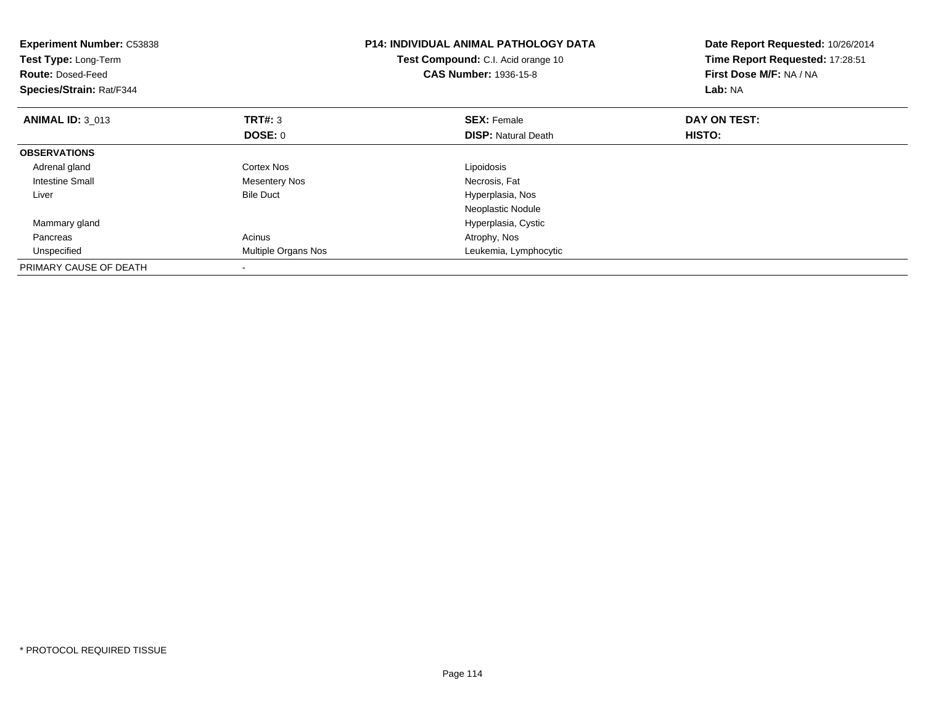| <b>Experiment Number: C53838</b><br>Test Type: Long-Term<br><b>Route: Dosed-Feed</b><br>Species/Strain: Rat/F344 |                      | <b>P14: INDIVIDUAL ANIMAL PATHOLOGY DATA</b><br><b>Test Compound:</b> C.I. Acid orange 10<br><b>CAS Number: 1936-15-8</b> | Date Report Requested: 10/26/2014<br>Time Report Requested: 17:28:51<br>First Dose M/F: NA / NA<br>Lab: NA |
|------------------------------------------------------------------------------------------------------------------|----------------------|---------------------------------------------------------------------------------------------------------------------------|------------------------------------------------------------------------------------------------------------|
| <b>ANIMAL ID: 3 013</b>                                                                                          | <b>TRT#: 3</b>       | <b>SEX: Female</b>                                                                                                        | DAY ON TEST:                                                                                               |
|                                                                                                                  | DOSE: 0              | <b>DISP: Natural Death</b>                                                                                                | HISTO:                                                                                                     |
| <b>OBSERVATIONS</b>                                                                                              |                      |                                                                                                                           |                                                                                                            |
| Adrenal gland                                                                                                    | Cortex Nos           | Lipoidosis                                                                                                                |                                                                                                            |
| <b>Intestine Small</b>                                                                                           | <b>Mesentery Nos</b> | Necrosis, Fat                                                                                                             |                                                                                                            |
| Liver                                                                                                            | <b>Bile Duct</b>     | Hyperplasia, Nos                                                                                                          |                                                                                                            |
|                                                                                                                  |                      | Neoplastic Nodule                                                                                                         |                                                                                                            |
| Mammary gland                                                                                                    |                      | Hyperplasia, Cystic                                                                                                       |                                                                                                            |
| Pancreas                                                                                                         | Acinus               | Atrophy, Nos                                                                                                              |                                                                                                            |
| Unspecified                                                                                                      | Multiple Organs Nos  | Leukemia, Lymphocytic                                                                                                     |                                                                                                            |
| PRIMARY CAUSE OF DEATH                                                                                           |                      |                                                                                                                           |                                                                                                            |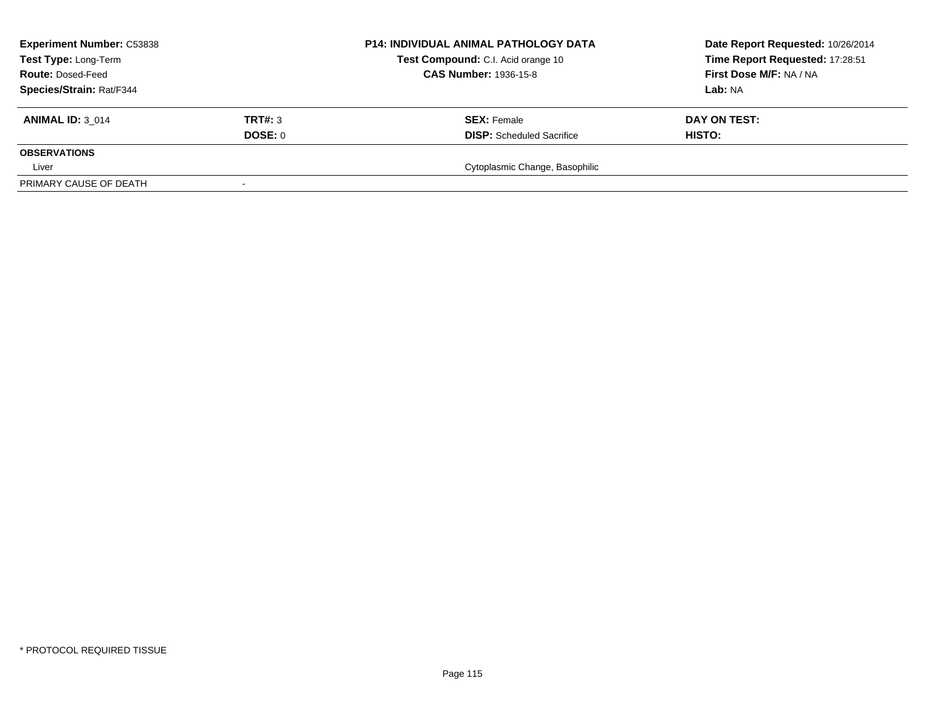| <b>Experiment Number: C53838</b> | <b>P14: INDIVIDUAL ANIMAL PATHOLOGY DATA</b> | Date Report Requested: 10/26/2014                                  |                                 |
|----------------------------------|----------------------------------------------|--------------------------------------------------------------------|---------------------------------|
| Test Type: Long-Term             |                                              | Test Compound: C.I. Acid orange 10<br><b>CAS Number: 1936-15-8</b> | Time Report Requested: 17:28:51 |
| <b>Route: Dosed-Feed</b>         |                                              |                                                                    | First Dose M/F: NA / NA         |
| Species/Strain: Rat/F344         |                                              |                                                                    | Lab: NA                         |
| <b>ANIMAL ID: 3 014</b>          | TRT#: 3                                      | <b>SEX:</b> Female                                                 | DAY ON TEST:                    |
|                                  | DOSE: 0                                      | <b>DISP:</b> Scheduled Sacrifice                                   | <b>HISTO:</b>                   |
| <b>OBSERVATIONS</b>              |                                              |                                                                    |                                 |
| Liver                            |                                              | Cytoplasmic Change, Basophilic                                     |                                 |
| PRIMARY CAUSE OF DEATH           |                                              |                                                                    |                                 |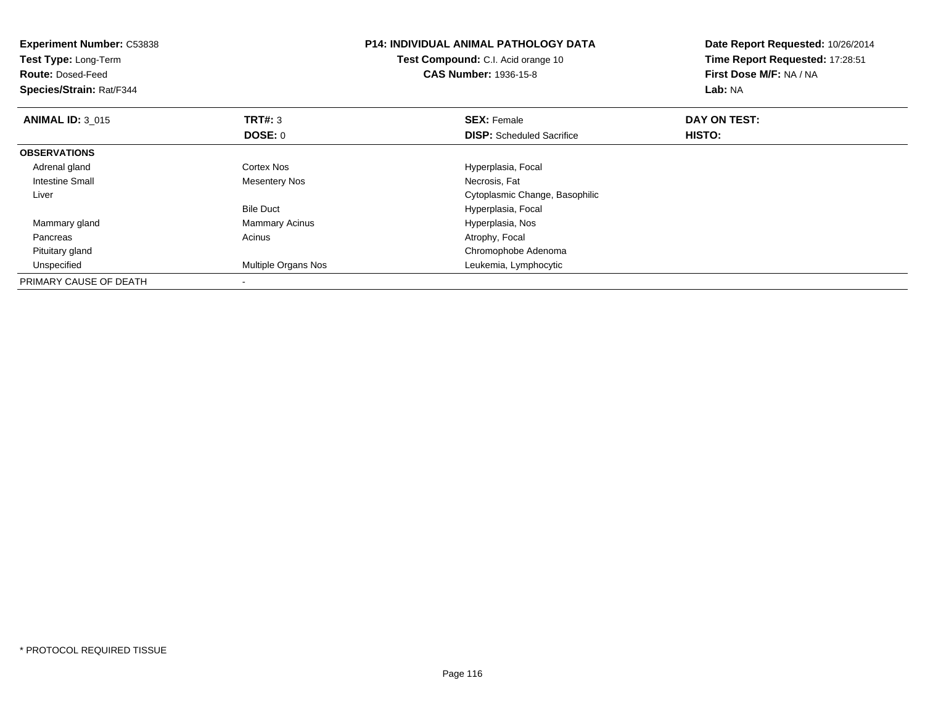| <b>Experiment Number: C53838</b> |                       | <b>P14: INDIVIDUAL ANIMAL PATHOLOGY DATA</b> | Date Report Requested: 10/26/2014 |
|----------------------------------|-----------------------|----------------------------------------------|-----------------------------------|
| Test Type: Long-Term             |                       | Test Compound: C.I. Acid orange 10           | Time Report Requested: 17:28:51   |
| <b>Route: Dosed-Feed</b>         |                       | <b>CAS Number: 1936-15-8</b>                 | First Dose M/F: NA / NA           |
| Species/Strain: Rat/F344         |                       |                                              | Lab: NA                           |
| <b>ANIMAL ID: 3 015</b>          | TRT#: 3               | <b>SEX: Female</b>                           | DAY ON TEST:                      |
|                                  | <b>DOSE: 0</b>        | <b>DISP:</b> Scheduled Sacrifice             | HISTO:                            |
| <b>OBSERVATIONS</b>              |                       |                                              |                                   |
| Adrenal gland                    | Cortex Nos            | Hyperplasia, Focal                           |                                   |
| Intestine Small                  | Mesentery Nos         | Necrosis, Fat                                |                                   |
| Liver                            |                       | Cytoplasmic Change, Basophilic               |                                   |
|                                  | <b>Bile Duct</b>      | Hyperplasia, Focal                           |                                   |
| Mammary gland                    | <b>Mammary Acinus</b> | Hyperplasia, Nos                             |                                   |
| Pancreas                         | Acinus                | Atrophy, Focal                               |                                   |
| Pituitary gland                  |                       | Chromophobe Adenoma                          |                                   |
| Unspecified                      | Multiple Organs Nos   | Leukemia, Lymphocytic                        |                                   |
| PRIMARY CAUSE OF DEATH           |                       |                                              |                                   |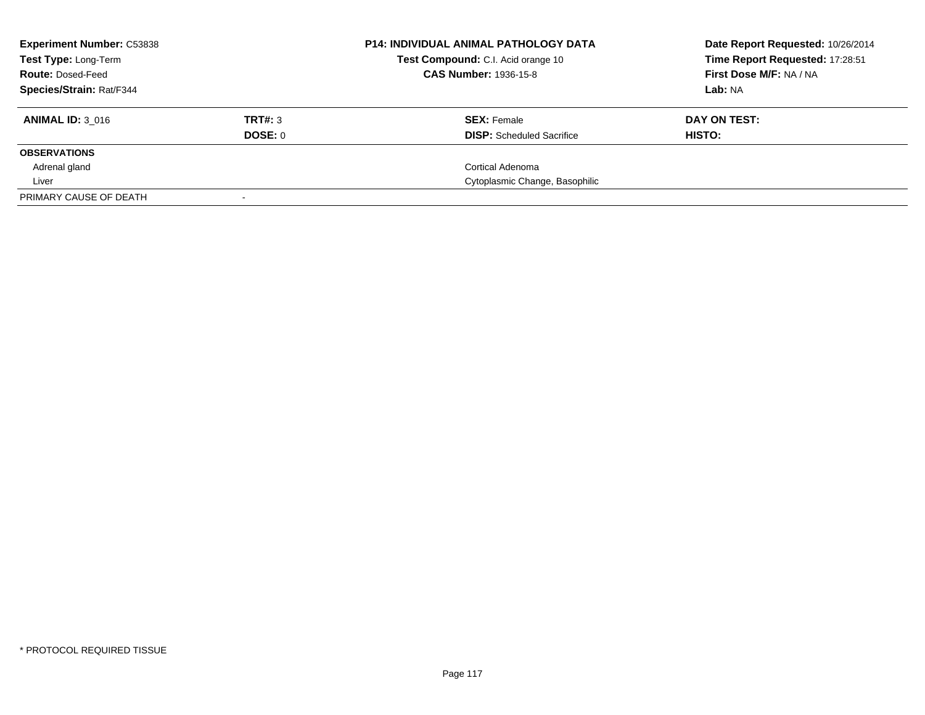| <b>Experiment Number: C53838</b><br><b>Test Type: Long-Term</b> |         | <b>P14: INDIVIDUAL ANIMAL PATHOLOGY DATA</b><br>Test Compound: C.I. Acid orange 10 | Date Report Requested: 10/26/2014<br>Time Report Requested: 17:28:51 |
|-----------------------------------------------------------------|---------|------------------------------------------------------------------------------------|----------------------------------------------------------------------|
| <b>Route: Dosed-Feed</b>                                        |         | <b>CAS Number: 1936-15-8</b>                                                       | First Dose M/F: NA / NA                                              |
| Species/Strain: Rat/F344                                        |         |                                                                                    | Lab: NA                                                              |
| <b>ANIMAL ID: 3 016</b>                                         | TRT#: 3 | <b>SEX: Female</b>                                                                 | DAY ON TEST:                                                         |
|                                                                 | DOSE: 0 | <b>DISP:</b> Scheduled Sacrifice                                                   | HISTO:                                                               |
| <b>OBSERVATIONS</b>                                             |         |                                                                                    |                                                                      |
| Adrenal gland                                                   |         | Cortical Adenoma                                                                   |                                                                      |
| Liver                                                           |         | Cytoplasmic Change, Basophilic                                                     |                                                                      |
| PRIMARY CAUSE OF DEATH                                          |         |                                                                                    |                                                                      |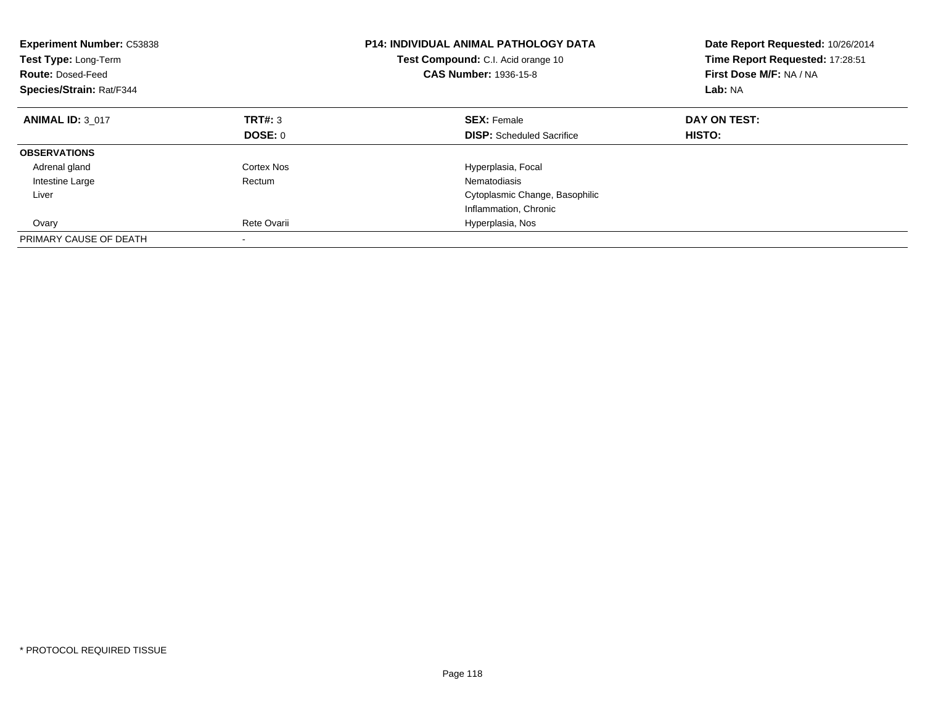| <b>Experiment Number: C53838</b><br>Test Type: Long-Term<br><b>Route: Dosed-Feed</b><br>Species/Strain: Rat/F344 |             | <b>P14: INDIVIDUAL ANIMAL PATHOLOGY DATA</b><br><b>Test Compound:</b> C.I. Acid orange 10<br><b>CAS Number: 1936-15-8</b> | Date Report Requested: 10/26/2014<br>Time Report Requested: 17:28:51<br>First Dose M/F: NA / NA<br>Lab: NA |
|------------------------------------------------------------------------------------------------------------------|-------------|---------------------------------------------------------------------------------------------------------------------------|------------------------------------------------------------------------------------------------------------|
| <b>ANIMAL ID: 3 017</b>                                                                                          | TRT#: 3     | <b>SEX: Female</b>                                                                                                        | DAY ON TEST:                                                                                               |
|                                                                                                                  | DOSE: 0     | <b>DISP:</b> Scheduled Sacrifice                                                                                          | HISTO:                                                                                                     |
| <b>OBSERVATIONS</b>                                                                                              |             |                                                                                                                           |                                                                                                            |
| Adrenal gland                                                                                                    | Cortex Nos  | Hyperplasia, Focal                                                                                                        |                                                                                                            |
| Intestine Large                                                                                                  | Rectum      | Nematodiasis                                                                                                              |                                                                                                            |
| Liver                                                                                                            |             | Cytoplasmic Change, Basophilic                                                                                            |                                                                                                            |
|                                                                                                                  |             | Inflammation, Chronic                                                                                                     |                                                                                                            |
| Ovary                                                                                                            | Rete Ovarii | Hyperplasia, Nos                                                                                                          |                                                                                                            |
| PRIMARY CAUSE OF DEATH                                                                                           |             |                                                                                                                           |                                                                                                            |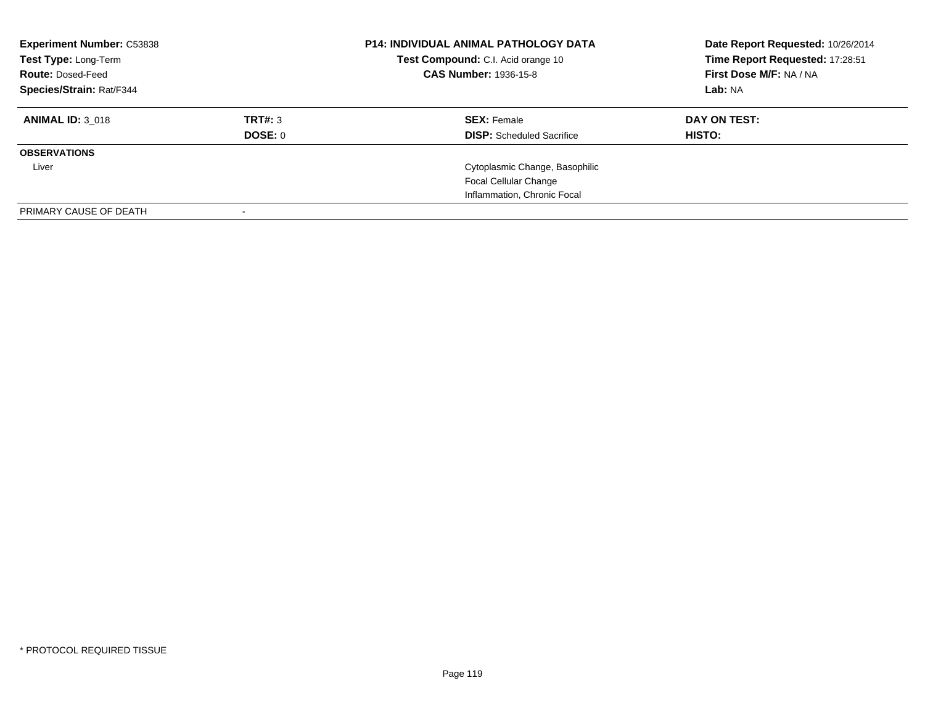| <b>Experiment Number: C53838</b><br>Test Type: Long-Term<br><b>Route: Dosed-Feed</b><br>Species/Strain: Rat/F344 |                    | <b>P14: INDIVIDUAL ANIMAL PATHOLOGY DATA</b><br>Test Compound: C.I. Acid orange 10<br><b>CAS Number: 1936-15-8</b> | Date Report Requested: 10/26/2014<br>Time Report Requested: 17:28:51<br>First Dose M/F: NA / NA<br>Lab: NA |
|------------------------------------------------------------------------------------------------------------------|--------------------|--------------------------------------------------------------------------------------------------------------------|------------------------------------------------------------------------------------------------------------|
| <b>ANIMAL ID: 3 018</b>                                                                                          | TRT#: 3<br>DOSE: 0 | <b>SEX:</b> Female<br><b>DISP:</b> Scheduled Sacrifice                                                             | DAY ON TEST:<br><b>HISTO:</b>                                                                              |
| <b>OBSERVATIONS</b>                                                                                              |                    |                                                                                                                    |                                                                                                            |
| Liver                                                                                                            |                    | Cytoplasmic Change, Basophilic                                                                                     |                                                                                                            |
|                                                                                                                  |                    | <b>Focal Cellular Change</b>                                                                                       |                                                                                                            |
|                                                                                                                  |                    | Inflammation, Chronic Focal                                                                                        |                                                                                                            |
| PRIMARY CAUSE OF DEATH                                                                                           |                    |                                                                                                                    |                                                                                                            |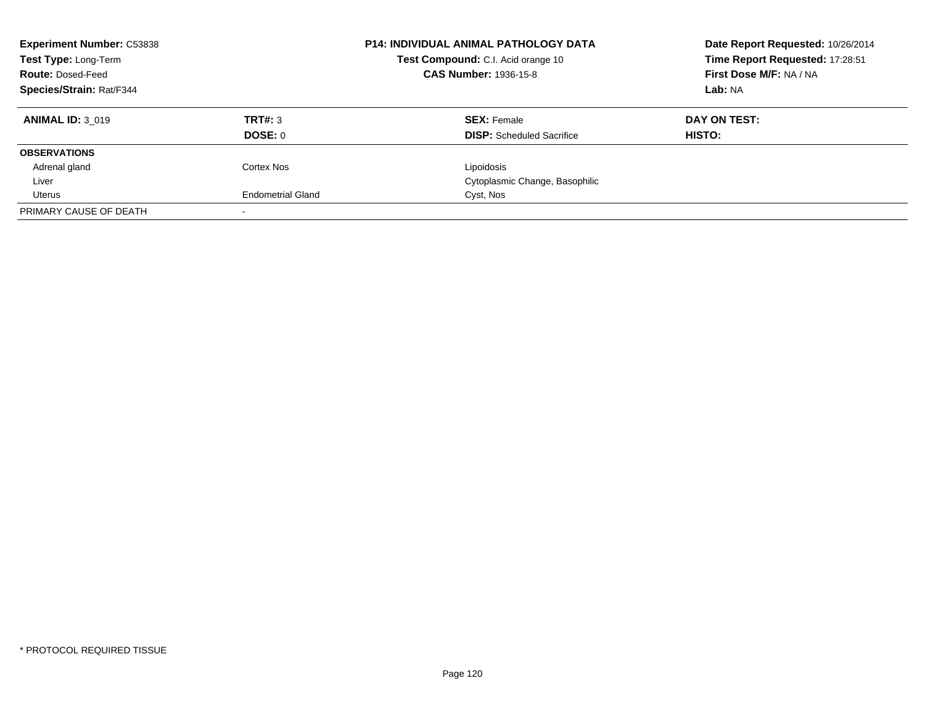| <b>Experiment Number: C53838</b><br>Test Type: Long-Term<br><b>Route: Dosed-Feed</b><br><b>Species/Strain: Rat/F344</b> |                          | <b>P14: INDIVIDUAL ANIMAL PATHOLOGY DATA</b><br>Test Compound: C.I. Acid orange 10<br><b>CAS Number: 1936-15-8</b> | Date Report Requested: 10/26/2014<br>Time Report Requested: 17:28:51<br>First Dose M/F: NA / NA<br>Lab: NA |
|-------------------------------------------------------------------------------------------------------------------------|--------------------------|--------------------------------------------------------------------------------------------------------------------|------------------------------------------------------------------------------------------------------------|
| <b>ANIMAL ID: 3 019</b>                                                                                                 | TRT#: 3<br>DOSE: 0       | <b>SEX: Female</b><br><b>DISP:</b> Scheduled Sacrifice                                                             | DAY ON TEST:<br><b>HISTO:</b>                                                                              |
| <b>OBSERVATIONS</b>                                                                                                     |                          |                                                                                                                    |                                                                                                            |
| Adrenal gland                                                                                                           | Cortex Nos               | Lipoidosis                                                                                                         |                                                                                                            |
| Liver                                                                                                                   |                          | Cytoplasmic Change, Basophilic                                                                                     |                                                                                                            |
| Uterus                                                                                                                  | <b>Endometrial Gland</b> | Cyst, Nos                                                                                                          |                                                                                                            |
| PRIMARY CAUSE OF DEATH                                                                                                  |                          |                                                                                                                    |                                                                                                            |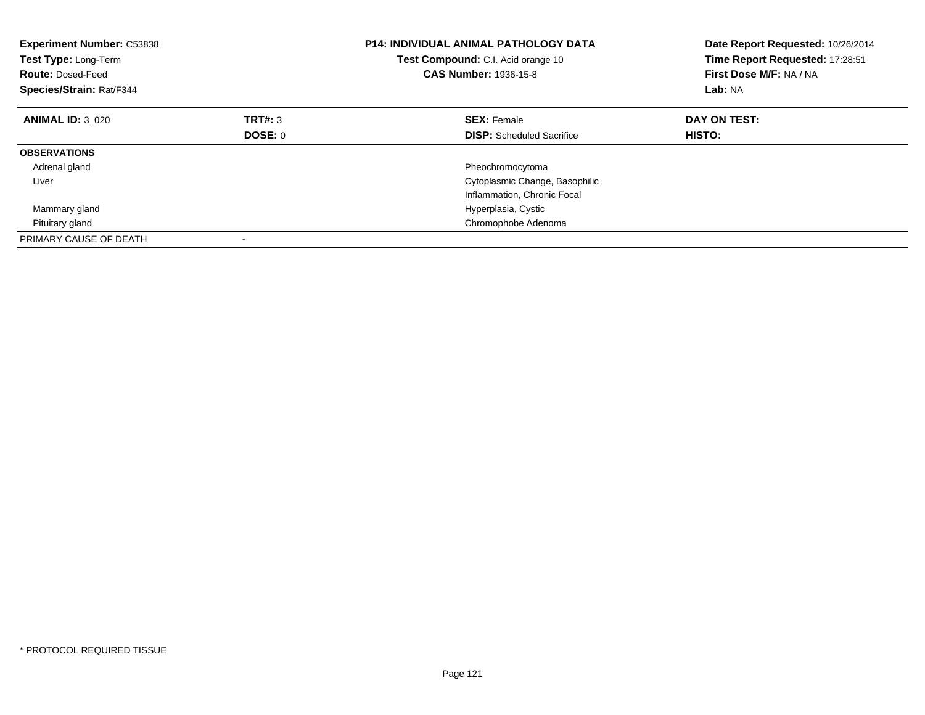| <b>Experiment Number: C53838</b><br>Test Type: Long-Term<br><b>Route: Dosed-Feed</b><br>Species/Strain: Rat/F344 |         | <b>P14: INDIVIDUAL ANIMAL PATHOLOGY DATA</b><br>Test Compound: C.I. Acid orange 10<br><b>CAS Number: 1936-15-8</b> | Date Report Requested: 10/26/2014<br>Time Report Requested: 17:28:51<br>First Dose M/F: NA / NA<br>Lab: NA |
|------------------------------------------------------------------------------------------------------------------|---------|--------------------------------------------------------------------------------------------------------------------|------------------------------------------------------------------------------------------------------------|
| <b>ANIMAL ID: 3 020</b>                                                                                          | TRT#: 3 | <b>SEX: Female</b>                                                                                                 | DAY ON TEST:                                                                                               |
|                                                                                                                  | DOSE: 0 | <b>DISP:</b> Scheduled Sacrifice                                                                                   | HISTO:                                                                                                     |
| <b>OBSERVATIONS</b>                                                                                              |         |                                                                                                                    |                                                                                                            |
| Adrenal gland                                                                                                    |         | Pheochromocytoma                                                                                                   |                                                                                                            |
| Liver                                                                                                            |         | Cytoplasmic Change, Basophilic                                                                                     |                                                                                                            |
|                                                                                                                  |         | Inflammation, Chronic Focal                                                                                        |                                                                                                            |
| Mammary gland                                                                                                    |         | Hyperplasia, Cystic                                                                                                |                                                                                                            |
| Pituitary gland                                                                                                  |         | Chromophobe Adenoma                                                                                                |                                                                                                            |
| PRIMARY CAUSE OF DEATH                                                                                           |         |                                                                                                                    |                                                                                                            |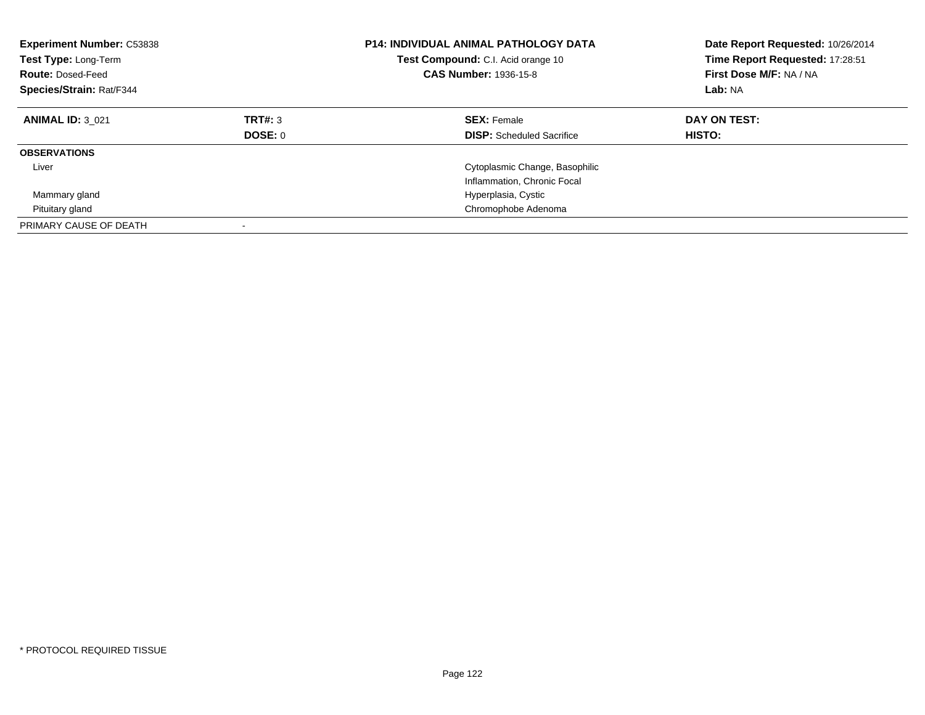| <b>Experiment Number: C53838</b><br><b>Test Type: Long-Term</b><br><b>Route: Dosed-Feed</b><br>Species/Strain: Rat/F344 |                    | <b>P14: INDIVIDUAL ANIMAL PATHOLOGY DATA</b><br>Test Compound: C.I. Acid orange 10<br><b>CAS Number: 1936-15-8</b> | Date Report Requested: 10/26/2014<br>Time Report Requested: 17:28:51<br>First Dose M/F: NA / NA<br>Lab: NA |
|-------------------------------------------------------------------------------------------------------------------------|--------------------|--------------------------------------------------------------------------------------------------------------------|------------------------------------------------------------------------------------------------------------|
| <b>ANIMAL ID: 3 021</b>                                                                                                 | TRT#: 3<br>DOSE: 0 | <b>SEX: Female</b><br><b>DISP:</b> Scheduled Sacrifice                                                             | DAY ON TEST:<br><b>HISTO:</b>                                                                              |
| <b>OBSERVATIONS</b>                                                                                                     |                    |                                                                                                                    |                                                                                                            |
| Liver                                                                                                                   |                    | Cytoplasmic Change, Basophilic<br>Inflammation, Chronic Focal                                                      |                                                                                                            |
| Mammary gland                                                                                                           |                    | Hyperplasia, Cystic                                                                                                |                                                                                                            |
| Pituitary gland                                                                                                         |                    | Chromophobe Adenoma                                                                                                |                                                                                                            |
| PRIMARY CAUSE OF DEATH                                                                                                  |                    |                                                                                                                    |                                                                                                            |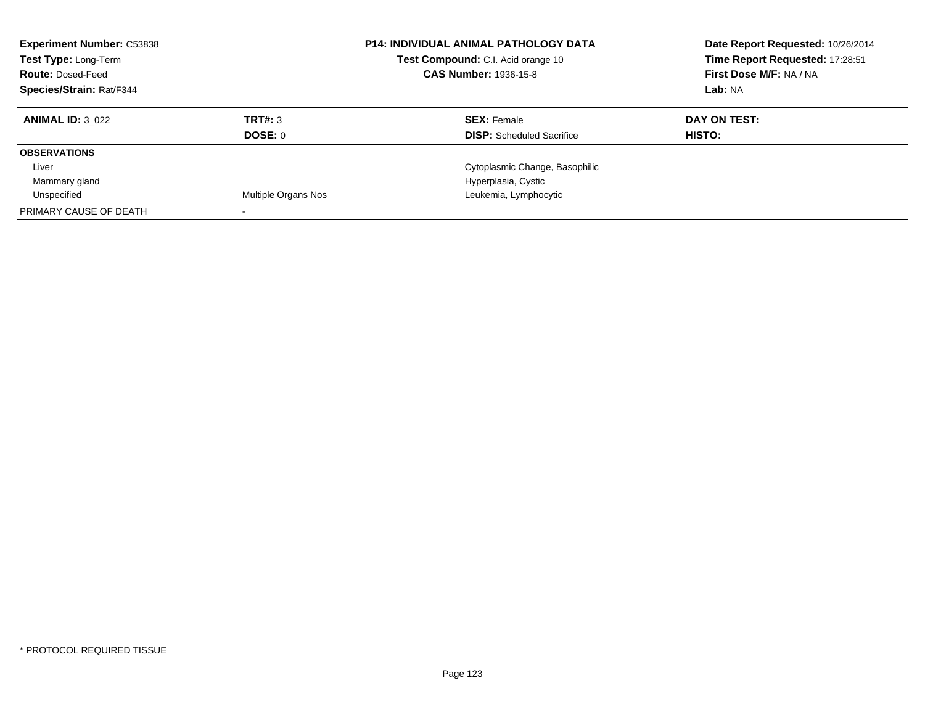| <b>Experiment Number: C53838</b><br><b>Test Type: Long-Term</b><br><b>Route: Dosed-Feed</b> |                     | <b>P14: INDIVIDUAL ANIMAL PATHOLOGY DATA</b><br><b>Test Compound:</b> C.I. Acid orange 10<br><b>CAS Number: 1936-15-8</b> | Date Report Requested: 10/26/2014<br>Time Report Requested: 17:28:51<br>First Dose M/F: NA / NA |
|---------------------------------------------------------------------------------------------|---------------------|---------------------------------------------------------------------------------------------------------------------------|-------------------------------------------------------------------------------------------------|
| <b>Species/Strain: Rat/F344</b>                                                             |                     |                                                                                                                           | Lab: NA                                                                                         |
| <b>ANIMAL ID: 3 022</b>                                                                     | TRT#: 3             | <b>SEX: Female</b>                                                                                                        | DAY ON TEST:                                                                                    |
|                                                                                             | DOSE: 0             | <b>DISP:</b> Scheduled Sacrifice                                                                                          | HISTO:                                                                                          |
| <b>OBSERVATIONS</b>                                                                         |                     |                                                                                                                           |                                                                                                 |
| Liver                                                                                       |                     | Cytoplasmic Change, Basophilic                                                                                            |                                                                                                 |
| Mammary gland                                                                               |                     | Hyperplasia, Cystic                                                                                                       |                                                                                                 |
| Unspecified                                                                                 | Multiple Organs Nos | Leukemia, Lymphocytic                                                                                                     |                                                                                                 |
| PRIMARY CAUSE OF DEATH                                                                      |                     |                                                                                                                           |                                                                                                 |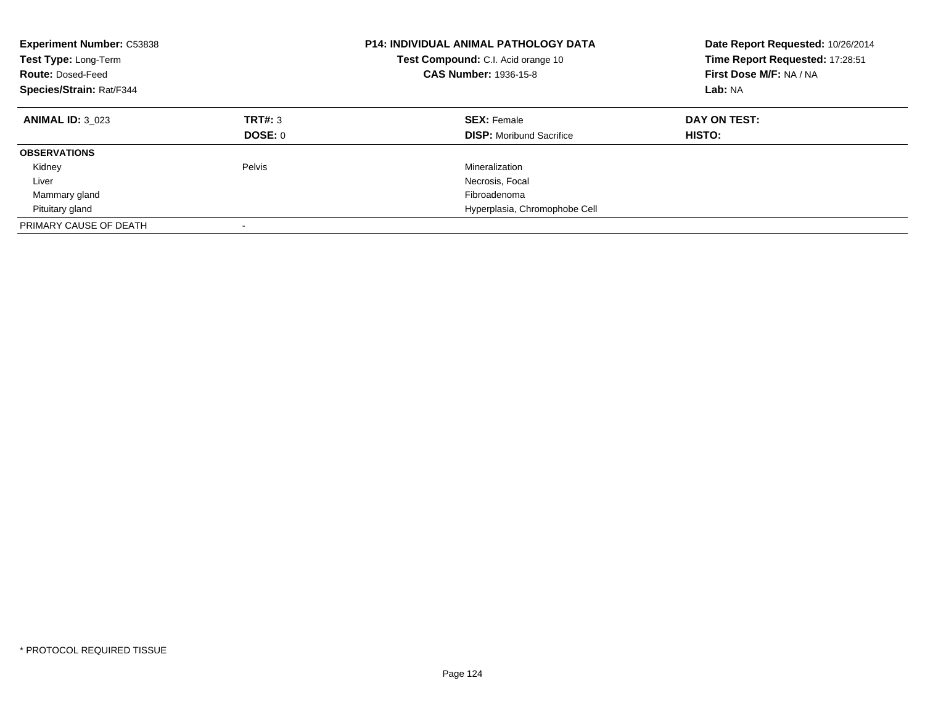| <b>Experiment Number: C53838</b><br>Test Type: Long-Term<br><b>Route: Dosed-Feed</b><br>Species/Strain: Rat/F344 |         | <b>P14: INDIVIDUAL ANIMAL PATHOLOGY DATA</b><br>Test Compound: C.I. Acid orange 10<br><b>CAS Number: 1936-15-8</b> | Date Report Requested: 10/26/2014<br>Time Report Requested: 17:28:51<br>First Dose M/F: NA / NA<br>Lab: NA |
|------------------------------------------------------------------------------------------------------------------|---------|--------------------------------------------------------------------------------------------------------------------|------------------------------------------------------------------------------------------------------------|
| <b>ANIMAL ID: 3 023</b>                                                                                          | TRT#: 3 | <b>SEX: Female</b>                                                                                                 | DAY ON TEST:                                                                                               |
|                                                                                                                  | DOSE: 0 | <b>DISP:</b> Moribund Sacrifice                                                                                    | HISTO:                                                                                                     |
| <b>OBSERVATIONS</b>                                                                                              |         |                                                                                                                    |                                                                                                            |
| Kidney                                                                                                           | Pelvis  | Mineralization                                                                                                     |                                                                                                            |
| Liver                                                                                                            |         | Necrosis, Focal                                                                                                    |                                                                                                            |
| Mammary gland                                                                                                    |         | Fibroadenoma                                                                                                       |                                                                                                            |
| Pituitary gland                                                                                                  |         | Hyperplasia, Chromophobe Cell                                                                                      |                                                                                                            |
| PRIMARY CAUSE OF DEATH                                                                                           |         |                                                                                                                    |                                                                                                            |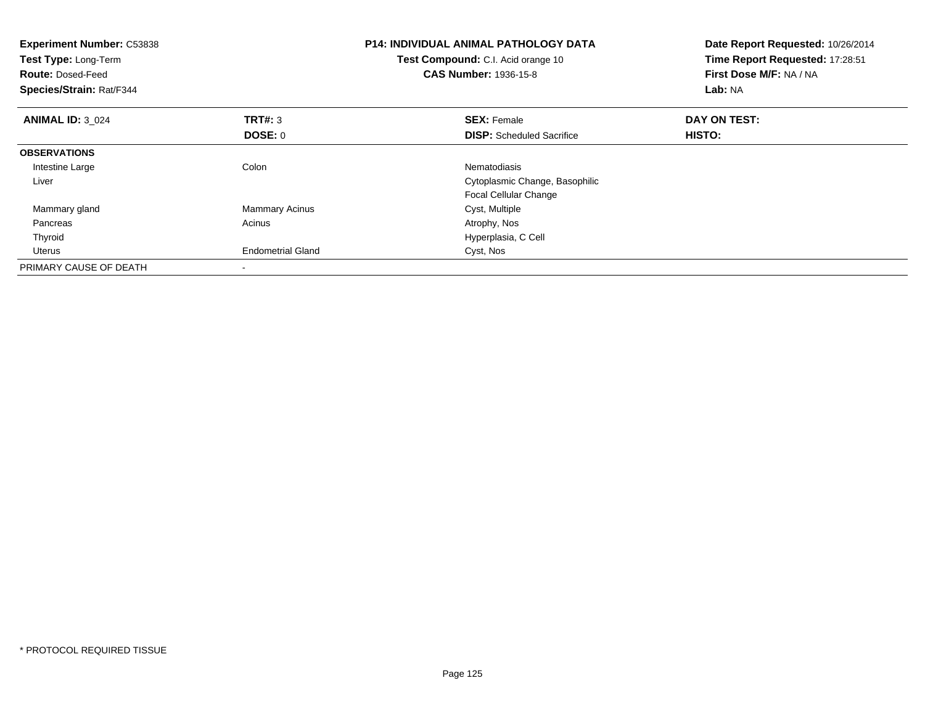| <b>Experiment Number: C53838</b><br>Test Type: Long-Term<br><b>Route: Dosed-Feed</b><br>Species/Strain: Rat/F344 |                          | <b>P14: INDIVIDUAL ANIMAL PATHOLOGY DATA</b><br>Test Compound: C.I. Acid orange 10<br><b>CAS Number: 1936-15-8</b> | Date Report Requested: 10/26/2014<br>Time Report Requested: 17:28:51<br>First Dose M/F: NA / NA<br>Lab: NA |
|------------------------------------------------------------------------------------------------------------------|--------------------------|--------------------------------------------------------------------------------------------------------------------|------------------------------------------------------------------------------------------------------------|
| <b>ANIMAL ID: 3 024</b>                                                                                          | <b>TRT#: 3</b>           | <b>SEX: Female</b>                                                                                                 | DAY ON TEST:                                                                                               |
|                                                                                                                  | DOSE: 0                  | <b>DISP:</b> Scheduled Sacrifice                                                                                   | HISTO:                                                                                                     |
| <b>OBSERVATIONS</b>                                                                                              |                          |                                                                                                                    |                                                                                                            |
| Intestine Large                                                                                                  | Colon                    | Nematodiasis                                                                                                       |                                                                                                            |
| Liver                                                                                                            |                          | Cytoplasmic Change, Basophilic                                                                                     |                                                                                                            |
|                                                                                                                  |                          | <b>Focal Cellular Change</b>                                                                                       |                                                                                                            |
| Mammary gland                                                                                                    | <b>Mammary Acinus</b>    | Cyst, Multiple                                                                                                     |                                                                                                            |
| Pancreas                                                                                                         | Acinus                   | Atrophy, Nos                                                                                                       |                                                                                                            |
| Thyroid                                                                                                          |                          | Hyperplasia, C Cell                                                                                                |                                                                                                            |
| Uterus                                                                                                           | <b>Endometrial Gland</b> | Cyst, Nos                                                                                                          |                                                                                                            |
| PRIMARY CAUSE OF DEATH                                                                                           |                          |                                                                                                                    |                                                                                                            |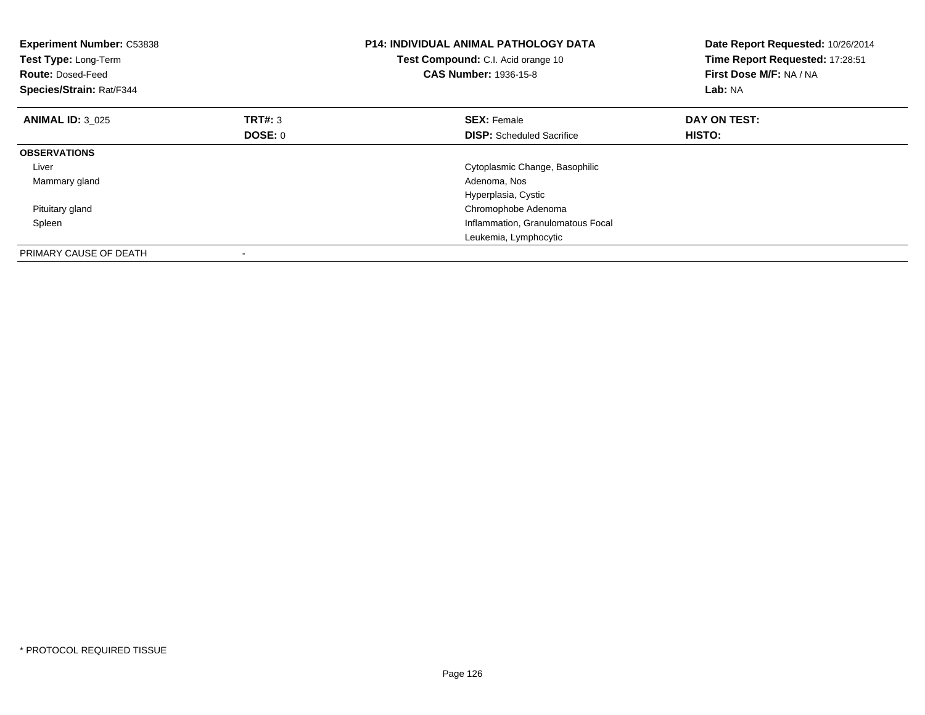| <b>Experiment Number: C53838</b><br>Test Type: Long-Term<br><b>Route: Dosed-Feed</b><br>Species/Strain: Rat/F344 |                | <b>P14: INDIVIDUAL ANIMAL PATHOLOGY DATA</b><br>Test Compound: C.I. Acid orange 10<br><b>CAS Number: 1936-15-8</b> | Date Report Requested: 10/26/2014<br>Time Report Requested: 17:28:51<br>First Dose M/F: NA / NA<br>Lab: NA |
|------------------------------------------------------------------------------------------------------------------|----------------|--------------------------------------------------------------------------------------------------------------------|------------------------------------------------------------------------------------------------------------|
| <b>ANIMAL ID: 3 025</b>                                                                                          | <b>TRT#: 3</b> | <b>SEX: Female</b>                                                                                                 | DAY ON TEST:                                                                                               |
|                                                                                                                  | <b>DOSE: 0</b> | <b>DISP:</b> Scheduled Sacrifice                                                                                   | <b>HISTO:</b>                                                                                              |
| <b>OBSERVATIONS</b>                                                                                              |                |                                                                                                                    |                                                                                                            |
| Liver                                                                                                            |                | Cytoplasmic Change, Basophilic                                                                                     |                                                                                                            |
| Mammary gland                                                                                                    |                | Adenoma, Nos                                                                                                       |                                                                                                            |
|                                                                                                                  |                | Hyperplasia, Cystic                                                                                                |                                                                                                            |
| Pituitary gland                                                                                                  |                | Chromophobe Adenoma                                                                                                |                                                                                                            |
| Spleen                                                                                                           |                | Inflammation, Granulomatous Focal                                                                                  |                                                                                                            |
|                                                                                                                  |                | Leukemia, Lymphocytic                                                                                              |                                                                                                            |
| PRIMARY CAUSE OF DEATH                                                                                           |                |                                                                                                                    |                                                                                                            |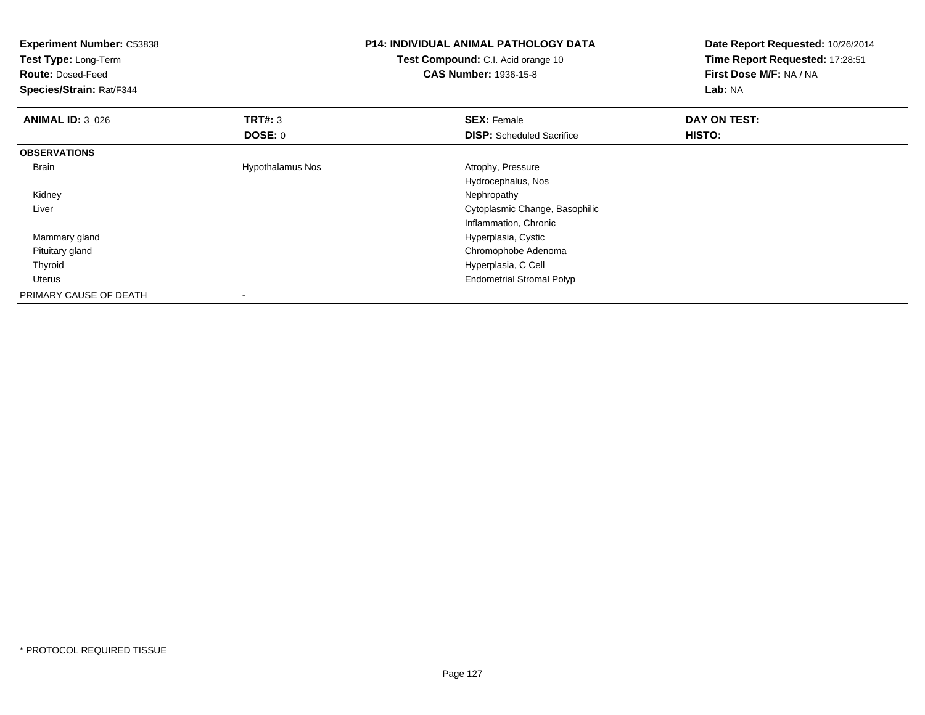| <b>Experiment Number: C53838</b><br>Test Type: Long-Term<br><b>Route: Dosed-Feed</b><br>Species/Strain: Rat/F344 |                         | <b>P14: INDIVIDUAL ANIMAL PATHOLOGY DATA</b><br>Test Compound: C.I. Acid orange 10<br><b>CAS Number: 1936-15-8</b> | Date Report Requested: 10/26/2014<br>Time Report Requested: 17:28:51<br>First Dose M/F: NA / NA<br>Lab: NA |
|------------------------------------------------------------------------------------------------------------------|-------------------------|--------------------------------------------------------------------------------------------------------------------|------------------------------------------------------------------------------------------------------------|
| <b>ANIMAL ID: 3_026</b>                                                                                          | <b>TRT#: 3</b>          | <b>SEX: Female</b>                                                                                                 | DAY ON TEST:                                                                                               |
|                                                                                                                  | DOSE: 0                 | <b>DISP:</b> Scheduled Sacrifice                                                                                   | HISTO:                                                                                                     |
| <b>OBSERVATIONS</b>                                                                                              |                         |                                                                                                                    |                                                                                                            |
| <b>Brain</b>                                                                                                     | <b>Hypothalamus Nos</b> | Atrophy, Pressure                                                                                                  |                                                                                                            |
|                                                                                                                  |                         | Hydrocephalus, Nos                                                                                                 |                                                                                                            |
| Kidney                                                                                                           |                         | Nephropathy                                                                                                        |                                                                                                            |
| Liver                                                                                                            |                         | Cytoplasmic Change, Basophilic                                                                                     |                                                                                                            |
|                                                                                                                  |                         | Inflammation, Chronic                                                                                              |                                                                                                            |
| Mammary gland                                                                                                    |                         | Hyperplasia, Cystic                                                                                                |                                                                                                            |
| Pituitary gland                                                                                                  |                         | Chromophobe Adenoma                                                                                                |                                                                                                            |
| Thyroid                                                                                                          |                         | Hyperplasia, C Cell                                                                                                |                                                                                                            |
| <b>Uterus</b>                                                                                                    |                         | <b>Endometrial Stromal Polyp</b>                                                                                   |                                                                                                            |
| PRIMARY CAUSE OF DEATH                                                                                           |                         |                                                                                                                    |                                                                                                            |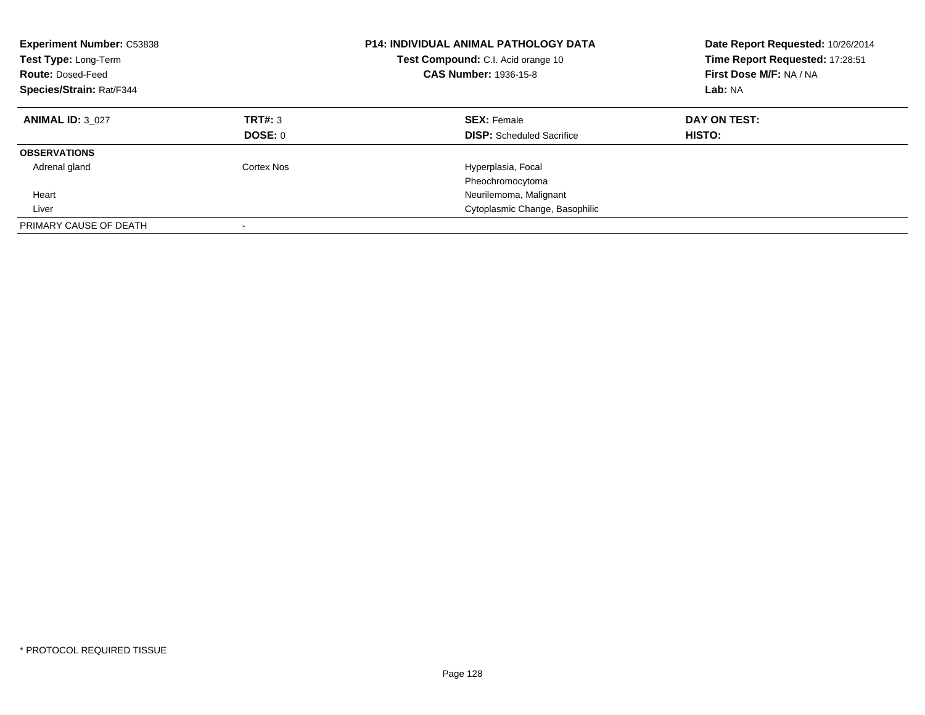| <b>Experiment Number: C53838</b><br><b>Test Type: Long-Term</b><br><b>Route: Dosed-Feed</b><br>Species/Strain: Rat/F344 |                           | <b>P14: INDIVIDUAL ANIMAL PATHOLOGY DATA</b><br>Test Compound: C.I. Acid orange 10<br><b>CAS Number: 1936-15-8</b> | Date Report Requested: 10/26/2014<br>Time Report Requested: 17:28:51<br>First Dose M/F: NA / NA<br>Lab: NA |
|-------------------------------------------------------------------------------------------------------------------------|---------------------------|--------------------------------------------------------------------------------------------------------------------|------------------------------------------------------------------------------------------------------------|
| <b>ANIMAL ID: 3 027</b>                                                                                                 | TRT#: 3<br><b>DOSE: 0</b> | <b>SEX: Female</b><br><b>DISP:</b> Scheduled Sacrifice                                                             | DAY ON TEST:<br>HISTO:                                                                                     |
| <b>OBSERVATIONS</b>                                                                                                     |                           |                                                                                                                    |                                                                                                            |
| Adrenal gland                                                                                                           | Cortex Nos                | Hyperplasia, Focal                                                                                                 |                                                                                                            |
|                                                                                                                         |                           | Pheochromocytoma                                                                                                   |                                                                                                            |
| Heart                                                                                                                   |                           | Neurilemoma, Malignant                                                                                             |                                                                                                            |
| Liver                                                                                                                   |                           | Cytoplasmic Change, Basophilic                                                                                     |                                                                                                            |
| PRIMARY CAUSE OF DEATH                                                                                                  |                           |                                                                                                                    |                                                                                                            |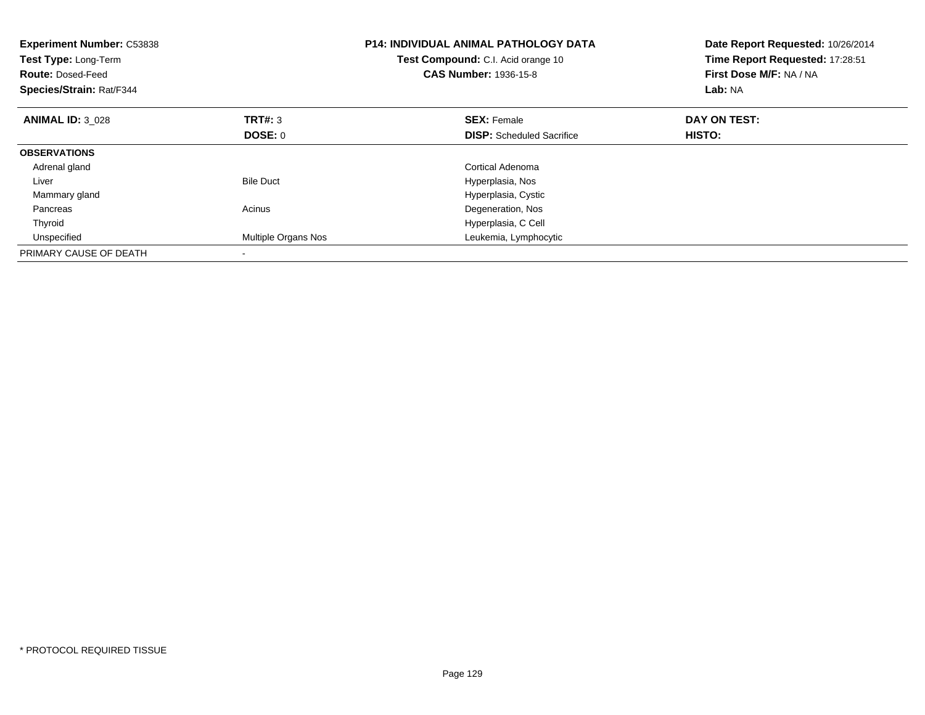| <b>Experiment Number: C53838</b><br><b>Test Type: Long-Term</b><br><b>Route: Dosed-Feed</b><br>Species/Strain: Rat/F344 |                     | <b>P14: INDIVIDUAL ANIMAL PATHOLOGY DATA</b><br>Test Compound: C.I. Acid orange 10<br><b>CAS Number: 1936-15-8</b> | Date Report Requested: 10/26/2014<br>Time Report Requested: 17:28:51<br>First Dose M/F: NA / NA<br>Lab: NA |
|-------------------------------------------------------------------------------------------------------------------------|---------------------|--------------------------------------------------------------------------------------------------------------------|------------------------------------------------------------------------------------------------------------|
| <b>ANIMAL ID: 3 028</b>                                                                                                 | <b>TRT#: 3</b>      | <b>SEX: Female</b>                                                                                                 | DAY ON TEST:                                                                                               |
|                                                                                                                         | DOSE: 0             | <b>DISP:</b> Scheduled Sacrifice                                                                                   | HISTO:                                                                                                     |
| <b>OBSERVATIONS</b>                                                                                                     |                     |                                                                                                                    |                                                                                                            |
| Adrenal gland                                                                                                           |                     | Cortical Adenoma                                                                                                   |                                                                                                            |
| Liver                                                                                                                   | <b>Bile Duct</b>    | Hyperplasia, Nos                                                                                                   |                                                                                                            |
| Mammary gland                                                                                                           |                     | Hyperplasia, Cystic                                                                                                |                                                                                                            |
| Pancreas                                                                                                                | Acinus              | Degeneration, Nos                                                                                                  |                                                                                                            |
| Thyroid                                                                                                                 |                     | Hyperplasia, C Cell                                                                                                |                                                                                                            |
| Unspecified                                                                                                             | Multiple Organs Nos | Leukemia, Lymphocytic                                                                                              |                                                                                                            |
| PRIMARY CAUSE OF DEATH                                                                                                  |                     |                                                                                                                    |                                                                                                            |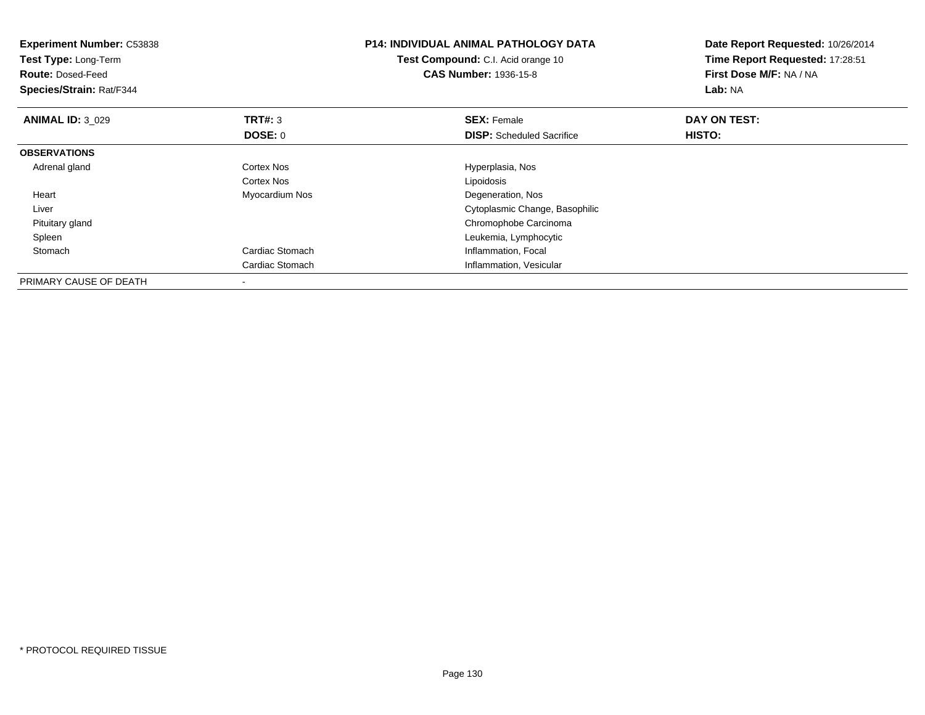| <b>Experiment Number: C53838</b><br>Test Type: Long-Term<br><b>Route: Dosed-Feed</b><br>Species/Strain: Rat/F344 |                   | <b>P14: INDIVIDUAL ANIMAL PATHOLOGY DATA</b><br><b>Test Compound:</b> C.I. Acid orange 10<br><b>CAS Number: 1936-15-8</b> | Date Report Requested: 10/26/2014<br>Time Report Requested: 17:28:51<br>First Dose M/F: NA / NA<br><b>Lab: NA</b> |
|------------------------------------------------------------------------------------------------------------------|-------------------|---------------------------------------------------------------------------------------------------------------------------|-------------------------------------------------------------------------------------------------------------------|
| <b>ANIMAL ID: 3 029</b>                                                                                          | <b>TRT#: 3</b>    | <b>SEX: Female</b>                                                                                                        | DAY ON TEST:                                                                                                      |
|                                                                                                                  | DOSE: 0           | <b>DISP:</b> Scheduled Sacrifice                                                                                          | <b>HISTO:</b>                                                                                                     |
| <b>OBSERVATIONS</b>                                                                                              |                   |                                                                                                                           |                                                                                                                   |
| Adrenal gland                                                                                                    | <b>Cortex Nos</b> | Hyperplasia, Nos                                                                                                          |                                                                                                                   |
|                                                                                                                  | Cortex Nos        | Lipoidosis                                                                                                                |                                                                                                                   |
| Heart                                                                                                            | Myocardium Nos    | Degeneration, Nos                                                                                                         |                                                                                                                   |
| Liver                                                                                                            |                   | Cytoplasmic Change, Basophilic                                                                                            |                                                                                                                   |
| Pituitary gland                                                                                                  |                   | Chromophobe Carcinoma                                                                                                     |                                                                                                                   |
| Spleen                                                                                                           |                   | Leukemia, Lymphocytic                                                                                                     |                                                                                                                   |
| Stomach                                                                                                          | Cardiac Stomach   | Inflammation, Focal                                                                                                       |                                                                                                                   |
|                                                                                                                  | Cardiac Stomach   | Inflammation, Vesicular                                                                                                   |                                                                                                                   |
| PRIMARY CAUSE OF DEATH                                                                                           |                   |                                                                                                                           |                                                                                                                   |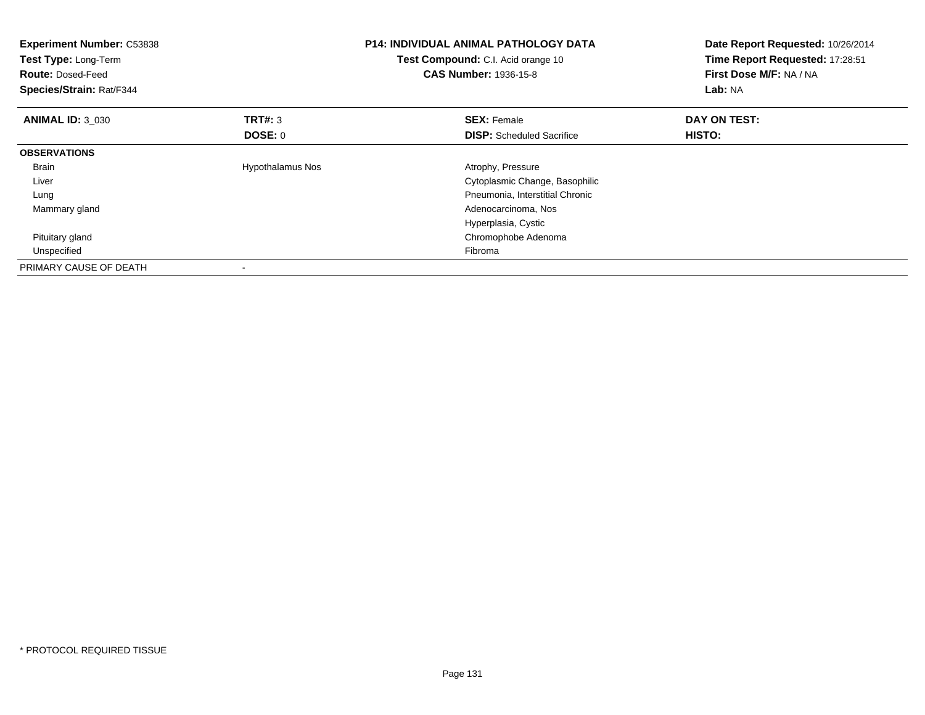| <b>Experiment Number: C53838</b><br>Test Type: Long-Term<br><b>Route: Dosed-Feed</b><br>Species/Strain: Rat/F344 |                         | <b>P14: INDIVIDUAL ANIMAL PATHOLOGY DATA</b><br>Test Compound: C.I. Acid orange 10<br><b>CAS Number: 1936-15-8</b> | Date Report Requested: 10/26/2014<br>Time Report Requested: 17:28:51<br>First Dose M/F: NA / NA<br>Lab: NA |
|------------------------------------------------------------------------------------------------------------------|-------------------------|--------------------------------------------------------------------------------------------------------------------|------------------------------------------------------------------------------------------------------------|
| <b>ANIMAL ID: 3 030</b>                                                                                          | <b>TRT#: 3</b>          | <b>SEX: Female</b>                                                                                                 | DAY ON TEST:                                                                                               |
|                                                                                                                  | DOSE: 0                 | <b>DISP:</b> Scheduled Sacrifice                                                                                   | <b>HISTO:</b>                                                                                              |
| <b>OBSERVATIONS</b>                                                                                              |                         |                                                                                                                    |                                                                                                            |
| Brain                                                                                                            | <b>Hypothalamus Nos</b> | Atrophy, Pressure                                                                                                  |                                                                                                            |
| Liver                                                                                                            |                         | Cytoplasmic Change, Basophilic                                                                                     |                                                                                                            |
| Lung                                                                                                             |                         | Pneumonia, Interstitial Chronic                                                                                    |                                                                                                            |
| Mammary gland                                                                                                    |                         | Adenocarcinoma, Nos                                                                                                |                                                                                                            |
|                                                                                                                  |                         | Hyperplasia, Cystic                                                                                                |                                                                                                            |
| Pituitary gland                                                                                                  |                         | Chromophobe Adenoma                                                                                                |                                                                                                            |
| Unspecified                                                                                                      |                         | Fibroma                                                                                                            |                                                                                                            |
| PRIMARY CAUSE OF DEATH                                                                                           |                         |                                                                                                                    |                                                                                                            |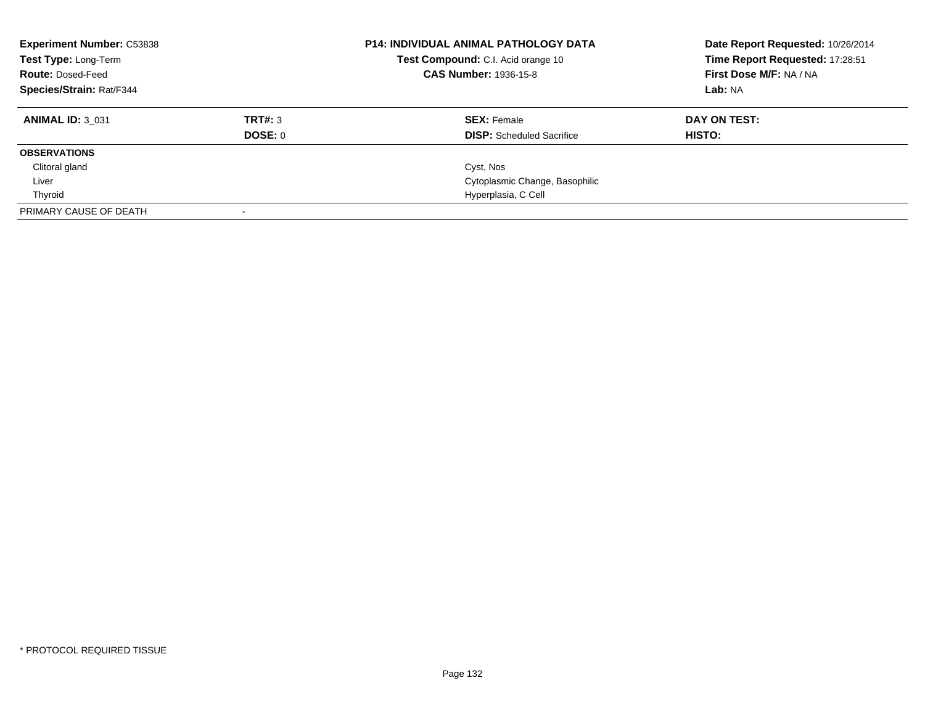| <b>Experiment Number: C53838</b><br>Test Type: Long-Term<br><b>Route: Dosed-Feed</b><br><b>Species/Strain: Rat/F344</b> |         | <b>P14: INDIVIDUAL ANIMAL PATHOLOGY DATA</b><br>Test Compound: C.I. Acid orange 10<br><b>CAS Number: 1936-15-8</b> | Date Report Requested: 10/26/2014<br>Time Report Requested: 17:28:51<br>First Dose M/F: NA / NA<br>Lab: NA |
|-------------------------------------------------------------------------------------------------------------------------|---------|--------------------------------------------------------------------------------------------------------------------|------------------------------------------------------------------------------------------------------------|
| <b>ANIMAL ID: 3 031</b>                                                                                                 | TRT#: 3 | <b>SEX: Female</b>                                                                                                 | DAY ON TEST:                                                                                               |
|                                                                                                                         | DOSE: 0 | <b>DISP:</b> Scheduled Sacrifice                                                                                   | HISTO:                                                                                                     |
| <b>OBSERVATIONS</b>                                                                                                     |         |                                                                                                                    |                                                                                                            |
| Clitoral gland                                                                                                          |         | Cyst, Nos                                                                                                          |                                                                                                            |
| Liver                                                                                                                   |         | Cytoplasmic Change, Basophilic                                                                                     |                                                                                                            |
| Thyroid                                                                                                                 |         | Hyperplasia, C Cell                                                                                                |                                                                                                            |
| PRIMARY CAUSE OF DEATH                                                                                                  |         |                                                                                                                    |                                                                                                            |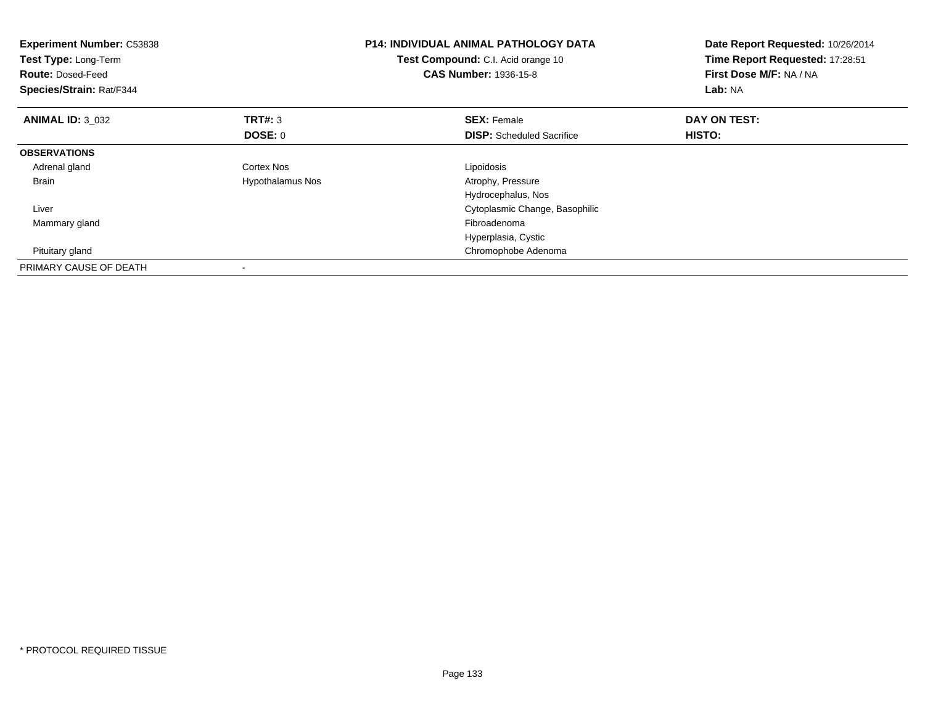| <b>Experiment Number: C53838</b><br>Test Type: Long-Term<br><b>Route: Dosed-Feed</b><br>Species/Strain: Rat/F344 |                  | <b>P14: INDIVIDUAL ANIMAL PATHOLOGY DATA</b><br>Test Compound: C.I. Acid orange 10<br><b>CAS Number: 1936-15-8</b> | Date Report Requested: 10/26/2014<br>Time Report Requested: 17:28:51<br>First Dose M/F: NA / NA<br>Lab: NA |
|------------------------------------------------------------------------------------------------------------------|------------------|--------------------------------------------------------------------------------------------------------------------|------------------------------------------------------------------------------------------------------------|
| <b>ANIMAL ID: 3 032</b>                                                                                          | <b>TRT#: 3</b>   | <b>SEX: Female</b>                                                                                                 | DAY ON TEST:                                                                                               |
|                                                                                                                  | <b>DOSE: 0</b>   | <b>DISP:</b> Scheduled Sacrifice                                                                                   | HISTO:                                                                                                     |
| <b>OBSERVATIONS</b>                                                                                              |                  |                                                                                                                    |                                                                                                            |
| Adrenal gland                                                                                                    | Cortex Nos       | Lipoidosis                                                                                                         |                                                                                                            |
| <b>Brain</b>                                                                                                     | Hypothalamus Nos | Atrophy, Pressure                                                                                                  |                                                                                                            |
|                                                                                                                  |                  | Hydrocephalus, Nos                                                                                                 |                                                                                                            |
| Liver                                                                                                            |                  | Cytoplasmic Change, Basophilic                                                                                     |                                                                                                            |
| Mammary gland                                                                                                    |                  | Fibroadenoma                                                                                                       |                                                                                                            |
|                                                                                                                  |                  | Hyperplasia, Cystic                                                                                                |                                                                                                            |
| Pituitary gland                                                                                                  |                  | Chromophobe Adenoma                                                                                                |                                                                                                            |
| PRIMARY CAUSE OF DEATH                                                                                           |                  |                                                                                                                    |                                                                                                            |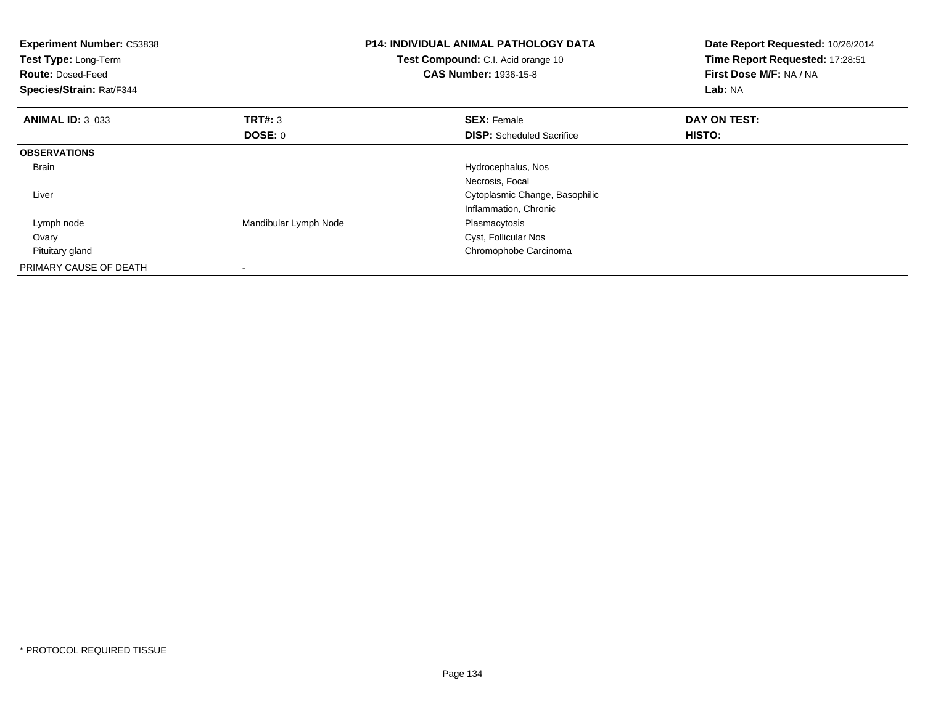| <b>Experiment Number: C53838</b><br>Test Type: Long-Term<br><b>Route: Dosed-Feed</b><br>Species/Strain: Rat/F344 |                       | <b>P14: INDIVIDUAL ANIMAL PATHOLOGY DATA</b><br>Test Compound: C.I. Acid orange 10<br><b>CAS Number: 1936-15-8</b> | Date Report Requested: 10/26/2014<br>Time Report Requested: 17:28:51<br>First Dose M/F: NA / NA<br>Lab: NA |
|------------------------------------------------------------------------------------------------------------------|-----------------------|--------------------------------------------------------------------------------------------------------------------|------------------------------------------------------------------------------------------------------------|
| <b>ANIMAL ID: 3 033</b>                                                                                          | <b>TRT#: 3</b>        | <b>SEX: Female</b>                                                                                                 | DAY ON TEST:                                                                                               |
|                                                                                                                  | DOSE: 0               | <b>DISP:</b> Scheduled Sacrifice                                                                                   | HISTO:                                                                                                     |
| <b>OBSERVATIONS</b>                                                                                              |                       |                                                                                                                    |                                                                                                            |
| <b>Brain</b>                                                                                                     |                       | Hydrocephalus, Nos                                                                                                 |                                                                                                            |
|                                                                                                                  |                       | Necrosis, Focal                                                                                                    |                                                                                                            |
| Liver                                                                                                            |                       | Cytoplasmic Change, Basophilic                                                                                     |                                                                                                            |
|                                                                                                                  |                       | Inflammation, Chronic                                                                                              |                                                                                                            |
| Lymph node                                                                                                       | Mandibular Lymph Node | Plasmacytosis                                                                                                      |                                                                                                            |
| Ovary                                                                                                            |                       | Cyst, Follicular Nos                                                                                               |                                                                                                            |
| Pituitary gland                                                                                                  |                       | Chromophobe Carcinoma                                                                                              |                                                                                                            |
| PRIMARY CAUSE OF DEATH                                                                                           |                       |                                                                                                                    |                                                                                                            |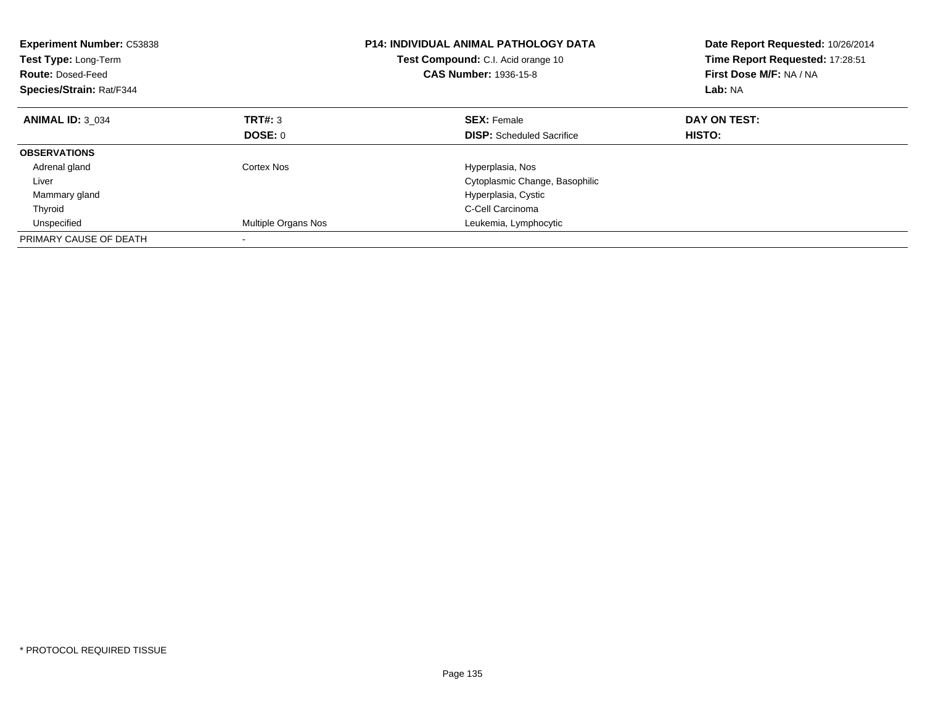| <b>Experiment Number: C53838</b><br><b>Test Type: Long-Term</b><br><b>Route: Dosed-Feed</b><br>Species/Strain: Rat/F344 |                     | <b>P14: INDIVIDUAL ANIMAL PATHOLOGY DATA</b><br><b>Test Compound:</b> C.I. Acid orange 10<br><b>CAS Number: 1936-15-8</b> | Date Report Requested: 10/26/2014<br>Time Report Requested: 17:28:51<br>First Dose M/F: NA / NA<br>Lab: NA |
|-------------------------------------------------------------------------------------------------------------------------|---------------------|---------------------------------------------------------------------------------------------------------------------------|------------------------------------------------------------------------------------------------------------|
| <b>ANIMAL ID: 3 034</b>                                                                                                 | TRT#: 3             | <b>SEX: Female</b>                                                                                                        | DAY ON TEST:                                                                                               |
|                                                                                                                         | DOSE: 0             | <b>DISP:</b> Scheduled Sacrifice                                                                                          | HISTO:                                                                                                     |
| <b>OBSERVATIONS</b>                                                                                                     |                     |                                                                                                                           |                                                                                                            |
| Adrenal gland                                                                                                           | Cortex Nos          | Hyperplasia, Nos                                                                                                          |                                                                                                            |
| Liver                                                                                                                   |                     | Cytoplasmic Change, Basophilic                                                                                            |                                                                                                            |
| Mammary gland                                                                                                           |                     | Hyperplasia, Cystic                                                                                                       |                                                                                                            |
| Thyroid                                                                                                                 |                     | C-Cell Carcinoma                                                                                                          |                                                                                                            |
| Unspecified                                                                                                             | Multiple Organs Nos | Leukemia, Lymphocytic                                                                                                     |                                                                                                            |
| PRIMARY CAUSE OF DEATH                                                                                                  |                     |                                                                                                                           |                                                                                                            |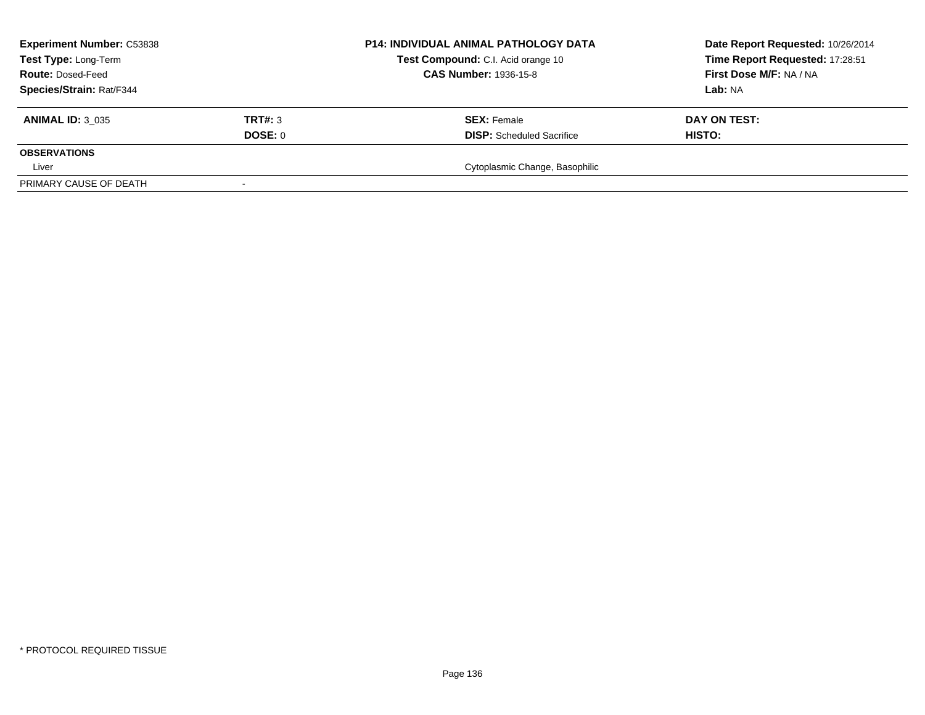| <b>Experiment Number: C53838</b> | P14: INDIVIDUAL ANIMAL PATHOLOGY DATA | Date Report Requested: 10/26/2014                                  |                                 |
|----------------------------------|---------------------------------------|--------------------------------------------------------------------|---------------------------------|
| Test Type: Long-Term             |                                       | Test Compound: C.I. Acid orange 10<br><b>CAS Number: 1936-15-8</b> | Time Report Requested: 17:28:51 |
| <b>Route: Dosed-Feed</b>         |                                       |                                                                    | First Dose M/F: NA / NA         |
| Species/Strain: Rat/F344         |                                       |                                                                    | Lab: NA                         |
| <b>ANIMAL ID: 3 035</b>          | TRT#: 3                               | <b>SEX:</b> Female                                                 | DAY ON TEST:                    |
|                                  | DOSE: 0                               | <b>DISP:</b> Scheduled Sacrifice                                   | <b>HISTO:</b>                   |
| <b>OBSERVATIONS</b>              |                                       |                                                                    |                                 |
| Liver                            |                                       | Cytoplasmic Change, Basophilic                                     |                                 |
| PRIMARY CAUSE OF DEATH           |                                       |                                                                    |                                 |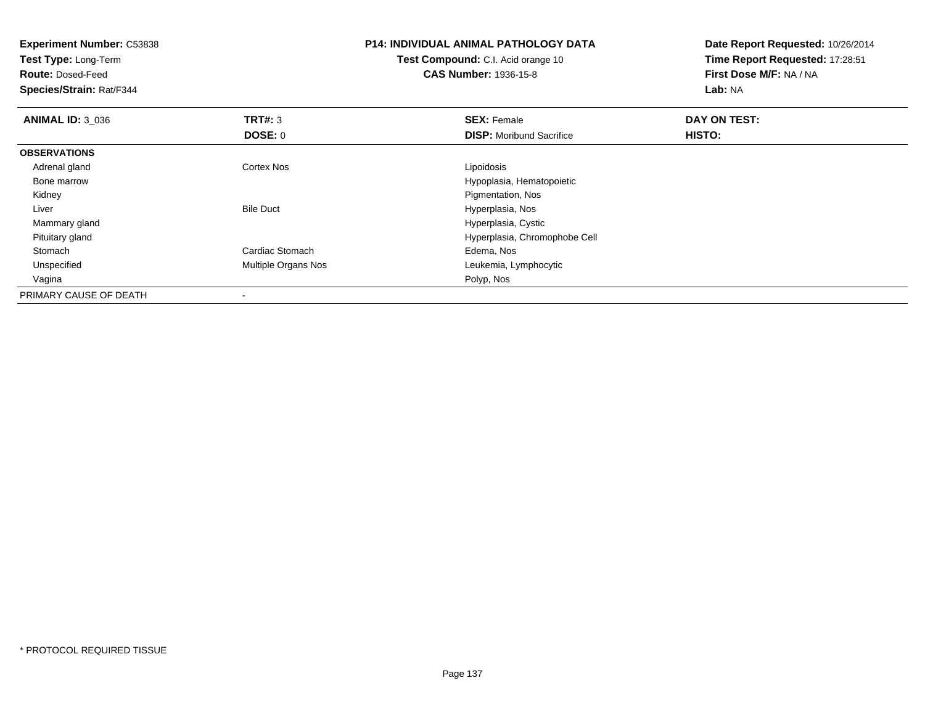| <b>Experiment Number: C53838</b><br>Test Type: Long-Term<br><b>Route: Dosed-Feed</b><br>Species/Strain: Rat/F344 |                     | <b>P14: INDIVIDUAL ANIMAL PATHOLOGY DATA</b><br><b>Test Compound: C.I. Acid orange 10</b><br><b>CAS Number: 1936-15-8</b> | Date Report Requested: 10/26/2014<br>Time Report Requested: 17:28:51<br>First Dose M/F: NA / NA<br>Lab: NA |
|------------------------------------------------------------------------------------------------------------------|---------------------|---------------------------------------------------------------------------------------------------------------------------|------------------------------------------------------------------------------------------------------------|
| <b>ANIMAL ID: 3_036</b>                                                                                          | TRT#: 3             | <b>SEX: Female</b>                                                                                                        | DAY ON TEST:                                                                                               |
|                                                                                                                  | DOSE: 0             | <b>DISP:</b> Moribund Sacrifice                                                                                           | HISTO:                                                                                                     |
| <b>OBSERVATIONS</b>                                                                                              |                     |                                                                                                                           |                                                                                                            |
| Adrenal gland                                                                                                    | Cortex Nos          | Lipoidosis                                                                                                                |                                                                                                            |
| Bone marrow                                                                                                      |                     | Hypoplasia, Hematopoietic                                                                                                 |                                                                                                            |
| Kidney                                                                                                           |                     | Pigmentation, Nos                                                                                                         |                                                                                                            |
| Liver                                                                                                            | <b>Bile Duct</b>    | Hyperplasia, Nos                                                                                                          |                                                                                                            |
| Mammary gland                                                                                                    |                     | Hyperplasia, Cystic                                                                                                       |                                                                                                            |
| Pituitary gland                                                                                                  |                     | Hyperplasia, Chromophobe Cell                                                                                             |                                                                                                            |
| Stomach                                                                                                          | Cardiac Stomach     | Edema, Nos                                                                                                                |                                                                                                            |
| Unspecified                                                                                                      | Multiple Organs Nos | Leukemia, Lymphocytic                                                                                                     |                                                                                                            |
| Vagina                                                                                                           |                     | Polyp, Nos                                                                                                                |                                                                                                            |
| PRIMARY CAUSE OF DEATH                                                                                           |                     |                                                                                                                           |                                                                                                            |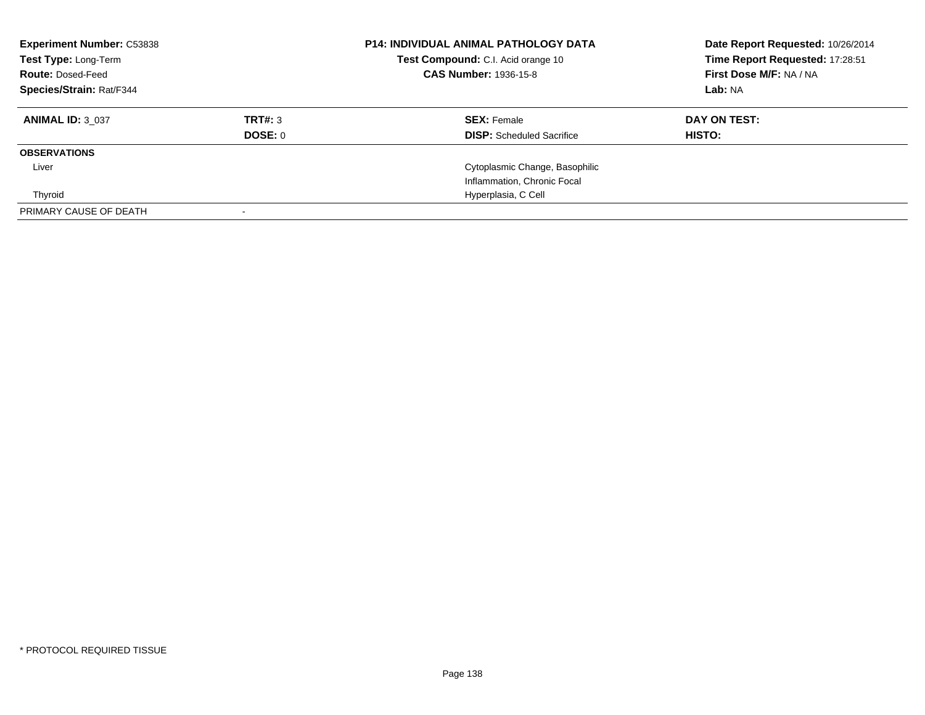| <b>Experiment Number: C53838</b><br><b>Test Type: Long-Term</b><br><b>Route: Dosed-Feed</b><br><b>Species/Strain: Rat/F344</b> |                    | <b>P14: INDIVIDUAL ANIMAL PATHOLOGY DATA</b><br>Test Compound: C.I. Acid orange 10<br><b>CAS Number: 1936-15-8</b> | Date Report Requested: 10/26/2014<br>Time Report Requested: 17:28:51<br>First Dose M/F: NA / NA<br>Lab: NA |
|--------------------------------------------------------------------------------------------------------------------------------|--------------------|--------------------------------------------------------------------------------------------------------------------|------------------------------------------------------------------------------------------------------------|
| <b>ANIMAL ID: 3 037</b>                                                                                                        | TRT#: 3<br>DOSE: 0 | <b>SEX: Female</b><br><b>DISP:</b> Scheduled Sacrifice                                                             | DAY ON TEST:<br>HISTO:                                                                                     |
| <b>OBSERVATIONS</b>                                                                                                            |                    |                                                                                                                    |                                                                                                            |
| Liver                                                                                                                          |                    | Cytoplasmic Change, Basophilic                                                                                     |                                                                                                            |
|                                                                                                                                |                    | Inflammation, Chronic Focal                                                                                        |                                                                                                            |
| Thyroid                                                                                                                        |                    | Hyperplasia, C Cell                                                                                                |                                                                                                            |
| PRIMARY CAUSE OF DEATH                                                                                                         |                    |                                                                                                                    |                                                                                                            |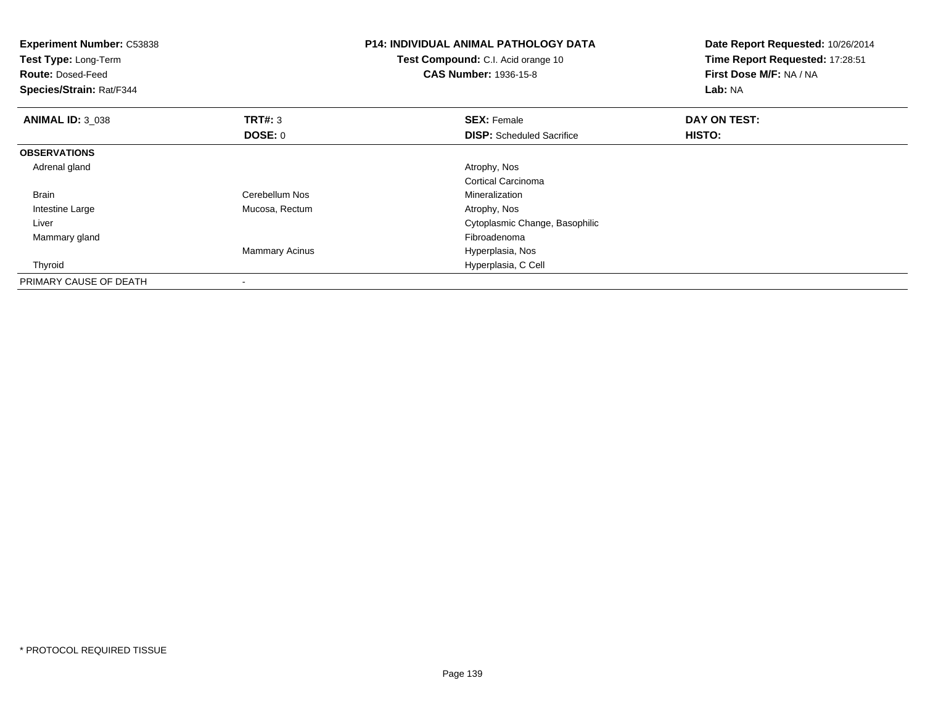| <b>Experiment Number: C53838</b><br>Test Type: Long-Term<br><b>Route: Dosed-Feed</b><br>Species/Strain: Rat/F344 |                       | <b>P14: INDIVIDUAL ANIMAL PATHOLOGY DATA</b><br>Test Compound: C.I. Acid orange 10<br><b>CAS Number: 1936-15-8</b> | Date Report Requested: 10/26/2014<br>Time Report Requested: 17:28:51<br><b>First Dose M/F: NA / NA</b><br>Lab: NA |
|------------------------------------------------------------------------------------------------------------------|-----------------------|--------------------------------------------------------------------------------------------------------------------|-------------------------------------------------------------------------------------------------------------------|
| <b>ANIMAL ID: 3_038</b>                                                                                          | <b>TRT#: 3</b>        | <b>SEX: Female</b>                                                                                                 | DAY ON TEST:                                                                                                      |
|                                                                                                                  | DOSE: 0               | <b>DISP:</b> Scheduled Sacrifice                                                                                   | HISTO:                                                                                                            |
| <b>OBSERVATIONS</b>                                                                                              |                       |                                                                                                                    |                                                                                                                   |
| Adrenal gland                                                                                                    |                       | Atrophy, Nos                                                                                                       |                                                                                                                   |
|                                                                                                                  |                       | Cortical Carcinoma                                                                                                 |                                                                                                                   |
| <b>Brain</b>                                                                                                     | Cerebellum Nos        | Mineralization                                                                                                     |                                                                                                                   |
| Intestine Large                                                                                                  | Mucosa, Rectum        | Atrophy, Nos                                                                                                       |                                                                                                                   |
| Liver                                                                                                            |                       | Cytoplasmic Change, Basophilic                                                                                     |                                                                                                                   |
| Mammary gland                                                                                                    |                       | Fibroadenoma                                                                                                       |                                                                                                                   |
|                                                                                                                  | <b>Mammary Acinus</b> | Hyperplasia, Nos                                                                                                   |                                                                                                                   |
| Thyroid                                                                                                          |                       | Hyperplasia, C Cell                                                                                                |                                                                                                                   |
| PRIMARY CAUSE OF DEATH                                                                                           |                       |                                                                                                                    |                                                                                                                   |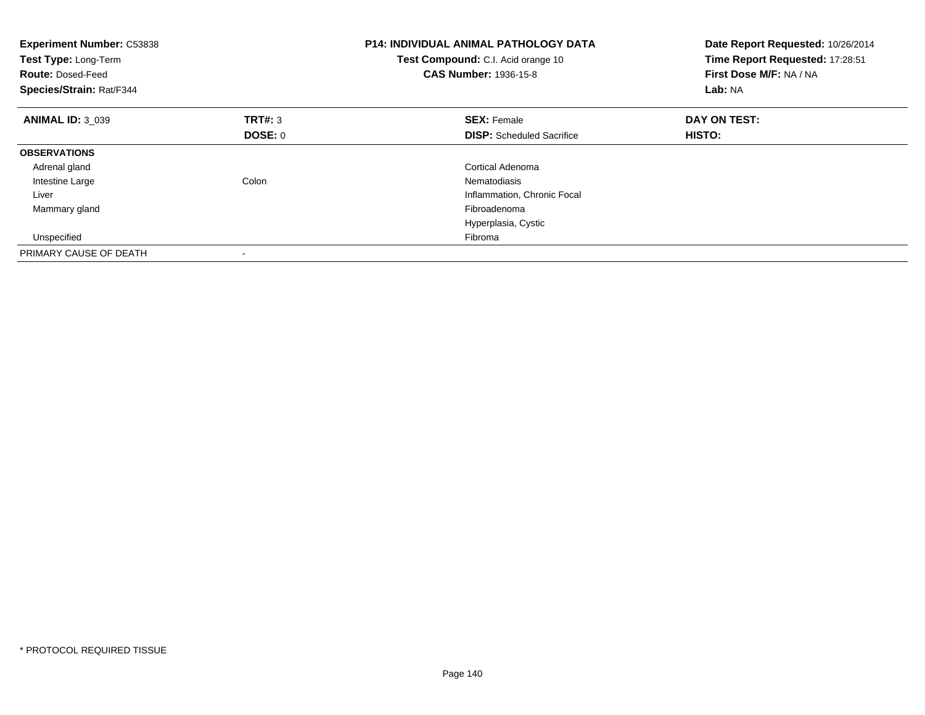| <b>Experiment Number: C53838</b><br>Test Type: Long-Term<br><b>Route: Dosed-Feed</b><br>Species/Strain: Rat/F344 |         | <b>P14: INDIVIDUAL ANIMAL PATHOLOGY DATA</b><br>Test Compound: C.I. Acid orange 10<br><b>CAS Number: 1936-15-8</b> | Date Report Requested: 10/26/2014<br>Time Report Requested: 17:28:51<br>First Dose M/F: NA / NA<br>Lab: NA |
|------------------------------------------------------------------------------------------------------------------|---------|--------------------------------------------------------------------------------------------------------------------|------------------------------------------------------------------------------------------------------------|
| <b>ANIMAL ID: 3 039</b>                                                                                          | TRT#: 3 | <b>SEX: Female</b>                                                                                                 | DAY ON TEST:                                                                                               |
|                                                                                                                  | DOSE: 0 | <b>DISP:</b> Scheduled Sacrifice                                                                                   | HISTO:                                                                                                     |
| <b>OBSERVATIONS</b>                                                                                              |         |                                                                                                                    |                                                                                                            |
| Adrenal gland                                                                                                    |         | <b>Cortical Adenoma</b>                                                                                            |                                                                                                            |
| Intestine Large                                                                                                  | Colon   | Nematodiasis                                                                                                       |                                                                                                            |
| Liver                                                                                                            |         | Inflammation, Chronic Focal                                                                                        |                                                                                                            |
| Mammary gland                                                                                                    |         | Fibroadenoma                                                                                                       |                                                                                                            |
|                                                                                                                  |         | Hyperplasia, Cystic                                                                                                |                                                                                                            |
| Unspecified                                                                                                      |         | Fibroma                                                                                                            |                                                                                                            |
| PRIMARY CAUSE OF DEATH                                                                                           |         |                                                                                                                    |                                                                                                            |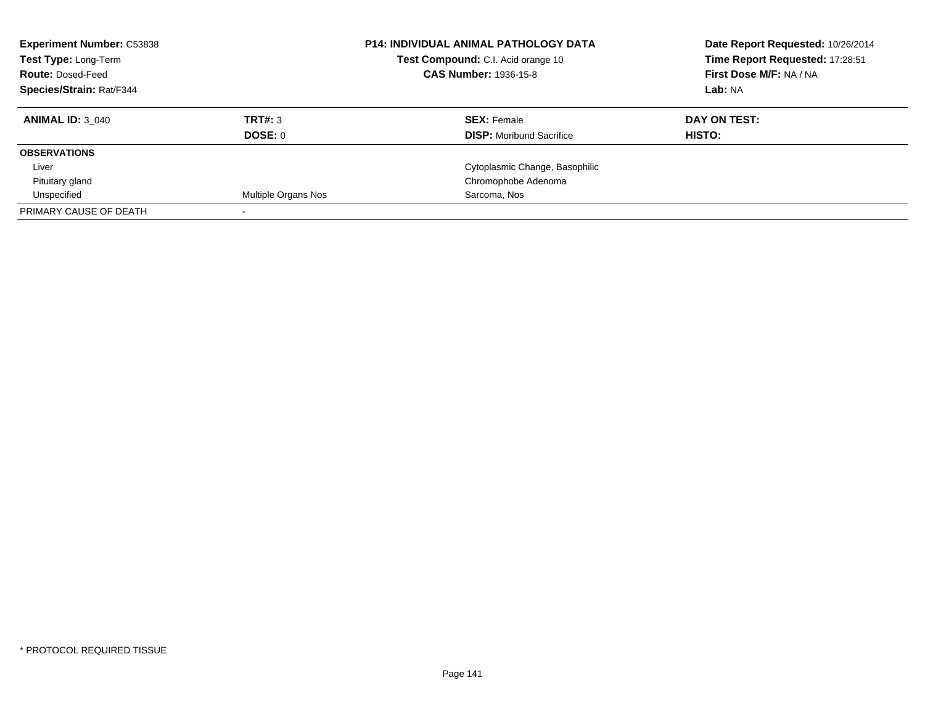| <b>Experiment Number: C53838</b> |                     | <b>P14: INDIVIDUAL ANIMAL PATHOLOGY DATA</b> | Date Report Requested: 10/26/2014 |
|----------------------------------|---------------------|----------------------------------------------|-----------------------------------|
| Test Type: Long-Term             |                     | Test Compound: C.I. Acid orange 10           | Time Report Requested: 17:28:51   |
| <b>Route: Dosed-Feed</b>         |                     | <b>CAS Number: 1936-15-8</b>                 | First Dose M/F: NA / NA           |
| Species/Strain: Rat/F344         |                     |                                              | Lab: NA                           |
| <b>ANIMAL ID: 3 040</b>          | TRT#: 3             | <b>SEX:</b> Female                           | DAY ON TEST:                      |
|                                  | <b>DOSE: 0</b>      | <b>DISP:</b> Moribund Sacrifice              | HISTO:                            |
| <b>OBSERVATIONS</b>              |                     |                                              |                                   |
| Liver                            |                     | Cytoplasmic Change, Basophilic               |                                   |
| Pituitary gland                  |                     | Chromophobe Adenoma                          |                                   |
| Unspecified                      | Multiple Organs Nos | Sarcoma, Nos                                 |                                   |
| PRIMARY CAUSE OF DEATH           |                     |                                              |                                   |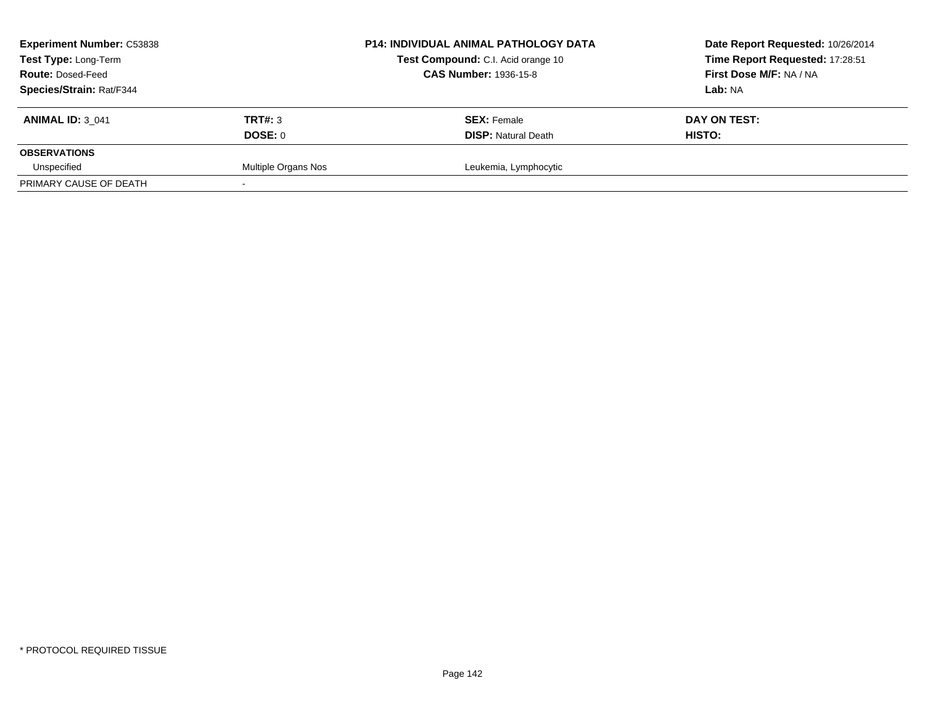| <b>Experiment Number: C53838</b><br>Test Type: Long-Term<br><b>Route: Dosed-Feed</b><br>Species/Strain: Rat/F344 |                     | <b>P14: INDIVIDUAL ANIMAL PATHOLOGY DATA</b><br>Test Compound: C.I. Acid orange 10<br><b>CAS Number: 1936-15-8</b> | Date Report Requested: 10/26/2014<br>Time Report Requested: 17:28:51<br>First Dose M/F: NA / NA<br>Lab: NA |
|------------------------------------------------------------------------------------------------------------------|---------------------|--------------------------------------------------------------------------------------------------------------------|------------------------------------------------------------------------------------------------------------|
| <b>ANIMAL ID: 3 041</b>                                                                                          | TRT#: 3<br>DOSE: 0  | <b>SEX: Female</b><br><b>DISP: Natural Death</b>                                                                   | DAY ON TEST:<br>HISTO:                                                                                     |
| <b>OBSERVATIONS</b><br>Unspecified                                                                               | Multiple Organs Nos | Leukemia, Lymphocytic                                                                                              |                                                                                                            |
| PRIMARY CAUSE OF DEATH                                                                                           |                     |                                                                                                                    |                                                                                                            |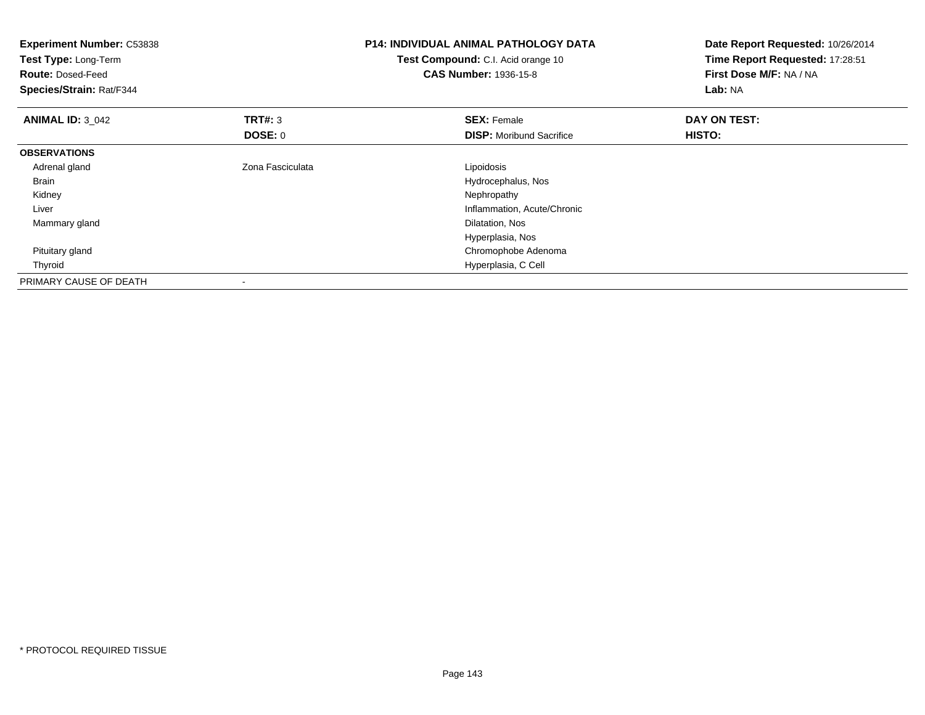| <b>Experiment Number: C53838</b><br>Test Type: Long-Term<br><b>Route: Dosed-Feed</b><br>Species/Strain: Rat/F344 |                  | <b>P14: INDIVIDUAL ANIMAL PATHOLOGY DATA</b><br>Test Compound: C.I. Acid orange 10<br><b>CAS Number: 1936-15-8</b> | Date Report Requested: 10/26/2014<br>Time Report Requested: 17:28:51<br>First Dose M/F: NA / NA<br>Lab: NA |
|------------------------------------------------------------------------------------------------------------------|------------------|--------------------------------------------------------------------------------------------------------------------|------------------------------------------------------------------------------------------------------------|
| <b>ANIMAL ID: 3 042</b>                                                                                          | <b>TRT#: 3</b>   | <b>SEX: Female</b>                                                                                                 | DAY ON TEST:                                                                                               |
|                                                                                                                  | DOSE: 0          | <b>DISP:</b> Moribund Sacrifice                                                                                    | <b>HISTO:</b>                                                                                              |
| <b>OBSERVATIONS</b>                                                                                              |                  |                                                                                                                    |                                                                                                            |
| Adrenal gland                                                                                                    | Zona Fasciculata | Lipoidosis                                                                                                         |                                                                                                            |
| Brain                                                                                                            |                  | Hydrocephalus, Nos                                                                                                 |                                                                                                            |
| Kidney                                                                                                           |                  | Nephropathy                                                                                                        |                                                                                                            |
| Liver                                                                                                            |                  | Inflammation, Acute/Chronic                                                                                        |                                                                                                            |
| Mammary gland                                                                                                    |                  | Dilatation, Nos                                                                                                    |                                                                                                            |
|                                                                                                                  |                  | Hyperplasia, Nos                                                                                                   |                                                                                                            |
| Pituitary gland                                                                                                  |                  | Chromophobe Adenoma                                                                                                |                                                                                                            |
| Thyroid                                                                                                          |                  | Hyperplasia, C Cell                                                                                                |                                                                                                            |
| PRIMARY CAUSE OF DEATH                                                                                           |                  |                                                                                                                    |                                                                                                            |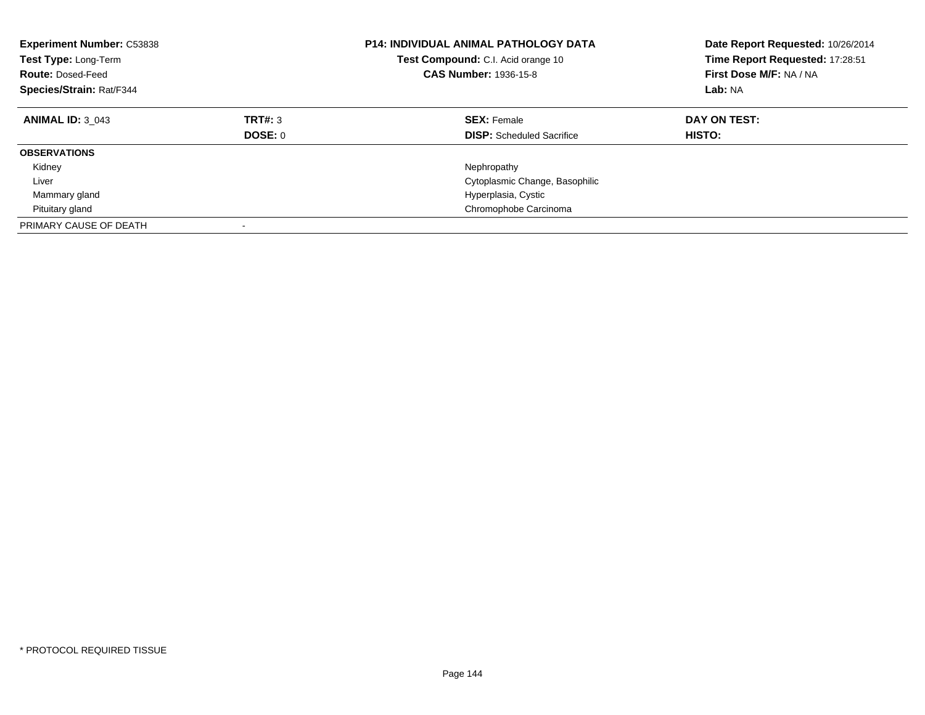| <b>Experiment Number: C53838</b><br><b>Test Type: Long-Term</b><br><b>Route: Dosed-Feed</b><br>Species/Strain: Rat/F344 |                           | <b>P14: INDIVIDUAL ANIMAL PATHOLOGY DATA</b><br><b>Test Compound:</b> C.I. Acid orange 10<br><b>CAS Number: 1936-15-8</b> | Date Report Requested: 10/26/2014<br>Time Report Requested: 17:28:51<br>First Dose M/F: NA / NA<br>Lab: NA |
|-------------------------------------------------------------------------------------------------------------------------|---------------------------|---------------------------------------------------------------------------------------------------------------------------|------------------------------------------------------------------------------------------------------------|
| <b>ANIMAL ID: 3 043</b>                                                                                                 | TRT#: 3<br><b>DOSE: 0</b> | <b>SEX: Female</b><br><b>DISP:</b> Scheduled Sacrifice                                                                    | DAY ON TEST:<br><b>HISTO:</b>                                                                              |
| <b>OBSERVATIONS</b>                                                                                                     |                           |                                                                                                                           |                                                                                                            |
| Kidney                                                                                                                  |                           | Nephropathy                                                                                                               |                                                                                                            |
| Liver                                                                                                                   |                           | Cytoplasmic Change, Basophilic                                                                                            |                                                                                                            |
| Mammary gland                                                                                                           |                           | Hyperplasia, Cystic                                                                                                       |                                                                                                            |
| Pituitary gland                                                                                                         |                           | Chromophobe Carcinoma                                                                                                     |                                                                                                            |
| PRIMARY CAUSE OF DEATH                                                                                                  |                           |                                                                                                                           |                                                                                                            |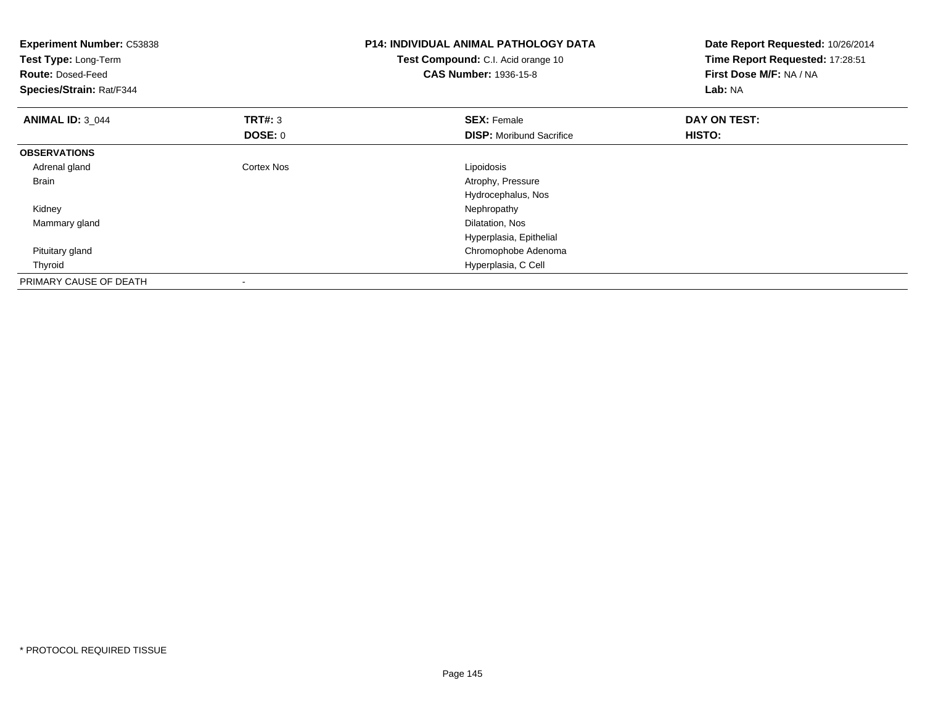| <b>Experiment Number: C53838</b><br>Test Type: Long-Term<br><b>Route: Dosed-Feed</b><br>Species/Strain: Rat/F344 |            | <b>P14: INDIVIDUAL ANIMAL PATHOLOGY DATA</b><br>Test Compound: C.I. Acid orange 10<br><b>CAS Number: 1936-15-8</b> | Date Report Requested: 10/26/2014<br>Time Report Requested: 17:28:51<br>First Dose M/F: NA / NA<br>Lab: NA |
|------------------------------------------------------------------------------------------------------------------|------------|--------------------------------------------------------------------------------------------------------------------|------------------------------------------------------------------------------------------------------------|
| <b>ANIMAL ID: 3_044</b>                                                                                          | TRT#: 3    | <b>SEX: Female</b>                                                                                                 | DAY ON TEST:                                                                                               |
|                                                                                                                  | DOSE: 0    | <b>DISP:</b> Moribund Sacrifice                                                                                    | HISTO:                                                                                                     |
| <b>OBSERVATIONS</b>                                                                                              |            |                                                                                                                    |                                                                                                            |
| Adrenal gland                                                                                                    | Cortex Nos | Lipoidosis                                                                                                         |                                                                                                            |
| Brain                                                                                                            |            | Atrophy, Pressure                                                                                                  |                                                                                                            |
|                                                                                                                  |            | Hydrocephalus, Nos                                                                                                 |                                                                                                            |
| Kidney                                                                                                           |            | Nephropathy                                                                                                        |                                                                                                            |
| Mammary gland                                                                                                    |            | Dilatation, Nos                                                                                                    |                                                                                                            |
|                                                                                                                  |            | Hyperplasia, Epithelial                                                                                            |                                                                                                            |
| Pituitary gland                                                                                                  |            | Chromophobe Adenoma                                                                                                |                                                                                                            |
| Thyroid                                                                                                          |            | Hyperplasia, C Cell                                                                                                |                                                                                                            |
| PRIMARY CAUSE OF DEATH                                                                                           | $\,$       |                                                                                                                    |                                                                                                            |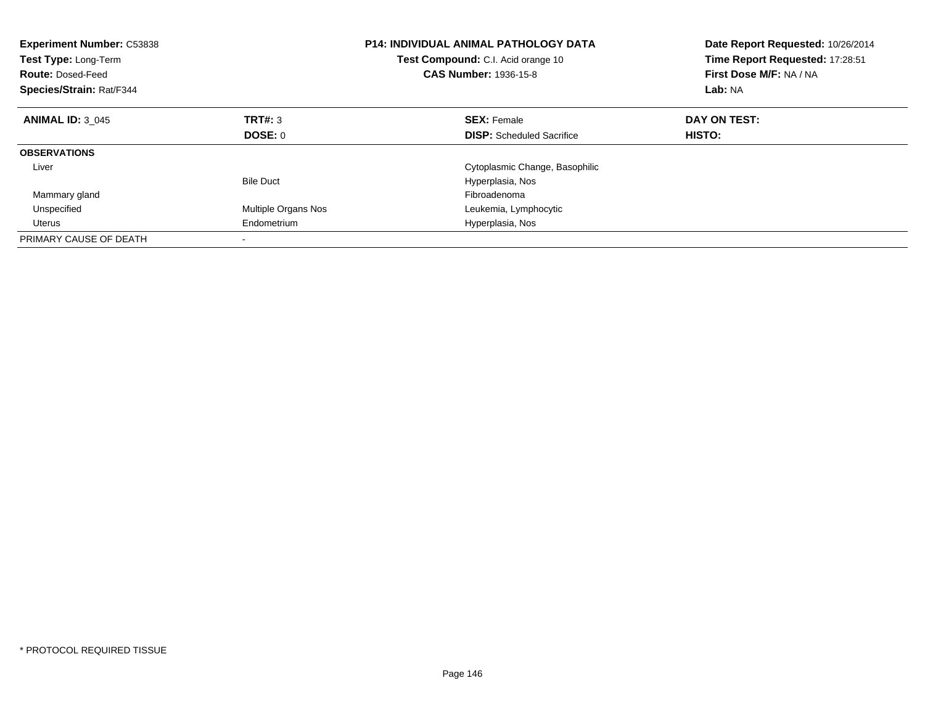| <b>Experiment Number: C53838</b><br>Test Type: Long-Term<br><b>Route: Dosed-Feed</b><br>Species/Strain: Rat/F344 |                     | <b>P14: INDIVIDUAL ANIMAL PATHOLOGY DATA</b><br>Test Compound: C.I. Acid orange 10<br>CAS Number: 1936-15-8 | Date Report Requested: 10/26/2014<br>Time Report Requested: 17:28:51<br>First Dose M/F: NA / NA<br>Lab: NA |
|------------------------------------------------------------------------------------------------------------------|---------------------|-------------------------------------------------------------------------------------------------------------|------------------------------------------------------------------------------------------------------------|
| <b>ANIMAL ID: 3 045</b>                                                                                          | TRT#: 3             | <b>SEX: Female</b>                                                                                          | DAY ON TEST:                                                                                               |
|                                                                                                                  | DOSE: 0             | <b>DISP:</b> Scheduled Sacrifice                                                                            | <b>HISTO:</b>                                                                                              |
| <b>OBSERVATIONS</b>                                                                                              |                     |                                                                                                             |                                                                                                            |
| Liver                                                                                                            |                     | Cytoplasmic Change, Basophilic                                                                              |                                                                                                            |
|                                                                                                                  | <b>Bile Duct</b>    | Hyperplasia, Nos                                                                                            |                                                                                                            |
| Mammary gland                                                                                                    |                     | Fibroadenoma                                                                                                |                                                                                                            |
| Unspecified                                                                                                      | Multiple Organs Nos | Leukemia, Lymphocytic                                                                                       |                                                                                                            |
| Uterus                                                                                                           | Endometrium         | Hyperplasia, Nos                                                                                            |                                                                                                            |
| PRIMARY CAUSE OF DEATH                                                                                           |                     |                                                                                                             |                                                                                                            |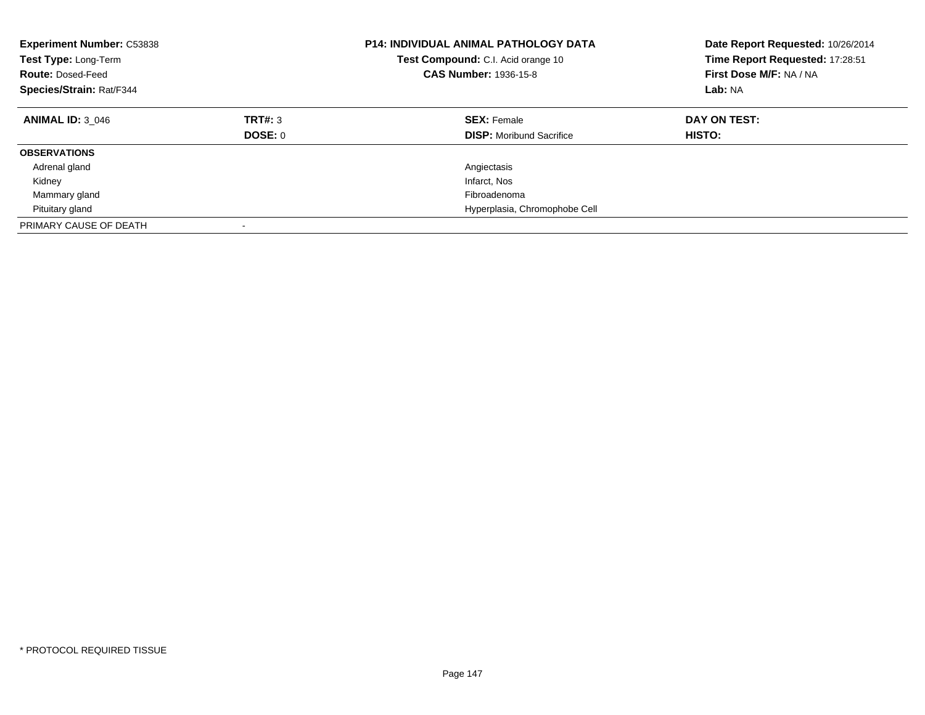| <b>Experiment Number: C53838</b><br>Test Type: Long-Term<br><b>Route: Dosed-Feed</b><br>Species/Strain: Rat/F344 |                           | <b>P14: INDIVIDUAL ANIMAL PATHOLOGY DATA</b><br>Test Compound: C.I. Acid orange 10<br><b>CAS Number: 1936-15-8</b> | Date Report Requested: 10/26/2014<br>Time Report Requested: 17:28:51<br>First Dose M/F: NA / NA<br>Lab: NA |
|------------------------------------------------------------------------------------------------------------------|---------------------------|--------------------------------------------------------------------------------------------------------------------|------------------------------------------------------------------------------------------------------------|
| <b>ANIMAL ID: 3 046</b>                                                                                          | TRT#: 3<br><b>DOSE: 0</b> | <b>SEX: Female</b><br><b>DISP:</b> Moribund Sacrifice                                                              | DAY ON TEST:<br><b>HISTO:</b>                                                                              |
| <b>OBSERVATIONS</b>                                                                                              |                           |                                                                                                                    |                                                                                                            |
| Adrenal gland                                                                                                    |                           | Angiectasis                                                                                                        |                                                                                                            |
| Kidney                                                                                                           |                           | Infarct, Nos                                                                                                       |                                                                                                            |
| Mammary gland                                                                                                    |                           | Fibroadenoma                                                                                                       |                                                                                                            |
| Pituitary gland                                                                                                  |                           | Hyperplasia, Chromophobe Cell                                                                                      |                                                                                                            |
| PRIMARY CAUSE OF DEATH                                                                                           | $\overline{\phantom{a}}$  |                                                                                                                    |                                                                                                            |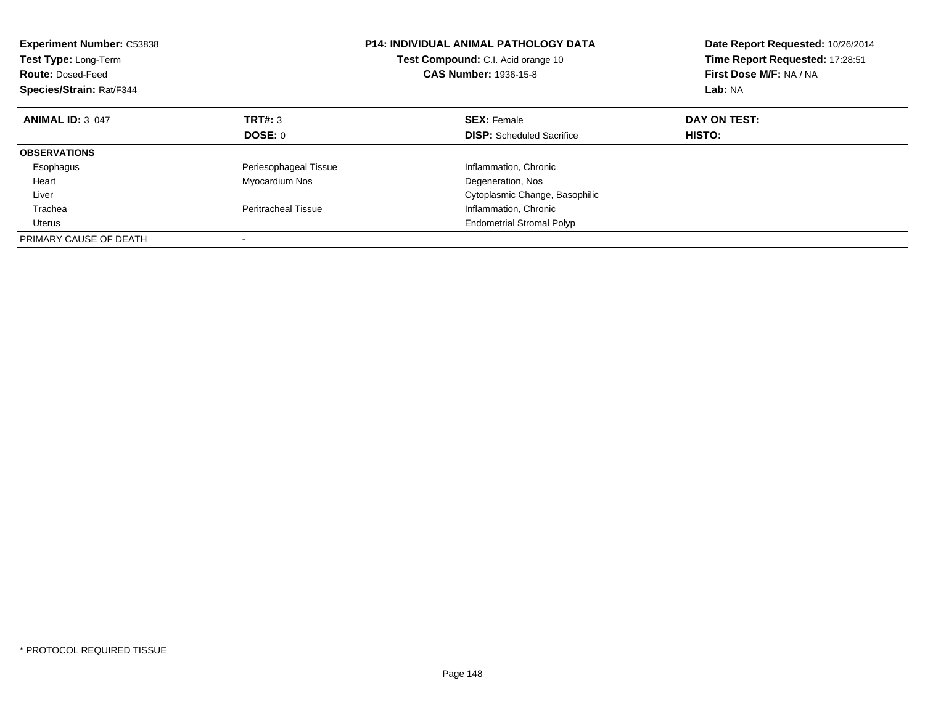| <b>Experiment Number: C53838</b><br>Test Type: Long-Term<br><b>Route: Dosed-Feed</b><br>Species/Strain: Rat/F344 |                            | <b>P14: INDIVIDUAL ANIMAL PATHOLOGY DATA</b><br><b>Test Compound:</b> C.I. Acid orange 10<br><b>CAS Number: 1936-15-8</b> | Date Report Requested: 10/26/2014<br>Time Report Requested: 17:28:51<br>First Dose M/F: NA / NA<br>Lab: NA |
|------------------------------------------------------------------------------------------------------------------|----------------------------|---------------------------------------------------------------------------------------------------------------------------|------------------------------------------------------------------------------------------------------------|
| <b>ANIMAL ID: 3 047</b>                                                                                          | TRT#: 3                    | <b>SEX: Female</b>                                                                                                        | DAY ON TEST:                                                                                               |
|                                                                                                                  | DOSE: 0                    | <b>DISP:</b> Scheduled Sacrifice                                                                                          | <b>HISTO:</b>                                                                                              |
| <b>OBSERVATIONS</b>                                                                                              |                            |                                                                                                                           |                                                                                                            |
| Esophagus                                                                                                        | Periesophageal Tissue      | Inflammation, Chronic                                                                                                     |                                                                                                            |
| Heart                                                                                                            | Myocardium Nos             | Degeneration, Nos                                                                                                         |                                                                                                            |
| Liver                                                                                                            |                            | Cytoplasmic Change, Basophilic                                                                                            |                                                                                                            |
| Trachea                                                                                                          | <b>Peritracheal Tissue</b> | Inflammation, Chronic                                                                                                     |                                                                                                            |
| Uterus                                                                                                           |                            | <b>Endometrial Stromal Polyp</b>                                                                                          |                                                                                                            |
| PRIMARY CAUSE OF DEATH                                                                                           |                            |                                                                                                                           |                                                                                                            |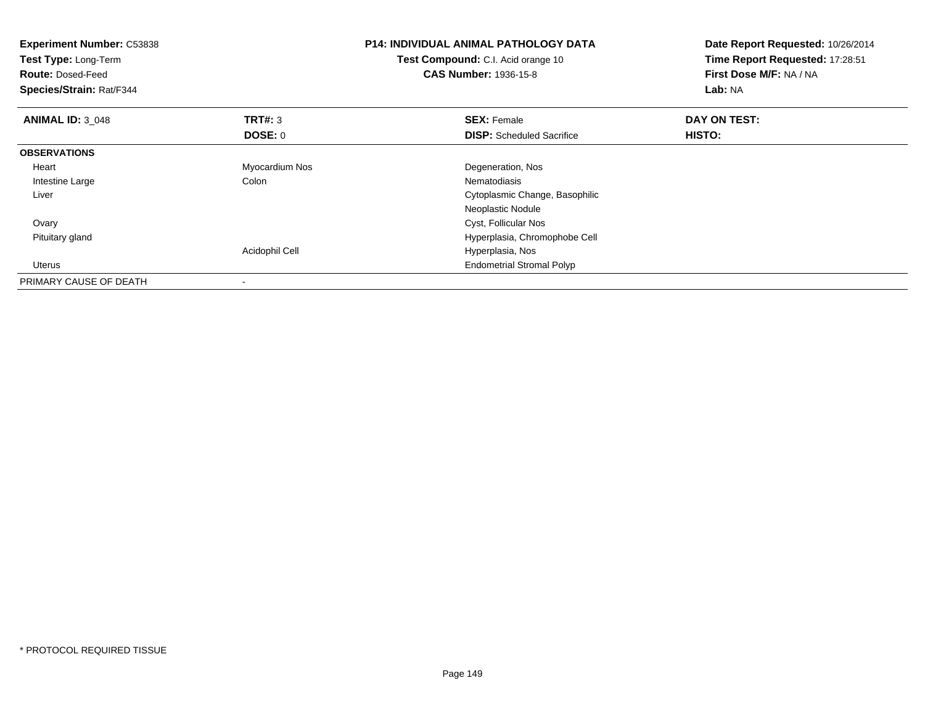| <b>Experiment Number: C53838</b><br>Test Type: Long-Term<br><b>Route: Dosed-Feed</b><br>Species/Strain: Rat/F344 |                | <b>P14: INDIVIDUAL ANIMAL PATHOLOGY DATA</b><br><b>Test Compound:</b> C.I. Acid orange 10<br><b>CAS Number: 1936-15-8</b> | Date Report Requested: 10/26/2014<br>Time Report Requested: 17:28:51<br>First Dose M/F: NA / NA<br>Lab: NA |
|------------------------------------------------------------------------------------------------------------------|----------------|---------------------------------------------------------------------------------------------------------------------------|------------------------------------------------------------------------------------------------------------|
| <b>ANIMAL ID: 3 048</b>                                                                                          | TRT#: 3        | <b>SEX: Female</b>                                                                                                        | DAY ON TEST:                                                                                               |
|                                                                                                                  | DOSE: 0        | <b>DISP:</b> Scheduled Sacrifice                                                                                          | HISTO:                                                                                                     |
| <b>OBSERVATIONS</b>                                                                                              |                |                                                                                                                           |                                                                                                            |
| Heart                                                                                                            | Myocardium Nos | Degeneration, Nos                                                                                                         |                                                                                                            |
| Intestine Large                                                                                                  | Colon          | Nematodiasis                                                                                                              |                                                                                                            |
| Liver                                                                                                            |                | Cytoplasmic Change, Basophilic                                                                                            |                                                                                                            |
|                                                                                                                  |                | Neoplastic Nodule                                                                                                         |                                                                                                            |
| Ovary                                                                                                            |                | Cyst, Follicular Nos                                                                                                      |                                                                                                            |
| Pituitary gland                                                                                                  |                | Hyperplasia, Chromophobe Cell                                                                                             |                                                                                                            |
|                                                                                                                  | Acidophil Cell | Hyperplasia, Nos                                                                                                          |                                                                                                            |
| Uterus                                                                                                           |                | <b>Endometrial Stromal Polyp</b>                                                                                          |                                                                                                            |
| PRIMARY CAUSE OF DEATH                                                                                           |                |                                                                                                                           |                                                                                                            |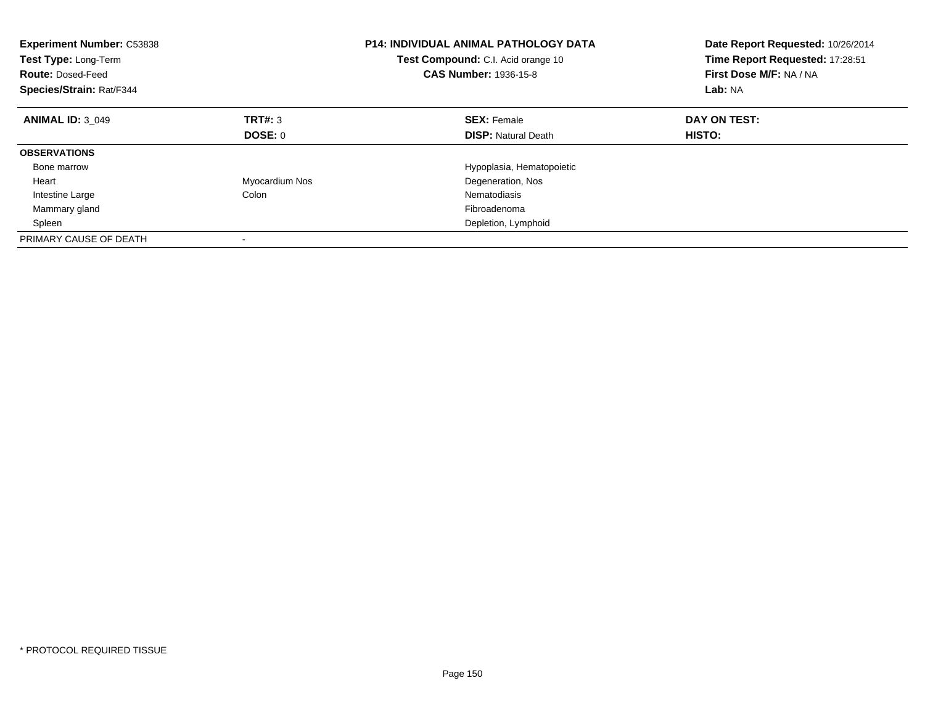| <b>Experiment Number: C53838</b><br>Test Type: Long-Term<br><b>Route: Dosed-Feed</b><br>Species/Strain: Rat/F344 |                | <b>P14: INDIVIDUAL ANIMAL PATHOLOGY DATA</b><br>Test Compound: C.I. Acid orange 10<br><b>CAS Number: 1936-15-8</b> | Date Report Requested: 10/26/2014<br>Time Report Requested: 17:28:51<br>First Dose M/F: NA / NA<br>Lab: NA |
|------------------------------------------------------------------------------------------------------------------|----------------|--------------------------------------------------------------------------------------------------------------------|------------------------------------------------------------------------------------------------------------|
| <b>ANIMAL ID: 3 049</b>                                                                                          | TRT#: 3        | <b>SEX: Female</b>                                                                                                 | DAY ON TEST:                                                                                               |
|                                                                                                                  | DOSE: 0        | <b>DISP:</b> Natural Death                                                                                         | <b>HISTO:</b>                                                                                              |
| <b>OBSERVATIONS</b>                                                                                              |                |                                                                                                                    |                                                                                                            |
| Bone marrow                                                                                                      |                | Hypoplasia, Hematopoietic                                                                                          |                                                                                                            |
| Heart                                                                                                            | Myocardium Nos | Degeneration, Nos                                                                                                  |                                                                                                            |
| Intestine Large                                                                                                  | Colon          | Nematodiasis                                                                                                       |                                                                                                            |
| Mammary gland                                                                                                    |                | Fibroadenoma                                                                                                       |                                                                                                            |
| Spleen                                                                                                           |                | Depletion, Lymphoid                                                                                                |                                                                                                            |
| PRIMARY CAUSE OF DEATH                                                                                           |                |                                                                                                                    |                                                                                                            |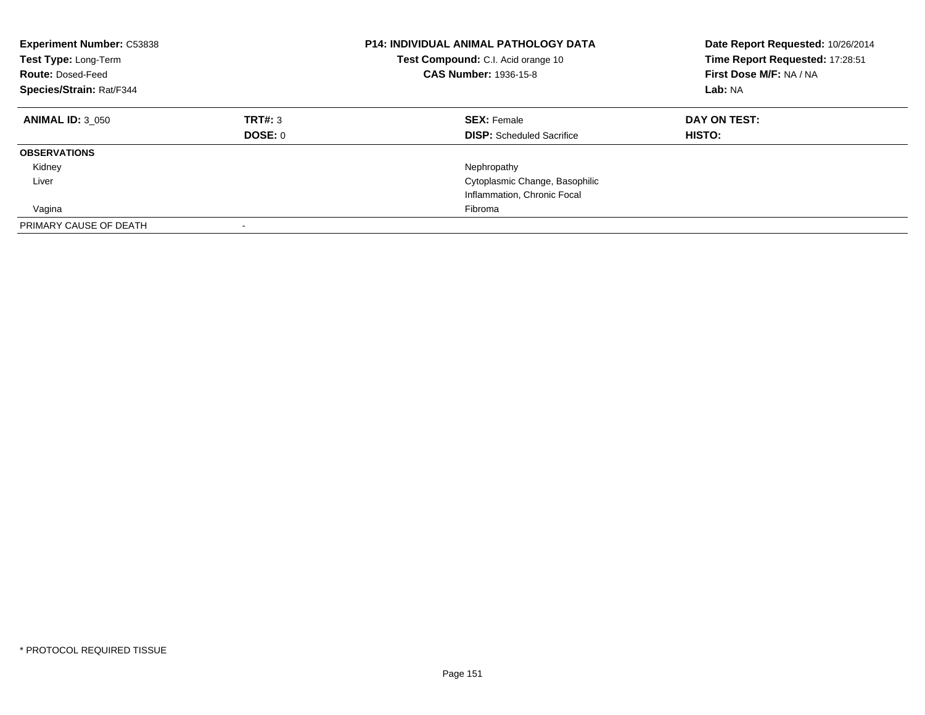| <b>Experiment Number: C53838</b><br>Test Type: Long-Term<br><b>Route: Dosed-Feed</b><br>Species/Strain: Rat/F344 |                    | <b>P14: INDIVIDUAL ANIMAL PATHOLOGY DATA</b><br>Test Compound: C.I. Acid orange 10<br><b>CAS Number: 1936-15-8</b> | Date Report Requested: 10/26/2014<br>Time Report Requested: 17:28:51<br>First Dose M/F: NA / NA<br>Lab: NA |
|------------------------------------------------------------------------------------------------------------------|--------------------|--------------------------------------------------------------------------------------------------------------------|------------------------------------------------------------------------------------------------------------|
| <b>ANIMAL ID: 3 050</b>                                                                                          | TRT#: 3<br>DOSE: 0 | <b>SEX: Female</b><br><b>DISP:</b> Scheduled Sacrifice                                                             | DAY ON TEST:<br><b>HISTO:</b>                                                                              |
| <b>OBSERVATIONS</b>                                                                                              |                    |                                                                                                                    |                                                                                                            |
| Kidney                                                                                                           |                    | Nephropathy                                                                                                        |                                                                                                            |
| Liver                                                                                                            |                    | Cytoplasmic Change, Basophilic                                                                                     |                                                                                                            |
|                                                                                                                  |                    | Inflammation, Chronic Focal                                                                                        |                                                                                                            |
| Vagina                                                                                                           |                    | Fibroma                                                                                                            |                                                                                                            |
| PRIMARY CAUSE OF DEATH                                                                                           |                    |                                                                                                                    |                                                                                                            |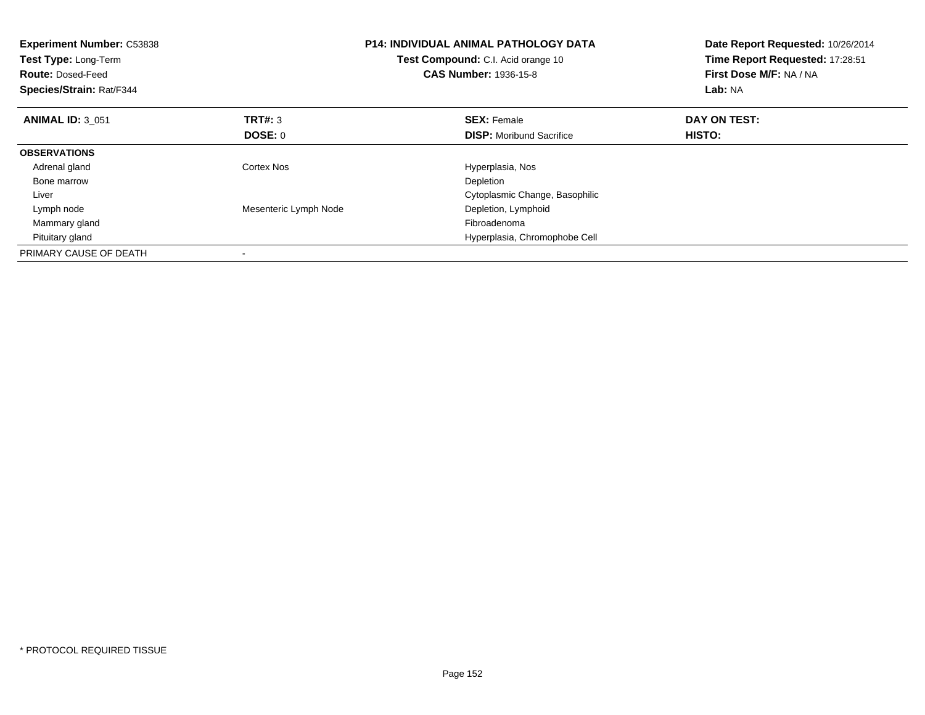| <b>Experiment Number: C53838</b><br>Test Type: Long-Term<br><b>Route: Dosed-Feed</b><br>Species/Strain: Rat/F344 |                       | <b>P14: INDIVIDUAL ANIMAL PATHOLOGY DATA</b><br><b>Test Compound:</b> C.I. Acid orange 10<br><b>CAS Number: 1936-15-8</b> | Date Report Requested: 10/26/2014<br>Time Report Requested: 17:28:51<br>First Dose M/F: NA / NA<br>Lab: NA |
|------------------------------------------------------------------------------------------------------------------|-----------------------|---------------------------------------------------------------------------------------------------------------------------|------------------------------------------------------------------------------------------------------------|
| <b>ANIMAL ID: 3 051</b>                                                                                          | <b>TRT#: 3</b>        | <b>SEX: Female</b>                                                                                                        | DAY ON TEST:                                                                                               |
|                                                                                                                  | DOSE: 0               | <b>DISP:</b> Moribund Sacrifice                                                                                           | HISTO:                                                                                                     |
| <b>OBSERVATIONS</b>                                                                                              |                       |                                                                                                                           |                                                                                                            |
| Adrenal gland                                                                                                    | Cortex Nos            | Hyperplasia, Nos                                                                                                          |                                                                                                            |
| Bone marrow                                                                                                      |                       | Depletion                                                                                                                 |                                                                                                            |
| Liver                                                                                                            |                       | Cytoplasmic Change, Basophilic                                                                                            |                                                                                                            |
| Lymph node                                                                                                       | Mesenteric Lymph Node | Depletion, Lymphoid                                                                                                       |                                                                                                            |
| Mammary gland                                                                                                    |                       | Fibroadenoma                                                                                                              |                                                                                                            |
| Pituitary gland                                                                                                  |                       | Hyperplasia, Chromophobe Cell                                                                                             |                                                                                                            |
| PRIMARY CAUSE OF DEATH                                                                                           |                       |                                                                                                                           |                                                                                                            |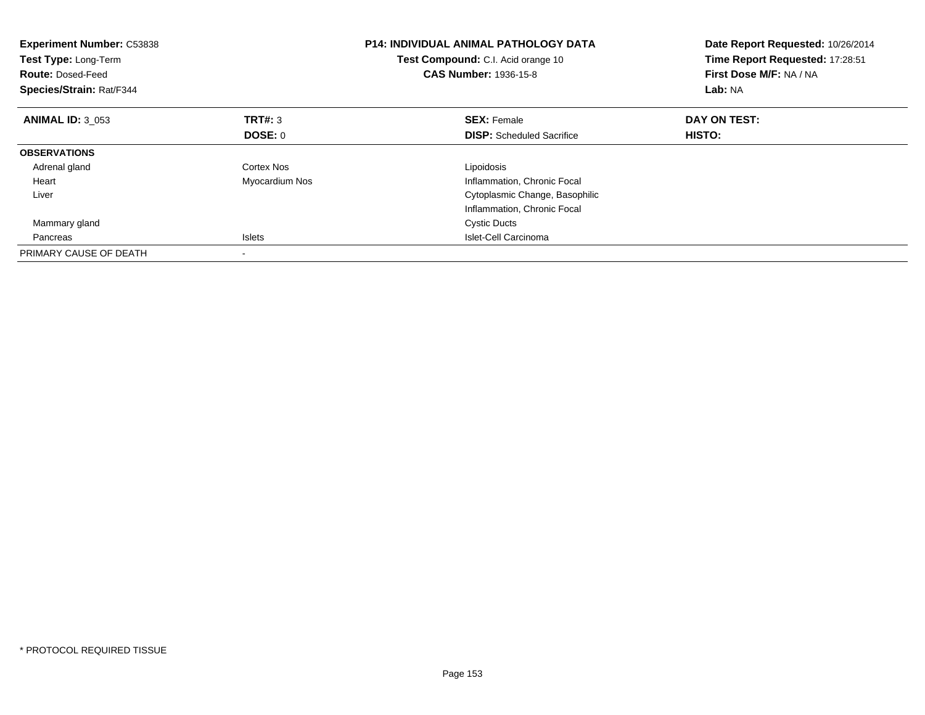| <b>Experiment Number: C53838</b><br>Test Type: Long-Term<br><b>Route: Dosed-Feed</b><br>Species/Strain: Rat/F344 |                | <b>P14: INDIVIDUAL ANIMAL PATHOLOGY DATA</b><br>Test Compound: C.I. Acid orange 10<br><b>CAS Number: 1936-15-8</b> | Date Report Requested: 10/26/2014<br>Time Report Requested: 17:28:51<br>First Dose M/F: NA / NA<br>Lab: NA |
|------------------------------------------------------------------------------------------------------------------|----------------|--------------------------------------------------------------------------------------------------------------------|------------------------------------------------------------------------------------------------------------|
| <b>ANIMAL ID: 3 053</b>                                                                                          | TRT#: 3        | <b>SEX: Female</b>                                                                                                 | DAY ON TEST:                                                                                               |
|                                                                                                                  | DOSE: 0        | <b>DISP:</b> Scheduled Sacrifice                                                                                   | <b>HISTO:</b>                                                                                              |
| <b>OBSERVATIONS</b>                                                                                              |                |                                                                                                                    |                                                                                                            |
| Adrenal gland                                                                                                    | Cortex Nos     | Lipoidosis                                                                                                         |                                                                                                            |
| Heart                                                                                                            | Myocardium Nos | Inflammation, Chronic Focal                                                                                        |                                                                                                            |
| Liver                                                                                                            |                | Cytoplasmic Change, Basophilic                                                                                     |                                                                                                            |
|                                                                                                                  |                | Inflammation, Chronic Focal                                                                                        |                                                                                                            |
| Mammary gland                                                                                                    |                | <b>Cystic Ducts</b>                                                                                                |                                                                                                            |
| Pancreas                                                                                                         | <b>Islets</b>  | Islet-Cell Carcinoma                                                                                               |                                                                                                            |
| PRIMARY CAUSE OF DEATH                                                                                           |                |                                                                                                                    |                                                                                                            |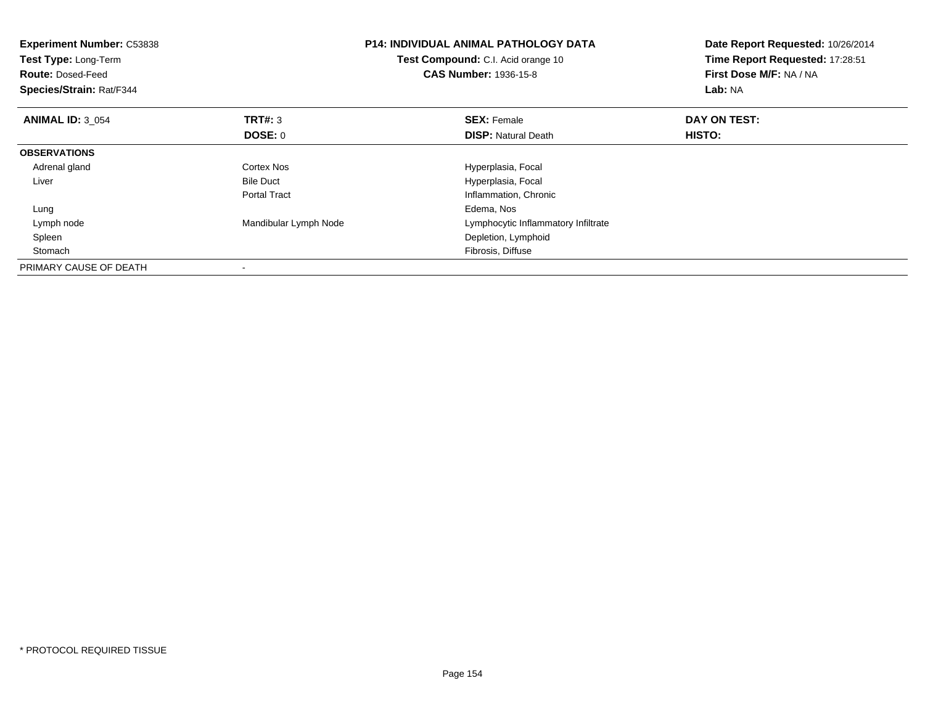| <b>Experiment Number: C53838</b><br>Test Type: Long-Term<br><b>Route: Dosed-Feed</b><br>Species/Strain: Rat/F344 |                       | <b>P14: INDIVIDUAL ANIMAL PATHOLOGY DATA</b><br>Test Compound: C.I. Acid orange 10<br><b>CAS Number: 1936-15-8</b> | Date Report Requested: 10/26/2014<br>Time Report Requested: 17:28:51<br>First Dose M/F: NA / NA<br>Lab: NA |
|------------------------------------------------------------------------------------------------------------------|-----------------------|--------------------------------------------------------------------------------------------------------------------|------------------------------------------------------------------------------------------------------------|
| <b>ANIMAL ID: 3 054</b>                                                                                          | <b>TRT#: 3</b>        | <b>SEX: Female</b>                                                                                                 | DAY ON TEST:                                                                                               |
|                                                                                                                  | DOSE: 0               | <b>DISP: Natural Death</b>                                                                                         | HISTO:                                                                                                     |
| <b>OBSERVATIONS</b>                                                                                              |                       |                                                                                                                    |                                                                                                            |
| Adrenal gland                                                                                                    | Cortex Nos            | Hyperplasia, Focal                                                                                                 |                                                                                                            |
| Liver                                                                                                            | <b>Bile Duct</b>      | Hyperplasia, Focal                                                                                                 |                                                                                                            |
|                                                                                                                  | <b>Portal Tract</b>   | Inflammation, Chronic                                                                                              |                                                                                                            |
| Lung                                                                                                             |                       | Edema, Nos                                                                                                         |                                                                                                            |
| Lymph node                                                                                                       | Mandibular Lymph Node | Lymphocytic Inflammatory Infiltrate                                                                                |                                                                                                            |
| Spleen                                                                                                           |                       | Depletion, Lymphoid                                                                                                |                                                                                                            |
| Stomach                                                                                                          |                       | Fibrosis, Diffuse                                                                                                  |                                                                                                            |
| PRIMARY CAUSE OF DEATH                                                                                           |                       |                                                                                                                    |                                                                                                            |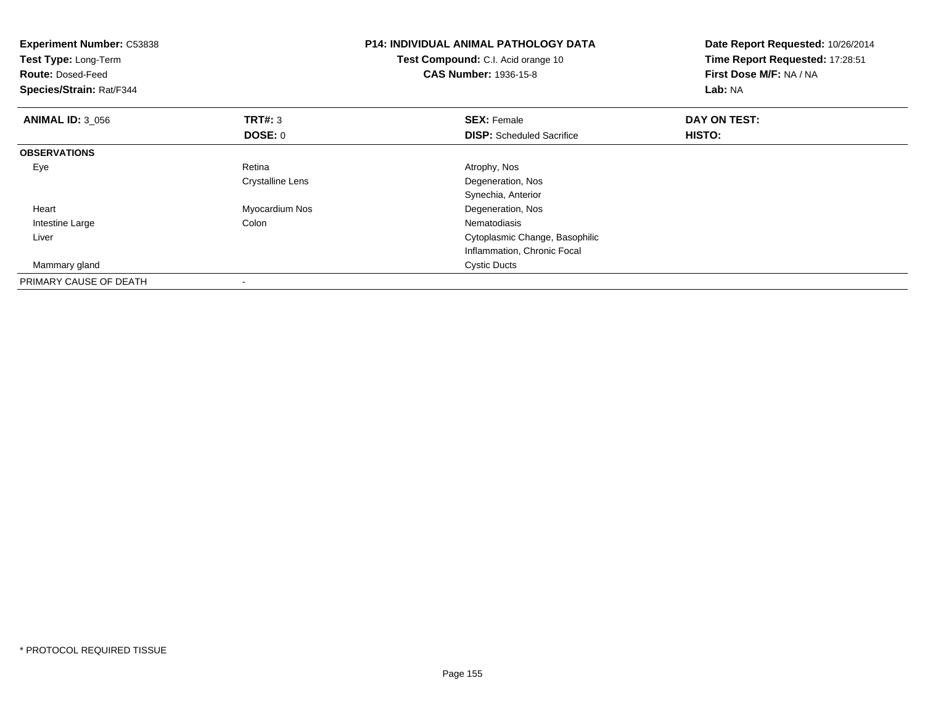| <b>Experiment Number: C53838</b><br>Test Type: Long-Term<br><b>Route: Dosed-Feed</b><br>Species/Strain: Rat/F344 |                  | <b>P14: INDIVIDUAL ANIMAL PATHOLOGY DATA</b><br>Test Compound: C.I. Acid orange 10<br><b>CAS Number: 1936-15-8</b> | Date Report Requested: 10/26/2014<br>Time Report Requested: 17:28:51<br>First Dose M/F: NA / NA<br>Lab: NA |
|------------------------------------------------------------------------------------------------------------------|------------------|--------------------------------------------------------------------------------------------------------------------|------------------------------------------------------------------------------------------------------------|
| <b>ANIMAL ID: 3 056</b>                                                                                          | TRT#: 3          | <b>SEX: Female</b>                                                                                                 | DAY ON TEST:                                                                                               |
|                                                                                                                  | DOSE: 0          | <b>DISP:</b> Scheduled Sacrifice                                                                                   | <b>HISTO:</b>                                                                                              |
| <b>OBSERVATIONS</b>                                                                                              |                  |                                                                                                                    |                                                                                                            |
| Eye                                                                                                              | Retina           | Atrophy, Nos                                                                                                       |                                                                                                            |
|                                                                                                                  | Crystalline Lens | Degeneration, Nos                                                                                                  |                                                                                                            |
|                                                                                                                  |                  | Synechia, Anterior                                                                                                 |                                                                                                            |
| Heart                                                                                                            | Myocardium Nos   | Degeneration, Nos                                                                                                  |                                                                                                            |
| Intestine Large                                                                                                  | Colon            | Nematodiasis                                                                                                       |                                                                                                            |
| Liver                                                                                                            |                  | Cytoplasmic Change, Basophilic                                                                                     |                                                                                                            |
|                                                                                                                  |                  | Inflammation, Chronic Focal                                                                                        |                                                                                                            |
| Mammary gland                                                                                                    |                  | <b>Cystic Ducts</b>                                                                                                |                                                                                                            |
| PRIMARY CAUSE OF DEATH                                                                                           |                  |                                                                                                                    |                                                                                                            |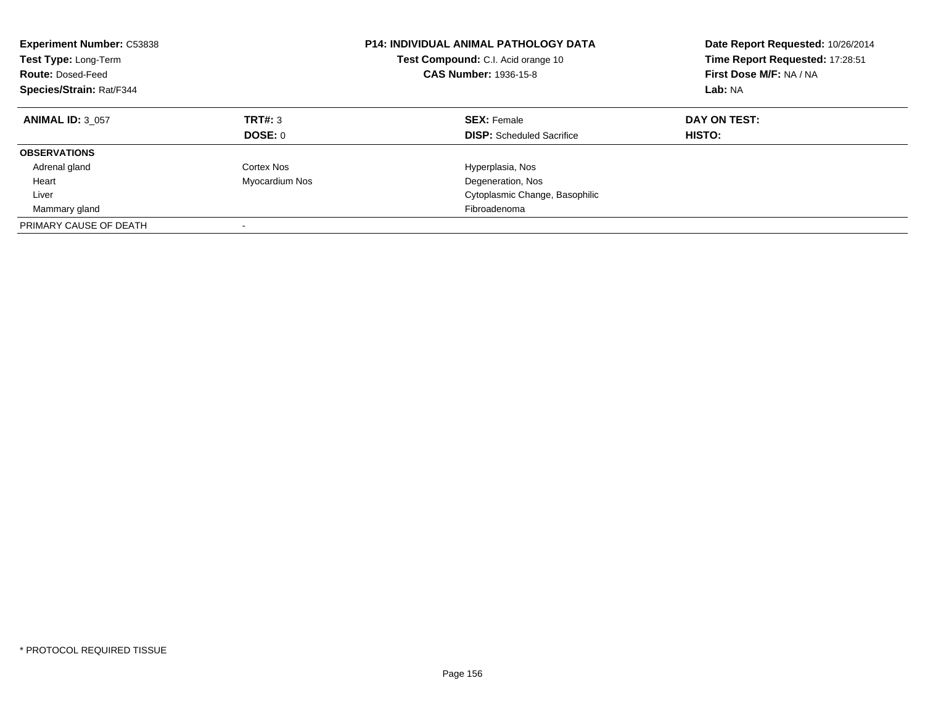| <b>Experiment Number: C53838</b><br><b>Test Type: Long-Term</b><br><b>Route: Dosed-Feed</b><br>Species/Strain: Rat/F344 |                    | <b>P14: INDIVIDUAL ANIMAL PATHOLOGY DATA</b><br><b>Test Compound:</b> C.I. Acid orange 10<br><b>CAS Number: 1936-15-8</b> | Date Report Requested: 10/26/2014<br>Time Report Requested: 17:28:51<br>First Dose M/F: NA / NA<br>Lab: NA |
|-------------------------------------------------------------------------------------------------------------------------|--------------------|---------------------------------------------------------------------------------------------------------------------------|------------------------------------------------------------------------------------------------------------|
| <b>ANIMAL ID: 3 057</b>                                                                                                 | TRT#: 3<br>DOSE: 0 | <b>SEX: Female</b><br><b>DISP:</b> Scheduled Sacrifice                                                                    | DAY ON TEST:<br>HISTO:                                                                                     |
| <b>OBSERVATIONS</b>                                                                                                     |                    |                                                                                                                           |                                                                                                            |
| Adrenal gland                                                                                                           | Cortex Nos         | Hyperplasia, Nos                                                                                                          |                                                                                                            |
| Heart                                                                                                                   | Myocardium Nos     | Degeneration, Nos                                                                                                         |                                                                                                            |
| Liver                                                                                                                   |                    | Cytoplasmic Change, Basophilic                                                                                            |                                                                                                            |
| Mammary gland                                                                                                           |                    | Fibroadenoma                                                                                                              |                                                                                                            |
| PRIMARY CAUSE OF DEATH                                                                                                  |                    |                                                                                                                           |                                                                                                            |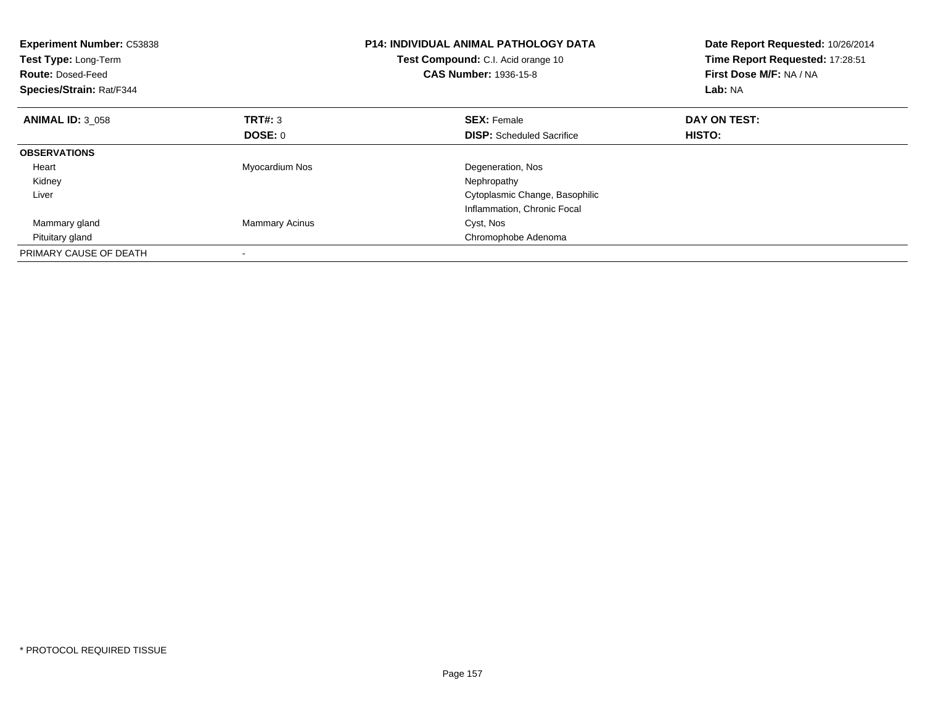| <b>Experiment Number: C53838</b><br>Test Type: Long-Term<br><b>Route: Dosed-Feed</b><br>Species/Strain: Rat/F344 |                       | <b>P14: INDIVIDUAL ANIMAL PATHOLOGY DATA</b><br>Test Compound: C.I. Acid orange 10<br><b>CAS Number: 1936-15-8</b> | Date Report Requested: 10/26/2014<br>Time Report Requested: 17:28:51<br>First Dose M/F: NA / NA<br>Lab: NA |
|------------------------------------------------------------------------------------------------------------------|-----------------------|--------------------------------------------------------------------------------------------------------------------|------------------------------------------------------------------------------------------------------------|
| <b>ANIMAL ID: 3 058</b>                                                                                          | <b>TRT#: 3</b>        | <b>SEX: Female</b>                                                                                                 | DAY ON TEST:                                                                                               |
|                                                                                                                  | DOSE: 0               | <b>DISP:</b> Scheduled Sacrifice                                                                                   | <b>HISTO:</b>                                                                                              |
| <b>OBSERVATIONS</b>                                                                                              |                       |                                                                                                                    |                                                                                                            |
| Heart                                                                                                            | Myocardium Nos        | Degeneration, Nos                                                                                                  |                                                                                                            |
| Kidney                                                                                                           |                       | Nephropathy                                                                                                        |                                                                                                            |
| Liver                                                                                                            |                       | Cytoplasmic Change, Basophilic                                                                                     |                                                                                                            |
|                                                                                                                  |                       | Inflammation, Chronic Focal                                                                                        |                                                                                                            |
| Mammary gland                                                                                                    | <b>Mammary Acinus</b> | Cyst, Nos                                                                                                          |                                                                                                            |
| Pituitary gland                                                                                                  |                       | Chromophobe Adenoma                                                                                                |                                                                                                            |
| PRIMARY CAUSE OF DEATH                                                                                           |                       |                                                                                                                    |                                                                                                            |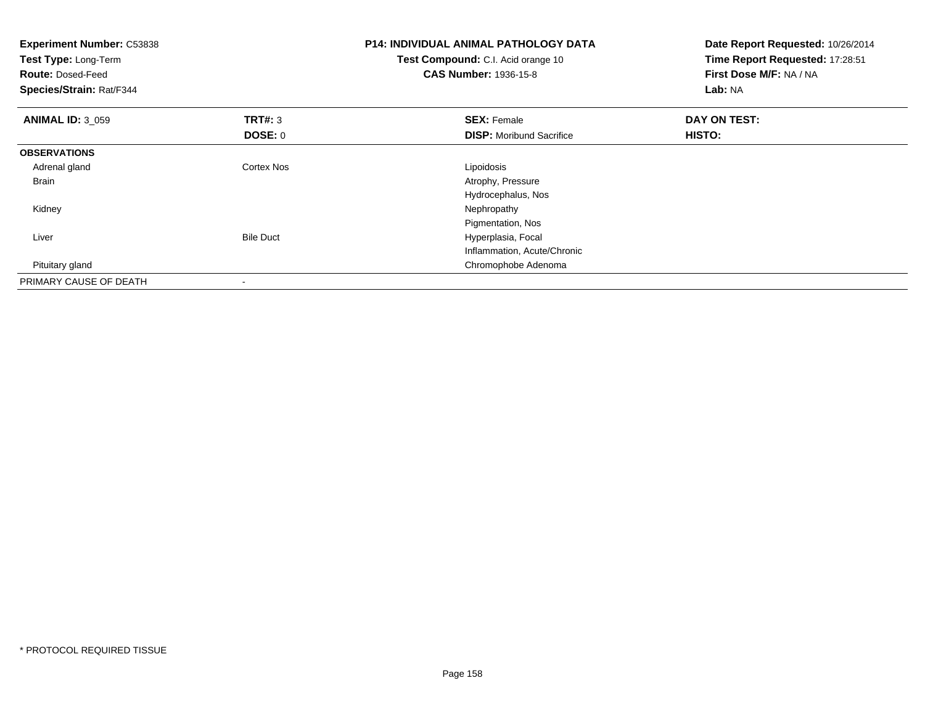| <b>Experiment Number: C53838</b><br>Test Type: Long-Term<br><b>Route: Dosed-Feed</b><br>Species/Strain: Rat/F344 |                  | <b>P14: INDIVIDUAL ANIMAL PATHOLOGY DATA</b><br>Test Compound: C.I. Acid orange 10<br><b>CAS Number: 1936-15-8</b> | Date Report Requested: 10/26/2014<br>Time Report Requested: 17:28:51<br>First Dose M/F: NA / NA<br>Lab: NA |
|------------------------------------------------------------------------------------------------------------------|------------------|--------------------------------------------------------------------------------------------------------------------|------------------------------------------------------------------------------------------------------------|
| <b>ANIMAL ID: 3_059</b>                                                                                          | TRT#: 3          | <b>SEX: Female</b>                                                                                                 | DAY ON TEST:                                                                                               |
|                                                                                                                  | DOSE: 0          | <b>DISP:</b> Moribund Sacrifice                                                                                    | <b>HISTO:</b>                                                                                              |
| <b>OBSERVATIONS</b>                                                                                              |                  |                                                                                                                    |                                                                                                            |
| Adrenal gland                                                                                                    | Cortex Nos       | Lipoidosis                                                                                                         |                                                                                                            |
| <b>Brain</b>                                                                                                     |                  | Atrophy, Pressure                                                                                                  |                                                                                                            |
|                                                                                                                  |                  | Hydrocephalus, Nos                                                                                                 |                                                                                                            |
| Kidney                                                                                                           |                  | Nephropathy                                                                                                        |                                                                                                            |
|                                                                                                                  |                  | Pigmentation, Nos                                                                                                  |                                                                                                            |
| Liver                                                                                                            | <b>Bile Duct</b> | Hyperplasia, Focal                                                                                                 |                                                                                                            |
|                                                                                                                  |                  | Inflammation, Acute/Chronic                                                                                        |                                                                                                            |
| Pituitary gland                                                                                                  |                  | Chromophobe Adenoma                                                                                                |                                                                                                            |
| PRIMARY CAUSE OF DEATH                                                                                           |                  |                                                                                                                    |                                                                                                            |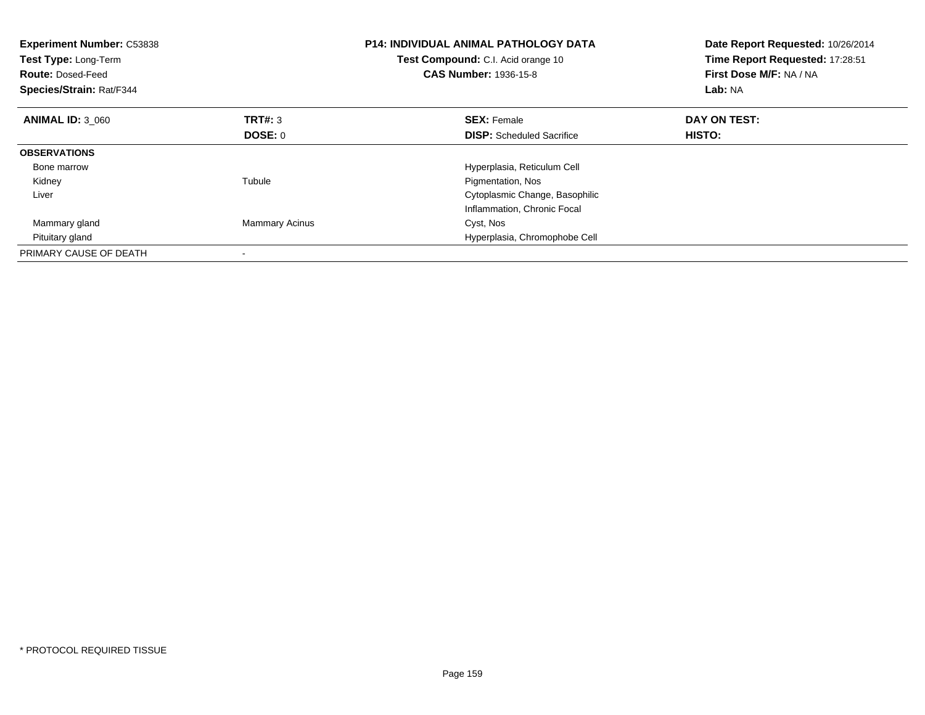| <b>Experiment Number: C53838</b><br>Test Type: Long-Term<br><b>Route: Dosed-Feed</b><br>Species/Strain: Rat/F344 |                       | <b>P14: INDIVIDUAL ANIMAL PATHOLOGY DATA</b><br>Test Compound: C.I. Acid orange 10<br><b>CAS Number: 1936-15-8</b> | Date Report Requested: 10/26/2014<br>Time Report Requested: 17:28:51<br>First Dose M/F: NA / NA<br>Lab: NA |
|------------------------------------------------------------------------------------------------------------------|-----------------------|--------------------------------------------------------------------------------------------------------------------|------------------------------------------------------------------------------------------------------------|
| <b>ANIMAL ID: 3 060</b>                                                                                          | <b>TRT#: 3</b>        | <b>SEX: Female</b>                                                                                                 | DAY ON TEST:                                                                                               |
|                                                                                                                  | DOSE: 0               | <b>DISP:</b> Scheduled Sacrifice                                                                                   | HISTO:                                                                                                     |
| <b>OBSERVATIONS</b>                                                                                              |                       |                                                                                                                    |                                                                                                            |
| Bone marrow                                                                                                      |                       | Hyperplasia, Reticulum Cell                                                                                        |                                                                                                            |
| Kidney                                                                                                           | Tubule                | Pigmentation, Nos                                                                                                  |                                                                                                            |
| Liver                                                                                                            |                       | Cytoplasmic Change, Basophilic                                                                                     |                                                                                                            |
|                                                                                                                  |                       | Inflammation, Chronic Focal                                                                                        |                                                                                                            |
| Mammary gland                                                                                                    | <b>Mammary Acinus</b> | Cyst, Nos                                                                                                          |                                                                                                            |
| Pituitary gland                                                                                                  |                       | Hyperplasia, Chromophobe Cell                                                                                      |                                                                                                            |
| PRIMARY CAUSE OF DEATH                                                                                           |                       |                                                                                                                    |                                                                                                            |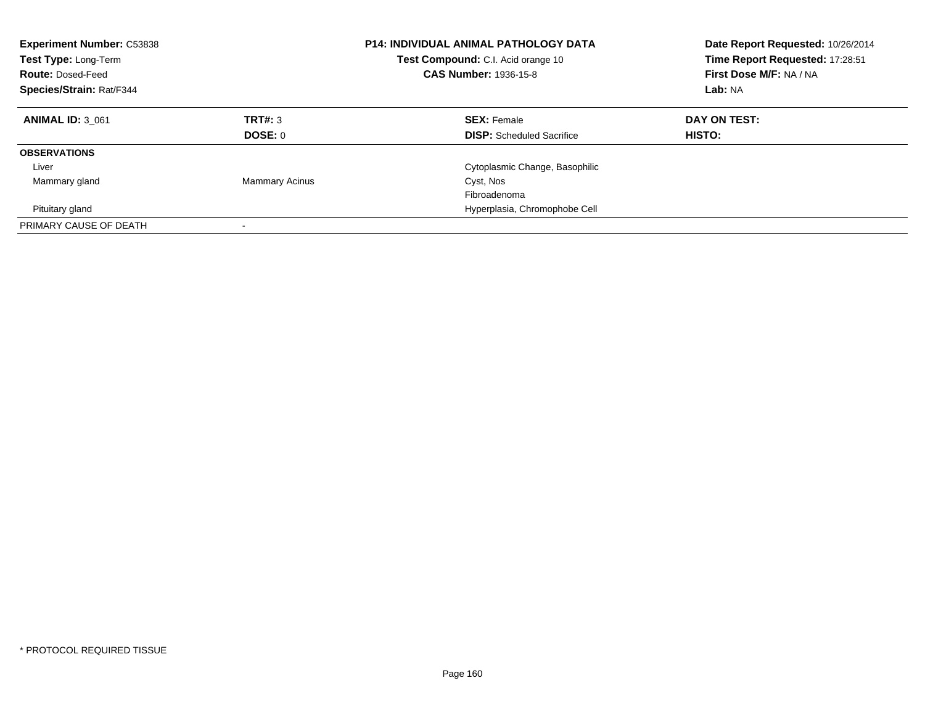| <b>Experiment Number: C53838</b><br><b>Test Type: Long-Term</b><br><b>Route: Dosed-Feed</b><br>Species/Strain: Rat/F344 |                          | <b>P14: INDIVIDUAL ANIMAL PATHOLOGY DATA</b><br>Test Compound: C.I. Acid orange 10<br>CAS Number: 1936-15-8 | Date Report Requested: 10/26/2014<br>Time Report Requested: 17:28:51<br>First Dose M/F: NA / NA<br>Lab: NA |
|-------------------------------------------------------------------------------------------------------------------------|--------------------------|-------------------------------------------------------------------------------------------------------------|------------------------------------------------------------------------------------------------------------|
| <b>ANIMAL ID: 3 061</b>                                                                                                 | TRT#: 3<br>DOSE: 0       | <b>SEX: Female</b><br><b>DISP:</b> Scheduled Sacrifice                                                      | DAY ON TEST:<br>HISTO:                                                                                     |
| <b>OBSERVATIONS</b>                                                                                                     |                          |                                                                                                             |                                                                                                            |
| Liver                                                                                                                   |                          | Cytoplasmic Change, Basophilic                                                                              |                                                                                                            |
| Mammary gland                                                                                                           | <b>Mammary Acinus</b>    | Cyst, Nos                                                                                                   |                                                                                                            |
|                                                                                                                         |                          | Fibroadenoma                                                                                                |                                                                                                            |
| Pituitary gland                                                                                                         |                          | Hyperplasia, Chromophobe Cell                                                                               |                                                                                                            |
| PRIMARY CAUSE OF DEATH                                                                                                  | $\overline{\phantom{a}}$ |                                                                                                             |                                                                                                            |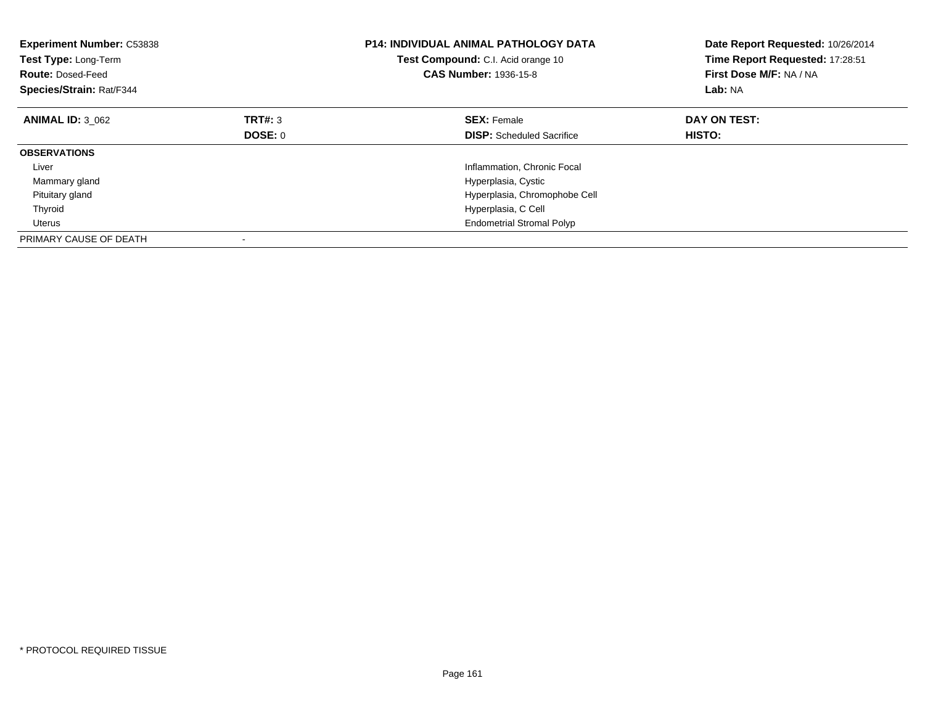| <b>Experiment Number: C53838</b><br>Test Type: Long-Term<br><b>Route: Dosed-Feed</b><br>Species/Strain: Rat/F344 |         | <b>P14: INDIVIDUAL ANIMAL PATHOLOGY DATA</b><br>Test Compound: C.I. Acid orange 10<br><b>CAS Number: 1936-15-8</b> | Date Report Requested: 10/26/2014<br>Time Report Requested: 17:28:51<br>First Dose M/F: NA / NA<br>Lab: NA |
|------------------------------------------------------------------------------------------------------------------|---------|--------------------------------------------------------------------------------------------------------------------|------------------------------------------------------------------------------------------------------------|
| <b>ANIMAL ID: 3 062</b>                                                                                          | TRT#: 3 | <b>SEX: Female</b>                                                                                                 | DAY ON TEST:                                                                                               |
|                                                                                                                  | DOSE: 0 | <b>DISP:</b> Scheduled Sacrifice                                                                                   | HISTO:                                                                                                     |
| <b>OBSERVATIONS</b>                                                                                              |         |                                                                                                                    |                                                                                                            |
| Liver                                                                                                            |         | Inflammation, Chronic Focal                                                                                        |                                                                                                            |
| Mammary gland                                                                                                    |         | Hyperplasia, Cystic                                                                                                |                                                                                                            |
| Pituitary gland                                                                                                  |         | Hyperplasia, Chromophobe Cell                                                                                      |                                                                                                            |
| Thyroid                                                                                                          |         | Hyperplasia, C Cell                                                                                                |                                                                                                            |
| Uterus                                                                                                           |         | <b>Endometrial Stromal Polyp</b>                                                                                   |                                                                                                            |
| PRIMARY CAUSE OF DEATH                                                                                           |         |                                                                                                                    |                                                                                                            |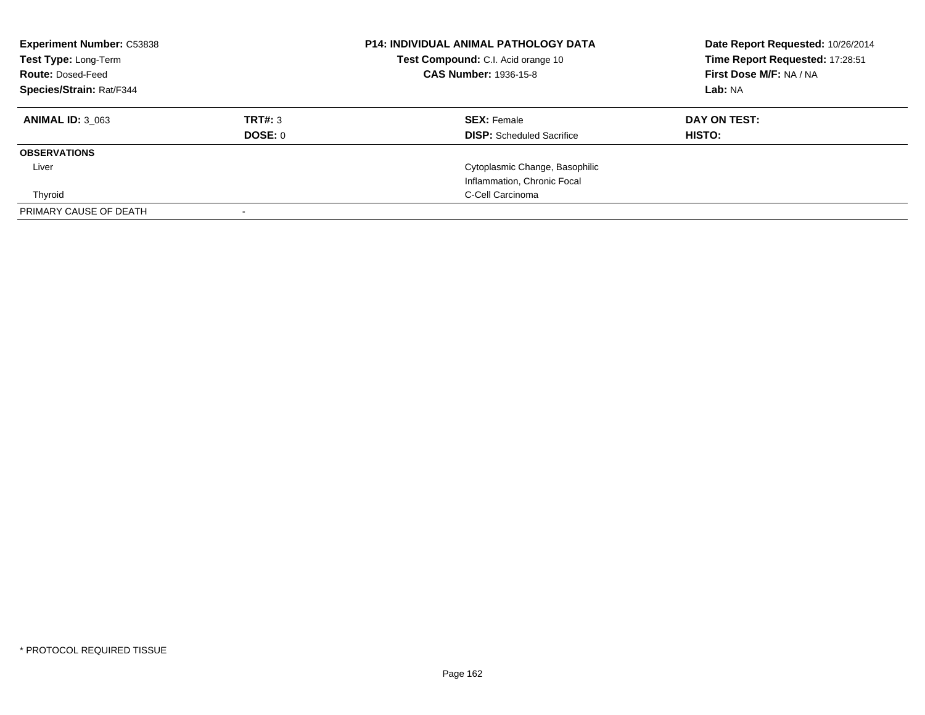| <b>Experiment Number: C53838</b><br>Test Type: Long-Term<br><b>Route: Dosed-Feed</b><br><b>Species/Strain: Rat/F344</b> |                    | <b>P14: INDIVIDUAL ANIMAL PATHOLOGY DATA</b><br><b>Test Compound:</b> C.I. Acid orange 10<br><b>CAS Number: 1936-15-8</b> | Date Report Requested: 10/26/2014<br>Time Report Requested: 17:28:51<br>First Dose M/F: NA / NA<br>Lab: NA |
|-------------------------------------------------------------------------------------------------------------------------|--------------------|---------------------------------------------------------------------------------------------------------------------------|------------------------------------------------------------------------------------------------------------|
| <b>ANIMAL ID: 3 063</b>                                                                                                 | TRT#: 3<br>DOSE: 0 | <b>SEX: Female</b><br><b>DISP:</b> Scheduled Sacrifice                                                                    | DAY ON TEST:<br><b>HISTO:</b>                                                                              |
| <b>OBSERVATIONS</b>                                                                                                     |                    |                                                                                                                           |                                                                                                            |
| Liver                                                                                                                   |                    | Cytoplasmic Change, Basophilic<br>Inflammation, Chronic Focal                                                             |                                                                                                            |
| Thyroid                                                                                                                 |                    | C-Cell Carcinoma                                                                                                          |                                                                                                            |
| PRIMARY CAUSE OF DEATH                                                                                                  |                    |                                                                                                                           |                                                                                                            |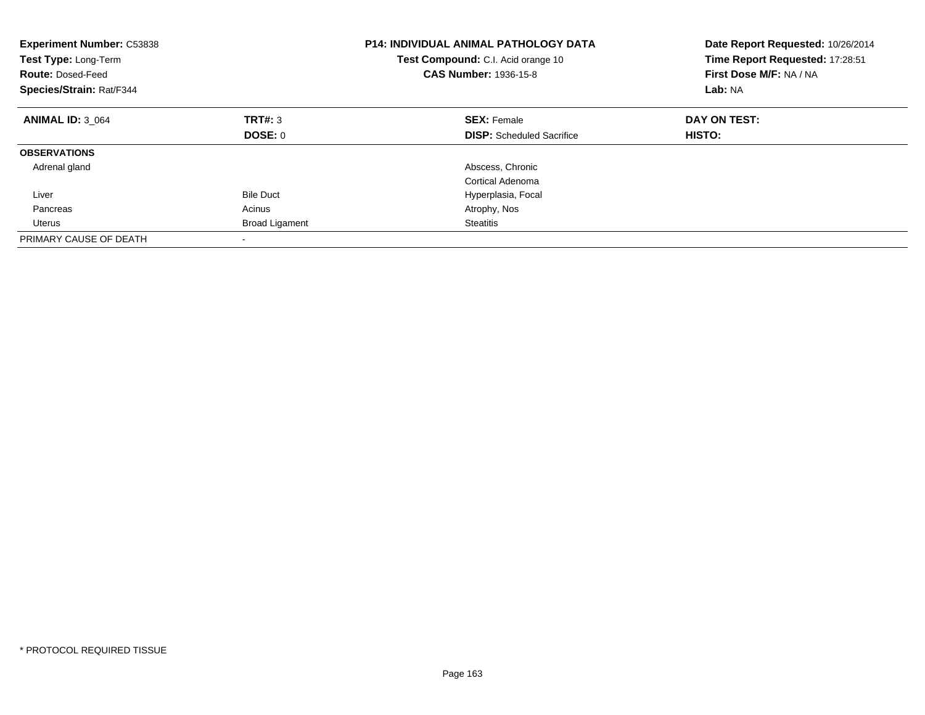| <b>Experiment Number: C53838</b><br>Test Type: Long-Term<br><b>Route: Dosed-Feed</b><br><b>Species/Strain: Rat/F344</b> |                       | <b>P14: INDIVIDUAL ANIMAL PATHOLOGY DATA</b><br>Test Compound: C.I. Acid orange 10<br><b>CAS Number: 1936-15-8</b> | Date Report Requested: 10/26/2014<br>Time Report Requested: 17:28:51<br>First Dose M/F: NA / NA<br>Lab: NA |
|-------------------------------------------------------------------------------------------------------------------------|-----------------------|--------------------------------------------------------------------------------------------------------------------|------------------------------------------------------------------------------------------------------------|
| <b>ANIMAL ID: 3 064</b>                                                                                                 | TRT#: 3               | <b>SEX: Female</b>                                                                                                 | DAY ON TEST:                                                                                               |
|                                                                                                                         | DOSE: 0               | <b>DISP:</b> Scheduled Sacrifice                                                                                   | HISTO:                                                                                                     |
| <b>OBSERVATIONS</b>                                                                                                     |                       |                                                                                                                    |                                                                                                            |
| Adrenal gland                                                                                                           |                       | Abscess, Chronic                                                                                                   |                                                                                                            |
|                                                                                                                         |                       | Cortical Adenoma                                                                                                   |                                                                                                            |
| Liver                                                                                                                   | <b>Bile Duct</b>      | Hyperplasia, Focal                                                                                                 |                                                                                                            |
| Pancreas                                                                                                                | Acinus                | Atrophy, Nos                                                                                                       |                                                                                                            |
| Uterus                                                                                                                  | <b>Broad Ligament</b> | Steatitis                                                                                                          |                                                                                                            |
| PRIMARY CAUSE OF DEATH                                                                                                  |                       |                                                                                                                    |                                                                                                            |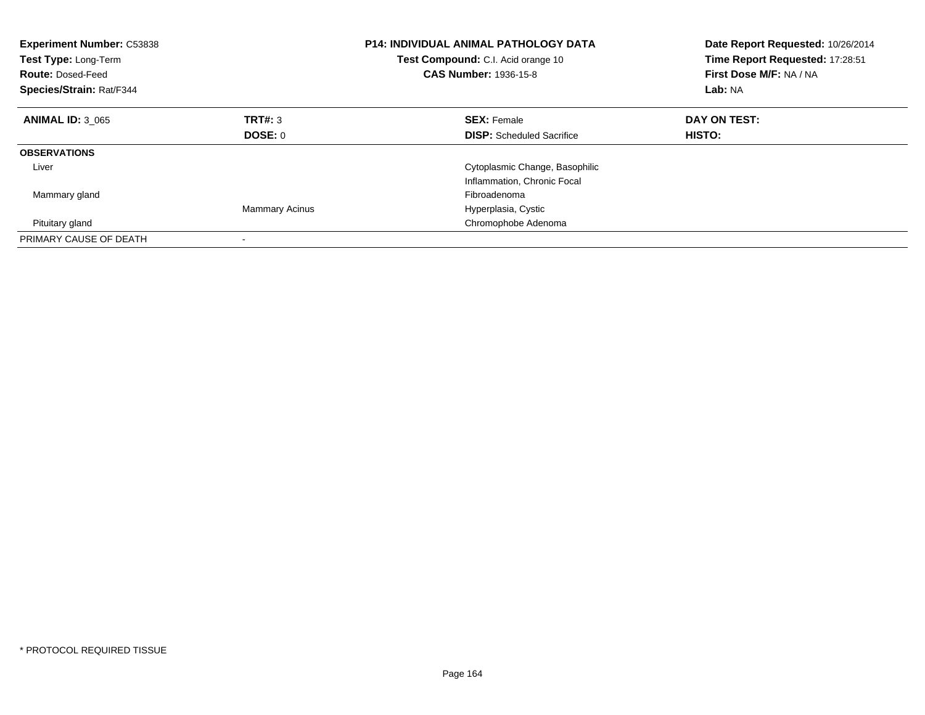| <b>Experiment Number: C53838</b><br>Test Type: Long-Term<br><b>Route: Dosed-Feed</b><br><b>Species/Strain: Rat/F344</b> |                       | <b>P14: INDIVIDUAL ANIMAL PATHOLOGY DATA</b><br>Test Compound: C.I. Acid orange 10<br>CAS Number: 1936-15-8 | Date Report Requested: 10/26/2014<br>Time Report Requested: 17:28:51<br>First Dose M/F: NA / NA<br>Lab: NA |
|-------------------------------------------------------------------------------------------------------------------------|-----------------------|-------------------------------------------------------------------------------------------------------------|------------------------------------------------------------------------------------------------------------|
| <b>ANIMAL ID: 3 065</b>                                                                                                 | TRT#: 3               | <b>SEX: Female</b>                                                                                          | DAY ON TEST:                                                                                               |
|                                                                                                                         | DOSE: 0               | <b>DISP:</b> Scheduled Sacrifice                                                                            | <b>HISTO:</b>                                                                                              |
| <b>OBSERVATIONS</b>                                                                                                     |                       |                                                                                                             |                                                                                                            |
| Liver                                                                                                                   |                       | Cytoplasmic Change, Basophilic                                                                              |                                                                                                            |
|                                                                                                                         |                       | Inflammation, Chronic Focal                                                                                 |                                                                                                            |
| Mammary gland                                                                                                           |                       | Fibroadenoma                                                                                                |                                                                                                            |
|                                                                                                                         | <b>Mammary Acinus</b> | Hyperplasia, Cystic                                                                                         |                                                                                                            |
| Pituitary gland                                                                                                         |                       | Chromophobe Adenoma                                                                                         |                                                                                                            |
| PRIMARY CAUSE OF DEATH                                                                                                  |                       |                                                                                                             |                                                                                                            |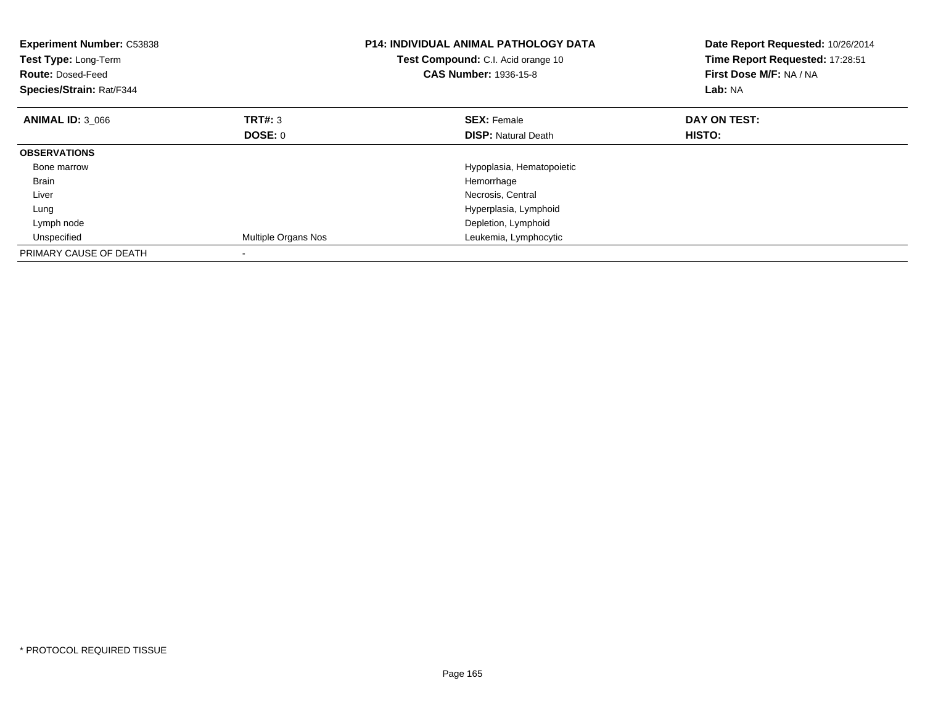| <b>Experiment Number: C53838</b><br>Test Type: Long-Term<br><b>Route: Dosed-Feed</b><br>Species/Strain: Rat/F344 |                     | <b>P14: INDIVIDUAL ANIMAL PATHOLOGY DATA</b><br>Test Compound: C.I. Acid orange 10<br><b>CAS Number: 1936-15-8</b> | Date Report Requested: 10/26/2014<br>Time Report Requested: 17:28:51<br>First Dose M/F: NA / NA<br>Lab: NA |
|------------------------------------------------------------------------------------------------------------------|---------------------|--------------------------------------------------------------------------------------------------------------------|------------------------------------------------------------------------------------------------------------|
| <b>ANIMAL ID: 3 066</b>                                                                                          | TRT#: 3             | <b>SEX: Female</b>                                                                                                 | DAY ON TEST:                                                                                               |
|                                                                                                                  | DOSE: 0             | <b>DISP:</b> Natural Death                                                                                         | HISTO:                                                                                                     |
| <b>OBSERVATIONS</b>                                                                                              |                     |                                                                                                                    |                                                                                                            |
| Bone marrow                                                                                                      |                     | Hypoplasia, Hematopoietic                                                                                          |                                                                                                            |
| <b>Brain</b>                                                                                                     |                     | Hemorrhage                                                                                                         |                                                                                                            |
| Liver                                                                                                            |                     | Necrosis, Central                                                                                                  |                                                                                                            |
| Lung                                                                                                             |                     | Hyperplasia, Lymphoid                                                                                              |                                                                                                            |
| Lymph node                                                                                                       |                     | Depletion, Lymphoid                                                                                                |                                                                                                            |
| Unspecified                                                                                                      | Multiple Organs Nos | Leukemia, Lymphocytic                                                                                              |                                                                                                            |
| PRIMARY CAUSE OF DEATH                                                                                           |                     |                                                                                                                    |                                                                                                            |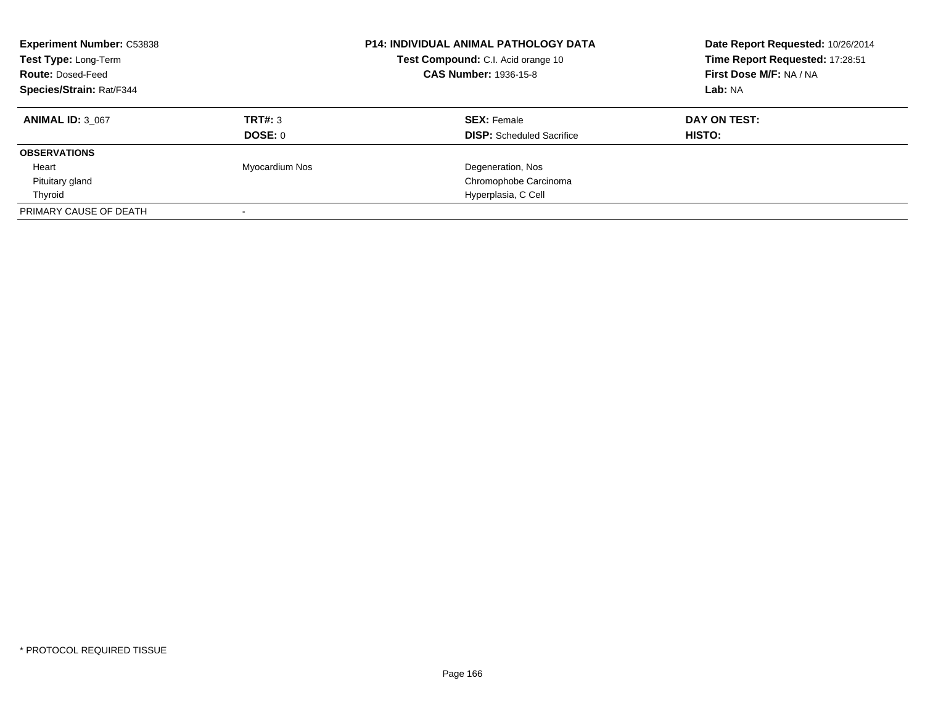| <b>Experiment Number: C53838</b><br>Test Type: Long-Term<br><b>Route: Dosed-Feed</b><br><b>Species/Strain: Rat/F344</b> |                | P14: INDIVIDUAL ANIMAL PATHOLOGY DATA<br>Test Compound: C.I. Acid orange 10<br><b>CAS Number: 1936-15-8</b> | Date Report Requested: 10/26/2014<br>Time Report Requested: 17:28:51<br>First Dose M/F: NA / NA<br>Lab: NA |
|-------------------------------------------------------------------------------------------------------------------------|----------------|-------------------------------------------------------------------------------------------------------------|------------------------------------------------------------------------------------------------------------|
| <b>ANIMAL ID: 3 067</b>                                                                                                 | TRT#: 3        | <b>SEX: Female</b>                                                                                          | DAY ON TEST:                                                                                               |
|                                                                                                                         | DOSE: 0        | <b>DISP:</b> Scheduled Sacrifice                                                                            | HISTO:                                                                                                     |
| <b>OBSERVATIONS</b>                                                                                                     |                |                                                                                                             |                                                                                                            |
| Heart                                                                                                                   | Myocardium Nos | Degeneration, Nos                                                                                           |                                                                                                            |
| Pituitary gland                                                                                                         |                | Chromophobe Carcinoma                                                                                       |                                                                                                            |
| Thyroid                                                                                                                 |                | Hyperplasia, C Cell                                                                                         |                                                                                                            |
| PRIMARY CAUSE OF DEATH                                                                                                  |                |                                                                                                             |                                                                                                            |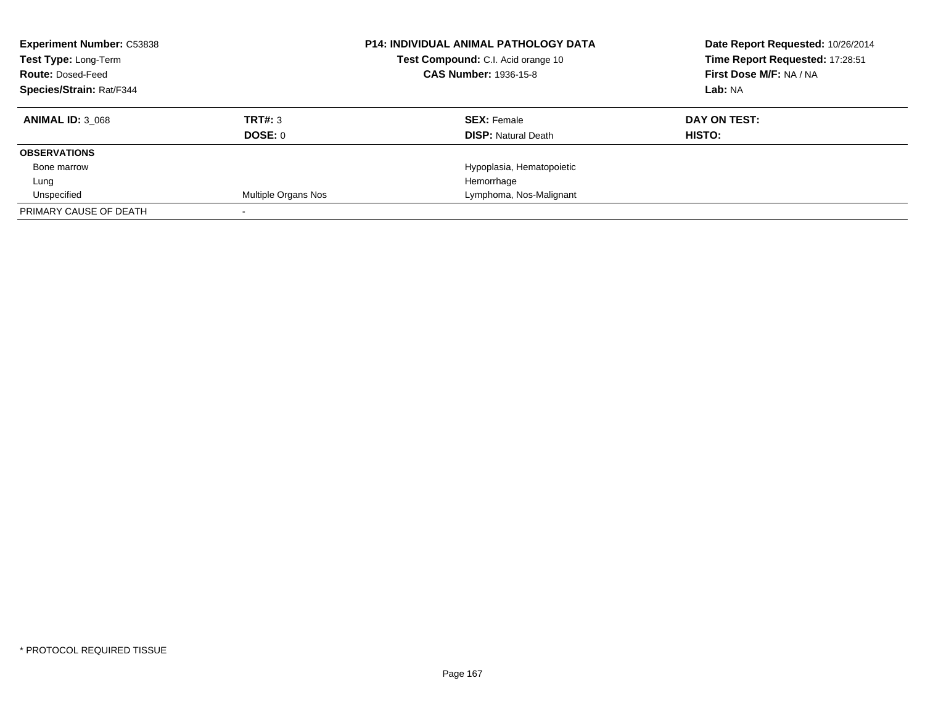| <b>Experiment Number: C53838</b><br>Test Type: Long-Term<br><b>Route: Dosed-Feed</b><br><b>Species/Strain: Rat/F344</b> |                     | <b>P14: INDIVIDUAL ANIMAL PATHOLOGY DATA</b><br>Test Compound: C.I. Acid orange 10<br><b>CAS Number: 1936-15-8</b> | Date Report Requested: 10/26/2014<br>Time Report Requested: 17:28:51<br>First Dose M/F: NA / NA<br>Lab: NA |
|-------------------------------------------------------------------------------------------------------------------------|---------------------|--------------------------------------------------------------------------------------------------------------------|------------------------------------------------------------------------------------------------------------|
| <b>ANIMAL ID: 3 068</b>                                                                                                 | TRT#: 3             | <b>SEX: Female</b>                                                                                                 | DAY ON TEST:                                                                                               |
|                                                                                                                         | <b>DOSE: 0</b>      | <b>DISP:</b> Natural Death                                                                                         | HISTO:                                                                                                     |
| <b>OBSERVATIONS</b>                                                                                                     |                     |                                                                                                                    |                                                                                                            |
| Bone marrow                                                                                                             |                     | Hypoplasia, Hematopoietic                                                                                          |                                                                                                            |
| Lung                                                                                                                    |                     | Hemorrhage                                                                                                         |                                                                                                            |
| Unspecified                                                                                                             | Multiple Organs Nos | Lymphoma, Nos-Malignant                                                                                            |                                                                                                            |
| PRIMARY CAUSE OF DEATH                                                                                                  |                     |                                                                                                                    |                                                                                                            |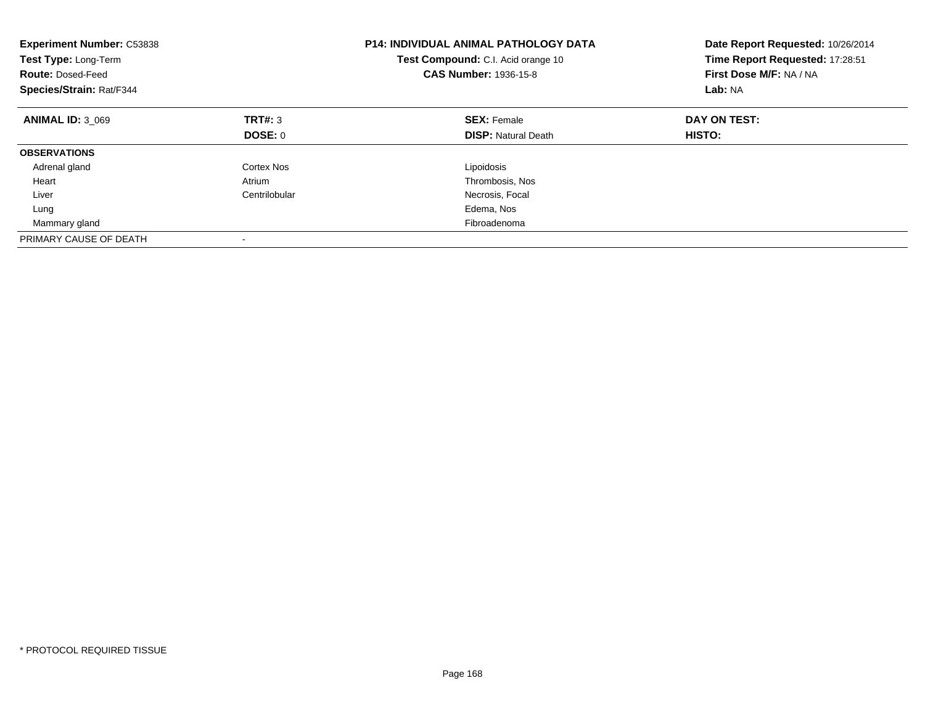| <b>Experiment Number: C53838</b><br>Test Type: Long-Term<br><b>Route: Dosed-Feed</b><br>Species/Strain: Rat/F344 |               | <b>P14: INDIVIDUAL ANIMAL PATHOLOGY DATA</b><br>Test Compound: C.I. Acid orange 10<br><b>CAS Number: 1936-15-8</b> | Date Report Requested: 10/26/2014<br>Time Report Requested: 17:28:51<br>First Dose M/F: NA / NA<br>Lab: NA |
|------------------------------------------------------------------------------------------------------------------|---------------|--------------------------------------------------------------------------------------------------------------------|------------------------------------------------------------------------------------------------------------|
| <b>ANIMAL ID: 3 069</b>                                                                                          | TRT#: 3       | <b>SEX: Female</b>                                                                                                 | DAY ON TEST:                                                                                               |
|                                                                                                                  | DOSE: 0       | <b>DISP:</b> Natural Death                                                                                         | <b>HISTO:</b>                                                                                              |
| <b>OBSERVATIONS</b>                                                                                              |               |                                                                                                                    |                                                                                                            |
| Adrenal gland                                                                                                    | Cortex Nos    | Lipoidosis                                                                                                         |                                                                                                            |
| Heart                                                                                                            | Atrium        | Thrombosis, Nos                                                                                                    |                                                                                                            |
| Liver                                                                                                            | Centrilobular | Necrosis, Focal                                                                                                    |                                                                                                            |
| Lung                                                                                                             |               | Edema, Nos                                                                                                         |                                                                                                            |
| Mammary gland                                                                                                    |               | Fibroadenoma                                                                                                       |                                                                                                            |
| PRIMARY CAUSE OF DEATH                                                                                           |               |                                                                                                                    |                                                                                                            |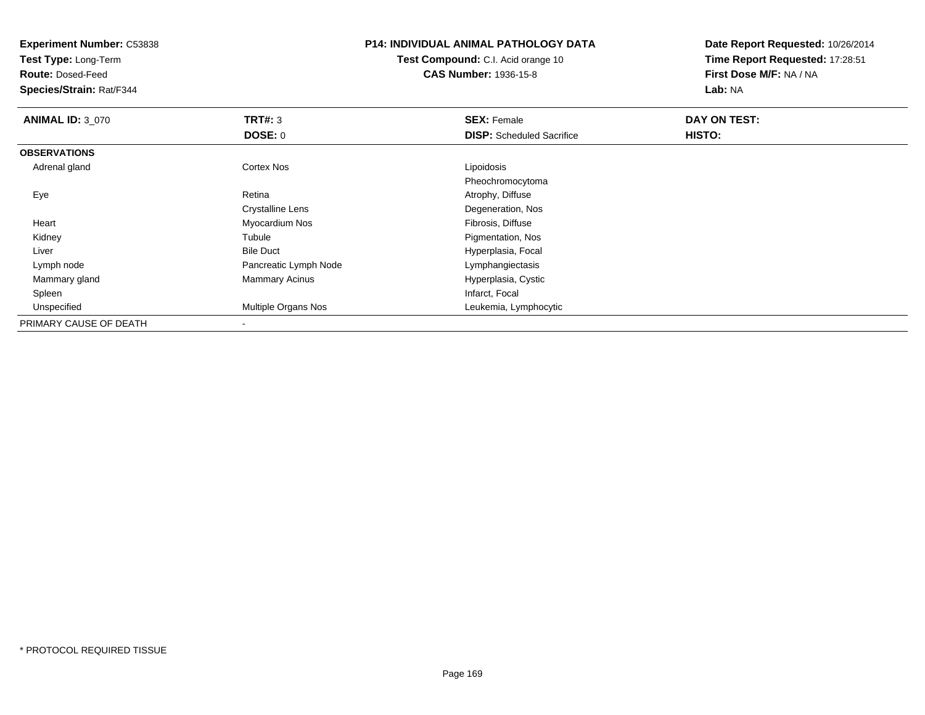**Experiment Number:** C53838**Test Type:** Long-Term**Route:** Dosed-Feed **Species/Strain:** Rat/F344**P14: INDIVIDUAL ANIMAL PATHOLOGY DATATest Compound:** C.I. Acid orange 10**CAS Number:** 1936-15-8**Date Report Requested:** 10/26/2014**Time Report Requested:** 17:28:51**First Dose M/F:** NA / NA**Lab:** NA**ANIMAL ID:** 3\_070**C SEX:** Female **DAY ON TEST: DAY ON TEST: DOSE:** 0**DISP:** Scheduled Sacrifice **HISTO: OBSERVATIONS** Adrenal glandd Cortex Nos Cortex Nos Lipoidosis Pheochromocytoma EyeRetina **Atrophy, Diffuse** Crystalline Lens Degeneration, Nos Heart Myocardium Nos Fibrosis, Diffusee **Pigmentation**, Nos Kidney Tubule LiverBile Duct **Hyperplasia**, Focal Lymph nodePancreatic Lymph Node Lymphangiectasis Mammary glandMammary Acinus **Hyperplasia, Cystic**<br> **Mammary Acinus**  Spleenn and the control of the control of the control of the control of the control of the control of the control of the control of the control of the control of the control of the control of the control of the control of the co UnspecifiedMultiple Organs Nos **Multiple Organs Nos** Leukemia, Lymphocytic PRIMARY CAUSE OF DEATH-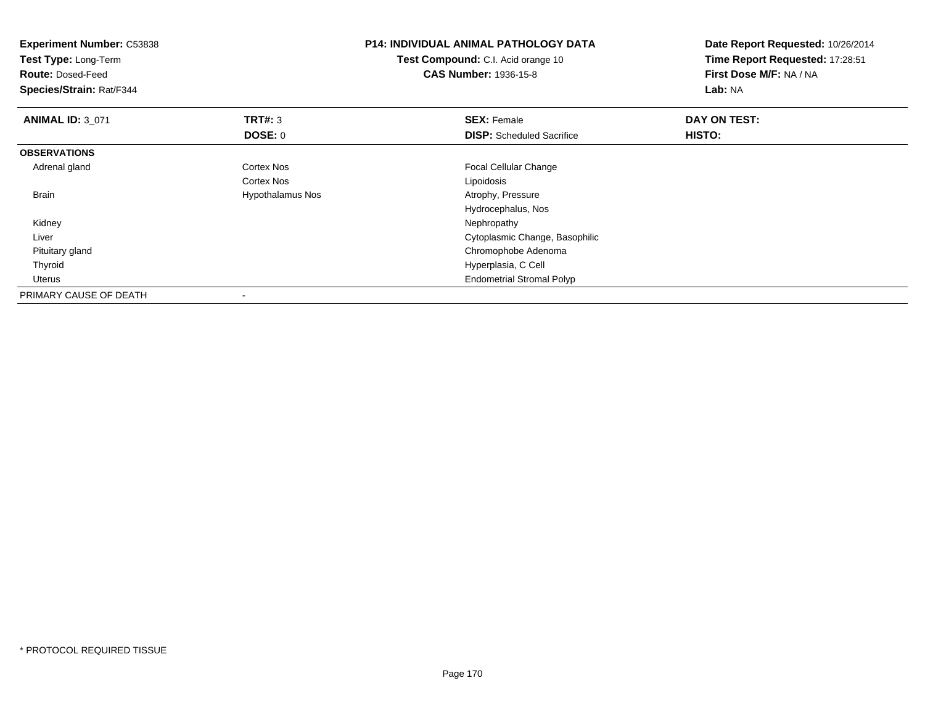| <b>Experiment Number: C53838</b><br>Test Type: Long-Term<br><b>Route: Dosed-Feed</b><br>Species/Strain: Rat/F344 |                  | <b>P14: INDIVIDUAL ANIMAL PATHOLOGY DATA</b><br><b>Test Compound:</b> C.I. Acid orange 10<br><b>CAS Number: 1936-15-8</b> | Date Report Requested: 10/26/2014<br>Time Report Requested: 17:28:51<br>First Dose M/F: NA / NA<br>Lab: NA |
|------------------------------------------------------------------------------------------------------------------|------------------|---------------------------------------------------------------------------------------------------------------------------|------------------------------------------------------------------------------------------------------------|
| <b>ANIMAL ID: 3_071</b>                                                                                          | TRT#: 3          | <b>SEX: Female</b>                                                                                                        | DAY ON TEST:                                                                                               |
|                                                                                                                  | <b>DOSE: 0</b>   | <b>DISP:</b> Scheduled Sacrifice                                                                                          | <b>HISTO:</b>                                                                                              |
| <b>OBSERVATIONS</b>                                                                                              |                  |                                                                                                                           |                                                                                                            |
| Adrenal gland                                                                                                    | Cortex Nos       | Focal Cellular Change                                                                                                     |                                                                                                            |
|                                                                                                                  | Cortex Nos       | Lipoidosis                                                                                                                |                                                                                                            |
| Brain                                                                                                            | Hypothalamus Nos | Atrophy, Pressure                                                                                                         |                                                                                                            |
|                                                                                                                  |                  | Hydrocephalus, Nos                                                                                                        |                                                                                                            |
| Kidney                                                                                                           |                  | Nephropathy                                                                                                               |                                                                                                            |
| Liver                                                                                                            |                  | Cytoplasmic Change, Basophilic                                                                                            |                                                                                                            |
| Pituitary gland                                                                                                  |                  | Chromophobe Adenoma                                                                                                       |                                                                                                            |
| Thyroid                                                                                                          |                  | Hyperplasia, C Cell                                                                                                       |                                                                                                            |
| Uterus                                                                                                           |                  | <b>Endometrial Stromal Polyp</b>                                                                                          |                                                                                                            |
| PRIMARY CAUSE OF DEATH                                                                                           |                  |                                                                                                                           |                                                                                                            |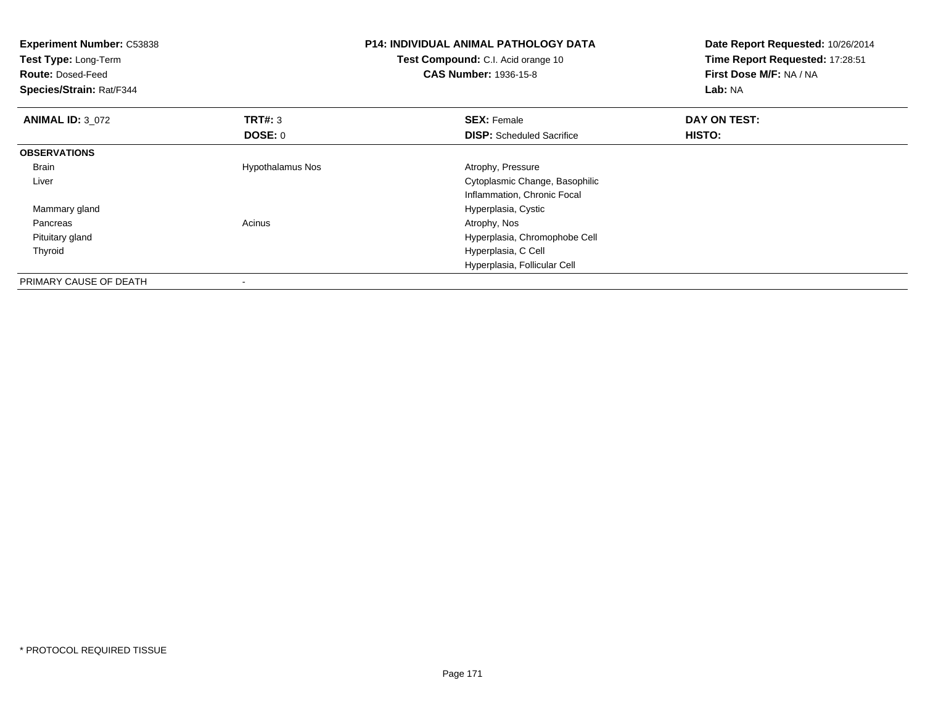| <b>Experiment Number: C53838</b><br>Test Type: Long-Term<br><b>Route: Dosed-Feed</b><br>Species/Strain: Rat/F344 |                         | <b>P14: INDIVIDUAL ANIMAL PATHOLOGY DATA</b><br>Test Compound: C.I. Acid orange 10<br><b>CAS Number: 1936-15-8</b> | Date Report Requested: 10/26/2014<br>Time Report Requested: 17:28:51<br>First Dose M/F: NA / NA<br>Lab: NA |
|------------------------------------------------------------------------------------------------------------------|-------------------------|--------------------------------------------------------------------------------------------------------------------|------------------------------------------------------------------------------------------------------------|
| <b>ANIMAL ID: 3 072</b>                                                                                          | <b>TRT#: 3</b>          | <b>SEX: Female</b>                                                                                                 | DAY ON TEST:                                                                                               |
|                                                                                                                  | DOSE: 0                 | <b>DISP:</b> Scheduled Sacrifice                                                                                   | HISTO:                                                                                                     |
| <b>OBSERVATIONS</b>                                                                                              |                         |                                                                                                                    |                                                                                                            |
| Brain                                                                                                            | <b>Hypothalamus Nos</b> | Atrophy, Pressure                                                                                                  |                                                                                                            |
| Liver                                                                                                            |                         | Cytoplasmic Change, Basophilic                                                                                     |                                                                                                            |
|                                                                                                                  |                         | Inflammation, Chronic Focal                                                                                        |                                                                                                            |
| Mammary gland                                                                                                    |                         | Hyperplasia, Cystic                                                                                                |                                                                                                            |
| Pancreas                                                                                                         | Acinus                  | Atrophy, Nos                                                                                                       |                                                                                                            |
| Pituitary gland                                                                                                  |                         | Hyperplasia, Chromophobe Cell                                                                                      |                                                                                                            |
| Thyroid                                                                                                          |                         | Hyperplasia, C Cell                                                                                                |                                                                                                            |
|                                                                                                                  |                         | Hyperplasia, Follicular Cell                                                                                       |                                                                                                            |
| PRIMARY CAUSE OF DEATH                                                                                           |                         |                                                                                                                    |                                                                                                            |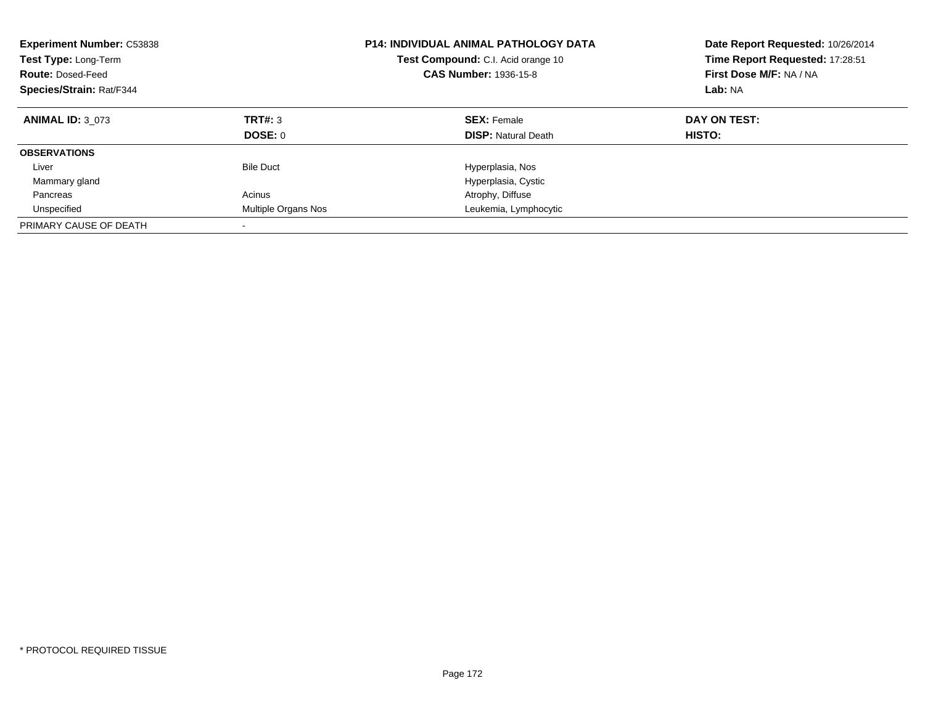| <b>Experiment Number: C53838</b><br>Test Type: Long-Term<br><b>Route: Dosed-Feed</b><br>Species/Strain: Rat/F344 |                     | <b>P14: INDIVIDUAL ANIMAL PATHOLOGY DATA</b><br>Test Compound: C.I. Acid orange 10<br><b>CAS Number: 1936-15-8</b> | Date Report Requested: 10/26/2014<br>Time Report Requested: 17:28:51<br>First Dose M/F: NA / NA<br>Lab: NA |
|------------------------------------------------------------------------------------------------------------------|---------------------|--------------------------------------------------------------------------------------------------------------------|------------------------------------------------------------------------------------------------------------|
| <b>ANIMAL ID: 3 073</b>                                                                                          | TRT#: 3             | <b>SEX: Female</b>                                                                                                 | DAY ON TEST:                                                                                               |
|                                                                                                                  | DOSE: 0             | <b>DISP:</b> Natural Death                                                                                         | <b>HISTO:</b>                                                                                              |
| <b>OBSERVATIONS</b>                                                                                              |                     |                                                                                                                    |                                                                                                            |
| Liver                                                                                                            | <b>Bile Duct</b>    | Hyperplasia, Nos                                                                                                   |                                                                                                            |
| Mammary gland                                                                                                    |                     | Hyperplasia, Cystic                                                                                                |                                                                                                            |
| Pancreas                                                                                                         | Acinus              | Atrophy, Diffuse                                                                                                   |                                                                                                            |
| Unspecified                                                                                                      | Multiple Organs Nos | Leukemia, Lymphocytic                                                                                              |                                                                                                            |
| PRIMARY CAUSE OF DEATH                                                                                           |                     |                                                                                                                    |                                                                                                            |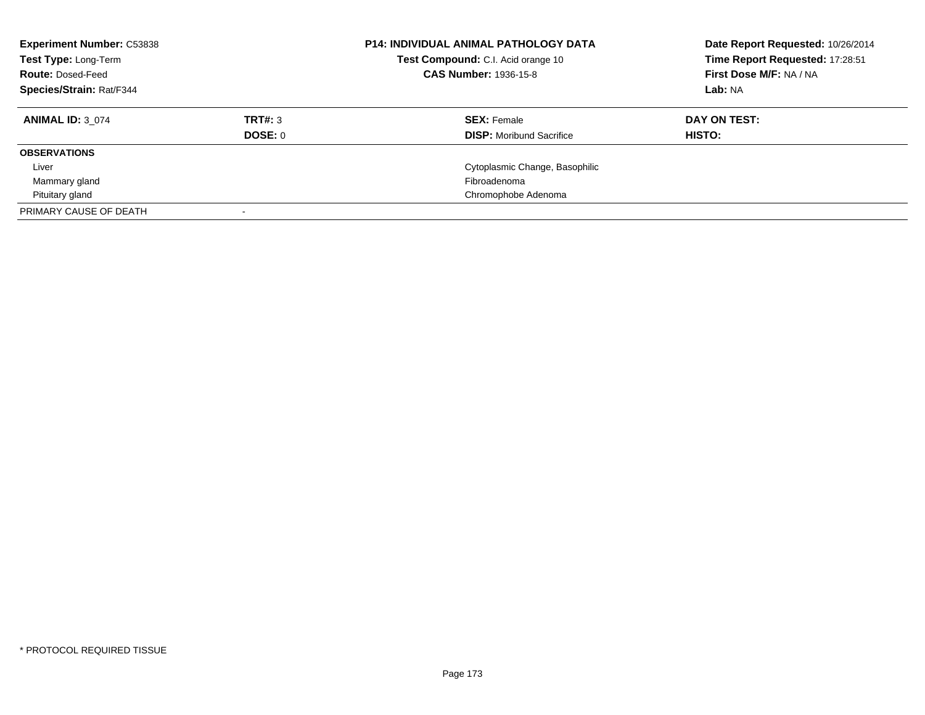| <b>Experiment Number: C53838</b><br>Test Type: Long-Term<br><b>Route: Dosed-Feed</b><br>Species/Strain: Rat/F344 |                           | <b>P14: INDIVIDUAL ANIMAL PATHOLOGY DATA</b><br>Test Compound: C.I. Acid orange 10<br><b>CAS Number: 1936-15-8</b> | Date Report Requested: 10/26/2014<br>Time Report Requested: 17:28:51<br>First Dose M/F: NA / NA<br>Lab: NA |
|------------------------------------------------------------------------------------------------------------------|---------------------------|--------------------------------------------------------------------------------------------------------------------|------------------------------------------------------------------------------------------------------------|
| <b>ANIMAL ID: 3 074</b>                                                                                          | TRT#: 3<br><b>DOSE: 0</b> | <b>SEX: Female</b><br><b>DISP:</b> Moribund Sacrifice                                                              | DAY ON TEST:<br>HISTO:                                                                                     |
| <b>OBSERVATIONS</b>                                                                                              |                           |                                                                                                                    |                                                                                                            |
| Liver                                                                                                            |                           | Cytoplasmic Change, Basophilic                                                                                     |                                                                                                            |
| Mammary gland                                                                                                    |                           | Fibroadenoma                                                                                                       |                                                                                                            |
| Pituitary gland                                                                                                  |                           | Chromophobe Adenoma                                                                                                |                                                                                                            |
| PRIMARY CAUSE OF DEATH                                                                                           |                           |                                                                                                                    |                                                                                                            |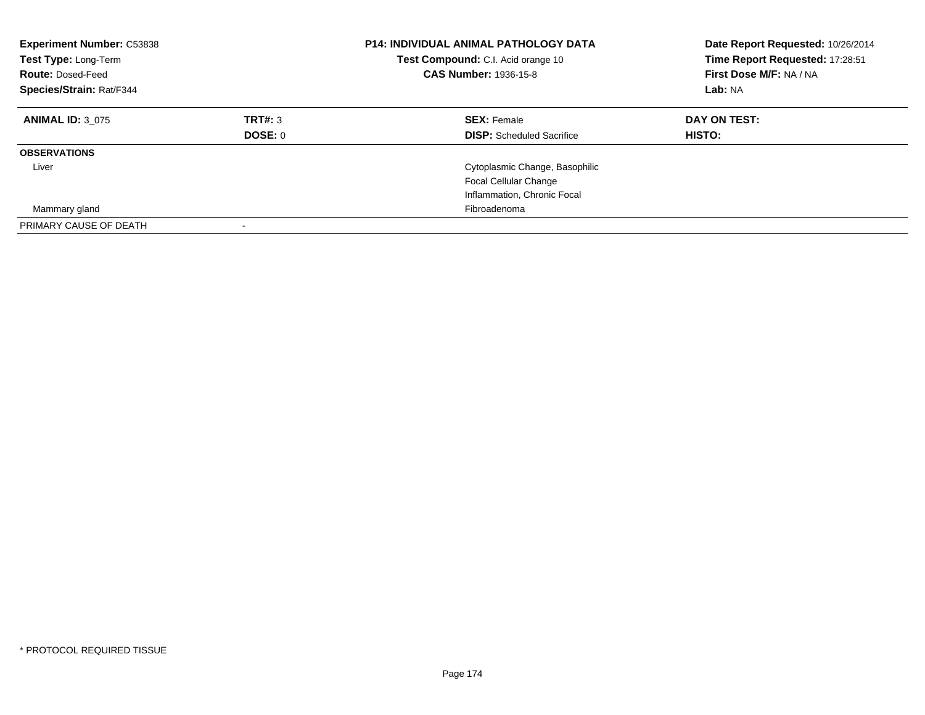| <b>Experiment Number: C53838</b><br>Test Type: Long-Term<br><b>Route: Dosed-Feed</b><br>Species/Strain: Rat/F344 |         | <b>P14: INDIVIDUAL ANIMAL PATHOLOGY DATA</b><br><b>Test Compound:</b> C.I. Acid orange 10<br><b>CAS Number: 1936-15-8</b> | Date Report Requested: 10/26/2014<br>Time Report Requested: 17:28:51<br>First Dose M/F: NA / NA<br>Lab: NA |
|------------------------------------------------------------------------------------------------------------------|---------|---------------------------------------------------------------------------------------------------------------------------|------------------------------------------------------------------------------------------------------------|
| <b>ANIMAL ID: 3 075</b>                                                                                          | TRT#: 3 | <b>SEX: Female</b>                                                                                                        | DAY ON TEST:                                                                                               |
|                                                                                                                  | DOSE: 0 | <b>DISP:</b> Scheduled Sacrifice                                                                                          | HISTO:                                                                                                     |
| <b>OBSERVATIONS</b>                                                                                              |         |                                                                                                                           |                                                                                                            |
| Liver                                                                                                            |         | Cytoplasmic Change, Basophilic                                                                                            |                                                                                                            |
|                                                                                                                  |         | <b>Focal Cellular Change</b>                                                                                              |                                                                                                            |
|                                                                                                                  |         | Inflammation, Chronic Focal                                                                                               |                                                                                                            |
| Mammary gland                                                                                                    |         | Fibroadenoma                                                                                                              |                                                                                                            |
| PRIMARY CAUSE OF DEATH                                                                                           |         |                                                                                                                           |                                                                                                            |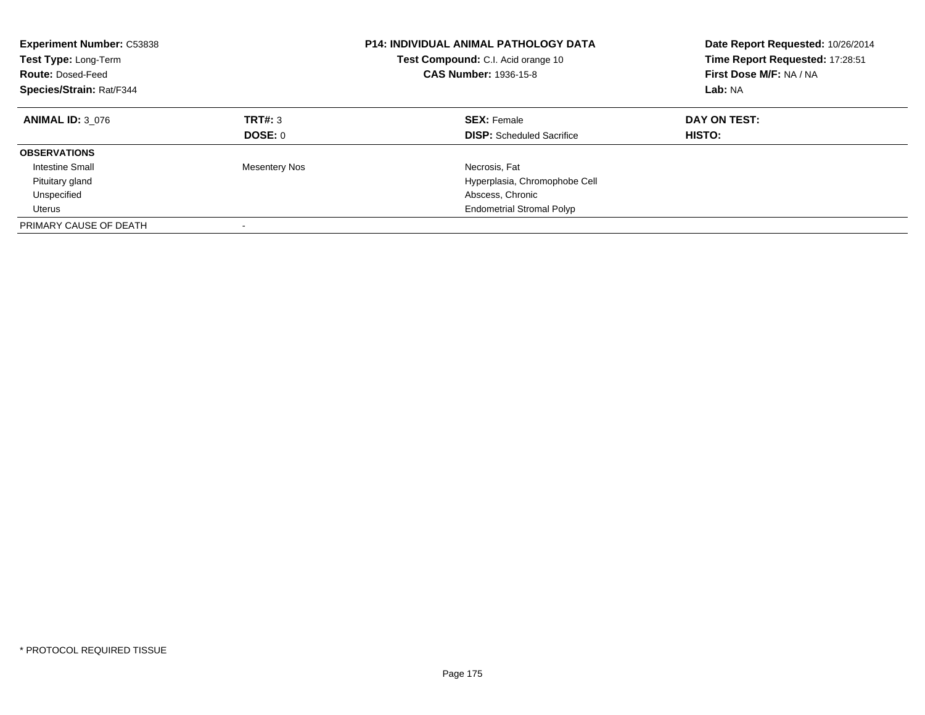| <b>Experiment Number: C53838</b><br>Test Type: Long-Term<br><b>Route: Dosed-Feed</b><br>Species/Strain: Rat/F344 |                      | <b>P14: INDIVIDUAL ANIMAL PATHOLOGY DATA</b><br><b>Test Compound:</b> C.I. Acid orange 10<br><b>CAS Number: 1936-15-8</b> | Date Report Requested: 10/26/2014<br>Time Report Requested: 17:28:51<br>First Dose M/F: NA / NA<br>Lab: NA |
|------------------------------------------------------------------------------------------------------------------|----------------------|---------------------------------------------------------------------------------------------------------------------------|------------------------------------------------------------------------------------------------------------|
| <b>ANIMAL ID: 3 076</b>                                                                                          | TRT#: 3<br>DOSE: 0   | <b>SEX: Female</b><br><b>DISP:</b> Scheduled Sacrifice                                                                    | DAY ON TEST:<br><b>HISTO:</b>                                                                              |
| <b>OBSERVATIONS</b>                                                                                              |                      |                                                                                                                           |                                                                                                            |
| Intestine Small                                                                                                  | <b>Mesentery Nos</b> | Necrosis, Fat                                                                                                             |                                                                                                            |
| Pituitary gland                                                                                                  |                      | Hyperplasia, Chromophobe Cell                                                                                             |                                                                                                            |
| Unspecified                                                                                                      |                      | Abscess, Chronic                                                                                                          |                                                                                                            |
| Uterus                                                                                                           |                      | <b>Endometrial Stromal Polyp</b>                                                                                          |                                                                                                            |
| PRIMARY CAUSE OF DEATH                                                                                           |                      |                                                                                                                           |                                                                                                            |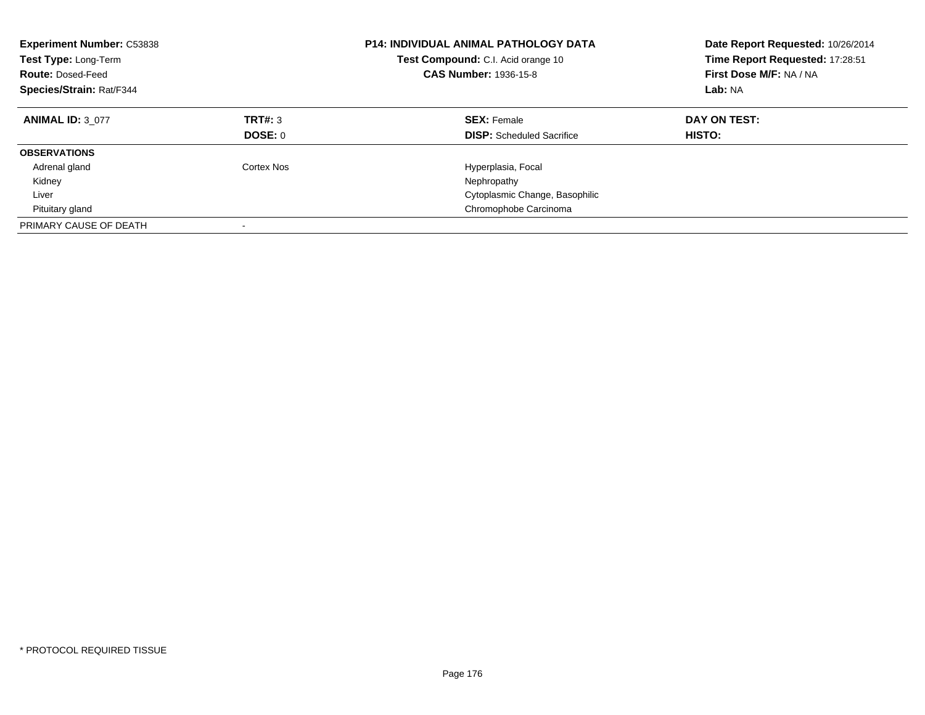| <b>Experiment Number: C53838</b><br>Test Type: Long-Term<br><b>Route: Dosed-Feed</b><br>Species/Strain: Rat/F344 |                           | <b>P14: INDIVIDUAL ANIMAL PATHOLOGY DATA</b><br>Test Compound: C.I. Acid orange 10<br><b>CAS Number: 1936-15-8</b> | Date Report Requested: 10/26/2014<br>Time Report Requested: 17:28:51<br>First Dose M/F: NA / NA<br>Lab: NA |
|------------------------------------------------------------------------------------------------------------------|---------------------------|--------------------------------------------------------------------------------------------------------------------|------------------------------------------------------------------------------------------------------------|
| <b>ANIMAL ID: 3 077</b>                                                                                          | TRT#: 3<br><b>DOSE: 0</b> | <b>SEX: Female</b><br><b>DISP:</b> Scheduled Sacrifice                                                             | DAY ON TEST:<br>HISTO:                                                                                     |
|                                                                                                                  |                           |                                                                                                                    |                                                                                                            |
| <b>OBSERVATIONS</b>                                                                                              |                           |                                                                                                                    |                                                                                                            |
| Adrenal gland                                                                                                    | Cortex Nos                | Hyperplasia, Focal                                                                                                 |                                                                                                            |
| Kidney                                                                                                           |                           | Nephropathy                                                                                                        |                                                                                                            |
| Liver                                                                                                            |                           | Cytoplasmic Change, Basophilic                                                                                     |                                                                                                            |
| Pituitary gland                                                                                                  |                           | Chromophobe Carcinoma                                                                                              |                                                                                                            |
| PRIMARY CAUSE OF DEATH                                                                                           |                           |                                                                                                                    |                                                                                                            |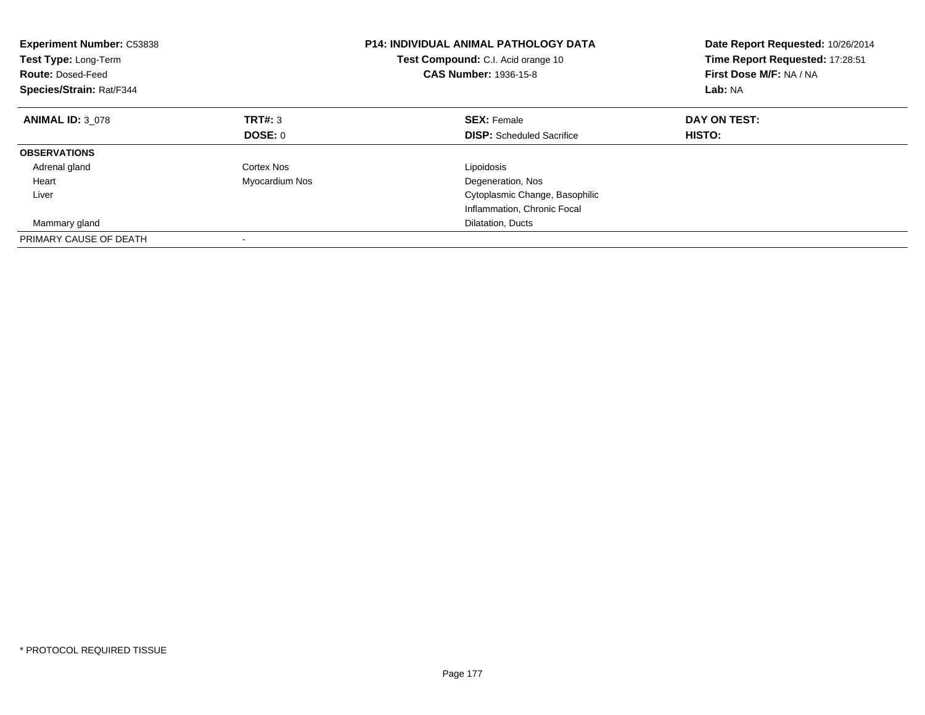| <b>Experiment Number: C53838</b><br><b>Test Type: Long-Term</b><br><b>Route: Dosed-Feed</b><br>Species/Strain: Rat/F344 |                | <b>P14: INDIVIDUAL ANIMAL PATHOLOGY DATA</b><br><b>Test Compound:</b> C.I. Acid orange 10<br><b>CAS Number: 1936-15-8</b> | Date Report Requested: 10/26/2014<br>Time Report Requested: 17:28:51<br>First Dose M/F: NA / NA<br>Lab: NA |
|-------------------------------------------------------------------------------------------------------------------------|----------------|---------------------------------------------------------------------------------------------------------------------------|------------------------------------------------------------------------------------------------------------|
| <b>ANIMAL ID: 3 078</b>                                                                                                 | TRT#: 3        | <b>SEX: Female</b>                                                                                                        | DAY ON TEST:                                                                                               |
|                                                                                                                         | DOSE: 0        | <b>DISP:</b> Scheduled Sacrifice                                                                                          | <b>HISTO:</b>                                                                                              |
| <b>OBSERVATIONS</b>                                                                                                     |                |                                                                                                                           |                                                                                                            |
| Adrenal gland                                                                                                           | Cortex Nos     | Lipoidosis                                                                                                                |                                                                                                            |
| Heart                                                                                                                   | Myocardium Nos | Degeneration, Nos                                                                                                         |                                                                                                            |
| Liver                                                                                                                   |                | Cytoplasmic Change, Basophilic                                                                                            |                                                                                                            |
|                                                                                                                         |                | Inflammation, Chronic Focal                                                                                               |                                                                                                            |
| Mammary gland                                                                                                           |                | Dilatation, Ducts                                                                                                         |                                                                                                            |
| PRIMARY CAUSE OF DEATH                                                                                                  |                |                                                                                                                           |                                                                                                            |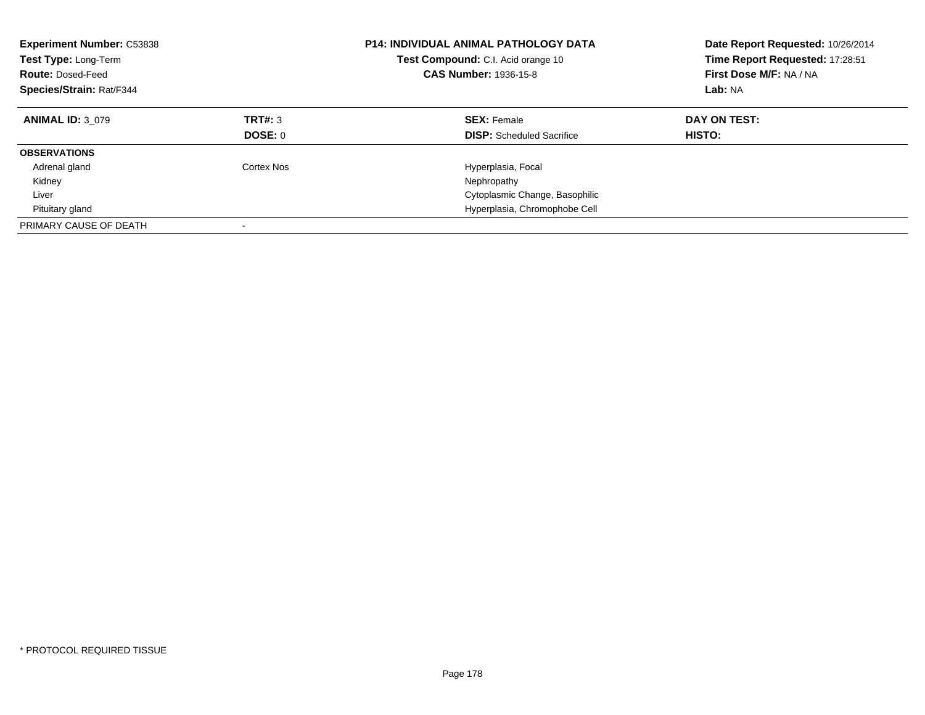| <b>Experiment Number: C53838</b><br>Test Type: Long-Term<br><b>Route: Dosed-Feed</b><br>Species/Strain: Rat/F344 |                           | <b>P14: INDIVIDUAL ANIMAL PATHOLOGY DATA</b><br>Test Compound: C.I. Acid orange 10<br><b>CAS Number: 1936-15-8</b> | Date Report Requested: 10/26/2014<br>Time Report Requested: 17:28:51<br>First Dose M/F: NA / NA<br>Lab: NA |
|------------------------------------------------------------------------------------------------------------------|---------------------------|--------------------------------------------------------------------------------------------------------------------|------------------------------------------------------------------------------------------------------------|
| <b>ANIMAL ID: 3 079</b>                                                                                          | TRT#: 3<br><b>DOSE: 0</b> | <b>SEX: Female</b><br><b>DISP:</b> Scheduled Sacrifice                                                             | DAY ON TEST:<br>HISTO:                                                                                     |
|                                                                                                                  |                           |                                                                                                                    |                                                                                                            |
| <b>OBSERVATIONS</b>                                                                                              |                           |                                                                                                                    |                                                                                                            |
| Adrenal gland                                                                                                    | Cortex Nos                | Hyperplasia, Focal                                                                                                 |                                                                                                            |
| Kidney                                                                                                           |                           | Nephropathy                                                                                                        |                                                                                                            |
| Liver                                                                                                            |                           | Cytoplasmic Change, Basophilic                                                                                     |                                                                                                            |
| Pituitary gland                                                                                                  |                           | Hyperplasia, Chromophobe Cell                                                                                      |                                                                                                            |
| PRIMARY CAUSE OF DEATH                                                                                           |                           |                                                                                                                    |                                                                                                            |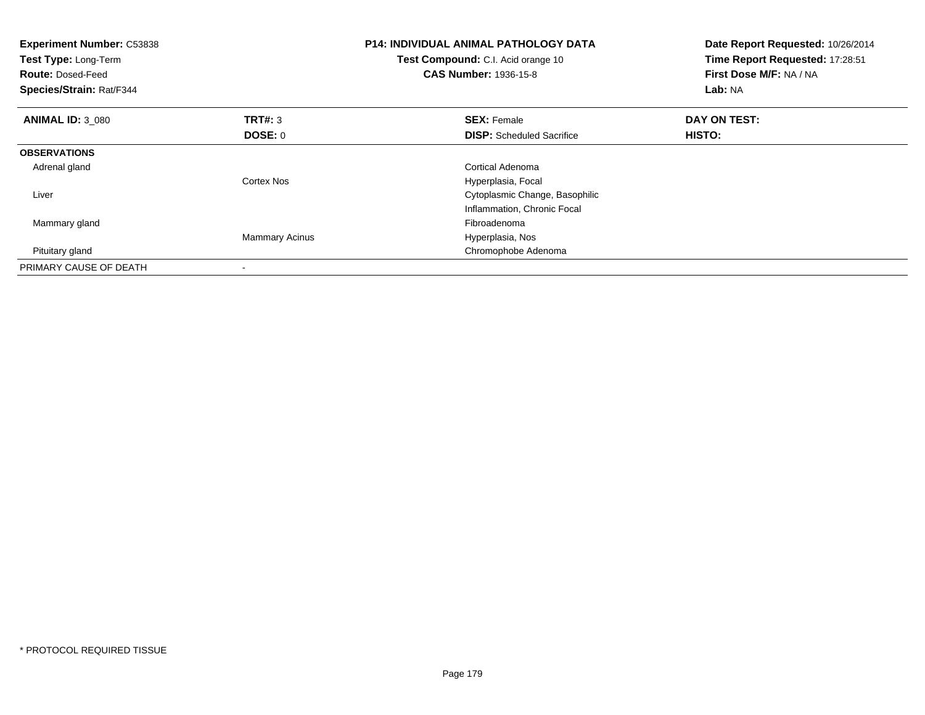| <b>Experiment Number: C53838</b><br>Test Type: Long-Term<br><b>Route: Dosed-Feed</b><br>Species/Strain: Rat/F344 |                       | <b>P14: INDIVIDUAL ANIMAL PATHOLOGY DATA</b><br>Test Compound: C.I. Acid orange 10<br><b>CAS Number: 1936-15-8</b> | Date Report Requested: 10/26/2014<br>Time Report Requested: 17:28:51<br>First Dose M/F: NA / NA<br>Lab: NA |
|------------------------------------------------------------------------------------------------------------------|-----------------------|--------------------------------------------------------------------------------------------------------------------|------------------------------------------------------------------------------------------------------------|
| <b>ANIMAL ID: 3 080</b>                                                                                          | <b>TRT#: 3</b>        | <b>SEX: Female</b>                                                                                                 | DAY ON TEST:                                                                                               |
|                                                                                                                  | <b>DOSE: 0</b>        | <b>DISP:</b> Scheduled Sacrifice                                                                                   | HISTO:                                                                                                     |
| <b>OBSERVATIONS</b>                                                                                              |                       |                                                                                                                    |                                                                                                            |
| Adrenal gland                                                                                                    |                       | Cortical Adenoma                                                                                                   |                                                                                                            |
|                                                                                                                  | Cortex Nos            | Hyperplasia, Focal                                                                                                 |                                                                                                            |
| Liver                                                                                                            |                       | Cytoplasmic Change, Basophilic                                                                                     |                                                                                                            |
|                                                                                                                  |                       | Inflammation, Chronic Focal                                                                                        |                                                                                                            |
| Mammary gland                                                                                                    |                       | Fibroadenoma                                                                                                       |                                                                                                            |
|                                                                                                                  | <b>Mammary Acinus</b> | Hyperplasia, Nos                                                                                                   |                                                                                                            |
| Pituitary gland                                                                                                  |                       | Chromophobe Adenoma                                                                                                |                                                                                                            |
| PRIMARY CAUSE OF DEATH                                                                                           |                       |                                                                                                                    |                                                                                                            |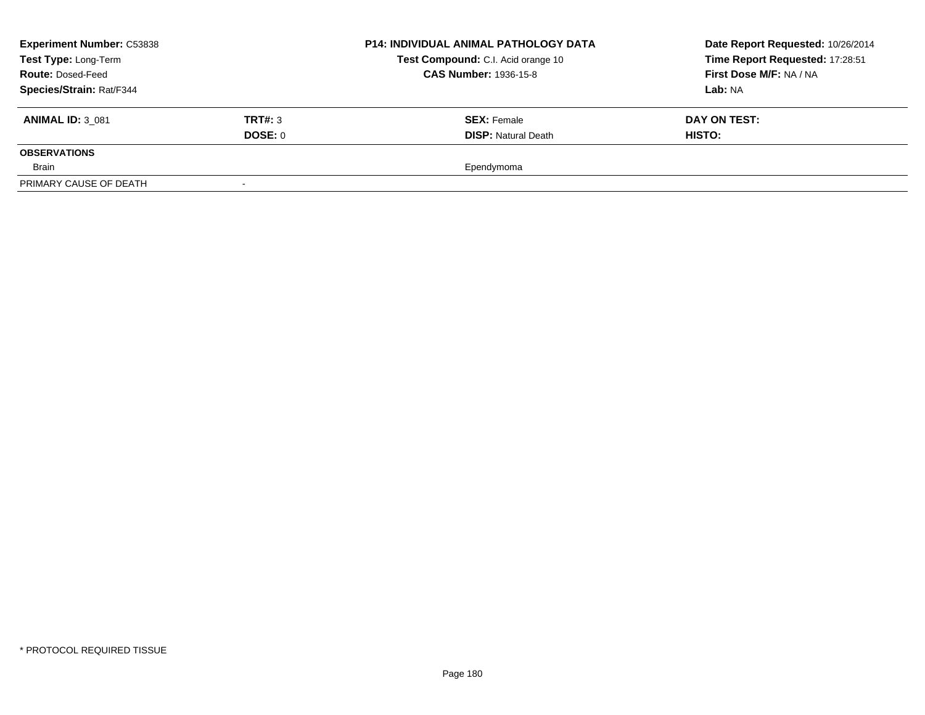| <b>Experiment Number: C53838</b> | <b>P14: INDIVIDUAL ANIMAL PATHOLOGY DATA</b> | Date Report Requested: 10/26/2014                                  |                                 |
|----------------------------------|----------------------------------------------|--------------------------------------------------------------------|---------------------------------|
| Test Type: Long-Term             |                                              | Test Compound: C.I. Acid orange 10<br><b>CAS Number: 1936-15-8</b> | Time Report Requested: 17:28:51 |
| <b>Route: Dosed-Feed</b>         |                                              |                                                                    | First Dose M/F: NA / NA         |
| Species/Strain: Rat/F344         |                                              |                                                                    | <b>Lab:</b> NA                  |
| <b>ANIMAL ID: 3 081</b>          | TRT#: 3                                      | <b>SEX: Female</b>                                                 | DAY ON TEST:                    |
|                                  | DOSE: 0                                      | <b>DISP: Natural Death</b>                                         | <b>HISTO:</b>                   |
| <b>OBSERVATIONS</b>              |                                              |                                                                    |                                 |
| Brain                            |                                              | Ependymoma                                                         |                                 |
| PRIMARY CAUSE OF DEATH           |                                              |                                                                    |                                 |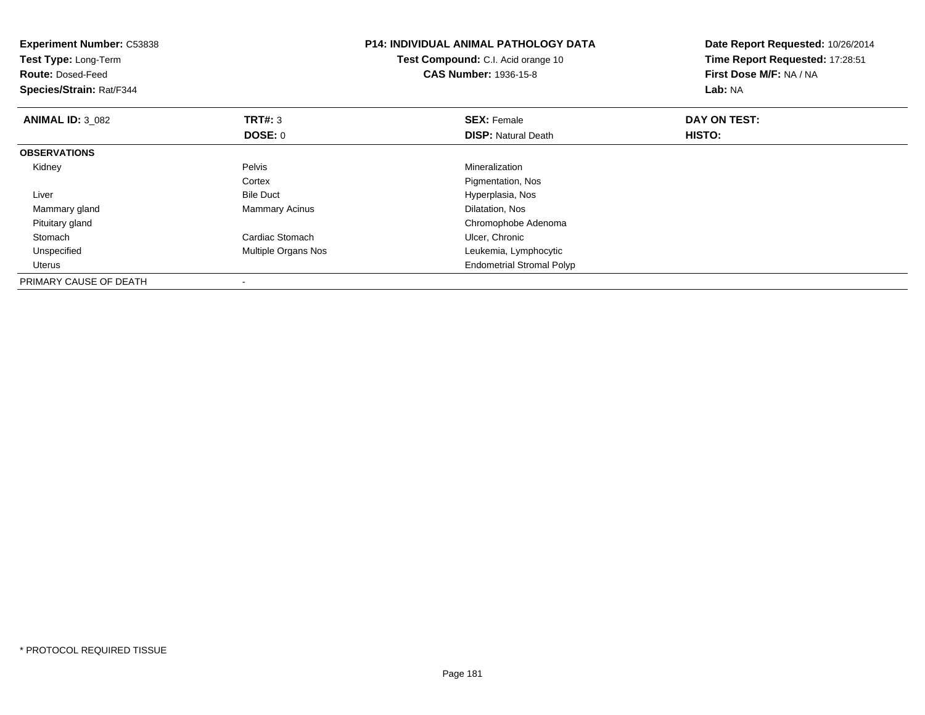| <b>Experiment Number: C53838</b><br>Test Type: Long-Term<br><b>Route: Dosed-Feed</b><br>Species/Strain: Rat/F344 |                       | <b>P14: INDIVIDUAL ANIMAL PATHOLOGY DATA</b><br>Test Compound: C.I. Acid orange 10<br><b>CAS Number: 1936-15-8</b> | Date Report Requested: 10/26/2014<br>Time Report Requested: 17:28:51<br>First Dose M/F: NA / NA<br><b>Lab: NA</b> |
|------------------------------------------------------------------------------------------------------------------|-----------------------|--------------------------------------------------------------------------------------------------------------------|-------------------------------------------------------------------------------------------------------------------|
| <b>ANIMAL ID: 3 082</b>                                                                                          | <b>TRT#: 3</b>        | <b>SEX: Female</b>                                                                                                 | DAY ON TEST:                                                                                                      |
|                                                                                                                  | DOSE: 0               | <b>DISP: Natural Death</b>                                                                                         | <b>HISTO:</b>                                                                                                     |
| <b>OBSERVATIONS</b>                                                                                              |                       |                                                                                                                    |                                                                                                                   |
| Kidney                                                                                                           | Pelvis                | Mineralization                                                                                                     |                                                                                                                   |
|                                                                                                                  | Cortex                | Pigmentation, Nos                                                                                                  |                                                                                                                   |
| Liver                                                                                                            | <b>Bile Duct</b>      | Hyperplasia, Nos                                                                                                   |                                                                                                                   |
| Mammary gland                                                                                                    | <b>Mammary Acinus</b> | Dilatation, Nos                                                                                                    |                                                                                                                   |
| Pituitary gland                                                                                                  |                       | Chromophobe Adenoma                                                                                                |                                                                                                                   |
| Stomach                                                                                                          | Cardiac Stomach       | Ulcer, Chronic                                                                                                     |                                                                                                                   |
| Unspecified                                                                                                      | Multiple Organs Nos   | Leukemia, Lymphocytic                                                                                              |                                                                                                                   |
| Uterus                                                                                                           |                       | <b>Endometrial Stromal Polyp</b>                                                                                   |                                                                                                                   |
| PRIMARY CAUSE OF DEATH                                                                                           |                       |                                                                                                                    |                                                                                                                   |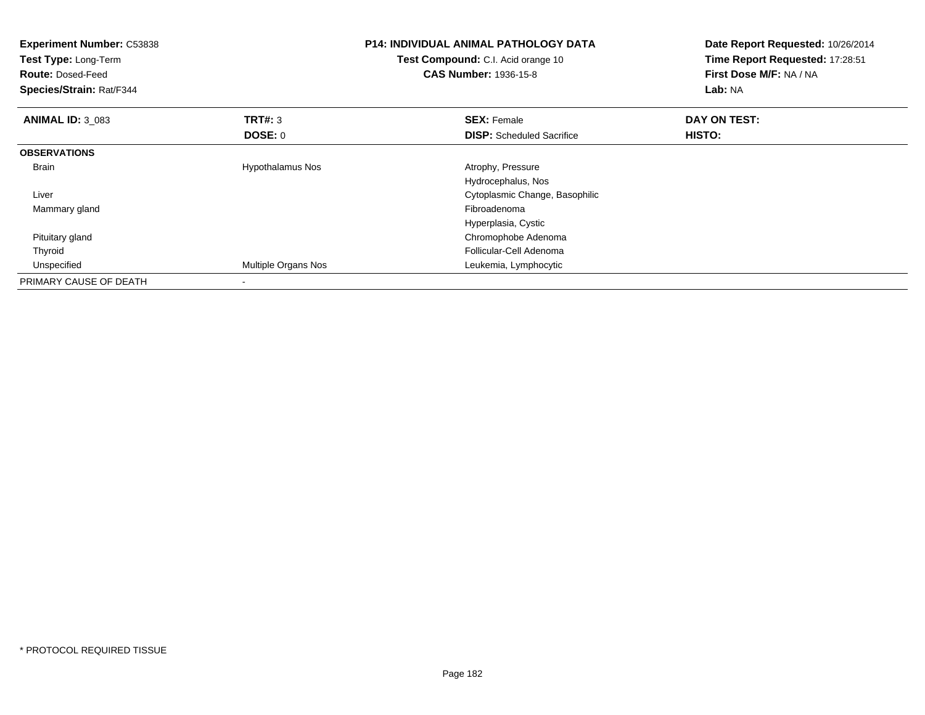| <b>Experiment Number: C53838</b><br>Test Type: Long-Term<br><b>Route: Dosed-Feed</b><br>Species/Strain: Rat/F344 |                         | <b>P14: INDIVIDUAL ANIMAL PATHOLOGY DATA</b><br>Test Compound: C.I. Acid orange 10<br><b>CAS Number: 1936-15-8</b> | Date Report Requested: 10/26/2014<br>Time Report Requested: 17:28:51<br>First Dose M/F: NA / NA<br>Lab: NA |
|------------------------------------------------------------------------------------------------------------------|-------------------------|--------------------------------------------------------------------------------------------------------------------|------------------------------------------------------------------------------------------------------------|
| <b>ANIMAL ID: 3 083</b>                                                                                          | <b>TRT#:</b> 3          | <b>SEX: Female</b>                                                                                                 | DAY ON TEST:                                                                                               |
|                                                                                                                  | DOSE: 0                 | <b>DISP:</b> Scheduled Sacrifice                                                                                   | HISTO:                                                                                                     |
| <b>OBSERVATIONS</b>                                                                                              |                         |                                                                                                                    |                                                                                                            |
| <b>Brain</b>                                                                                                     | <b>Hypothalamus Nos</b> | Atrophy, Pressure                                                                                                  |                                                                                                            |
|                                                                                                                  |                         | Hydrocephalus, Nos                                                                                                 |                                                                                                            |
| Liver                                                                                                            |                         | Cytoplasmic Change, Basophilic                                                                                     |                                                                                                            |
| Mammary gland                                                                                                    |                         | Fibroadenoma                                                                                                       |                                                                                                            |
|                                                                                                                  |                         | Hyperplasia, Cystic                                                                                                |                                                                                                            |
| Pituitary gland                                                                                                  |                         | Chromophobe Adenoma                                                                                                |                                                                                                            |
| Thyroid                                                                                                          |                         | Follicular-Cell Adenoma                                                                                            |                                                                                                            |
| Unspecified                                                                                                      | Multiple Organs Nos     | Leukemia, Lymphocytic                                                                                              |                                                                                                            |
| PRIMARY CAUSE OF DEATH                                                                                           |                         |                                                                                                                    |                                                                                                            |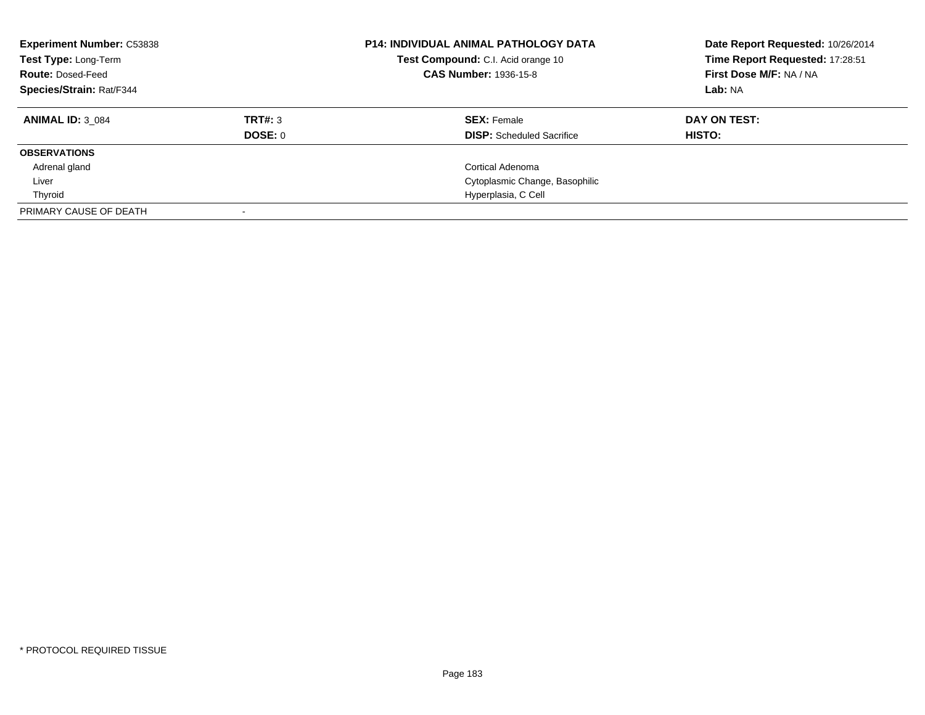| <b>Experiment Number: C53838</b><br>Test Type: Long-Term<br><b>Route: Dosed-Feed</b><br><b>Species/Strain: Rat/F344</b> |         | <b>P14: INDIVIDUAL ANIMAL PATHOLOGY DATA</b><br>Test Compound: C.I. Acid orange 10<br><b>CAS Number: 1936-15-8</b> | Date Report Requested: 10/26/2014<br>Time Report Requested: 17:28:51<br>First Dose M/F: NA / NA<br>Lab: NA |
|-------------------------------------------------------------------------------------------------------------------------|---------|--------------------------------------------------------------------------------------------------------------------|------------------------------------------------------------------------------------------------------------|
| <b>ANIMAL ID: 3 084</b>                                                                                                 | TRT#: 3 | <b>SEX: Female</b>                                                                                                 | DAY ON TEST:                                                                                               |
|                                                                                                                         | DOSE: 0 | <b>DISP:</b> Scheduled Sacrifice                                                                                   | HISTO:                                                                                                     |
| <b>OBSERVATIONS</b>                                                                                                     |         |                                                                                                                    |                                                                                                            |
| Adrenal gland                                                                                                           |         | Cortical Adenoma                                                                                                   |                                                                                                            |
| Liver                                                                                                                   |         | Cytoplasmic Change, Basophilic                                                                                     |                                                                                                            |
| Thyroid                                                                                                                 |         | Hyperplasia, C Cell                                                                                                |                                                                                                            |
| PRIMARY CAUSE OF DEATH                                                                                                  |         |                                                                                                                    |                                                                                                            |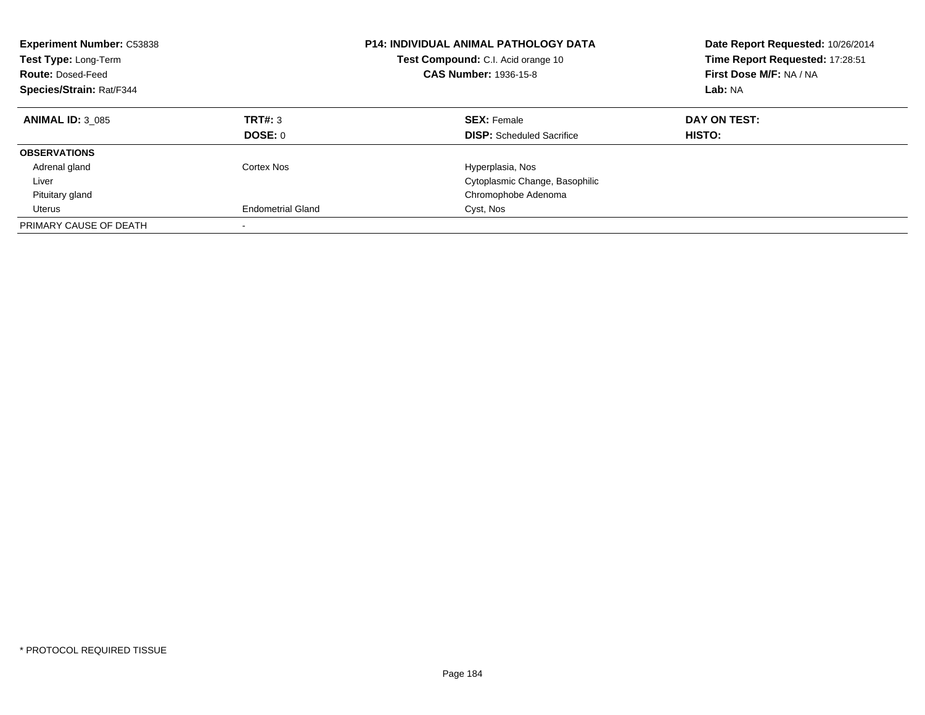| <b>Experiment Number: C53838</b><br>Test Type: Long-Term<br><b>Route: Dosed-Feed</b><br>Species/Strain: Rat/F344 |                          | <b>P14: INDIVIDUAL ANIMAL PATHOLOGY DATA</b><br>Test Compound: C.I. Acid orange 10<br><b>CAS Number: 1936-15-8</b> | Date Report Requested: 10/26/2014<br>Time Report Requested: 17:28:51<br>First Dose M/F: NA / NA<br>Lab: NA |
|------------------------------------------------------------------------------------------------------------------|--------------------------|--------------------------------------------------------------------------------------------------------------------|------------------------------------------------------------------------------------------------------------|
| <b>ANIMAL ID: 3 085</b>                                                                                          | TRT#: 3<br>DOSE: 0       | <b>SEX: Female</b><br><b>DISP:</b> Scheduled Sacrifice                                                             | DAY ON TEST:<br><b>HISTO:</b>                                                                              |
| <b>OBSERVATIONS</b>                                                                                              |                          |                                                                                                                    |                                                                                                            |
| Adrenal gland                                                                                                    | Cortex Nos               | Hyperplasia, Nos                                                                                                   |                                                                                                            |
| Liver                                                                                                            |                          | Cytoplasmic Change, Basophilic                                                                                     |                                                                                                            |
| Pituitary gland                                                                                                  |                          | Chromophobe Adenoma                                                                                                |                                                                                                            |
| Uterus                                                                                                           | <b>Endometrial Gland</b> | Cyst, Nos                                                                                                          |                                                                                                            |
| PRIMARY CAUSE OF DEATH                                                                                           |                          |                                                                                                                    |                                                                                                            |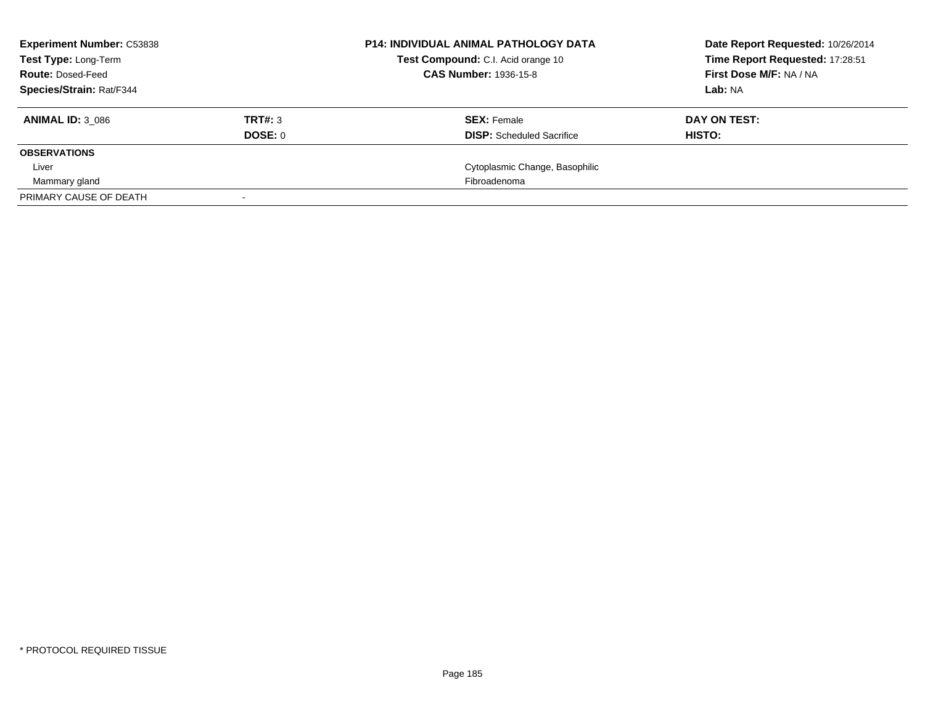| <b>Experiment Number: C53838</b> |         | <b>P14: INDIVIDUAL ANIMAL PATHOLOGY DATA</b> | Date Report Requested: 10/26/2014 |  |
|----------------------------------|---------|----------------------------------------------|-----------------------------------|--|
| Test Type: Long-Term             |         | Test Compound: C.I. Acid orange 10           | Time Report Requested: 17:28:51   |  |
| <b>Route: Dosed-Feed</b>         |         | <b>CAS Number: 1936-15-8</b>                 | <b>First Dose M/F: NA / NA</b>    |  |
| Species/Strain: Rat/F344         |         |                                              | Lab: NA                           |  |
| <b>ANIMAL ID: 3 086</b>          | TRT#: 3 | <b>SEX: Female</b>                           | DAY ON TEST:                      |  |
|                                  | DOSE: 0 | <b>DISP:</b> Scheduled Sacrifice             | HISTO:                            |  |
| <b>OBSERVATIONS</b>              |         |                                              |                                   |  |
| Liver                            |         | Cytoplasmic Change, Basophilic               |                                   |  |
| Mammary gland                    |         | Fibroadenoma                                 |                                   |  |
| PRIMARY CAUSE OF DEATH           |         |                                              |                                   |  |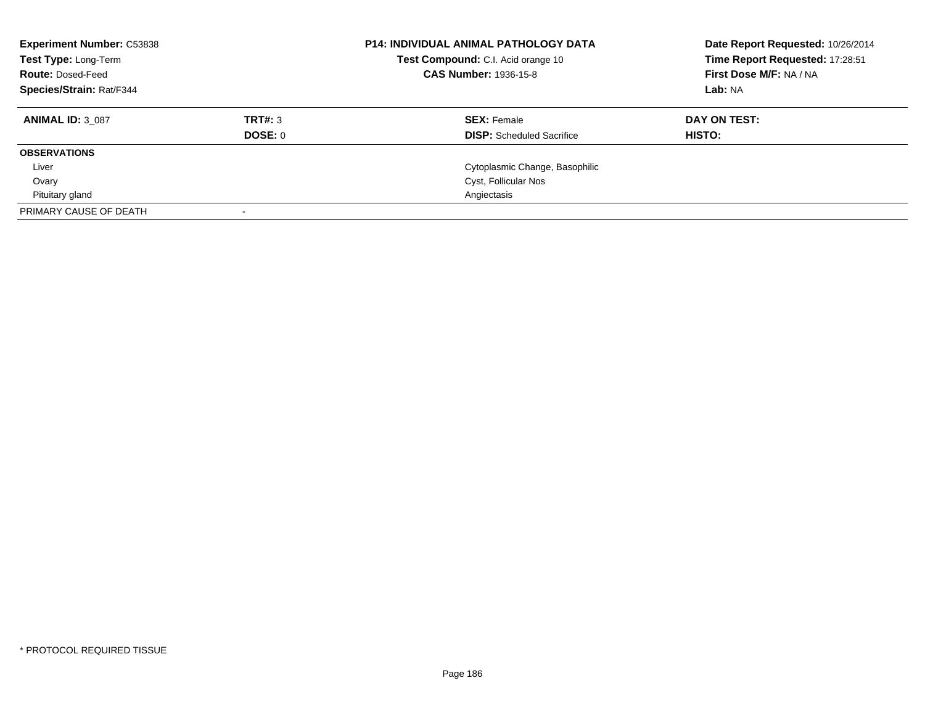| <b>Experiment Number: C53838</b><br>Test Type: Long-Term<br><b>Route: Dosed-Feed</b><br><b>Species/Strain: Rat/F344</b> |                | <b>P14: INDIVIDUAL ANIMAL PATHOLOGY DATA</b><br>Test Compound: C.I. Acid orange 10<br><b>CAS Number: 1936-15-8</b> | Date Report Requested: 10/26/2014<br>Time Report Requested: 17:28:51<br>First Dose M/F: NA / NA<br>Lab: NA |
|-------------------------------------------------------------------------------------------------------------------------|----------------|--------------------------------------------------------------------------------------------------------------------|------------------------------------------------------------------------------------------------------------|
| <b>ANIMAL ID: 3 087</b>                                                                                                 | TRT#: 3        | <b>SEX: Female</b>                                                                                                 | DAY ON TEST:                                                                                               |
|                                                                                                                         | <b>DOSE: 0</b> | <b>DISP:</b> Scheduled Sacrifice                                                                                   | HISTO:                                                                                                     |
| <b>OBSERVATIONS</b>                                                                                                     |                |                                                                                                                    |                                                                                                            |
| Liver                                                                                                                   |                | Cytoplasmic Change, Basophilic                                                                                     |                                                                                                            |
| Ovary                                                                                                                   |                | Cyst, Follicular Nos                                                                                               |                                                                                                            |
| Pituitary gland                                                                                                         |                | Angiectasis                                                                                                        |                                                                                                            |
| PRIMARY CAUSE OF DEATH                                                                                                  |                |                                                                                                                    |                                                                                                            |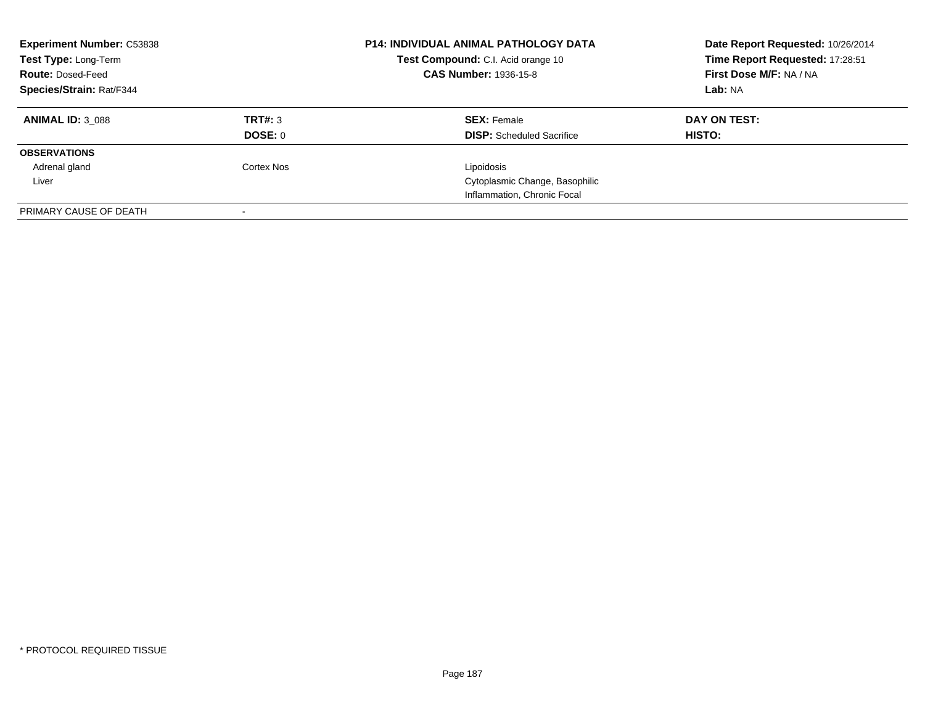| <b>Experiment Number: C53838</b><br>Test Type: Long-Term<br><b>Route: Dosed-Feed</b><br>Species/Strain: Rat/F344 |            | <b>P14: INDIVIDUAL ANIMAL PATHOLOGY DATA</b><br>Test Compound: C.I. Acid orange 10<br><b>CAS Number: 1936-15-8</b> | Date Report Requested: 10/26/2014<br>Time Report Requested: 17:28:51<br>First Dose M/F: NA / NA<br>Lab: NA |
|------------------------------------------------------------------------------------------------------------------|------------|--------------------------------------------------------------------------------------------------------------------|------------------------------------------------------------------------------------------------------------|
|                                                                                                                  |            |                                                                                                                    |                                                                                                            |
| <b>ANIMAL ID: 3 088</b>                                                                                          | TRT#: 3    | <b>SEX: Female</b>                                                                                                 | DAY ON TEST:                                                                                               |
|                                                                                                                  | DOSE: 0    | <b>DISP:</b> Scheduled Sacrifice                                                                                   | HISTO:                                                                                                     |
| <b>OBSERVATIONS</b>                                                                                              |            |                                                                                                                    |                                                                                                            |
| Adrenal gland                                                                                                    | Cortex Nos | Lipoidosis                                                                                                         |                                                                                                            |
| Liver                                                                                                            |            | Cytoplasmic Change, Basophilic                                                                                     |                                                                                                            |
|                                                                                                                  |            | Inflammation, Chronic Focal                                                                                        |                                                                                                            |
| PRIMARY CAUSE OF DEATH                                                                                           |            |                                                                                                                    |                                                                                                            |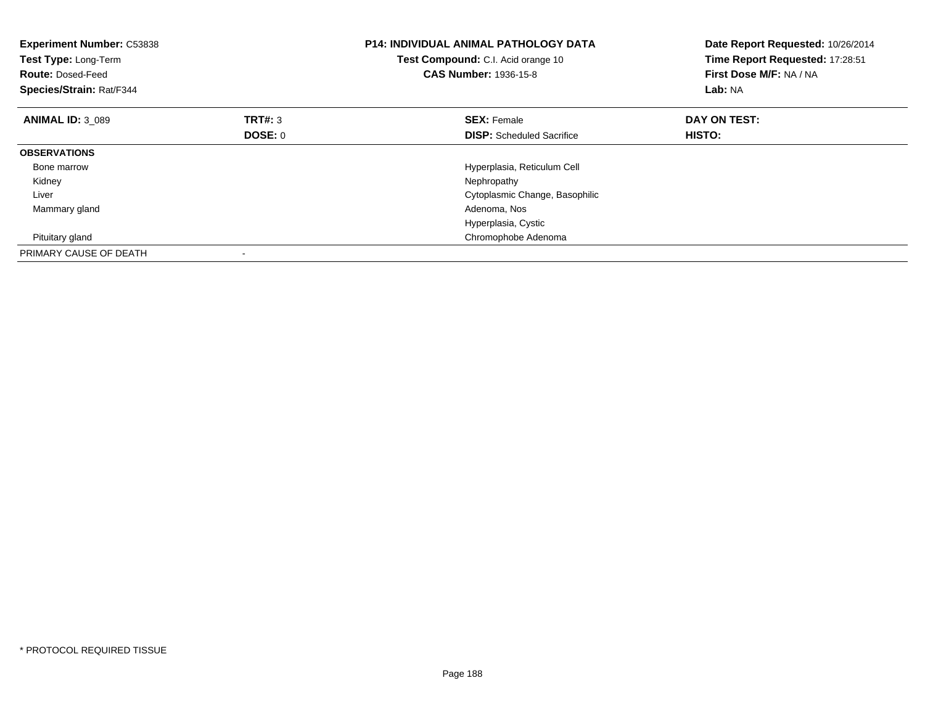| <b>Experiment Number: C53838</b><br>Test Type: Long-Term<br><b>Route: Dosed-Feed</b><br>Species/Strain: Rat/F344 |                | <b>P14: INDIVIDUAL ANIMAL PATHOLOGY DATA</b><br>Test Compound: C.I. Acid orange 10<br><b>CAS Number: 1936-15-8</b> | Date Report Requested: 10/26/2014<br>Time Report Requested: 17:28:51<br>First Dose M/F: NA / NA<br>Lab: NA |
|------------------------------------------------------------------------------------------------------------------|----------------|--------------------------------------------------------------------------------------------------------------------|------------------------------------------------------------------------------------------------------------|
| <b>ANIMAL ID: 3 089</b>                                                                                          | <b>TRT#: 3</b> | <b>SEX: Female</b>                                                                                                 | DAY ON TEST:                                                                                               |
|                                                                                                                  | DOSE: 0        | <b>DISP:</b> Scheduled Sacrifice                                                                                   | HISTO:                                                                                                     |
| <b>OBSERVATIONS</b>                                                                                              |                |                                                                                                                    |                                                                                                            |
| Bone marrow                                                                                                      |                | Hyperplasia, Reticulum Cell                                                                                        |                                                                                                            |
| Kidney                                                                                                           |                | Nephropathy                                                                                                        |                                                                                                            |
| Liver                                                                                                            |                | Cytoplasmic Change, Basophilic                                                                                     |                                                                                                            |
| Mammary gland                                                                                                    |                | Adenoma, Nos                                                                                                       |                                                                                                            |
|                                                                                                                  |                | Hyperplasia, Cystic                                                                                                |                                                                                                            |
| Pituitary gland                                                                                                  |                | Chromophobe Adenoma                                                                                                |                                                                                                            |
| PRIMARY CAUSE OF DEATH                                                                                           |                |                                                                                                                    |                                                                                                            |